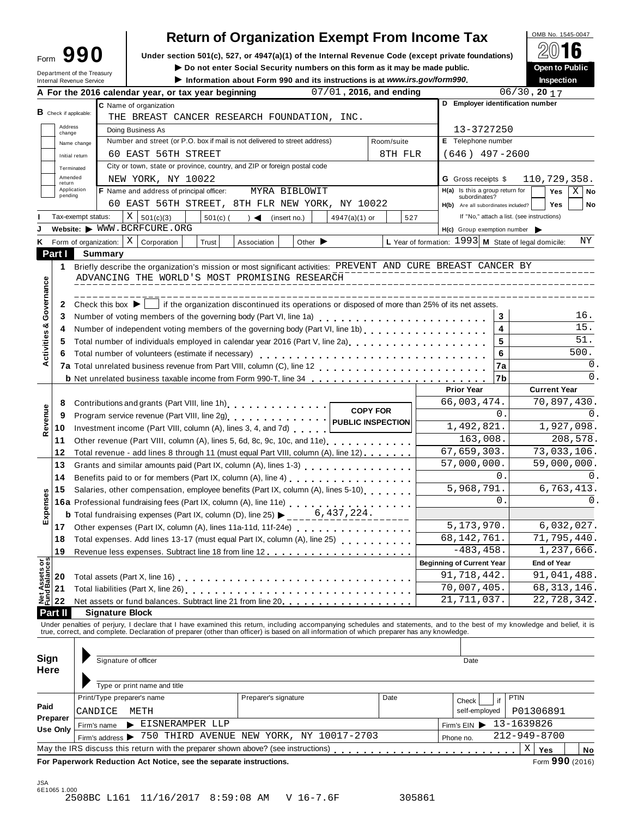| ∙orm | 990 |  |
|------|-----|--|
|      |     |  |

**18 19**

**20 21**

**N**

**Sign Here**

**Paid**

# Return of Organization Exempt From Income Tax  $\frac{\text{OMB NO. 1545-0047}}{\text{OMB}}$

**Under** section 501(c), 527, or 4947(a)(1) of the Internal Revenue Code (except private foundations) **Form** *B* **Form** *B* **Do not enter Social Security numbers on this form as it may be made public. ● ● ● ● ● ● ● ● ● ● ●** ▶ Do not enter Social Security numbers on this form as it may be made public. **Dumbers** Open to Public <br>▶ Information about Form 990 and its instructions is at www.irs.gov/form990. Inspection Department of the Treasury Information about Form 990 and its instructions is at www.irs.gov/form990.<br>A For the 2016 calendar year, or tax year beginning  $07/01$ , 2016, and ending  $06/30$ , 20 17 **B** Check if applicable: C Name of organization<br>
THE BREAST CANCER RESEARCH FOUNDATION, INC. Address<br>change Doing Business As Number and street (or P.O. box if mail is not delivered to street address) Room/suite **E** Telephone number Initial return Terminated City or town, state or province, country, and ZIP or foreign postal code Amended<br>return Amended NEW YORK, NY 10022<br>
return **G** Gross receipts \$110,729,358. Application<br>pending **F** Name and address of principal officer: MYRA BIBLOWIT<br> **F** Note all subordinates? **F** No Subordinates? **F** No Subordinates? **F** No Subordinates included? **F** No Subordinates included? **F** No No **H(b)** Are all subordinates included? **I** Tax-exempt status:  $X = \frac{S}{S01(c)(3)} = \frac{S01(c)}{S01(c)} = \frac{S01(c)}{S01(c)} = \frac{S01(c)}{S01(c)} = \frac{S01(c)}{S01(c)} = \frac{S01(c)}{S01(c)} = \frac{S01(c)}{S01(c)} = \frac{S01(c)}{S01(c)} = \frac{S01(c)}{S01(c)} = \frac{S01(c)}{S01(c)} = \frac{S01(c)}{S01(c)} = \frac{S01(c)}{S01(c)} = \frac{S01(c)}{S01(c)} = \frac{$ The Companization: A 1901(c)(3) 1901(c) (1) 1901(c) 1901 (c) 1901 (c) 1901 (c) 1901 (c) 1901 (c) 1901 (c) 1901 (c) 1901 (c) 1901 (c) 1901 (c) 1901 (c) 1901 (c) 1901 (c) 1901 (c) 1901 (c) 1903 1901 (c) 1903 1901 (c) 1903 19 **1** Briefly describe the organization's mission or most significant activities: PREVENT AND CURE BREAST CANCER BY **2** Check this box  $\rightarrow$  T **2** Check this box ▶ | it the organization discontinued its operations or disposed of more than 25% of its net asse<br>3 Number of voting members of the governing body (Part VI, line 1a)<br>**1.** Number of voting members of the **3** Number of voting members of the governing body (Part VI, line 1a)<br>4 Number of independent voting members of the governing body (Part VI, line 1b) <sub>.</sub> . . . . . . . . . . . . . . . .<br>-**5** Total number of individuals employed in calendar year 2016 (Part V, line 2a) **6** Total number of volunteers (estimate if necessary) **7a** Total unrelated business revenue from Part VIII, column (C), line 12 **b** Net unrelated business taxable income from Form 990-T, line 34 if the organization discontinued its operations or disposed of more than 25% of its net assets.**3 4 5 6 7a 7b** m m m m m m m m m m m m m m m m m m m Total number of individuals employed in calendar year 2016 (Part V, line 2a)<br>Total number of volunteers (estimate if necessary)<br>**a** Total unrelated business revenue from Part VIII, column (C), line 12<br>**b** Net unrelated bus **Activities & Governance Prior Year Current Year COPY FOR PUBLIC INSPECTION 8** Contributions and grants (Part VIII, line 1h) **8** Contributions and grants (Part VIII, line 1h)<br>9 Program service revenue (Part VIII, line 2g)<br>-**15 16 17 22** Contributions and grants (Part VIII, line 1h)<br>Program service revenue (Part VIII, line 2g)<br>Program service revenue (Part VIII, line 2g) Program service revenue (Part VIII, line 2g)<br>Investment income (Part VIII, column (A), lines 3, 4, and 7d) Other revenue (Part VIII, column (A), lines 5, 6d, 8c, 9c, 10c, and 11e) Total revenue - add lines 8 through 11 (must equal Part VIII, column (A), line 12) I otal revenue - add lines 8 through 11 (must equal Part VIII, column (A), line 12)<br>Grants and similar amounts paid (Part IX, column (A), lines 1-3) Grants and similar amounts paid (Part IX, column (A), lines 1-3)  $\ldots \ldots \ldots \ldots \ldots$ Salaries, other compensation, employee benefits (Part IX, column (A), lines 5-10) Professional fundraising fees (Part IX, column (A), line 11e) Salaries, other compensation, employee benefits (Part IX, column (A), lines 5-10)<br> **a** Professional fundraising fees (Part IX, column (A), line 11e)<br> **b** Total fundraising expenses (Part IX, column (D), line 25)<br> **b** Total Other expenses (Part IX, column (A), lines 11a-11d, 11f-24e) . . . . . . . Total expenses. Add lines 13-17 (must equal Part IX, column (A), line 25) m m m m m m m m m m Revenue less expenses. Subtract line 18 from line 12 Total assets (Part X, line 16) Total liabilities (Part X, line 26) m m m m m m m m m m m m m m m m m m m m m m m m m m m m m m m Net assets or fund balances. Subtract line 21 from line 20 m m m m m m m m m m m m . . . . . . .<br>. . . . . . . **Revenue** Salaries, other compensation, employee benefits (Part IX, column (A), lines 5-10) m m m m m m m m m m m m m m m m m m m m m m m m m m m m m m m m m m m m **Experience School School School School School School School School School School School School School School School School School School School School School School School School School School School School School School Beginning of Current Year End of Year** m m m m m m m m m m m m m m m m m m m m m m m m m m m m m m m m 5 avails<br>
and a model of Fotal assets (Part X, line 16)<br>
20 Total liabilities (Part X, line 26)<br>
21 Total liabilities (Part X, line 26)<br>
22 Net assets or fund balances. Subtract line 21 from line 20<br> **Part II** Signature Bl Under penalties of perjury, I declare that I have examined this return, including accompanying schedules and statements, and to the best of my knowledge and belief, it is<br>true, correct, and complete. Declaration of prepare M Signature of officer Date Type or print name and title Print/Type preparer's name Preparer's signature Date Date Check if PTIN **Preparer Use Only** self-employed | P01306891 FIEST FIEST PROPER LUP<br>
EISNERAMPER LUP<br>
Firm's EIN 13-1639826  $\frac{1151}{250}$ Firm's name EISNERAMPER LLP<br>
Firm's address > 750 THIRD AVENUE NEW YORK, NY 10017-2703 Phone no. 212-949-8700 Firm's EIN  $\blacktriangleright$ 07/01, 2016, and ending  $06/30$ , 20 1<br>D Employer identification number 13-3727250 60 EAST 56TH STREET 8TH SAME 8TH FLR (646) 497-2600 MYRA BIBLOWIT X 60 EAST 56TH STREET, 8TH FLR NEW YORK, NY 10022  $X \mid 501(c)(3)$ Website: WWW.BCRFCURE.ORG Form of organization:  $\vert X \vert$  Corporation  $\vert Y \vert$  Trust Association | Other  $\vert Y \vert$  Collem | L Year of formation: 1993 | M State of legal domicile: NY ADVANCING THE WORLD'S MOST PROMISING RESEARCH 16. 15. 51. 500. 0.  $\overline{0}$  . 66,003,474. 70,897,430.  $0.$  0. 1,492,821. 1,927,098. 163,008. 208,578. 67,659,303. 73,033,106. 57,000,000. 59,000,000.  $0.$  0. 5,968,791. 6,763,413.  $0.$  0. 5,173,970. 6,032,027. 68,142,761. 71,795,440.  $-483,458.$  1,237,666. 91,718,442. 91,041,488. 70,007,405. 68,313,146. 21,711,037. 22,728,342. CANDICE METH

Phone no.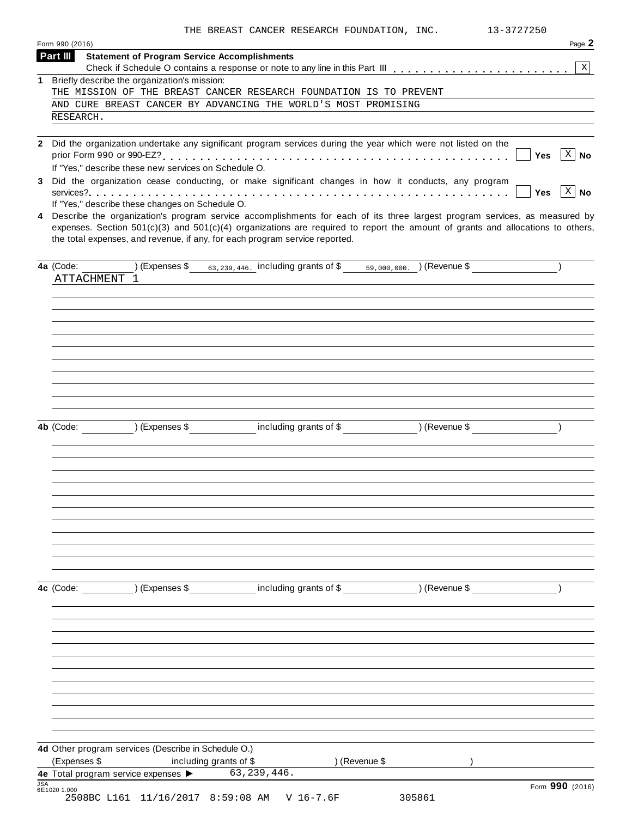THE BREAST CANCER RESEARCH FOUNDATION, INC. 13-3727250

| Part III<br><b>Statement of Program Service Accomplishments</b><br>1 Briefly describe the organization's mission:<br>THE MISSION OF THE BREAST CANCER RESEARCH FOUNDATION IS TO PREVENT<br>AND CURE BREAST CANCER BY ADVANCING THE WORLD'S MOST PROMISING<br>RESEARCH.<br>2 Did the organization undertake any significant program services during the year which were not listed on the<br>Yes<br>If "Yes," describe these new services on Schedule O.<br>Did the organization cease conducting, or make significant changes in how it conducts, any program<br><b>Yes</b><br>If "Yes," describe these changes on Schedule O.<br>4 Describe the organization's program service accomplishments for each of its three largest program services, as measured by<br>expenses. Section $501(c)(3)$ and $501(c)(4)$ organizations are required to report the amount of grants and allocations to others,<br>the total expenses, and revenue, if any, for each program service reported.<br>(Expenses \$ $_{63,239,446}$ , including grants of \$ $_{59,000,000}$ ) (Revenue \$<br>4a (Code:<br>ATTACHMENT 1<br>4b (Code: ) (Expenses \$ including grants of \$ ) (Revenue \$ | $\mathbf{X}$<br>$ X $ No<br>$ X $ No |
|--------------------------------------------------------------------------------------------------------------------------------------------------------------------------------------------------------------------------------------------------------------------------------------------------------------------------------------------------------------------------------------------------------------------------------------------------------------------------------------------------------------------------------------------------------------------------------------------------------------------------------------------------------------------------------------------------------------------------------------------------------------------------------------------------------------------------------------------------------------------------------------------------------------------------------------------------------------------------------------------------------------------------------------------------------------------------------------------------------------------------------------------------------------------------|--------------------------------------|
|                                                                                                                                                                                                                                                                                                                                                                                                                                                                                                                                                                                                                                                                                                                                                                                                                                                                                                                                                                                                                                                                                                                                                                          |                                      |
|                                                                                                                                                                                                                                                                                                                                                                                                                                                                                                                                                                                                                                                                                                                                                                                                                                                                                                                                                                                                                                                                                                                                                                          |                                      |
|                                                                                                                                                                                                                                                                                                                                                                                                                                                                                                                                                                                                                                                                                                                                                                                                                                                                                                                                                                                                                                                                                                                                                                          |                                      |
|                                                                                                                                                                                                                                                                                                                                                                                                                                                                                                                                                                                                                                                                                                                                                                                                                                                                                                                                                                                                                                                                                                                                                                          |                                      |
|                                                                                                                                                                                                                                                                                                                                                                                                                                                                                                                                                                                                                                                                                                                                                                                                                                                                                                                                                                                                                                                                                                                                                                          |                                      |
|                                                                                                                                                                                                                                                                                                                                                                                                                                                                                                                                                                                                                                                                                                                                                                                                                                                                                                                                                                                                                                                                                                                                                                          |                                      |
|                                                                                                                                                                                                                                                                                                                                                                                                                                                                                                                                                                                                                                                                                                                                                                                                                                                                                                                                                                                                                                                                                                                                                                          |                                      |
|                                                                                                                                                                                                                                                                                                                                                                                                                                                                                                                                                                                                                                                                                                                                                                                                                                                                                                                                                                                                                                                                                                                                                                          |                                      |
|                                                                                                                                                                                                                                                                                                                                                                                                                                                                                                                                                                                                                                                                                                                                                                                                                                                                                                                                                                                                                                                                                                                                                                          |                                      |
|                                                                                                                                                                                                                                                                                                                                                                                                                                                                                                                                                                                                                                                                                                                                                                                                                                                                                                                                                                                                                                                                                                                                                                          |                                      |
|                                                                                                                                                                                                                                                                                                                                                                                                                                                                                                                                                                                                                                                                                                                                                                                                                                                                                                                                                                                                                                                                                                                                                                          |                                      |
|                                                                                                                                                                                                                                                                                                                                                                                                                                                                                                                                                                                                                                                                                                                                                                                                                                                                                                                                                                                                                                                                                                                                                                          |                                      |
|                                                                                                                                                                                                                                                                                                                                                                                                                                                                                                                                                                                                                                                                                                                                                                                                                                                                                                                                                                                                                                                                                                                                                                          |                                      |
|                                                                                                                                                                                                                                                                                                                                                                                                                                                                                                                                                                                                                                                                                                                                                                                                                                                                                                                                                                                                                                                                                                                                                                          |                                      |
|                                                                                                                                                                                                                                                                                                                                                                                                                                                                                                                                                                                                                                                                                                                                                                                                                                                                                                                                                                                                                                                                                                                                                                          |                                      |
|                                                                                                                                                                                                                                                                                                                                                                                                                                                                                                                                                                                                                                                                                                                                                                                                                                                                                                                                                                                                                                                                                                                                                                          |                                      |
|                                                                                                                                                                                                                                                                                                                                                                                                                                                                                                                                                                                                                                                                                                                                                                                                                                                                                                                                                                                                                                                                                                                                                                          |                                      |
| (Expenses \$ including grants of \$ ) (Revenue \$<br>4c (Code:                                                                                                                                                                                                                                                                                                                                                                                                                                                                                                                                                                                                                                                                                                                                                                                                                                                                                                                                                                                                                                                                                                           |                                      |
|                                                                                                                                                                                                                                                                                                                                                                                                                                                                                                                                                                                                                                                                                                                                                                                                                                                                                                                                                                                                                                                                                                                                                                          |                                      |
|                                                                                                                                                                                                                                                                                                                                                                                                                                                                                                                                                                                                                                                                                                                                                                                                                                                                                                                                                                                                                                                                                                                                                                          |                                      |
|                                                                                                                                                                                                                                                                                                                                                                                                                                                                                                                                                                                                                                                                                                                                                                                                                                                                                                                                                                                                                                                                                                                                                                          |                                      |
| 4d Other program services (Describe in Schedule O.)<br>(Expenses \$<br>) (Revenue \$                                                                                                                                                                                                                                                                                                                                                                                                                                                                                                                                                                                                                                                                                                                                                                                                                                                                                                                                                                                                                                                                                     |                                      |
| including grants of \$<br>63, 239, 446.<br>4e Total program service expenses >                                                                                                                                                                                                                                                                                                                                                                                                                                                                                                                                                                                                                                                                                                                                                                                                                                                                                                                                                                                                                                                                                           |                                      |
| <b>JSA</b><br>Form 990 (2016)<br>6E1020 1.000                                                                                                                                                                                                                                                                                                                                                                                                                                                                                                                                                                                                                                                                                                                                                                                                                                                                                                                                                                                                                                                                                                                            |                                      |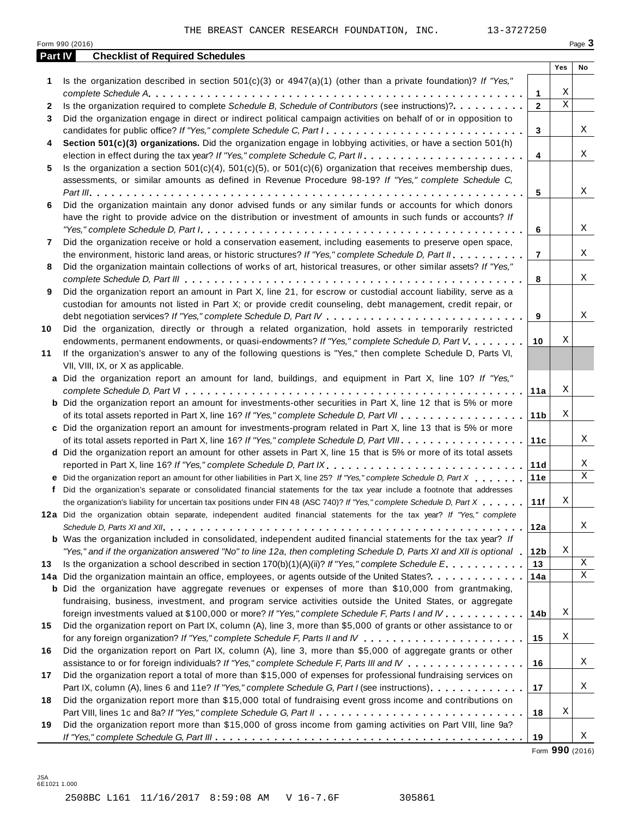THE BREAST CANCER RESEARCH FOUNDATION, INC. 13-3727250

|         | Form 990 (2016)                                                                                                           |    |                 |             | Page 3 |
|---------|---------------------------------------------------------------------------------------------------------------------------|----|-----------------|-------------|--------|
| Part IV | <b>Checklist of Required Schedules</b>                                                                                    |    |                 |             |        |
|         |                                                                                                                           |    |                 | Yes         | No     |
| 1       | Is the organization described in section $501(c)(3)$ or $4947(a)(1)$ (other than a private foundation)? If "Yes,"         |    |                 |             |        |
|         |                                                                                                                           |    | 1               | Χ           |        |
| 2       | Is the organization required to complete Schedule B, Schedule of Contributors (see instructions)?.                        |    | $\mathbf{2}$    | $\mathbf X$ |        |
| 3       | Did the organization engage in direct or indirect political campaign activities on behalf of or in opposition to          |    |                 |             |        |
|         | candidates for public office? If "Yes," complete Schedule C, Part I.                                                      |    | 3               |             | Χ      |
| 4       | Section 501(c)(3) organizations. Did the organization engage in lobbying activities, or have a section 501(h)             |    |                 |             |        |
|         |                                                                                                                           |    | $\overline{4}$  |             | Χ      |
| 5       | Is the organization a section $501(c)(4)$ , $501(c)(5)$ , or $501(c)(6)$ organization that receives membership dues,      |    |                 |             |        |
|         | assessments, or similar amounts as defined in Revenue Procedure 98-19? If "Yes," complete Schedule C,                     |    |                 |             |        |
|         |                                                                                                                           |    | 5               |             | Χ      |
| 6       | Did the organization maintain any donor advised funds or any similar funds or accounts for which donors                   |    |                 |             |        |
|         | have the right to provide advice on the distribution or investment of amounts in such funds or accounts? If               |    |                 |             |        |
|         |                                                                                                                           |    | 6               |             | Χ      |
| 7       | Did the organization receive or hold a conservation easement, including easements to preserve open space,                 |    |                 |             |        |
|         | the environment, historic land areas, or historic structures? If "Yes," complete Schedule D, Part II.                     |    | $\overline{7}$  |             | Χ      |
| 8       | Did the organization maintain collections of works of art, historical treasures, or other similar assets? If "Yes,"       |    |                 |             |        |
|         |                                                                                                                           | 8  |                 |             | Χ      |
| 9       | Did the organization report an amount in Part X, line 21, for escrow or custodial account liability, serve as a           |    |                 |             |        |
|         | custodian for amounts not listed in Part X; or provide credit counseling, debt management, credit repair, or              |    |                 |             |        |
|         |                                                                                                                           | 9  |                 |             | Χ      |
| 10      | Did the organization, directly or through a related organization, hold assets in temporarily restricted                   |    |                 |             |        |
|         | endowments, permanent endowments, or quasi-endowments? If "Yes," complete Schedule D, Part V.                             |    | 10              | Χ           |        |
| 11      | If the organization's answer to any of the following questions is "Yes," then complete Schedule D, Parts VI,              |    |                 |             |        |
|         | VII, VIII, IX, or X as applicable.                                                                                        |    |                 |             |        |
|         | a Did the organization report an amount for land, buildings, and equipment in Part X, line 10? If "Yes,"                  |    |                 |             |        |
|         |                                                                                                                           |    | 11a             | Χ           |        |
|         | <b>b</b> Did the organization report an amount for investments-other securities in Part X, line 12 that is 5% or more     |    |                 |             |        |
|         |                                                                                                                           |    | 11 <sub>b</sub> | Χ           |        |
|         | c Did the organization report an amount for investments-program related in Part X, line 13 that is 5% or more             |    |                 |             |        |
|         |                                                                                                                           |    | 11c             |             | Χ      |
|         | d Did the organization report an amount for other assets in Part X, line 15 that is 5% or more of its total assets        |    |                 |             |        |
|         | reported in Part X, line 16? If "Yes," complete Schedule D, Part IX.                                                      |    | 11d             |             | X      |
|         | e Did the organization report an amount for other liabilities in Part X, line 25? If "Yes," complete Schedule D, Part X   |    | 11e             |             | X      |
|         | f Did the organization's separate or consolidated financial statements for the tax year include a footnote that addresses |    |                 |             |        |
|         | the organization's liability for uncertain tax positions under FIN 48 (ASC 740)? If "Yes," complete Schedule D, Part X    |    | 11f             | Χ           |        |
|         | 12a Did the organization obtain separate, independent audited financial statements for the tax year? If "Yes," complete   |    |                 |             |        |
|         |                                                                                                                           |    | 12a             |             | Χ      |
|         | <b>b</b> Was the organization included in consolidated, independent audited financial statements for the tax year? If     |    |                 |             |        |
|         | "Yes," and if the organization answered "No" to line 12a, then completing Schedule D, Parts XI and XII is optional 1      |    | 12 <sub>b</sub> | Χ           |        |
| 13      | Is the organization a school described in section $170(b)(1)(A)(ii)?$ If "Yes," complete Schedule E.                      |    | 13              |             | X      |
|         | 14a Did the organization maintain an office, employees, or agents outside of the United States?.                          |    | 14a             |             | X      |
|         | <b>b</b> Did the organization have aggregate revenues or expenses of more than \$10,000 from grantmaking,                 |    |                 |             |        |
|         | fundraising, business, investment, and program service activities outside the United States, or aggregate                 |    |                 |             |        |
|         | foreign investments valued at \$100,000 or more? If "Yes," complete Schedule F, Parts I and IV                            |    | 14b             | Χ           |        |
| 15      | Did the organization report on Part IX, column (A), line 3, more than \$5,000 of grants or other assistance to or         |    |                 |             |        |
|         |                                                                                                                           | 15 |                 | Χ           |        |
| 16      | Did the organization report on Part IX, column (A), line 3, more than \$5,000 of aggregate grants or other                |    |                 |             |        |
|         | assistance to or for foreign individuals? If "Yes," complete Schedule F, Parts III and IV                                 |    | 16              |             | Χ      |
| 17      | Did the organization report a total of more than \$15,000 of expenses for professional fundraising services on            |    |                 |             |        |
|         | Part IX, column (A), lines 6 and 11e? If "Yes," complete Schedule G, Part I (see instructions)                            |    | 17              |             | Χ      |
| 18      | Did the organization report more than \$15,000 total of fundraising event gross income and contributions on               |    |                 |             |        |
|         |                                                                                                                           |    | 18              | X           |        |
| 19      | Did the organization report more than \$15,000 of gross income from gaming activities on Part VIII, line 9a?              |    |                 |             |        |
|         |                                                                                                                           | 19 |                 |             | Χ      |

Form **990** (2016)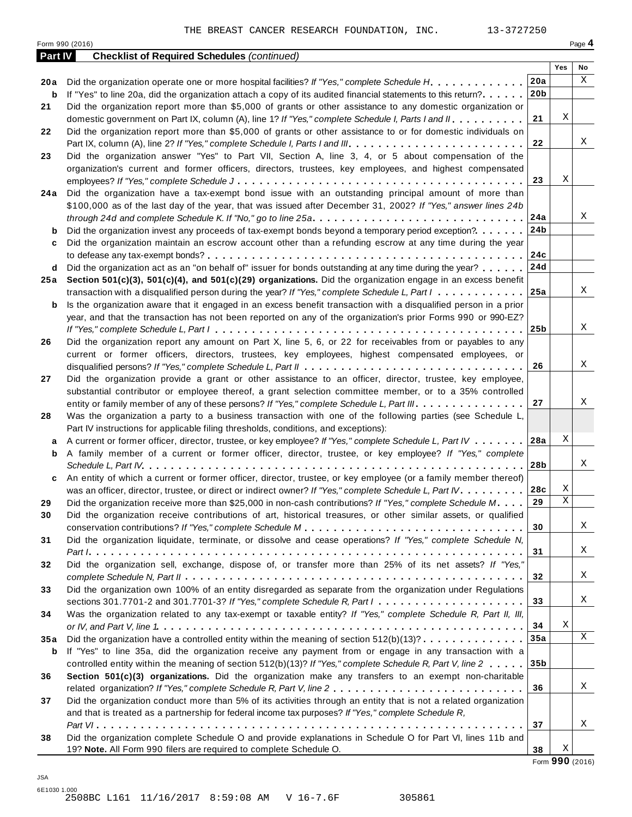| <b>Part IV</b> | <b>Checklist of Required Schedules (continued)</b>                                                                          |                 |     |    |
|----------------|-----------------------------------------------------------------------------------------------------------------------------|-----------------|-----|----|
|                |                                                                                                                             |                 | Yes | No |
| 20 a           | Did the organization operate one or more hospital facilities? If "Yes," complete Schedule H.                                | 20a             |     | X  |
| b              | If "Yes" to line 20a, did the organization attach a copy of its audited financial statements to this return?                | 20 <sub>b</sub> |     |    |
| 21             | Did the organization report more than \$5,000 of grants or other assistance to any domestic organization or                 |                 |     |    |
|                | domestic government on Part IX, column (A), line 1? If "Yes," complete Schedule I, Parts I and II.                          | 21              | Χ   |    |
| 22             | Did the organization report more than \$5,000 of grants or other assistance to or for domestic individuals on               |                 |     |    |
|                |                                                                                                                             | 22              |     | X  |
| 23             | Did the organization answer "Yes" to Part VII, Section A, line 3, 4, or 5 about compensation of the                         |                 |     |    |
|                | organization's current and former officers, directors, trustees, key employees, and highest compensated                     |                 |     |    |
|                |                                                                                                                             | 23              | Χ   |    |
| 24 a           | Did the organization have a tax-exempt bond issue with an outstanding principal amount of more than                         |                 |     |    |
|                | \$100,000 as of the last day of the year, that was issued after December 31, 2002? If "Yes," answer lines 24b               |                 |     |    |
|                | through 24d and complete Schedule K. If "No," go to line 25a                                                                | 24a             |     | Χ  |
| b              | Did the organization invest any proceeds of tax-exempt bonds beyond a temporary period exception?                           | 24b             |     |    |
| c              | Did the organization maintain an escrow account other than a refunding escrow at any time during the year                   |                 |     |    |
|                |                                                                                                                             | 24c             |     |    |
| d              | Did the organization act as an "on behalf of" issuer for bonds outstanding at any time during the year?                     | 24d             |     |    |
| 25 a           | Section 501(c)(3), 501(c)(4), and 501(c)(29) organizations. Did the organization engage in an excess benefit                |                 |     |    |
|                | transaction with a disqualified person during the year? If "Yes," complete Schedule L, Part $1, \ldots, \ldots, \ldots$     | 25a             |     | X  |
| b              | Is the organization aware that it engaged in an excess benefit transaction with a disqualified person in a prior            |                 |     |    |
|                | year, and that the transaction has not been reported on any of the organization's prior Forms 990 or 990-EZ?                |                 |     |    |
|                |                                                                                                                             | 25 <sub>b</sub> |     | X  |
| 26             | Did the organization report any amount on Part X, line 5, 6, or 22 for receivables from or payables to any                  |                 |     |    |
|                | current or former officers, directors, trustees, key employees, highest compensated employees, or                           |                 |     |    |
|                |                                                                                                                             | 26              |     | X  |
| 27             | Did the organization provide a grant or other assistance to an officer, director, trustee, key employee,                    |                 |     |    |
|                | substantial contributor or employee thereof, a grant selection committee member, or to a 35% controlled                     |                 |     |    |
|                | entity or family member of any of these persons? If "Yes," complete Schedule L, Part III.                                   | 27              |     | Χ  |
| 28             | Was the organization a party to a business transaction with one of the following parties (see Schedule L,                   |                 |     |    |
|                | Part IV instructions for applicable filing thresholds, conditions, and exceptions):                                         |                 | Χ   |    |
| а              | A current or former officer, director, trustee, or key employee? If "Yes," complete Schedule L, Part IV                     | 28a             |     |    |
| b              | A family member of a current or former officer, director, trustee, or key employee? If "Yes," complete                      |                 |     | Χ  |
|                |                                                                                                                             | 28b             |     |    |
| c              | An entity of which a current or former officer, director, trustee, or key employee (or a family member thereof)             |                 | Χ   |    |
|                | was an officer, director, trustee, or direct or indirect owner? If "Yes," complete Schedule L, Part IV.                     | 28c             | X   |    |
| 29             | Did the organization receive more than \$25,000 in non-cash contributions? If "Yes," complete Schedule M.                   | 29              |     |    |
| 30             | Did the organization receive contributions of art, historical treasures, or other similar assets, or qualified              |                 |     | Χ  |
|                |                                                                                                                             | 30              |     |    |
| 31             | Did the organization liquidate, terminate, or dissolve and cease operations? If "Yes," complete Schedule N,                 |                 |     | X  |
|                |                                                                                                                             | 31              |     |    |
| 32             | Did the organization sell, exchange, dispose of, or transfer more than 25% of its net assets? If "Yes,"                     |                 |     | Χ  |
|                |                                                                                                                             | 32              |     |    |
| 33             | Did the organization own 100% of an entity disregarded as separate from the organization under Regulations                  |                 |     | Χ  |
|                | sections 301.7701-2 and 301.7701-3? If "Yes," complete Schedule R, Part $1, \ldots, \ldots, \ldots, \ldots, \ldots, \ldots$ | 33              |     |    |
| 34             | Was the organization related to any tax-exempt or taxable entity? If "Yes," complete Schedule R, Part II, III,              |                 | Χ   |    |
|                |                                                                                                                             | 34              |     | X  |
| 35a            | Did the organization have a controlled entity within the meaning of section $512(b)(13)? \ldots \ldots \ldots \ldots$       | 35a             |     |    |
| b              | If "Yes" to line 35a, did the organization receive any payment from or engage in any transaction with a                     |                 |     |    |
|                | controlled entity within the meaning of section 512(b)(13)? If "Yes," complete Schedule R, Part V, line 2                   | 35 <sub>b</sub> |     |    |
| 36             | Section 501(c)(3) organizations. Did the organization make any transfers to an exempt non-charitable                        |                 |     |    |
|                |                                                                                                                             | 36              |     | Χ  |
| 37             | Did the organization conduct more than 5% of its activities through an entity that is not a related organization            |                 |     |    |
|                | and that is treated as a partnership for federal income tax purposes? If "Yes," complete Schedule R,                        |                 |     |    |
|                |                                                                                                                             | 37              |     | Χ  |
| 38             | Did the organization complete Schedule O and provide explanations in Schedule O for Part VI, lines 11b and                  |                 | Χ   |    |
|                | 19? Note. All Form 990 filers are required to complete Schedule O.                                                          | 38              |     |    |

Form **990** (2016)

Form <sup>990</sup> (2016) Page **4**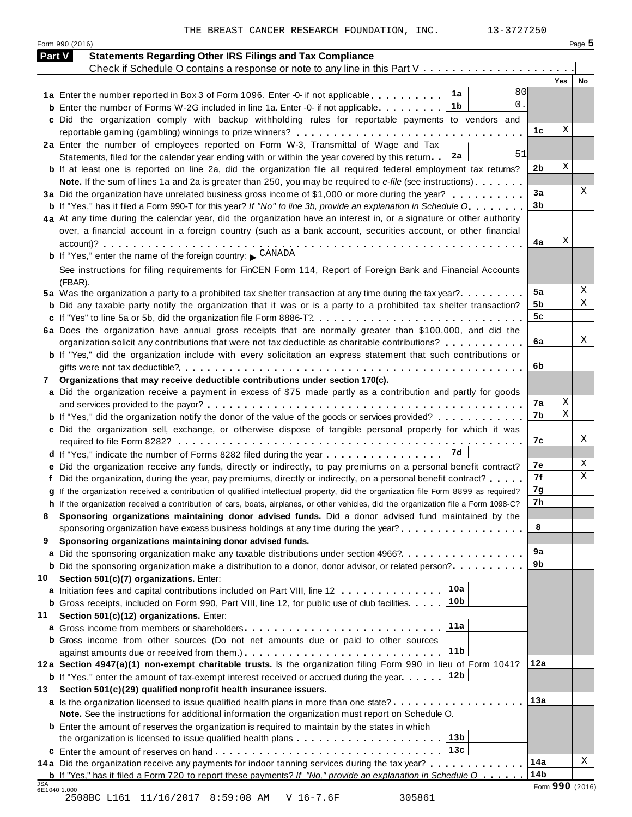THE BREAST CANCER RESEARCH FOUNDATION, INC. 13-3727250

Form <sup>990</sup> (2016) Page **5**

| <b>Part V</b> | <b>Statements Regarding Other IRS Filings and Tax Compliance</b>                                                                                                                                                            |                 |                 |    |
|---------------|-----------------------------------------------------------------------------------------------------------------------------------------------------------------------------------------------------------------------------|-----------------|-----------------|----|
|               | Check if Schedule O contains a response or note to any line in this Part V                                                                                                                                                  |                 | <b>Yes</b>      | No |
|               | 80<br>1a<br>1a Enter the number reported in Box 3 of Form 1096. Enter -0- if not applicable                                                                                                                                 |                 |                 |    |
|               | 0.<br>1b<br><b>b</b> Enter the number of Forms W-2G included in line 1a. Enter -0- if not applicable                                                                                                                        |                 |                 |    |
|               | c Did the organization comply with backup withholding rules for reportable payments to vendors and                                                                                                                          |                 |                 |    |
|               |                                                                                                                                                                                                                             | 1c              | Χ               |    |
|               | 2a Enter the number of employees reported on Form W-3, Transmittal of Wage and Tax                                                                                                                                          |                 |                 |    |
|               | 51<br>2a<br>Statements, filed for the calendar year ending with or within the year covered by this return                                                                                                                   |                 |                 |    |
|               | <b>b</b> If at least one is reported on line 2a, did the organization file all required federal employment tax returns?                                                                                                     | 2b              | Χ               |    |
|               | Note. If the sum of lines 1a and 2a is greater than 250, you may be required to e-file (see instructions)                                                                                                                   |                 |                 |    |
|               | 3a Did the organization have unrelated business gross income of \$1,000 or more during the year?                                                                                                                            | 3a              |                 | X  |
|               | <b>b</b> If "Yes," has it filed a Form 990-T for this year? If "No" to line 3b, provide an explanation in Schedule O.                                                                                                       | 3 <sub>b</sub>  |                 |    |
|               | 4a At any time during the calendar year, did the organization have an interest in, or a signature or other authority                                                                                                        |                 |                 |    |
|               | over, a financial account in a foreign country (such as a bank account, securities account, or other financial                                                                                                              |                 |                 |    |
|               |                                                                                                                                                                                                                             | 4a              | Χ               |    |
|               | <b>b</b> If "Yes," enter the name of the foreign country: $\triangleright$ CANADA                                                                                                                                           |                 |                 |    |
|               | See instructions for filing requirements for FinCEN Form 114, Report of Foreign Bank and Financial Accounts                                                                                                                 |                 |                 |    |
|               | (FBAR).                                                                                                                                                                                                                     |                 |                 | Χ  |
|               | 5a Was the organization a party to a prohibited tax shelter transaction at any time during the tax year?                                                                                                                    | 5a              |                 | Χ  |
|               | <b>b</b> Did any taxable party notify the organization that it was or is a party to a prohibited tax shelter transaction?                                                                                                   | 5b<br>5c        |                 |    |
|               |                                                                                                                                                                                                                             |                 |                 |    |
|               | 6a Does the organization have annual gross receipts that are normally greater than \$100,000, and did the                                                                                                                   | 6a              |                 | Χ  |
|               | organization solicit any contributions that were not tax deductible as charitable contributions?<br><b>b</b> If "Yes," did the organization include with every solicitation an express statement that such contributions or |                 |                 |    |
|               |                                                                                                                                                                                                                             | 6b              |                 |    |
| 7             | Organizations that may receive deductible contributions under section 170(c).                                                                                                                                               |                 |                 |    |
|               | a Did the organization receive a payment in excess of \$75 made partly as a contribution and partly for goods                                                                                                               |                 |                 |    |
|               |                                                                                                                                                                                                                             | 7а              | Χ               |    |
|               | <b>b</b> If "Yes," did the organization notify the donor of the value of the goods or services provided?                                                                                                                    | 7b              | X               |    |
|               | c Did the organization sell, exchange, or otherwise dispose of tangible personal property for which it was                                                                                                                  |                 |                 |    |
|               |                                                                                                                                                                                                                             | 7c              |                 | Χ  |
|               | 7d<br>d If "Yes," indicate the number of Forms 8282 filed during the year                                                                                                                                                   |                 |                 |    |
|               | e Did the organization receive any funds, directly or indirectly, to pay premiums on a personal benefit contract?                                                                                                           | 7е              |                 | Χ  |
|               | f Did the organization, during the year, pay premiums, directly or indirectly, on a personal benefit contract?                                                                                                              | 7f              |                 | Χ  |
|               | g If the organization received a contribution of qualified intellectual property, did the organization file Form 8899 as required?                                                                                          | 7g              |                 |    |
|               | h If the organization received a contribution of cars, boats, airplanes, or other vehicles, did the organization file a Form 1098-C?                                                                                        | 7h              |                 |    |
|               | Sponsoring organizations maintaining donor advised funds. Did a donor advised fund maintained by the                                                                                                                        |                 |                 |    |
|               | sponsoring organization have excess business holdings at any time during the year?                                                                                                                                          | 8               |                 |    |
| 9             | Sponsoring organizations maintaining donor advised funds.                                                                                                                                                                   |                 |                 |    |
|               | a Did the sponsoring organization make any taxable distributions under section 4966?                                                                                                                                        | 9a              |                 |    |
|               | <b>b</b> Did the sponsoring organization make a distribution to a donor, donor advisor, or related person?                                                                                                                  | 9b              |                 |    |
| 10            | Section 501(c)(7) organizations. Enter:                                                                                                                                                                                     |                 |                 |    |
|               | 10a<br>a Initiation fees and capital contributions included on Part VIII, line 12                                                                                                                                           |                 |                 |    |
|               | 10b<br><b>b</b> Gross receipts, included on Form 990, Part VIII, line 12, for public use of club facilities                                                                                                                 |                 |                 |    |
| 11            | Section 501(c)(12) organizations. Enter:                                                                                                                                                                                    |                 |                 |    |
|               | 11a                                                                                                                                                                                                                         |                 |                 |    |
|               | <b>b</b> Gross income from other sources (Do not net amounts due or paid to other sources                                                                                                                                   |                 |                 |    |
|               | 11 <sub>b</sub><br>against amounts due or received from them.) $\ldots \ldots \ldots \ldots \ldots \ldots \ldots \ldots \ldots$                                                                                             |                 |                 |    |
|               | 12a Section 4947(a)(1) non-exempt charitable trusts. Is the organization filing Form 990 in lieu of Form 1041?                                                                                                              | 12a             |                 |    |
|               | 12b<br><b>b</b> If "Yes," enter the amount of tax-exempt interest received or accrued during the year                                                                                                                       |                 |                 |    |
| 13            | Section 501(c)(29) qualified nonprofit health insurance issuers.                                                                                                                                                            |                 |                 |    |
|               | a Is the organization licensed to issue qualified health plans in more than one state?                                                                                                                                      | 13a             |                 |    |
|               | Note. See the instructions for additional information the organization must report on Schedule O.                                                                                                                           |                 |                 |    |
|               | <b>b</b> Enter the amount of reserves the organization is required to maintain by the states in which                                                                                                                       |                 |                 |    |
|               | 13 <sub>b</sub><br>13c                                                                                                                                                                                                      |                 |                 |    |
|               |                                                                                                                                                                                                                             | 14a             |                 | X  |
|               | 14a Did the organization receive any payments for indoor tanning services during the tax year?<br><b>b</b> If "Yes," has it filed a Form 720 to report these payments? If "No," provide an explanation in Schedule $0$      | 14 <sub>b</sub> |                 |    |
| <b>JSA</b>    | 6E1040 1.000                                                                                                                                                                                                                |                 | Form 990 (2016) |    |

2508BC L161 11/16/2017 8:59:08 AM V 16-7.6F 305861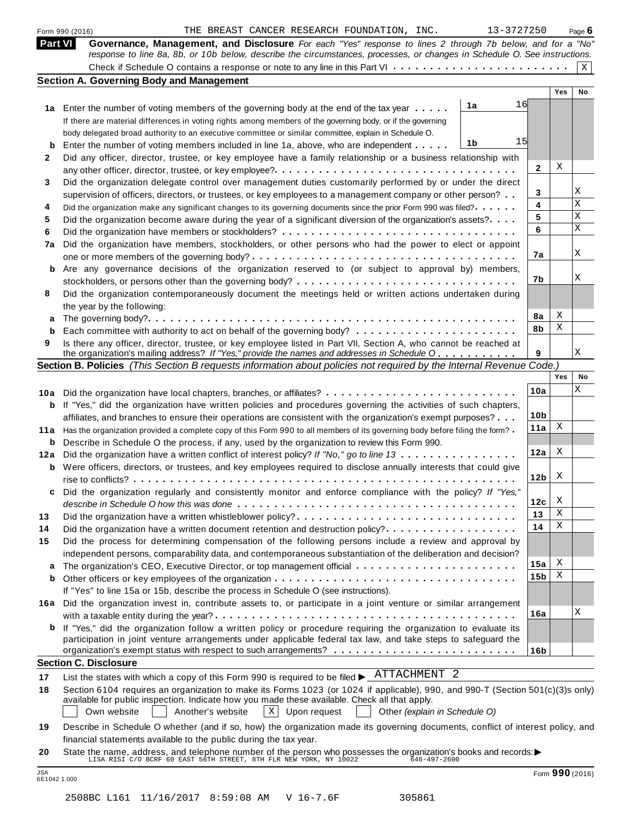| Form 990 (2016) |  |  |
|-----------------|--|--|

### Form <sup>990</sup> (2016) Page **6** THE BREAST CANCER RESEARCH FOUNDATION, INC. 13-3727250

| <b>Part VI</b> | Governance, Management, and Disclosure For each "Yes" response to lines 2 through 7b below, and for a "No"                     |
|----------------|--------------------------------------------------------------------------------------------------------------------------------|
|                | response to line 8a, 8b, or 10b below, describe the circumstances, processes, or changes in Schedule O. See instructions.      |
|                | Check if Schedule O contains a response or note to any line in this Part VI $\cdots \cdots \cdots \cdots \cdots \cdots \cdots$ |
|                | <b>Section A. Governing Body and Management</b>                                                                                |

|      |                                                                                                                                                                                                                 |                 | Yes | No |
|------|-----------------------------------------------------------------------------------------------------------------------------------------------------------------------------------------------------------------|-----------------|-----|----|
| 1a   | 16<br>1a<br>Enter the number of voting members of the governing body at the end of the tax year                                                                                                                 |                 |     |    |
|      | If there are material differences in voting rights among members of the governing body, or if the governing                                                                                                     |                 |     |    |
|      | body delegated broad authority to an executive committee or similar committee, explain in Schedule O.                                                                                                           |                 |     |    |
| b    | 15<br>1b<br>Enter the number of voting members included in line 1a, above, who are independent                                                                                                                  |                 |     |    |
| 2    | Did any officer, director, trustee, or key employee have a family relationship or a business relationship with                                                                                                  |                 |     |    |
|      |                                                                                                                                                                                                                 | 2               | Χ   |    |
| 3    | Did the organization delegate control over management duties customarily performed by or under the direct                                                                                                       |                 |     |    |
|      | supervision of officers, directors, or trustees, or key employees to a management company or other person?                                                                                                      | 3               |     | Χ  |
| 4    | Did the organization make any significant changes to its governing documents since the prior Form 990 was filed?                                                                                                | 4               |     | X  |
| 5    | Did the organization become aware during the year of a significant diversion of the organization's assets?                                                                                                      | 5               |     | X  |
| 6    |                                                                                                                                                                                                                 | 6               |     | X  |
| 7a   | Did the organization have members, stockholders, or other persons who had the power to elect or appoint                                                                                                         |                 |     |    |
|      |                                                                                                                                                                                                                 | 7a              |     | Χ  |
| b    | Are any governance decisions of the organization reserved to (or subject to approval by) members,                                                                                                               |                 |     |    |
|      |                                                                                                                                                                                                                 | 7b              |     | Χ  |
| 8    | Did the organization contemporaneously document the meetings held or written actions undertaken during                                                                                                          |                 |     |    |
|      | the year by the following:                                                                                                                                                                                      |                 |     |    |
| a    |                                                                                                                                                                                                                 | 8a              | Χ   |    |
| b    |                                                                                                                                                                                                                 | 8b              | X   |    |
| 9    | Is there any officer, director, trustee, or key employee listed in Part VII, Section A, who cannot be reached at<br>the organization's mailing address? If "Yes," provide the names and addresses in Schedule O | 9               |     | Χ  |
|      | Section B. Policies (This Section B requests information about policies not required by the Internal Revenue Code.)                                                                                             |                 |     |    |
|      |                                                                                                                                                                                                                 |                 | Yes | No |
| 10a  |                                                                                                                                                                                                                 | 10a             |     | Χ  |
| b    | If "Yes," did the organization have written policies and procedures governing the activities of such chapters,                                                                                                  |                 |     |    |
|      | affiliates, and branches to ensure their operations are consistent with the organization's exempt purposes?                                                                                                     | 10 <sub>b</sub> |     |    |
| 11 a | Has the organization provided a complete copy of this Form 990 to all members of its governing body before filing the form?                                                                                     | 11a             | Χ   |    |
| b    | Describe in Schedule O the process, if any, used by the organization to review this Form 990.                                                                                                                   |                 |     |    |
| 12a  | Did the organization have a written conflict of interest policy? If "No," go to line 13                                                                                                                         | 12a             | Χ   |    |
| b    | Were officers, directors, or trustees, and key employees required to disclose annually interests that could give                                                                                                |                 |     |    |
|      |                                                                                                                                                                                                                 | 12 <sub>b</sub> | Χ   |    |
| c    | Did the organization regularly and consistently monitor and enforce compliance with the policy? If "Yes,"                                                                                                       |                 |     |    |
|      |                                                                                                                                                                                                                 | 12c             | X   |    |
| 13   |                                                                                                                                                                                                                 | 13              | Χ   |    |
| 14   | Did the organization have a written document retention and destruction policy?                                                                                                                                  | 14              | Χ   |    |
| 15   | Did the process for determining compensation of the following persons include a review and approval by                                                                                                          |                 |     |    |
|      | independent persons, comparability data, and contemporaneous substantiation of the deliberation and decision?                                                                                                   |                 |     |    |
| a    | The organization's CEO, Executive Director, or top management official                                                                                                                                          | 15a             | Χ   |    |
| b    |                                                                                                                                                                                                                 | 15b             | Χ   |    |
|      | If "Yes" to line 15a or 15b, describe the process in Schedule O (see instructions).                                                                                                                             |                 |     |    |
|      | 16a Did the organization invest in, contribute assets to, or participate in a joint venture or similar arrangement                                                                                              |                 |     |    |
|      |                                                                                                                                                                                                                 | 16a             |     | Χ  |
|      | <b>b</b> If "Yes," did the organization follow a written policy or procedure requiring the organization to evaluate its                                                                                         |                 |     |    |
|      | participation in joint venture arrangements under applicable federal tax law, and take steps to safeguard the                                                                                                   |                 |     |    |
|      |                                                                                                                                                                                                                 | 16b             |     |    |
|      | <b>Section C. Disclosure</b>                                                                                                                                                                                    |                 |     |    |
| 17   | List the states with which a copy of this Form 990 is required to be filed $\blacktriangleright$ $\frac{\text{ATTACHMENT}}{2}$                                                                                  |                 |     |    |
| 18   | Section 6104 requires an organization to make its Forms 1023 (or 1024 if applicable) 000, and 000-T (Section 501(c)(3)s only)                                                                                   |                 |     |    |

| 18 Section 6104 requires an organization to make its Forms 1023 (or 1024 if applicable), 990, and 990-T (Section 501(c)(3)s only) |
|-----------------------------------------------------------------------------------------------------------------------------------|
| available for public inspection. Indicate how you made these available. Check all that apply.                                     |
| l les seus de la level de la commune de la commune de la commune de la commune de la commune de la commune de                     |

Own website  $\begin{bmatrix} \end{bmatrix}$  Another's website  $\begin{bmatrix} X \\ Y \end{bmatrix}$  Upon request  $\begin{bmatrix} \end{bmatrix}$  Other *(explain in Schedule O)* 

| 19 Describe in Schedule O whether (and if so, how) the organization made its governing documents, conflict of interest policy, and |  |
|------------------------------------------------------------------------------------------------------------------------------------|--|
| financial statements available to the public during the tax year.                                                                  |  |

**20** Inflaticial statements available to the public during the tax year.<br>State the name, address, and telephone number of the person who possesses the organization's books and records:<br>LISA RISI C/O BCRF 60 EAST 56TH STREET, 8T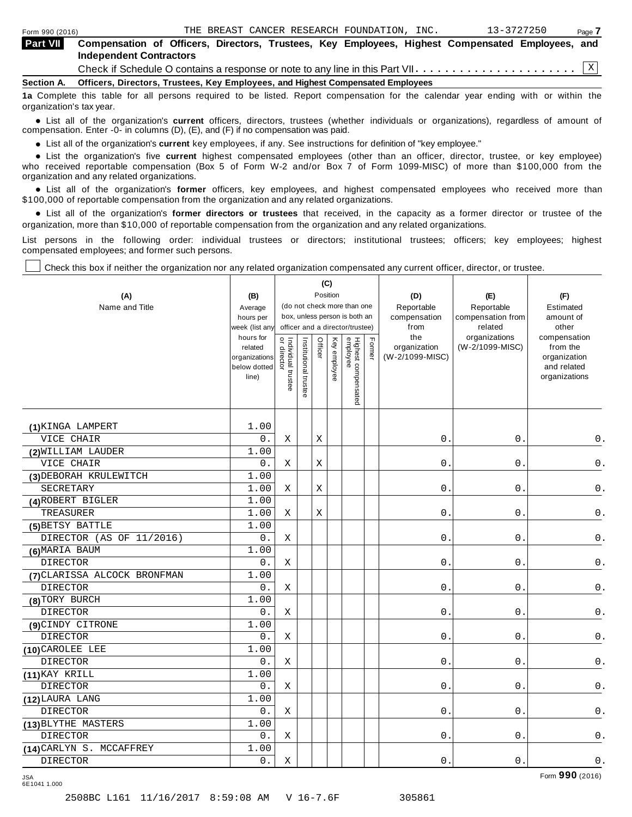| <b>Part VII</b> | Compensation of Officers, Directors, Trustees, Key Employees, Highest Compensated Employees, and<br><b>Independent Contractors</b> |
|-----------------|------------------------------------------------------------------------------------------------------------------------------------|
|                 |                                                                                                                                    |
|                 | Section A. Officers, Directors, Trustees, Key Employees, and Highest Compensated Employees                                         |
|                 | 1a Complete this table for all persons required to be listed. Report compensation for the calendar vear ending with or within the  |

table for all persons required to be listed. Report compensation for the calendar year ending with or within organization's tax year.

anization's lax year.<br>● List all of the organization's **current** officers, directors, trustees (whether individuals or organizations), regardless of amount of<br>nnensation Enter -0- in columns (D) (E) and (E) if no compensa compensation. Enter -0- in columns (D), (E), and (F) if no compensation was paid.

• List all of the organization's **current** key employees, if any. See instructions for definition of "key employee."<br>● List the experientials five expect highest expressed explores (other than an efficer director of

• List all of the organization's **current** key employees, if any. See instructions for definition of key employee.<br>• List the organization's five **current** highest compensated employees (other than an officer, director, tr who received reportable compensation (Box 5 of Form W-2 and/or Box 7 of Form 1099-MISC) of more than \$100,000 from the

organization and any related organizations.<br>• List all of the organization's **former** officers, key employees, and highest compensated employees who received more than<br>\$1.00.000 of reportable componention from the erganiza \$100,000 of reportable compensation from the organization and any related organizations.

% List all of the organization's **former directors or trustees** that received, in the capacity as a former director or trustee of the organization, more than \$10,000 of reportable compensation from the organization and any related organizations.

List persons in the following order: individual trustees or directors; institutional trustees; officers; key employees; highest compensated employees; and former such persons.

Check this box if neither the organization nor any related organization compensated any current officer, director, or trustee.

|                              |                                                   |                                                                                                 |                       | (C)     |              |                                 |        |                                 |                          |                                                          |
|------------------------------|---------------------------------------------------|-------------------------------------------------------------------------------------------------|-----------------------|---------|--------------|---------------------------------|--------|---------------------------------|--------------------------|----------------------------------------------------------|
| (A)                          | (B)                                               | Position                                                                                        |                       |         |              |                                 |        | (D)                             | (E)                      | (F)                                                      |
| Name and Title               | Average                                           | (do not check more than one<br>box, unless person is both an<br>officer and a director/trustee) |                       |         |              |                                 |        | Reportable                      | Reportable               | Estimated                                                |
|                              | hours per                                         |                                                                                                 |                       |         |              |                                 |        | compensation                    | compensation from        | amount of                                                |
|                              | week (list any<br>hours for                       |                                                                                                 |                       |         |              |                                 |        | from<br>the                     | related<br>organizations | other<br>compensation                                    |
|                              | related<br>organizations<br>below dotted<br>line) | Individual trustee<br>  or director                                                             | Institutional trustee | Officer | Key employee | Highest compensated<br>employee | Former | organization<br>(W-2/1099-MISC) | (W-2/1099-MISC)          | from the<br>organization<br>and related<br>organizations |
| (1) KINGA LAMPERT            | 1.00                                              |                                                                                                 |                       |         |              |                                 |        |                                 |                          |                                                          |
| VICE CHAIR                   | 0.                                                | Χ                                                                                               |                       | Χ       |              |                                 |        | 0                               | $\mathbf 0$ .            | 0.                                                       |
| (2) WILLIAM LAUDER           | 1.00                                              |                                                                                                 |                       |         |              |                                 |        |                                 |                          |                                                          |
| VICE CHAIR                   | 0.                                                | Χ                                                                                               |                       | X       |              |                                 |        | 0                               | $\mathsf{O}$ .           | $\mathbf 0$ .                                            |
| (3) DEBORAH KRULEWITCH       | 1.00                                              |                                                                                                 |                       |         |              |                                 |        |                                 |                          |                                                          |
| SECRETARY                    | 1.00                                              | Χ                                                                                               |                       | Χ       |              |                                 |        | 0                               | 0                        | $\mathbf 0$ .                                            |
| (4) ROBERT BIGLER            | 1.00                                              |                                                                                                 |                       |         |              |                                 |        |                                 |                          |                                                          |
| TREASURER                    | 1.00                                              | Χ                                                                                               |                       | Χ       |              |                                 |        | 0                               | О.                       | $\mathsf 0$ .                                            |
| (5) BETSY BATTLE             | 1.00                                              |                                                                                                 |                       |         |              |                                 |        |                                 |                          |                                                          |
| DIRECTOR (AS OF 11/2016)     | $0$ .                                             | Χ                                                                                               |                       |         |              |                                 |        | 0                               | $\mathsf{O}$ .           | $\mathsf 0$ .                                            |
| (6) MARIA BAUM               | 1.00                                              |                                                                                                 |                       |         |              |                                 |        |                                 |                          |                                                          |
| <b>DIRECTOR</b>              | $0$ .                                             | Χ                                                                                               |                       |         |              |                                 |        | 0                               | $\mathsf{O}$ .           | $0$ .                                                    |
| (7) CLARISSA ALCOCK BRONFMAN | 1.00                                              |                                                                                                 |                       |         |              |                                 |        |                                 |                          |                                                          |
| <b>DIRECTOR</b>              | $0$ .                                             | Χ                                                                                               |                       |         |              |                                 |        | 0                               | 0                        | $\mathsf 0$ .                                            |
| (8) TORY BURCH               | 1.00                                              |                                                                                                 |                       |         |              |                                 |        |                                 |                          |                                                          |
| <b>DIRECTOR</b>              | $0$ .                                             | Χ                                                                                               |                       |         |              |                                 |        | 0                               | $\mathsf{O}$             | $0$ .                                                    |
| (9) CINDY CITRONE            | 1.00                                              |                                                                                                 |                       |         |              |                                 |        |                                 |                          |                                                          |
| <b>DIRECTOR</b>              | $0$ .                                             | Χ                                                                                               |                       |         |              |                                 |        | $\mathbf 0$                     | 0                        | $0$ .                                                    |
| (10) CAROLEE LEE             | 1.00                                              |                                                                                                 |                       |         |              |                                 |        |                                 |                          |                                                          |
| <b>DIRECTOR</b>              | $0$ .                                             | Χ                                                                                               |                       |         |              |                                 |        | 0                               | 0.                       | $0$ .                                                    |
| (11) KAY KRILL               | 1.00                                              |                                                                                                 |                       |         |              |                                 |        |                                 |                          |                                                          |
| <b>DIRECTOR</b>              | 0.                                                | Χ                                                                                               |                       |         |              |                                 |        | 0                               | $\mathbf{0}$             | $0$ .                                                    |
| (12) LAURA LANG              | 1.00                                              |                                                                                                 |                       |         |              |                                 |        |                                 |                          |                                                          |
| <b>DIRECTOR</b>              | $0$ .                                             | Χ                                                                                               |                       |         |              |                                 |        | 0                               | 0                        | $\mathsf 0$ .                                            |
| (13) BLYTHE MASTERS          | 1.00                                              |                                                                                                 |                       |         |              |                                 |        |                                 |                          |                                                          |
| <b>DIRECTOR</b>              | $0$ .                                             | Χ                                                                                               |                       |         |              |                                 |        | 0                               | $\mathsf{O}$             | $0$ .                                                    |
| (14) CARLYN S. MCCAFFREY     | 1.00                                              |                                                                                                 |                       |         |              |                                 |        |                                 |                          |                                                          |
| <b>DIRECTOR</b>              | 0.                                                | Χ                                                                                               |                       |         |              |                                 |        | $\mathsf{O}$                    | $0$ .                    | $0$ .                                                    |

6E1041 1.000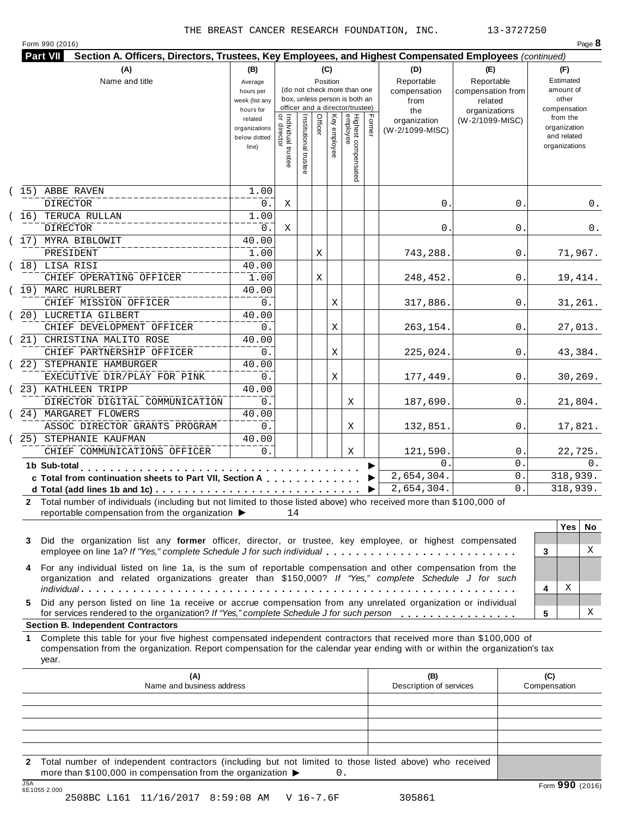|    | (A)                                                                                                                                                                                                                                              | (B)                                                            |                                   |                      |          | (C)             |                                                                    |        | (D)                                    | (E)                                        |                                                                                                                                              | (F)                                                                      |     |
|----|--------------------------------------------------------------------------------------------------------------------------------------------------------------------------------------------------------------------------------------------------|----------------------------------------------------------------|-----------------------------------|----------------------|----------|-----------------|--------------------------------------------------------------------|--------|----------------------------------------|--------------------------------------------|----------------------------------------------------------------------------------------------------------------------------------------------|--------------------------------------------------------------------------|-----|
|    | Name and title                                                                                                                                                                                                                                   | Average<br>hours per<br>week (list any                         |                                   |                      | Position |                 | (do not check more than one<br>box, unless person is both an       |        | Reportable<br>compensation<br>from     | Reportable<br>compensation from<br>related |                                                                                                                                              | Estimated<br>amount of<br>other                                          |     |
|    |                                                                                                                                                                                                                                                  | hours for<br>related<br>organizations<br>below dotted<br>line) | Individual trustee<br>or director | Institutional truste | Officer  | Κey<br>employee | officer and a director/trustee)<br>Highest compensated<br>employee | Former | the<br>organization<br>(W-2/1099-MISC) | organizations<br>(W-2/1099-MISC)           |                                                                                                                                              | compensation<br>from the<br>organization<br>and related<br>organizations |     |
|    | (15) ABBE RAVEN                                                                                                                                                                                                                                  | 1.00                                                           |                                   |                      |          |                 |                                                                    |        |                                        |                                            |                                                                                                                                              |                                                                          |     |
|    | <b>DIRECTOR</b>                                                                                                                                                                                                                                  | 0.                                                             | Χ                                 |                      |          |                 |                                                                    |        | 0.                                     | 0                                          |                                                                                                                                              |                                                                          | 0.  |
|    | (16) TERUCA RULLAN                                                                                                                                                                                                                               | 1.00                                                           |                                   |                      |          |                 |                                                                    |        |                                        |                                            |                                                                                                                                              |                                                                          |     |
|    | <b>DIRECTOR</b>                                                                                                                                                                                                                                  | 0.                                                             | Χ                                 |                      |          |                 |                                                                    |        | 0.                                     | 0                                          |                                                                                                                                              |                                                                          | 0.  |
|    | (17) MYRA BIBLOWIT                                                                                                                                                                                                                               | 40.00                                                          |                                   |                      |          |                 |                                                                    |        |                                        |                                            |                                                                                                                                              |                                                                          |     |
|    | PRESIDENT                                                                                                                                                                                                                                        | 1.00                                                           |                                   |                      | Χ        |                 |                                                                    |        | 743,288.                               | 0                                          |                                                                                                                                              | 71,967.                                                                  |     |
|    | (18) LISA RISI                                                                                                                                                                                                                                   | 40.00                                                          |                                   |                      |          |                 |                                                                    |        |                                        |                                            |                                                                                                                                              |                                                                          |     |
|    | CHIEF OPERATING OFFICER                                                                                                                                                                                                                          | 1.00                                                           |                                   |                      | Χ        |                 |                                                                    |        | 248,452.                               | 0                                          |                                                                                                                                              | 19,414.                                                                  |     |
|    | (19) MARC HURLBERT                                                                                                                                                                                                                               | 40.00                                                          |                                   |                      |          |                 |                                                                    |        |                                        |                                            |                                                                                                                                              |                                                                          |     |
|    | CHIEF MISSION OFFICER                                                                                                                                                                                                                            | 0.                                                             |                                   |                      |          | Χ               |                                                                    |        | 317,886.                               | 0                                          |                                                                                                                                              | 31,261.                                                                  |     |
|    | (20) LUCRETIA GILBERT                                                                                                                                                                                                                            | 40.00                                                          |                                   |                      |          |                 |                                                                    |        |                                        |                                            |                                                                                                                                              |                                                                          |     |
|    |                                                                                                                                                                                                                                                  |                                                                |                                   |                      |          |                 |                                                                    |        |                                        |                                            |                                                                                                                                              |                                                                          |     |
|    | CHIEF DEVELOPMENT OFFICER                                                                                                                                                                                                                        | 0.                                                             |                                   |                      |          | Χ               |                                                                    |        | 263,154.                               | 0                                          |                                                                                                                                              | 27,013.                                                                  |     |
|    | (21) CHRISTINA MALITO ROSE                                                                                                                                                                                                                       | 40.00                                                          |                                   |                      |          |                 |                                                                    |        |                                        |                                            |                                                                                                                                              |                                                                          |     |
|    | CHIEF PARTNERSHIP OFFICER                                                                                                                                                                                                                        | 0.                                                             |                                   |                      |          | Χ               |                                                                    |        | 225,024.                               | 0                                          |                                                                                                                                              | 43,384.                                                                  |     |
|    | (22) STEPHANIE HAMBURGER                                                                                                                                                                                                                         | 40.00                                                          |                                   |                      |          |                 |                                                                    |        |                                        |                                            |                                                                                                                                              |                                                                          |     |
|    | EXECUTIVE DIR/PLAY FOR PINK                                                                                                                                                                                                                      | 0.                                                             |                                   |                      |          | Χ               |                                                                    |        | 177,449.                               | 0                                          |                                                                                                                                              | 30,269.                                                                  |     |
|    | (23) KATHLEEN TRIPP                                                                                                                                                                                                                              | 40.00                                                          |                                   |                      |          |                 |                                                                    |        |                                        |                                            |                                                                                                                                              |                                                                          |     |
|    | DIRECTOR DIGITAL COMMUNICATION                                                                                                                                                                                                                   | 0.                                                             |                                   |                      |          |                 | Χ                                                                  |        | 187,690.                               | 0                                          |                                                                                                                                              | 21,804.                                                                  |     |
|    | (24) MARGARET FLOWERS                                                                                                                                                                                                                            | 40.00                                                          |                                   |                      |          |                 |                                                                    |        |                                        |                                            |                                                                                                                                              |                                                                          |     |
|    | ASSOC DIRECTOR GRANTS PROGRAM                                                                                                                                                                                                                    | 0.                                                             |                                   |                      |          |                 | Χ                                                                  |        | 132,851.                               | 0                                          |                                                                                                                                              | 17,821.                                                                  |     |
|    | (25) STEPHANIE KAUFMAN                                                                                                                                                                                                                           | 40.00                                                          |                                   |                      |          |                 |                                                                    |        |                                        |                                            |                                                                                                                                              |                                                                          |     |
|    | CHIEF COMMUNICATIONS OFFICER                                                                                                                                                                                                                     | 0.                                                             |                                   |                      |          |                 | Χ                                                                  |        | 121,590.                               | 0                                          |                                                                                                                                              | 22,725.                                                                  |     |
|    | 1b Sub-total                                                                                                                                                                                                                                     |                                                                |                                   |                      |          |                 |                                                                    |        | 0.                                     | 0.                                         |                                                                                                                                              |                                                                          | 0.  |
|    | .<br>c Total from continuation sheets to Part VII, Section A                                                                                                                                                                                     |                                                                |                                   |                      |          |                 |                                                                    |        | 2,654,304.                             | 0.                                         |                                                                                                                                              | 318,939.                                                                 |     |
|    |                                                                                                                                                                                                                                                  |                                                                |                                   |                      |          |                 |                                                                    | ▶      | 2,654,304.                             | 0.                                         |                                                                                                                                              | 318,939.                                                                 |     |
|    | 2 Total number of individuals (including but not limited to those listed above) who received more than \$100,000 of<br>reportable compensation from the organization ▶                                                                           |                                                                | 14                                |                      |          |                 |                                                                    |        |                                        |                                            |                                                                                                                                              |                                                                          |     |
|    |                                                                                                                                                                                                                                                  |                                                                |                                   |                      |          |                 |                                                                    |        |                                        |                                            |                                                                                                                                              | <b>Yes</b>                                                               | No. |
| 3  | Did the organization list any former officer, director, or trustee, key employee, or highest compensated                                                                                                                                         |                                                                |                                   |                      |          |                 |                                                                    |        |                                        |                                            |                                                                                                                                              |                                                                          |     |
|    | employee on line 1a? If "Yes," complete Schedule J for such individual                                                                                                                                                                           |                                                                |                                   |                      |          |                 |                                                                    |        |                                        |                                            | Section A. Officers, Directors, Trustees, Key Employees, and Highest Compensated Employees (continued)<br>3<br>4<br>5<br>(C)<br>Compensation |                                                                          | X   |
|    | 4 For any individual listed on line 1a, is the sum of reportable compensation and other compensation from the<br>organization and related organizations greater than \$150,000? If "Yes," complete Schedule J for such                           |                                                                |                                   |                      |          |                 |                                                                    |        |                                        |                                            |                                                                                                                                              |                                                                          |     |
|    |                                                                                                                                                                                                                                                  |                                                                |                                   |                      |          |                 |                                                                    |        |                                        |                                            |                                                                                                                                              | Χ                                                                        |     |
| 5. | Did any person listed on line 1a receive or accrue compensation from any unrelated organization or individual                                                                                                                                    |                                                                |                                   |                      |          |                 |                                                                    |        |                                        |                                            |                                                                                                                                              |                                                                          | Χ   |
|    | for services rendered to the organization? If "Yes," complete Schedule J for such person<br><b>Section B. Independent Contractors</b>                                                                                                            |                                                                |                                   |                      |          |                 |                                                                    |        |                                        |                                            |                                                                                                                                              |                                                                          |     |
|    | Complete this table for your five highest compensated independent contractors that received more than \$100,000 of<br>compensation from the organization. Report compensation for the calendar year ending with or within the organization's tax |                                                                |                                   |                      |          |                 |                                                                    |        |                                        |                                            |                                                                                                                                              |                                                                          |     |
|    | year.                                                                                                                                                                                                                                            |                                                                |                                   |                      |          |                 |                                                                    |        |                                        |                                            |                                                                                                                                              |                                                                          |     |
|    |                                                                                                                                                                                                                                                  |                                                                |                                   |                      |          |                 |                                                                    |        |                                        |                                            |                                                                                                                                              |                                                                          |     |
| 1. | (A)<br>Name and business address                                                                                                                                                                                                                 |                                                                |                                   |                      |          |                 |                                                                    |        | (B)                                    |                                            |                                                                                                                                              |                                                                          |     |
|    |                                                                                                                                                                                                                                                  |                                                                |                                   |                      |          |                 |                                                                    |        | Description of services                |                                            |                                                                                                                                              |                                                                          |     |

**2** Total number of independent contractors (including but not limited to those listed above) who received more than \$100,000 in compensation from the organization  $\triangleright$  0.

JSA Form **990** (2016) 6E1055 2.000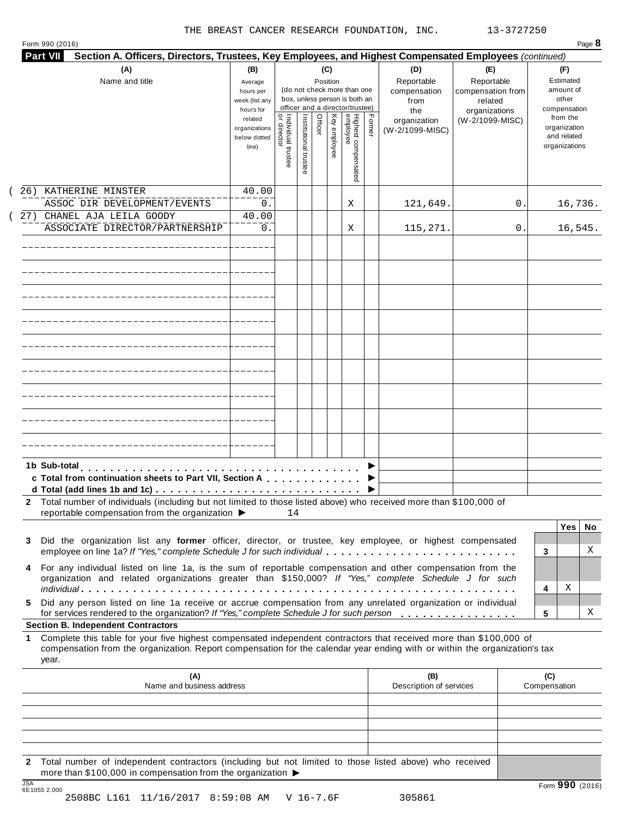| (A)<br>Name and title                                                                                                                                                                                                                                           | (B)<br>Average<br>hours per<br>week (list any<br>hours for |                                   |                       | (C)<br>Position | (do not check more than one<br>box, unless person is both an<br>officer and a director/trustee) |        | (D)<br>Reportable<br>compensation<br>from<br>the | (E)<br>Reportable<br>compensation from<br>related<br>organizations | (F)<br>Estimated<br>amount of<br>other<br>compensation   |          |
|-----------------------------------------------------------------------------------------------------------------------------------------------------------------------------------------------------------------------------------------------------------------|------------------------------------------------------------|-----------------------------------|-----------------------|-----------------|-------------------------------------------------------------------------------------------------|--------|--------------------------------------------------|--------------------------------------------------------------------|----------------------------------------------------------|----------|
|                                                                                                                                                                                                                                                                 | related<br>organizations<br>below dotted<br>line)          | Individual trustee<br>or director | Institutional trustee | Officer         | Highest compensated<br>employee<br>Key<br>employee                                              | Former | organization<br>(W-2/1099-MISC)                  | (W-2/1099-MISC)                                                    | from the<br>organization<br>and related<br>organizations |          |
| 26) KATHERINE MINSTER<br>ASSOC DIR DEVELOPMENT/EVENTS                                                                                                                                                                                                           | 40.00<br>0.                                                |                                   |                       |                 | Χ                                                                                               |        | 121,649.                                         | 0                                                                  |                                                          | 16,736.  |
| 27) CHANEL AJA LEILA GOODY<br>ASSOCIATE DIRECTOR/PARTNERSHIP                                                                                                                                                                                                    | 40.00<br>0.                                                |                                   |                       |                 | X                                                                                               |        | 115,271.                                         | 0 <sub>1</sub>                                                     |                                                          | 16,545.  |
|                                                                                                                                                                                                                                                                 |                                                            |                                   |                       |                 |                                                                                                 |        |                                                  |                                                                    |                                                          |          |
|                                                                                                                                                                                                                                                                 |                                                            |                                   |                       |                 |                                                                                                 |        |                                                  |                                                                    |                                                          |          |
|                                                                                                                                                                                                                                                                 |                                                            |                                   |                       |                 |                                                                                                 |        |                                                  |                                                                    |                                                          |          |
|                                                                                                                                                                                                                                                                 |                                                            |                                   |                       |                 |                                                                                                 |        |                                                  |                                                                    |                                                          |          |
|                                                                                                                                                                                                                                                                 |                                                            |                                   |                       |                 |                                                                                                 |        |                                                  |                                                                    |                                                          |          |
|                                                                                                                                                                                                                                                                 |                                                            |                                   |                       |                 |                                                                                                 |        |                                                  |                                                                    |                                                          |          |
|                                                                                                                                                                                                                                                                 |                                                            |                                   |                       |                 |                                                                                                 |        |                                                  |                                                                    |                                                          |          |
| c Total from continuation sheets to Part VII, Section A                                                                                                                                                                                                         |                                                            |                                   |                       |                 |                                                                                                 |        |                                                  |                                                                    |                                                          |          |
| 2 Total number of individuals (including but not limited to those listed above) who received more than \$100,000 of<br>reportable compensation from the organization ▶                                                                                          |                                                            | 14                                |                       |                 |                                                                                                 |        |                                                  |                                                                    | <b>Yes</b>                                               |          |
| Did the organization list any former officer, director, or trustee, key employee, or highest compensated<br>3<br>employee on line 1a? If "Yes," complete Schedule J for such individual                                                                         |                                                            |                                   |                       |                 |                                                                                                 |        |                                                  |                                                                    | 3                                                        | No.<br>X |
| 4 For any individual listed on line 1a, is the sum of reportable compensation and other compensation from the<br>organization and related organizations greater than \$150,000? If "Yes," complete Schedule J for such                                          |                                                            |                                   |                       |                 |                                                                                                 |        |                                                  |                                                                    | Χ                                                        |          |
| Did any person listed on line 1a receive or accrue compensation from any unrelated organization or individual<br>5.<br>for services rendered to the organization? If "Yes," complete Schedule J for such person                                                 |                                                            |                                   |                       |                 |                                                                                                 |        |                                                  |                                                                    | 4<br>5                                                   | Χ        |
| <b>Section B. Independent Contractors</b>                                                                                                                                                                                                                       |                                                            |                                   |                       |                 |                                                                                                 |        |                                                  |                                                                    |                                                          |          |
| Complete this table for your five highest compensated independent contractors that received more than \$100,000 of<br>1.<br>compensation from the organization. Report compensation for the calendar year ending with or within the organization's tax<br>year. |                                                            |                                   |                       |                 |                                                                                                 |        |                                                  |                                                                    |                                                          |          |
| (A)<br>Name and business address                                                                                                                                                                                                                                |                                                            |                                   |                       |                 |                                                                                                 |        | (B)<br>Description of services                   |                                                                    | (C)<br>Compensation                                      |          |
|                                                                                                                                                                                                                                                                 |                                                            |                                   |                       |                 |                                                                                                 |        |                                                  |                                                                    |                                                          |          |
|                                                                                                                                                                                                                                                                 |                                                            |                                   |                       |                 |                                                                                                 |        |                                                  |                                                                    |                                                          |          |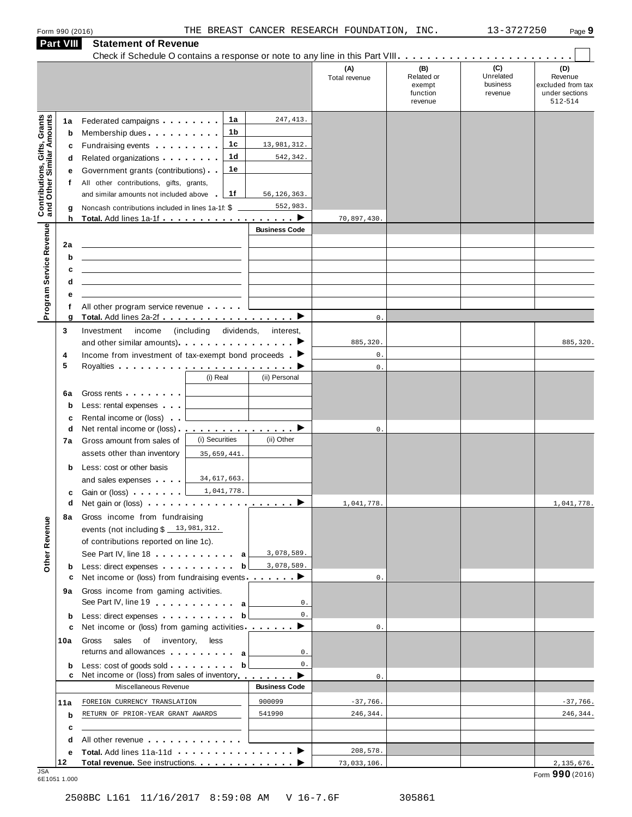|                                                                  | Form 990 (2016)  |                                                                                                                                                                                                                                                                        |                       |                           | THE BREAST CANCER RESEARCH FOUNDATION, INC. |                                                    | 13-3727250                              | Page 9                                                           |
|------------------------------------------------------------------|------------------|------------------------------------------------------------------------------------------------------------------------------------------------------------------------------------------------------------------------------------------------------------------------|-----------------------|---------------------------|---------------------------------------------|----------------------------------------------------|-----------------------------------------|------------------------------------------------------------------|
|                                                                  | <b>Part VIII</b> | <b>Statement of Revenue</b>                                                                                                                                                                                                                                            |                       |                           |                                             |                                                    |                                         |                                                                  |
|                                                                  |                  | Check if Schedule O contains a response or note to any line in this Part VIII.                                                                                                                                                                                         |                       |                           |                                             |                                                    |                                         |                                                                  |
|                                                                  |                  |                                                                                                                                                                                                                                                                        |                       |                           | (A)<br>Total revenue                        | (B)<br>Related or<br>exempt<br>function<br>revenue | (C)<br>Unrelated<br>business<br>revenue | (D)<br>Revenue<br>excluded from tax<br>under sections<br>512-514 |
| <b>Contributions, Gifts, Grants</b><br>and Other Similar Amounts | 1a<br>b<br>c     | Federated campaigns <b>Federated</b><br>Membership dues<br>Fundraising events <b>Fundraising</b>                                                                                                                                                                       | 1a<br>1b<br>1с        | 247, 413.<br>13,981,312.  |                                             |                                                    |                                         |                                                                  |
|                                                                  | d<br>е<br>f      | Related organizations <b>contains</b> and <b>Related</b> organizations<br>Government grants (contributions)<br>All other contributions, gifts, grants,                                                                                                                 | 1d<br>1e              | 542,342.                  |                                             |                                                    |                                         |                                                                  |
|                                                                  | g                | and similar amounts not included above<br>Noncash contributions included in lines 1a-1f: \$                                                                                                                                                                            | 1f                    | 56, 126, 363.<br>552,983. |                                             |                                                    |                                         |                                                                  |
|                                                                  | h                |                                                                                                                                                                                                                                                                        |                       |                           | 70,897,430.                                 |                                                    |                                         |                                                                  |
|                                                                  |                  |                                                                                                                                                                                                                                                                        |                       | <b>Business Code</b>      |                                             |                                                    |                                         |                                                                  |
| Program Service Revenue                                          | 2a<br>b          |                                                                                                                                                                                                                                                                        |                       |                           |                                             |                                                    |                                         |                                                                  |
|                                                                  | c<br>d           |                                                                                                                                                                                                                                                                        |                       |                           |                                             |                                                    |                                         |                                                                  |
|                                                                  | е                |                                                                                                                                                                                                                                                                        |                       |                           |                                             |                                                    |                                         |                                                                  |
|                                                                  | f                | All other program service revenue                                                                                                                                                                                                                                      |                       |                           |                                             |                                                    |                                         |                                                                  |
|                                                                  | g                |                                                                                                                                                                                                                                                                        |                       |                           | 0.                                          |                                                    |                                         |                                                                  |
|                                                                  | 3                | Investment<br>income                                                                                                                                                                                                                                                   | (including dividends, | interest,                 |                                             |                                                    |                                         |                                                                  |
|                                                                  |                  | and other similar amounts) $\cdots$ $\cdots$ $\cdots$ $\cdots$                                                                                                                                                                                                         |                       |                           | 885,320.                                    |                                                    |                                         | 885,320.                                                         |
|                                                                  | 4                | Income from investment of tax-exempt bond proceeds $\blacksquare$                                                                                                                                                                                                      |                       |                           | 0.                                          |                                                    |                                         |                                                                  |
|                                                                  | 5                |                                                                                                                                                                                                                                                                        | (i) Real              | (ii) Personal             | 0.                                          |                                                    |                                         |                                                                  |
|                                                                  |                  |                                                                                                                                                                                                                                                                        |                       |                           |                                             |                                                    |                                         |                                                                  |
|                                                                  | 6a               | Gross rents <b>Container and Container</b>                                                                                                                                                                                                                             |                       |                           |                                             |                                                    |                                         |                                                                  |
|                                                                  | b                | Less: rental expenses                                                                                                                                                                                                                                                  |                       |                           |                                             |                                                    |                                         |                                                                  |
|                                                                  | c                | Rental income or (loss)                                                                                                                                                                                                                                                |                       |                           |                                             |                                                    |                                         |                                                                  |
|                                                                  | d<br>7a          | Net rental income or (loss) <b>interact in the set of the set of the set of the set of the set of the set of the set of the set of the set of the set of the set of the set of the set of the set of the set of the set of the </b><br>Gross amount from sales of      | (i) Securities        | (ii) Other                | 0.                                          |                                                    |                                         |                                                                  |
|                                                                  |                  | assets other than inventory                                                                                                                                                                                                                                            | 35,659,441.           |                           |                                             |                                                    |                                         |                                                                  |
|                                                                  | b                | Less: cost or other basis                                                                                                                                                                                                                                              |                       |                           |                                             |                                                    |                                         |                                                                  |
|                                                                  |                  | and sales expenses                                                                                                                                                                                                                                                     | 34,617,663.           |                           |                                             |                                                    |                                         |                                                                  |
|                                                                  | c                | Gain or (loss) <u>  1,041,778.</u>                                                                                                                                                                                                                                     |                       |                           |                                             |                                                    |                                         |                                                                  |
|                                                                  | d                | Net gain or (loss) $\cdots$ $\cdots$ $\cdots$ $\cdots$ $\cdots$ $\cdots$ $\cdots$                                                                                                                                                                                      |                       |                           | 1,041,778.                                  |                                                    |                                         | 1,041,778.                                                       |
|                                                                  | 8а               | Gross income from fundraising                                                                                                                                                                                                                                          |                       |                           |                                             |                                                    |                                         |                                                                  |
|                                                                  |                  | events (not including $\frac{13,981,312}{2}$                                                                                                                                                                                                                           |                       |                           |                                             |                                                    |                                         |                                                                  |
|                                                                  |                  | of contributions reported on line 1c).                                                                                                                                                                                                                                 |                       |                           |                                             |                                                    |                                         |                                                                  |
| Other Revenue                                                    |                  | See Part IV, line 18 a                                                                                                                                                                                                                                                 |                       | 3,078,589.<br>3,078,589.  |                                             |                                                    |                                         |                                                                  |
|                                                                  | b                | Less: direct expenses b<br>Net income or (loss) from fundraising events ________                                                                                                                                                                                       |                       |                           | $0$ .                                       |                                                    |                                         |                                                                  |
|                                                                  | 9а               | Gross income from gaming activities.<br>See Part IV, line 19 and the set of the set of the set of the set of the set of the set of the set of the set of the set of the set of the set of the set of the set of the set of the set of the set of the set of the set of |                       | 0.                        |                                             |                                                    |                                         |                                                                  |
|                                                                  | b                | Less: direct expenses b                                                                                                                                                                                                                                                |                       | 0.                        |                                             |                                                    |                                         |                                                                  |
|                                                                  | с                | Net income or (loss) from gaming activities ________                                                                                                                                                                                                                   |                       |                           | $0$ .                                       |                                                    |                                         |                                                                  |
|                                                                  | 10a              | Gross<br>sales of inventory, less<br>returns and allowances and allowances                                                                                                                                                                                             |                       | 0.                        |                                             |                                                    |                                         |                                                                  |
|                                                                  | b<br>c           | Less: cost of goods sold exercise the set of goods sold<br>Net income or (loss) from sales of inventory                                                                                                                                                                | $\mathbf{b}$          | $0$ .                     | $0$ .                                       |                                                    |                                         |                                                                  |
|                                                                  |                  | Miscellaneous Revenue                                                                                                                                                                                                                                                  |                       | <b>Business Code</b>      |                                             |                                                    |                                         |                                                                  |
|                                                                  | 11a              | FOREIGN CURRENCY TRANSLATION                                                                                                                                                                                                                                           |                       | 900099                    | $-37,766.$                                  |                                                    |                                         | $-37,766$ .                                                      |
|                                                                  | b                | RETURN OF PRIOR-YEAR GRANT AWARDS                                                                                                                                                                                                                                      |                       | 541990                    | 246,344.                                    |                                                    |                                         | 246,344.                                                         |
|                                                                  | c                |                                                                                                                                                                                                                                                                        |                       |                           |                                             |                                                    |                                         |                                                                  |
|                                                                  | d                | All other revenue entitled and a series of the series of the series of the series of the series of the series                                                                                                                                                          |                       |                           |                                             |                                                    |                                         |                                                                  |
|                                                                  | е                |                                                                                                                                                                                                                                                                        |                       |                           | 208,578.                                    |                                                    |                                         |                                                                  |
| .ISA                                                             | 12               | Total revenue. See instructions.                                                                                                                                                                                                                                       |                       |                           | 73,033,106.                                 |                                                    |                                         | 2, 135, 676.                                                     |

JSA Form **990** (2016) 6E1051 1.000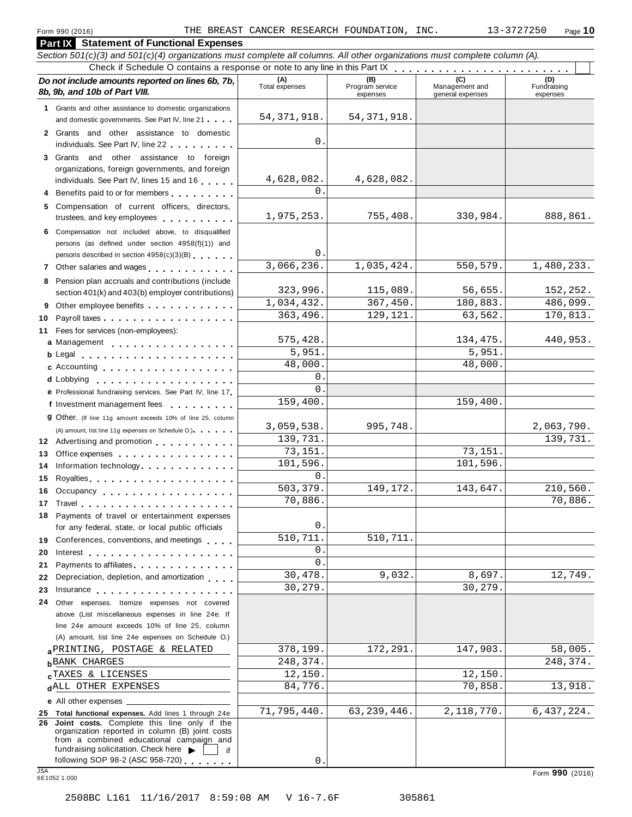### **Part IX Statement of Functional Expenses** Section 501(c)(3) and 501(c)(4) organizations must complete all columns. All other organizations must complete column (A). Check if Schedule O contains a response or note to any line in this Part  $\begin{array}{c|c|c|c|c} \hline \textbf{Check} & \textbf{if Schedule O contains a response or note to any line in this Part } \textbf{I} & \textbf{if } & \textbf{if } & \textbf{if } & \textbf{if } & \textbf{if } & \textbf{if } & \textbf{if } & \textbf{if } & \textbf{if } & \textbf{if } & \textbf{if } & \textbf{if } & \textbf{if } & \textbf{if$ *Do no* **(A) (B) (C) (D)** *t include amounts reported on lines 6b, 7b,* **8b, 9b, and 10b of Part VIII.** The contract position of **Part VIII.** The contract Program services Program services expenses Management and general expenses Fundraising expenses **1** Grants and other assistance to domestic organizations and domestic governments. See Part IV, line 21 m **2** Grants and other assistance to domestic individuals. See Part IV, line 22 **3** Grants and other assistance to foreign organizations, foreign governments, and foreign individuals. See Part IV, lines <sup>15</sup> and <sup>16</sup> <sup>m</sup> <sup>m</sup> <sup>m</sup> <sup>m</sup> <sup>m</sup> **<sup>4</sup>** Benefits paid to or for members <sup>m</sup> <sup>m</sup> <sup>m</sup> <sup>m</sup> <sup>m</sup> <sup>m</sup> <sup>m</sup> <sup>m</sup> <sup>m</sup> **5** Compensation of current officers, directors, trustees, and key employees m m m m m m m m m m **6** Compensation not included above, to disqualified persons (as defined under section 4958(f)(1)) and persons described in section 4958(c)(3)(B) <sup>m</sup> <sup>m</sup> <sup>m</sup> <sup>m</sup> <sup>m</sup> <sup>m</sup> **<sup>7</sup>** Other salaries and wages <sup>m</sup> <sup>m</sup> <sup>m</sup> <sup>m</sup> <sup>m</sup> <sup>m</sup> <sup>m</sup> <sup>m</sup> <sup>m</sup> <sup>m</sup> <sup>m</sup> <sup>m</sup> **8** Pension plan accruals and contributions (include section 401(k) and 403(b) employer contributions) **9** Section 401(k) and 403(b) employer contributions<br>9 Other employee benefits 9 Other employee benefits **10** Payroll taxes **10** Fees for services (non-employees): **11** Fees for services (non-employees):<br>**a** Management ..................<br>**b** Legal ......................... Legal m m m m m m m m m m m m m m m m m m m m m c Accounting . . . . . . . . . . . . . Lobbying **cd** m m m m m m m m m m m m m m m m m m m A) amount, list line 11g expenses on Schedule O.)<br>**12** Advertising and promotion **manual 13** Office expenses **13** Office expenses<br>**14** Information technology **manual manual metal of the metal of the metal of the metal of 15** 15 Royalties<sub>.・・・・・・・・・・・・・・・・・・・<br>16 Occupancy <sub>.・・・・・・・・・・・・・・・・・</sub></sub> **16** Occupancy ...................<br>17 Travel..................... **18** Payments of travel or entertainment expenses for any federal, state, or local public officials<br>**19** Conferences, conventions, and meetings **19** Conferences, conventions, and meetings **with meetings**<br>20 Interest **manual meetings 21** 21 Payments to affiliates<br>22 Depreciation, depletion, and amortization <sub>1</sub> , , , **22** Depreciation, depletion, and amortization **manufation**<br>23 Insurance 24 Other expenses. Itemize expenses not covered | **d** Lobbying **e**<br> **e** Professional fundraising services. See Part IV, line 17 **P** Professional fundraising services. See Part IV, line 17<br>**f** Investment management fees **g** Other. (If line 11g amount exceeds 10% of line 25, column m m m m m m m m m m m m m m m m m m (A) amount, list line 11g expenses on Schedule O.) means m m m m m m m m m m m m m m m m Royalties m m m m m m m m m m m m m m m m m m m m for any federal, state, or local public officials Interest<br>Payments to affiliates **m** m m m m m m m m m m m m m m m above (List miscellaneous expenses in line 24e. If line 24e amount exceeds 10% of line 25, column (A) amount, list line 24e expenses on Schedule O.) **a** <u>PRINTING</u>, POSTAGE & RELATED 248,374.<br> **b** BANK CHARGES 248,374. 248,374. **c** TAXES & LICENSES **and ALL OTHER EXPENSES 64,776. 12,150. 12,150. 13,918. 13,918. 13,918. e** All other expenses **25 Total functional expenses.** Add lines 1 through 24e **26 Joint costs.** Complete this line only if the organization reported in column (B) joint costs from a combined educational campaign and fundraising solicitation. Check here  $\blacktriangleright \begin{array}{|c|} \hline \ \ \end{array}$  if following SOP 98-2 (ASC 958-720) following SOP 98-2 (ASC 958-720) <sup>m</sup> <sup>m</sup> <sup>m</sup> <sup>m</sup> <sup>m</sup> <sup>m</sup> <sup>m</sup> JSA Form **<sup>990</sup>** (2016) 6E1052 1.000 54,371,918. 54,371,918.  $\Omega$ 4,628,082. 4,628,082.  $\Omega$ .  $1,975,253.$   $755,408.$   $330,984.$  888,861.  $\Omega$ 3,066,236. 1,035,424. 550,579. 1,480,233. 323,996. 115,089. 56,655. 152,252. 1,034,432. 367,450. 180,883. 486,099. 363,496. 129,121. 63,562. 170,813. 575,428. 134,475. 440,953. 5,951. 5,951. 48,000. 48,000. 0. 0. 159,400. 159,400. 3,059,538. 995,748. 2,063,790. 139,731. 139,731. 73,151. 73,151. 101,596.  $\mathsf{O}$ 503,379. 149,172. 143,647. 210,560. 70,886. 70,886.  $\Omega$ 510,711. 510,711. 0.  $\overline{0}$ . 30,478. 9,032. 8,697. 12,749. 30,279. 30,279. **a**PRINTING, POSTAGE & RELATED  $\begin{array}{|c|c|c|c|c|c|c|c|c|} \hline \text{378,199.} & \text{172,291.} & \text{147,903.} & \text{58,005.} \end{array}$  $\epsilon$ TAXES & LICENSES 12,150.  $71,795,440.$  63,239,446. 2,118,770. 6,437,224.

0.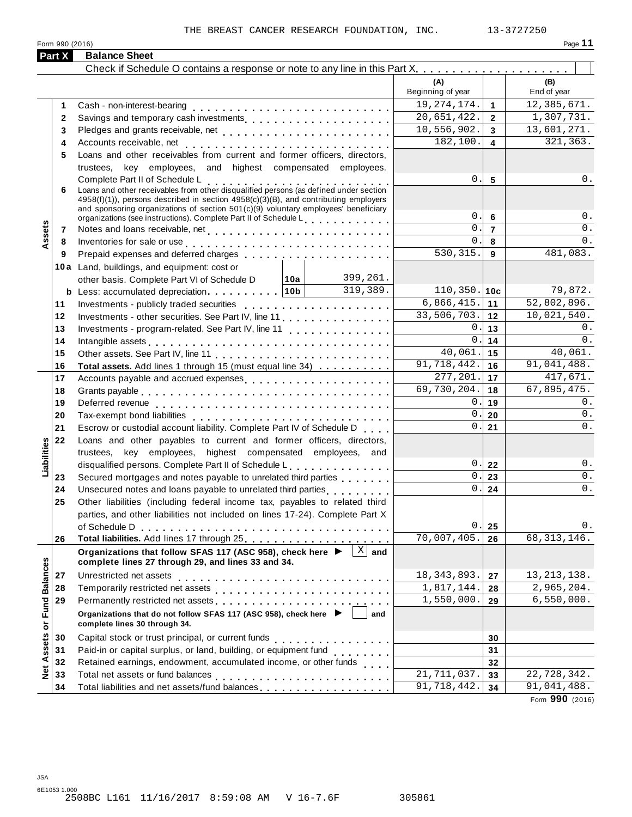| Form 990 (2016) |
|-----------------|
|-----------------|

| (A)<br>(B)<br>End of year<br>Beginning of year<br>19, 274, 174.<br>$\mathbf{1}$<br>1<br>20,651,422.<br>$\overline{2}$<br>$\mathbf{2}$<br>10,556,902.<br>$\mathbf{3}$<br>3<br>182,100.<br>4<br>4<br>Loans and other receivables from current and former officers, directors,<br>5<br>trustees, key employees, and highest compensated employees.<br>0.<br>5<br>Complete Part II of Schedule L<br>Loans and other receivables from other disqualified persons (as defined under section<br>6<br>4958(f)(1)), persons described in section 4958(c)(3)(B), and contributing employers<br>and sponsoring organizations of section 501(c)(9) voluntary employees' beneficiary<br>0.<br>0.<br>6<br>organizations (see instructions). Complete Part II of Schedule Letter Part 1 and 20<br>Assets<br>$\overline{0}$ .<br>0.<br>$\overline{7}$<br>7<br>0.<br>0.<br>Inventories for sale or use enterpreteration of the contract of the contract of the contract of the contract of<br>8<br>8<br>530, 315.<br>481,083.<br>9<br>9<br>10a Land, buildings, and equipment: cost or<br>399,261.<br>other basis. Complete Part VI of Schedule D<br>∣10a ∣<br>319,389.<br>79,872.<br>$110, 350.$  10c<br>6,866,415.<br>52,802,896.<br>11<br>11<br>33,506,703.<br>10,021,540.<br>12<br>12<br>Investments - other securities. See Part IV, line 11.<br>0.<br>13<br>0.<br>13<br>Investments - program-related. See Part IV, line 11<br>0.<br>$0$ .<br>14<br>14<br>40,061.<br>40,061.<br>15<br>15<br>91,041,488.<br>91,718,442.<br>16<br>16<br>Total assets. Add lines 1 through 15 (must equal line 34)<br>$\overline{277,201}$ .<br>417,671.<br>17<br>17<br>Accounts payable and accrued expenses entitled as a series of the series and accrued expenses<br>69,730,204.<br>67,895,475.<br>18<br>18<br>0.<br>0.<br>19<br>19<br>0.<br>0.<br>20<br>20<br>0.<br>0.<br>21<br>21<br>Escrow or custodial account liability. Complete Part IV of Schedule D.<br>Loans and other payables to current and former officers, directors,<br>22<br>Liabilities<br>trustees, key employees, highest compensated employees, and<br>0.<br>22<br>0.<br>disqualified persons. Complete Part II of Schedule L.<br>$0$ .<br>0.<br>23<br>Secured mortgages and notes payable to unrelated third parties<br>23<br>0.<br>Unsecured notes and loans payable to unrelated third parties [1, 1, 1, 1, 1, 1]<br>24<br>24<br>25<br>Other liabilities (including federal income tax, payables to related third<br>parties, and other liabilities not included on lines 17-24). Complete Part X<br>0.<br>25<br>of Schedule D<br>70,007,405.<br>68, 313, 146.<br>26<br>26<br>$\mathbf X$<br>Organizations that follow SFAS 117 (ASC 958), check here ▶<br>and<br>or Fund Balances<br>complete lines 27 through 29, and lines 33 and 34.<br>Unrestricted net assets<br>18, 343, 893.<br>13, 213, 138.<br>27<br>27<br>1,817,144.<br>28<br>28<br>$\overline{1,550,000}$ .<br>Permanently restricted net assets<br>interior  interior  interior  interior  interior  interior  interior  interior  interior  interior  interior  interior  interior  interior  interior  interior  interior  interior  interio<br>29<br>29<br>Organizations that do not follow SFAS 117 (ASC 958), check here ▶<br>and<br>complete lines 30 through 34.<br>Assets<br>30<br>30<br>Paid-in or capital surplus, or land, building, or equipment fund<br><br>31<br>31<br>Retained earnings, endowment, accumulated income, or other funds<br>32<br>32<br>Net<br>$\overline{21,7}$ 11,037.<br>33<br>33<br>Total liabilities and net assets/fund balances<br>91,718,442.<br>91,041,488.<br>34<br>34 | Part X | <b>Balance Sheet</b> |  |                             |
|--------------------------------------------------------------------------------------------------------------------------------------------------------------------------------------------------------------------------------------------------------------------------------------------------------------------------------------------------------------------------------------------------------------------------------------------------------------------------------------------------------------------------------------------------------------------------------------------------------------------------------------------------------------------------------------------------------------------------------------------------------------------------------------------------------------------------------------------------------------------------------------------------------------------------------------------------------------------------------------------------------------------------------------------------------------------------------------------------------------------------------------------------------------------------------------------------------------------------------------------------------------------------------------------------------------------------------------------------------------------------------------------------------------------------------------------------------------------------------------------------------------------------------------------------------------------------------------------------------------------------------------------------------------------------------------------------------------------------------------------------------------------------------------------------------------------------------------------------------------------------------------------------------------------------------------------------------------------------------------------------------------------------------------------------------------------------------------------------------------------------------------------------------------------------------------------------------------------------------------------------------------------------------------------------------------------------------------------------------------------------------------------------------------------------------------------------------------------------------------------------------------------------------------------------------------------------------------------------------------------------------------------------------------------------------------------------------------------------------------------------------------------------------------------------------------------------------------------------------------------------------------------------------------------------------------------------------------------------------------------------------------------------------------------------------------------------------------------------------------------------------------------------------------------------------------------------------------------------------------------------------------------------------------------------------------------------------------------------------------------------------------------------------------------------------------------------------------------------------------------------------------------------------------------------------------------------------------------------------------------------|--------|----------------------|--|-----------------------------|
|                                                                                                                                                                                                                                                                                                                                                                                                                                                                                                                                                                                                                                                                                                                                                                                                                                                                                                                                                                                                                                                                                                                                                                                                                                                                                                                                                                                                                                                                                                                                                                                                                                                                                                                                                                                                                                                                                                                                                                                                                                                                                                                                                                                                                                                                                                                                                                                                                                                                                                                                                                                                                                                                                                                                                                                                                                                                                                                                                                                                                                                                                                                                                                                                                                                                                                                                                                                                                                                                                                                                                                                                                          |        |                      |  |                             |
|                                                                                                                                                                                                                                                                                                                                                                                                                                                                                                                                                                                                                                                                                                                                                                                                                                                                                                                                                                                                                                                                                                                                                                                                                                                                                                                                                                                                                                                                                                                                                                                                                                                                                                                                                                                                                                                                                                                                                                                                                                                                                                                                                                                                                                                                                                                                                                                                                                                                                                                                                                                                                                                                                                                                                                                                                                                                                                                                                                                                                                                                                                                                                                                                                                                                                                                                                                                                                                                                                                                                                                                                                          |        |                      |  |                             |
|                                                                                                                                                                                                                                                                                                                                                                                                                                                                                                                                                                                                                                                                                                                                                                                                                                                                                                                                                                                                                                                                                                                                                                                                                                                                                                                                                                                                                                                                                                                                                                                                                                                                                                                                                                                                                                                                                                                                                                                                                                                                                                                                                                                                                                                                                                                                                                                                                                                                                                                                                                                                                                                                                                                                                                                                                                                                                                                                                                                                                                                                                                                                                                                                                                                                                                                                                                                                                                                                                                                                                                                                                          |        |                      |  | $\overline{12}$ , 385, 671. |
|                                                                                                                                                                                                                                                                                                                                                                                                                                                                                                                                                                                                                                                                                                                                                                                                                                                                                                                                                                                                                                                                                                                                                                                                                                                                                                                                                                                                                                                                                                                                                                                                                                                                                                                                                                                                                                                                                                                                                                                                                                                                                                                                                                                                                                                                                                                                                                                                                                                                                                                                                                                                                                                                                                                                                                                                                                                                                                                                                                                                                                                                                                                                                                                                                                                                                                                                                                                                                                                                                                                                                                                                                          |        |                      |  | 1,307,731.                  |
|                                                                                                                                                                                                                                                                                                                                                                                                                                                                                                                                                                                                                                                                                                                                                                                                                                                                                                                                                                                                                                                                                                                                                                                                                                                                                                                                                                                                                                                                                                                                                                                                                                                                                                                                                                                                                                                                                                                                                                                                                                                                                                                                                                                                                                                                                                                                                                                                                                                                                                                                                                                                                                                                                                                                                                                                                                                                                                                                                                                                                                                                                                                                                                                                                                                                                                                                                                                                                                                                                                                                                                                                                          |        |                      |  | 13,601,271.                 |
|                                                                                                                                                                                                                                                                                                                                                                                                                                                                                                                                                                                                                                                                                                                                                                                                                                                                                                                                                                                                                                                                                                                                                                                                                                                                                                                                                                                                                                                                                                                                                                                                                                                                                                                                                                                                                                                                                                                                                                                                                                                                                                                                                                                                                                                                                                                                                                                                                                                                                                                                                                                                                                                                                                                                                                                                                                                                                                                                                                                                                                                                                                                                                                                                                                                                                                                                                                                                                                                                                                                                                                                                                          |        |                      |  | 321, 363.                   |
|                                                                                                                                                                                                                                                                                                                                                                                                                                                                                                                                                                                                                                                                                                                                                                                                                                                                                                                                                                                                                                                                                                                                                                                                                                                                                                                                                                                                                                                                                                                                                                                                                                                                                                                                                                                                                                                                                                                                                                                                                                                                                                                                                                                                                                                                                                                                                                                                                                                                                                                                                                                                                                                                                                                                                                                                                                                                                                                                                                                                                                                                                                                                                                                                                                                                                                                                                                                                                                                                                                                                                                                                                          |        |                      |  |                             |
|                                                                                                                                                                                                                                                                                                                                                                                                                                                                                                                                                                                                                                                                                                                                                                                                                                                                                                                                                                                                                                                                                                                                                                                                                                                                                                                                                                                                                                                                                                                                                                                                                                                                                                                                                                                                                                                                                                                                                                                                                                                                                                                                                                                                                                                                                                                                                                                                                                                                                                                                                                                                                                                                                                                                                                                                                                                                                                                                                                                                                                                                                                                                                                                                                                                                                                                                                                                                                                                                                                                                                                                                                          |        |                      |  |                             |
|                                                                                                                                                                                                                                                                                                                                                                                                                                                                                                                                                                                                                                                                                                                                                                                                                                                                                                                                                                                                                                                                                                                                                                                                                                                                                                                                                                                                                                                                                                                                                                                                                                                                                                                                                                                                                                                                                                                                                                                                                                                                                                                                                                                                                                                                                                                                                                                                                                                                                                                                                                                                                                                                                                                                                                                                                                                                                                                                                                                                                                                                                                                                                                                                                                                                                                                                                                                                                                                                                                                                                                                                                          |        |                      |  | 0.                          |
|                                                                                                                                                                                                                                                                                                                                                                                                                                                                                                                                                                                                                                                                                                                                                                                                                                                                                                                                                                                                                                                                                                                                                                                                                                                                                                                                                                                                                                                                                                                                                                                                                                                                                                                                                                                                                                                                                                                                                                                                                                                                                                                                                                                                                                                                                                                                                                                                                                                                                                                                                                                                                                                                                                                                                                                                                                                                                                                                                                                                                                                                                                                                                                                                                                                                                                                                                                                                                                                                                                                                                                                                                          |        |                      |  |                             |
|                                                                                                                                                                                                                                                                                                                                                                                                                                                                                                                                                                                                                                                                                                                                                                                                                                                                                                                                                                                                                                                                                                                                                                                                                                                                                                                                                                                                                                                                                                                                                                                                                                                                                                                                                                                                                                                                                                                                                                                                                                                                                                                                                                                                                                                                                                                                                                                                                                                                                                                                                                                                                                                                                                                                                                                                                                                                                                                                                                                                                                                                                                                                                                                                                                                                                                                                                                                                                                                                                                                                                                                                                          |        |                      |  |                             |
|                                                                                                                                                                                                                                                                                                                                                                                                                                                                                                                                                                                                                                                                                                                                                                                                                                                                                                                                                                                                                                                                                                                                                                                                                                                                                                                                                                                                                                                                                                                                                                                                                                                                                                                                                                                                                                                                                                                                                                                                                                                                                                                                                                                                                                                                                                                                                                                                                                                                                                                                                                                                                                                                                                                                                                                                                                                                                                                                                                                                                                                                                                                                                                                                                                                                                                                                                                                                                                                                                                                                                                                                                          |        |                      |  |                             |
|                                                                                                                                                                                                                                                                                                                                                                                                                                                                                                                                                                                                                                                                                                                                                                                                                                                                                                                                                                                                                                                                                                                                                                                                                                                                                                                                                                                                                                                                                                                                                                                                                                                                                                                                                                                                                                                                                                                                                                                                                                                                                                                                                                                                                                                                                                                                                                                                                                                                                                                                                                                                                                                                                                                                                                                                                                                                                                                                                                                                                                                                                                                                                                                                                                                                                                                                                                                                                                                                                                                                                                                                                          |        |                      |  |                             |
|                                                                                                                                                                                                                                                                                                                                                                                                                                                                                                                                                                                                                                                                                                                                                                                                                                                                                                                                                                                                                                                                                                                                                                                                                                                                                                                                                                                                                                                                                                                                                                                                                                                                                                                                                                                                                                                                                                                                                                                                                                                                                                                                                                                                                                                                                                                                                                                                                                                                                                                                                                                                                                                                                                                                                                                                                                                                                                                                                                                                                                                                                                                                                                                                                                                                                                                                                                                                                                                                                                                                                                                                                          |        |                      |  |                             |
|                                                                                                                                                                                                                                                                                                                                                                                                                                                                                                                                                                                                                                                                                                                                                                                                                                                                                                                                                                                                                                                                                                                                                                                                                                                                                                                                                                                                                                                                                                                                                                                                                                                                                                                                                                                                                                                                                                                                                                                                                                                                                                                                                                                                                                                                                                                                                                                                                                                                                                                                                                                                                                                                                                                                                                                                                                                                                                                                                                                                                                                                                                                                                                                                                                                                                                                                                                                                                                                                                                                                                                                                                          |        |                      |  |                             |
|                                                                                                                                                                                                                                                                                                                                                                                                                                                                                                                                                                                                                                                                                                                                                                                                                                                                                                                                                                                                                                                                                                                                                                                                                                                                                                                                                                                                                                                                                                                                                                                                                                                                                                                                                                                                                                                                                                                                                                                                                                                                                                                                                                                                                                                                                                                                                                                                                                                                                                                                                                                                                                                                                                                                                                                                                                                                                                                                                                                                                                                                                                                                                                                                                                                                                                                                                                                                                                                                                                                                                                                                                          |        |                      |  |                             |
|                                                                                                                                                                                                                                                                                                                                                                                                                                                                                                                                                                                                                                                                                                                                                                                                                                                                                                                                                                                                                                                                                                                                                                                                                                                                                                                                                                                                                                                                                                                                                                                                                                                                                                                                                                                                                                                                                                                                                                                                                                                                                                                                                                                                                                                                                                                                                                                                                                                                                                                                                                                                                                                                                                                                                                                                                                                                                                                                                                                                                                                                                                                                                                                                                                                                                                                                                                                                                                                                                                                                                                                                                          |        |                      |  |                             |
|                                                                                                                                                                                                                                                                                                                                                                                                                                                                                                                                                                                                                                                                                                                                                                                                                                                                                                                                                                                                                                                                                                                                                                                                                                                                                                                                                                                                                                                                                                                                                                                                                                                                                                                                                                                                                                                                                                                                                                                                                                                                                                                                                                                                                                                                                                                                                                                                                                                                                                                                                                                                                                                                                                                                                                                                                                                                                                                                                                                                                                                                                                                                                                                                                                                                                                                                                                                                                                                                                                                                                                                                                          |        |                      |  |                             |
|                                                                                                                                                                                                                                                                                                                                                                                                                                                                                                                                                                                                                                                                                                                                                                                                                                                                                                                                                                                                                                                                                                                                                                                                                                                                                                                                                                                                                                                                                                                                                                                                                                                                                                                                                                                                                                                                                                                                                                                                                                                                                                                                                                                                                                                                                                                                                                                                                                                                                                                                                                                                                                                                                                                                                                                                                                                                                                                                                                                                                                                                                                                                                                                                                                                                                                                                                                                                                                                                                                                                                                                                                          |        |                      |  |                             |
|                                                                                                                                                                                                                                                                                                                                                                                                                                                                                                                                                                                                                                                                                                                                                                                                                                                                                                                                                                                                                                                                                                                                                                                                                                                                                                                                                                                                                                                                                                                                                                                                                                                                                                                                                                                                                                                                                                                                                                                                                                                                                                                                                                                                                                                                                                                                                                                                                                                                                                                                                                                                                                                                                                                                                                                                                                                                                                                                                                                                                                                                                                                                                                                                                                                                                                                                                                                                                                                                                                                                                                                                                          |        |                      |  |                             |
|                                                                                                                                                                                                                                                                                                                                                                                                                                                                                                                                                                                                                                                                                                                                                                                                                                                                                                                                                                                                                                                                                                                                                                                                                                                                                                                                                                                                                                                                                                                                                                                                                                                                                                                                                                                                                                                                                                                                                                                                                                                                                                                                                                                                                                                                                                                                                                                                                                                                                                                                                                                                                                                                                                                                                                                                                                                                                                                                                                                                                                                                                                                                                                                                                                                                                                                                                                                                                                                                                                                                                                                                                          |        |                      |  |                             |
|                                                                                                                                                                                                                                                                                                                                                                                                                                                                                                                                                                                                                                                                                                                                                                                                                                                                                                                                                                                                                                                                                                                                                                                                                                                                                                                                                                                                                                                                                                                                                                                                                                                                                                                                                                                                                                                                                                                                                                                                                                                                                                                                                                                                                                                                                                                                                                                                                                                                                                                                                                                                                                                                                                                                                                                                                                                                                                                                                                                                                                                                                                                                                                                                                                                                                                                                                                                                                                                                                                                                                                                                                          |        |                      |  |                             |
|                                                                                                                                                                                                                                                                                                                                                                                                                                                                                                                                                                                                                                                                                                                                                                                                                                                                                                                                                                                                                                                                                                                                                                                                                                                                                                                                                                                                                                                                                                                                                                                                                                                                                                                                                                                                                                                                                                                                                                                                                                                                                                                                                                                                                                                                                                                                                                                                                                                                                                                                                                                                                                                                                                                                                                                                                                                                                                                                                                                                                                                                                                                                                                                                                                                                                                                                                                                                                                                                                                                                                                                                                          |        |                      |  |                             |
|                                                                                                                                                                                                                                                                                                                                                                                                                                                                                                                                                                                                                                                                                                                                                                                                                                                                                                                                                                                                                                                                                                                                                                                                                                                                                                                                                                                                                                                                                                                                                                                                                                                                                                                                                                                                                                                                                                                                                                                                                                                                                                                                                                                                                                                                                                                                                                                                                                                                                                                                                                                                                                                                                                                                                                                                                                                                                                                                                                                                                                                                                                                                                                                                                                                                                                                                                                                                                                                                                                                                                                                                                          |        |                      |  |                             |
|                                                                                                                                                                                                                                                                                                                                                                                                                                                                                                                                                                                                                                                                                                                                                                                                                                                                                                                                                                                                                                                                                                                                                                                                                                                                                                                                                                                                                                                                                                                                                                                                                                                                                                                                                                                                                                                                                                                                                                                                                                                                                                                                                                                                                                                                                                                                                                                                                                                                                                                                                                                                                                                                                                                                                                                                                                                                                                                                                                                                                                                                                                                                                                                                                                                                                                                                                                                                                                                                                                                                                                                                                          |        |                      |  |                             |
|                                                                                                                                                                                                                                                                                                                                                                                                                                                                                                                                                                                                                                                                                                                                                                                                                                                                                                                                                                                                                                                                                                                                                                                                                                                                                                                                                                                                                                                                                                                                                                                                                                                                                                                                                                                                                                                                                                                                                                                                                                                                                                                                                                                                                                                                                                                                                                                                                                                                                                                                                                                                                                                                                                                                                                                                                                                                                                                                                                                                                                                                                                                                                                                                                                                                                                                                                                                                                                                                                                                                                                                                                          |        |                      |  |                             |
|                                                                                                                                                                                                                                                                                                                                                                                                                                                                                                                                                                                                                                                                                                                                                                                                                                                                                                                                                                                                                                                                                                                                                                                                                                                                                                                                                                                                                                                                                                                                                                                                                                                                                                                                                                                                                                                                                                                                                                                                                                                                                                                                                                                                                                                                                                                                                                                                                                                                                                                                                                                                                                                                                                                                                                                                                                                                                                                                                                                                                                                                                                                                                                                                                                                                                                                                                                                                                                                                                                                                                                                                                          |        |                      |  |                             |
|                                                                                                                                                                                                                                                                                                                                                                                                                                                                                                                                                                                                                                                                                                                                                                                                                                                                                                                                                                                                                                                                                                                                                                                                                                                                                                                                                                                                                                                                                                                                                                                                                                                                                                                                                                                                                                                                                                                                                                                                                                                                                                                                                                                                                                                                                                                                                                                                                                                                                                                                                                                                                                                                                                                                                                                                                                                                                                                                                                                                                                                                                                                                                                                                                                                                                                                                                                                                                                                                                                                                                                                                                          |        |                      |  |                             |
|                                                                                                                                                                                                                                                                                                                                                                                                                                                                                                                                                                                                                                                                                                                                                                                                                                                                                                                                                                                                                                                                                                                                                                                                                                                                                                                                                                                                                                                                                                                                                                                                                                                                                                                                                                                                                                                                                                                                                                                                                                                                                                                                                                                                                                                                                                                                                                                                                                                                                                                                                                                                                                                                                                                                                                                                                                                                                                                                                                                                                                                                                                                                                                                                                                                                                                                                                                                                                                                                                                                                                                                                                          |        |                      |  |                             |
|                                                                                                                                                                                                                                                                                                                                                                                                                                                                                                                                                                                                                                                                                                                                                                                                                                                                                                                                                                                                                                                                                                                                                                                                                                                                                                                                                                                                                                                                                                                                                                                                                                                                                                                                                                                                                                                                                                                                                                                                                                                                                                                                                                                                                                                                                                                                                                                                                                                                                                                                                                                                                                                                                                                                                                                                                                                                                                                                                                                                                                                                                                                                                                                                                                                                                                                                                                                                                                                                                                                                                                                                                          |        |                      |  |                             |
|                                                                                                                                                                                                                                                                                                                                                                                                                                                                                                                                                                                                                                                                                                                                                                                                                                                                                                                                                                                                                                                                                                                                                                                                                                                                                                                                                                                                                                                                                                                                                                                                                                                                                                                                                                                                                                                                                                                                                                                                                                                                                                                                                                                                                                                                                                                                                                                                                                                                                                                                                                                                                                                                                                                                                                                                                                                                                                                                                                                                                                                                                                                                                                                                                                                                                                                                                                                                                                                                                                                                                                                                                          |        |                      |  |                             |
|                                                                                                                                                                                                                                                                                                                                                                                                                                                                                                                                                                                                                                                                                                                                                                                                                                                                                                                                                                                                                                                                                                                                                                                                                                                                                                                                                                                                                                                                                                                                                                                                                                                                                                                                                                                                                                                                                                                                                                                                                                                                                                                                                                                                                                                                                                                                                                                                                                                                                                                                                                                                                                                                                                                                                                                                                                                                                                                                                                                                                                                                                                                                                                                                                                                                                                                                                                                                                                                                                                                                                                                                                          |        |                      |  | 0.                          |
|                                                                                                                                                                                                                                                                                                                                                                                                                                                                                                                                                                                                                                                                                                                                                                                                                                                                                                                                                                                                                                                                                                                                                                                                                                                                                                                                                                                                                                                                                                                                                                                                                                                                                                                                                                                                                                                                                                                                                                                                                                                                                                                                                                                                                                                                                                                                                                                                                                                                                                                                                                                                                                                                                                                                                                                                                                                                                                                                                                                                                                                                                                                                                                                                                                                                                                                                                                                                                                                                                                                                                                                                                          |        |                      |  |                             |
|                                                                                                                                                                                                                                                                                                                                                                                                                                                                                                                                                                                                                                                                                                                                                                                                                                                                                                                                                                                                                                                                                                                                                                                                                                                                                                                                                                                                                                                                                                                                                                                                                                                                                                                                                                                                                                                                                                                                                                                                                                                                                                                                                                                                                                                                                                                                                                                                                                                                                                                                                                                                                                                                                                                                                                                                                                                                                                                                                                                                                                                                                                                                                                                                                                                                                                                                                                                                                                                                                                                                                                                                                          |        |                      |  |                             |
|                                                                                                                                                                                                                                                                                                                                                                                                                                                                                                                                                                                                                                                                                                                                                                                                                                                                                                                                                                                                                                                                                                                                                                                                                                                                                                                                                                                                                                                                                                                                                                                                                                                                                                                                                                                                                                                                                                                                                                                                                                                                                                                                                                                                                                                                                                                                                                                                                                                                                                                                                                                                                                                                                                                                                                                                                                                                                                                                                                                                                                                                                                                                                                                                                                                                                                                                                                                                                                                                                                                                                                                                                          |        |                      |  | 0.                          |
|                                                                                                                                                                                                                                                                                                                                                                                                                                                                                                                                                                                                                                                                                                                                                                                                                                                                                                                                                                                                                                                                                                                                                                                                                                                                                                                                                                                                                                                                                                                                                                                                                                                                                                                                                                                                                                                                                                                                                                                                                                                                                                                                                                                                                                                                                                                                                                                                                                                                                                                                                                                                                                                                                                                                                                                                                                                                                                                                                                                                                                                                                                                                                                                                                                                                                                                                                                                                                                                                                                                                                                                                                          |        |                      |  |                             |
|                                                                                                                                                                                                                                                                                                                                                                                                                                                                                                                                                                                                                                                                                                                                                                                                                                                                                                                                                                                                                                                                                                                                                                                                                                                                                                                                                                                                                                                                                                                                                                                                                                                                                                                                                                                                                                                                                                                                                                                                                                                                                                                                                                                                                                                                                                                                                                                                                                                                                                                                                                                                                                                                                                                                                                                                                                                                                                                                                                                                                                                                                                                                                                                                                                                                                                                                                                                                                                                                                                                                                                                                                          |        |                      |  |                             |
|                                                                                                                                                                                                                                                                                                                                                                                                                                                                                                                                                                                                                                                                                                                                                                                                                                                                                                                                                                                                                                                                                                                                                                                                                                                                                                                                                                                                                                                                                                                                                                                                                                                                                                                                                                                                                                                                                                                                                                                                                                                                                                                                                                                                                                                                                                                                                                                                                                                                                                                                                                                                                                                                                                                                                                                                                                                                                                                                                                                                                                                                                                                                                                                                                                                                                                                                                                                                                                                                                                                                                                                                                          |        |                      |  |                             |
|                                                                                                                                                                                                                                                                                                                                                                                                                                                                                                                                                                                                                                                                                                                                                                                                                                                                                                                                                                                                                                                                                                                                                                                                                                                                                                                                                                                                                                                                                                                                                                                                                                                                                                                                                                                                                                                                                                                                                                                                                                                                                                                                                                                                                                                                                                                                                                                                                                                                                                                                                                                                                                                                                                                                                                                                                                                                                                                                                                                                                                                                                                                                                                                                                                                                                                                                                                                                                                                                                                                                                                                                                          |        |                      |  |                             |
|                                                                                                                                                                                                                                                                                                                                                                                                                                                                                                                                                                                                                                                                                                                                                                                                                                                                                                                                                                                                                                                                                                                                                                                                                                                                                                                                                                                                                                                                                                                                                                                                                                                                                                                                                                                                                                                                                                                                                                                                                                                                                                                                                                                                                                                                                                                                                                                                                                                                                                                                                                                                                                                                                                                                                                                                                                                                                                                                                                                                                                                                                                                                                                                                                                                                                                                                                                                                                                                                                                                                                                                                                          |        |                      |  | 2,965,204.                  |
|                                                                                                                                                                                                                                                                                                                                                                                                                                                                                                                                                                                                                                                                                                                                                                                                                                                                                                                                                                                                                                                                                                                                                                                                                                                                                                                                                                                                                                                                                                                                                                                                                                                                                                                                                                                                                                                                                                                                                                                                                                                                                                                                                                                                                                                                                                                                                                                                                                                                                                                                                                                                                                                                                                                                                                                                                                                                                                                                                                                                                                                                                                                                                                                                                                                                                                                                                                                                                                                                                                                                                                                                                          |        |                      |  | 6,550,000.                  |
|                                                                                                                                                                                                                                                                                                                                                                                                                                                                                                                                                                                                                                                                                                                                                                                                                                                                                                                                                                                                                                                                                                                                                                                                                                                                                                                                                                                                                                                                                                                                                                                                                                                                                                                                                                                                                                                                                                                                                                                                                                                                                                                                                                                                                                                                                                                                                                                                                                                                                                                                                                                                                                                                                                                                                                                                                                                                                                                                                                                                                                                                                                                                                                                                                                                                                                                                                                                                                                                                                                                                                                                                                          |        |                      |  |                             |
|                                                                                                                                                                                                                                                                                                                                                                                                                                                                                                                                                                                                                                                                                                                                                                                                                                                                                                                                                                                                                                                                                                                                                                                                                                                                                                                                                                                                                                                                                                                                                                                                                                                                                                                                                                                                                                                                                                                                                                                                                                                                                                                                                                                                                                                                                                                                                                                                                                                                                                                                                                                                                                                                                                                                                                                                                                                                                                                                                                                                                                                                                                                                                                                                                                                                                                                                                                                                                                                                                                                                                                                                                          |        |                      |  |                             |
|                                                                                                                                                                                                                                                                                                                                                                                                                                                                                                                                                                                                                                                                                                                                                                                                                                                                                                                                                                                                                                                                                                                                                                                                                                                                                                                                                                                                                                                                                                                                                                                                                                                                                                                                                                                                                                                                                                                                                                                                                                                                                                                                                                                                                                                                                                                                                                                                                                                                                                                                                                                                                                                                                                                                                                                                                                                                                                                                                                                                                                                                                                                                                                                                                                                                                                                                                                                                                                                                                                                                                                                                                          |        |                      |  |                             |
|                                                                                                                                                                                                                                                                                                                                                                                                                                                                                                                                                                                                                                                                                                                                                                                                                                                                                                                                                                                                                                                                                                                                                                                                                                                                                                                                                                                                                                                                                                                                                                                                                                                                                                                                                                                                                                                                                                                                                                                                                                                                                                                                                                                                                                                                                                                                                                                                                                                                                                                                                                                                                                                                                                                                                                                                                                                                                                                                                                                                                                                                                                                                                                                                                                                                                                                                                                                                                                                                                                                                                                                                                          |        |                      |  |                             |
|                                                                                                                                                                                                                                                                                                                                                                                                                                                                                                                                                                                                                                                                                                                                                                                                                                                                                                                                                                                                                                                                                                                                                                                                                                                                                                                                                                                                                                                                                                                                                                                                                                                                                                                                                                                                                                                                                                                                                                                                                                                                                                                                                                                                                                                                                                                                                                                                                                                                                                                                                                                                                                                                                                                                                                                                                                                                                                                                                                                                                                                                                                                                                                                                                                                                                                                                                                                                                                                                                                                                                                                                                          |        |                      |  | 22,728,342.                 |
|                                                                                                                                                                                                                                                                                                                                                                                                                                                                                                                                                                                                                                                                                                                                                                                                                                                                                                                                                                                                                                                                                                                                                                                                                                                                                                                                                                                                                                                                                                                                                                                                                                                                                                                                                                                                                                                                                                                                                                                                                                                                                                                                                                                                                                                                                                                                                                                                                                                                                                                                                                                                                                                                                                                                                                                                                                                                                                                                                                                                                                                                                                                                                                                                                                                                                                                                                                                                                                                                                                                                                                                                                          |        |                      |  |                             |

Form **990** (2016)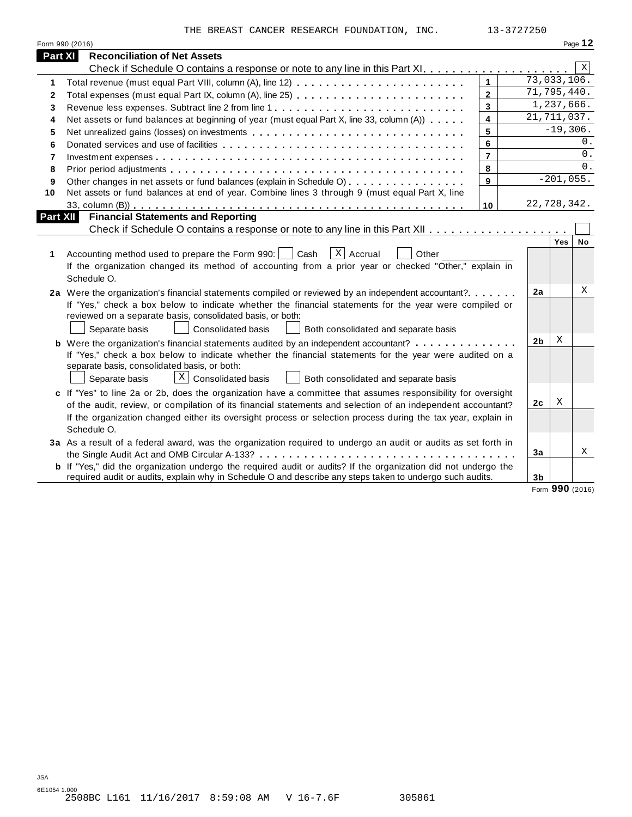THE BREAST CANCER RESEARCH FOUNDATION, INC. 13-3727250

|                | Form 990 (2016)<br><b>Reconciliation of Net Assets</b><br>$\mathbf{1}$<br>$\overline{2}$<br>$\mathbf{3}$<br>$\overline{\mathbf{4}}$<br>5<br>6<br>$\overline{7}$<br>8<br>9<br>10<br><b>Financial Statements and Reporting</b><br>$ X $ Accrual<br>Other<br>If the organization changed its method of accounting from a prior year or checked "Other," explain in<br>2a Were the organization's financial statements compiled or reviewed by an independent accountant?<br>If "Yes," check a box below to indicate whether the financial statements for the year were compiled or<br>Separate basis<br>Consolidated basis<br>Both consolidated and separate basis<br><b>b</b> Were the organization's financial statements audited by an independent accountant?<br>If "Yes," check a box below to indicate whether the financial statements for the year were audited on a<br>X<br>Separate basis<br>Consolidated basis<br>Both consolidated and separate basis<br>c If "Yes" to line 2a or 2b, does the organization have a committee that assumes responsibility for oversight<br>of the audit, review, or compilation of its financial statements and selection of an independent accountant?<br>If the organization changed either its oversight process or selection process during the tax year, explain in |  |                             | Page 12     |                 |
|----------------|------------------------------------------------------------------------------------------------------------------------------------------------------------------------------------------------------------------------------------------------------------------------------------------------------------------------------------------------------------------------------------------------------------------------------------------------------------------------------------------------------------------------------------------------------------------------------------------------------------------------------------------------------------------------------------------------------------------------------------------------------------------------------------------------------------------------------------------------------------------------------------------------------------------------------------------------------------------------------------------------------------------------------------------------------------------------------------------------------------------------------------------------------------------------------------------------------------------------------------------------------------------------------------------------------------------|--|-----------------------------|-------------|-----------------|
| <b>Part XI</b> |                                                                                                                                                                                                                                                                                                                                                                                                                                                                                                                                                                                                                                                                                                                                                                                                                                                                                                                                                                                                                                                                                                                                                                                                                                                                                                                  |  |                             |             |                 |
|                |                                                                                                                                                                                                                                                                                                                                                                                                                                                                                                                                                                                                                                                                                                                                                                                                                                                                                                                                                                                                                                                                                                                                                                                                                                                                                                                  |  |                             |             | X               |
| 1              |                                                                                                                                                                                                                                                                                                                                                                                                                                                                                                                                                                                                                                                                                                                                                                                                                                                                                                                                                                                                                                                                                                                                                                                                                                                                                                                  |  | 73,033,106.                 |             |                 |
| 2              | Total expenses (must equal Part IX, column (A), line 25)                                                                                                                                                                                                                                                                                                                                                                                                                                                                                                                                                                                                                                                                                                                                                                                                                                                                                                                                                                                                                                                                                                                                                                                                                                                         |  | 71,795,440.                 |             |                 |
| 3              | Revenue less expenses. Subtract line 2 from line 1                                                                                                                                                                                                                                                                                                                                                                                                                                                                                                                                                                                                                                                                                                                                                                                                                                                                                                                                                                                                                                                                                                                                                                                                                                                               |  |                             | 1,237,666.  |                 |
| 4              | Net assets or fund balances at beginning of year (must equal Part X, line 33, column (A))                                                                                                                                                                                                                                                                                                                                                                                                                                                                                                                                                                                                                                                                                                                                                                                                                                                                                                                                                                                                                                                                                                                                                                                                                        |  | $\overline{21}$ , 711, 037. |             |                 |
| 5              | Net unrealized gains (losses) on investments                                                                                                                                                                                                                                                                                                                                                                                                                                                                                                                                                                                                                                                                                                                                                                                                                                                                                                                                                                                                                                                                                                                                                                                                                                                                     |  |                             | $-19,306.$  |                 |
| 6              |                                                                                                                                                                                                                                                                                                                                                                                                                                                                                                                                                                                                                                                                                                                                                                                                                                                                                                                                                                                                                                                                                                                                                                                                                                                                                                                  |  |                             |             | 0.              |
| 7              |                                                                                                                                                                                                                                                                                                                                                                                                                                                                                                                                                                                                                                                                                                                                                                                                                                                                                                                                                                                                                                                                                                                                                                                                                                                                                                                  |  |                             |             | 0.              |
| 8              |                                                                                                                                                                                                                                                                                                                                                                                                                                                                                                                                                                                                                                                                                                                                                                                                                                                                                                                                                                                                                                                                                                                                                                                                                                                                                                                  |  | $\Omega$ .                  |             |                 |
| 9              | Other changes in net assets or fund balances (explain in Schedule O)                                                                                                                                                                                                                                                                                                                                                                                                                                                                                                                                                                                                                                                                                                                                                                                                                                                                                                                                                                                                                                                                                                                                                                                                                                             |  |                             | $-201,055.$ |                 |
| 10             | Net assets or fund balances at end of year. Combine lines 3 through 9 (must equal Part X, line                                                                                                                                                                                                                                                                                                                                                                                                                                                                                                                                                                                                                                                                                                                                                                                                                                                                                                                                                                                                                                                                                                                                                                                                                   |  |                             |             |                 |
|                |                                                                                                                                                                                                                                                                                                                                                                                                                                                                                                                                                                                                                                                                                                                                                                                                                                                                                                                                                                                                                                                                                                                                                                                                                                                                                                                  |  | 22,728,342.                 |             |                 |
| Part XII       |                                                                                                                                                                                                                                                                                                                                                                                                                                                                                                                                                                                                                                                                                                                                                                                                                                                                                                                                                                                                                                                                                                                                                                                                                                                                                                                  |  |                             |             |                 |
|                |                                                                                                                                                                                                                                                                                                                                                                                                                                                                                                                                                                                                                                                                                                                                                                                                                                                                                                                                                                                                                                                                                                                                                                                                                                                                                                                  |  |                             |             |                 |
|                |                                                                                                                                                                                                                                                                                                                                                                                                                                                                                                                                                                                                                                                                                                                                                                                                                                                                                                                                                                                                                                                                                                                                                                                                                                                                                                                  |  |                             | Yes         | No              |
| 1              | Accounting method used to prepare the Form 990:     Cash                                                                                                                                                                                                                                                                                                                                                                                                                                                                                                                                                                                                                                                                                                                                                                                                                                                                                                                                                                                                                                                                                                                                                                                                                                                         |  |                             |             |                 |
|                |                                                                                                                                                                                                                                                                                                                                                                                                                                                                                                                                                                                                                                                                                                                                                                                                                                                                                                                                                                                                                                                                                                                                                                                                                                                                                                                  |  |                             |             |                 |
|                | Schedule O.                                                                                                                                                                                                                                                                                                                                                                                                                                                                                                                                                                                                                                                                                                                                                                                                                                                                                                                                                                                                                                                                                                                                                                                                                                                                                                      |  |                             |             |                 |
|                |                                                                                                                                                                                                                                                                                                                                                                                                                                                                                                                                                                                                                                                                                                                                                                                                                                                                                                                                                                                                                                                                                                                                                                                                                                                                                                                  |  | 2a                          |             | X               |
|                |                                                                                                                                                                                                                                                                                                                                                                                                                                                                                                                                                                                                                                                                                                                                                                                                                                                                                                                                                                                                                                                                                                                                                                                                                                                                                                                  |  |                             |             |                 |
|                | reviewed on a separate basis, consolidated basis, or both:                                                                                                                                                                                                                                                                                                                                                                                                                                                                                                                                                                                                                                                                                                                                                                                                                                                                                                                                                                                                                                                                                                                                                                                                                                                       |  |                             |             |                 |
|                |                                                                                                                                                                                                                                                                                                                                                                                                                                                                                                                                                                                                                                                                                                                                                                                                                                                                                                                                                                                                                                                                                                                                                                                                                                                                                                                  |  |                             |             |                 |
|                |                                                                                                                                                                                                                                                                                                                                                                                                                                                                                                                                                                                                                                                                                                                                                                                                                                                                                                                                                                                                                                                                                                                                                                                                                                                                                                                  |  | 2 <sub>b</sub>              | Χ           |                 |
|                |                                                                                                                                                                                                                                                                                                                                                                                                                                                                                                                                                                                                                                                                                                                                                                                                                                                                                                                                                                                                                                                                                                                                                                                                                                                                                                                  |  |                             |             |                 |
|                | separate basis, consolidated basis, or both:                                                                                                                                                                                                                                                                                                                                                                                                                                                                                                                                                                                                                                                                                                                                                                                                                                                                                                                                                                                                                                                                                                                                                                                                                                                                     |  |                             |             |                 |
|                |                                                                                                                                                                                                                                                                                                                                                                                                                                                                                                                                                                                                                                                                                                                                                                                                                                                                                                                                                                                                                                                                                                                                                                                                                                                                                                                  |  |                             |             |                 |
|                |                                                                                                                                                                                                                                                                                                                                                                                                                                                                                                                                                                                                                                                                                                                                                                                                                                                                                                                                                                                                                                                                                                                                                                                                                                                                                                                  |  |                             |             |                 |
|                |                                                                                                                                                                                                                                                                                                                                                                                                                                                                                                                                                                                                                                                                                                                                                                                                                                                                                                                                                                                                                                                                                                                                                                                                                                                                                                                  |  | 2c                          | X           |                 |
|                |                                                                                                                                                                                                                                                                                                                                                                                                                                                                                                                                                                                                                                                                                                                                                                                                                                                                                                                                                                                                                                                                                                                                                                                                                                                                                                                  |  |                             |             |                 |
|                | Schedule O.                                                                                                                                                                                                                                                                                                                                                                                                                                                                                                                                                                                                                                                                                                                                                                                                                                                                                                                                                                                                                                                                                                                                                                                                                                                                                                      |  |                             |             |                 |
|                | 3a As a result of a federal award, was the organization required to undergo an audit or audits as set forth in                                                                                                                                                                                                                                                                                                                                                                                                                                                                                                                                                                                                                                                                                                                                                                                                                                                                                                                                                                                                                                                                                                                                                                                                   |  |                             |             |                 |
|                |                                                                                                                                                                                                                                                                                                                                                                                                                                                                                                                                                                                                                                                                                                                                                                                                                                                                                                                                                                                                                                                                                                                                                                                                                                                                                                                  |  | Зa                          |             | X               |
|                | <b>b</b> If "Yes," did the organization undergo the required audit or audits? If the organization did not undergo the                                                                                                                                                                                                                                                                                                                                                                                                                                                                                                                                                                                                                                                                                                                                                                                                                                                                                                                                                                                                                                                                                                                                                                                            |  |                             |             |                 |
|                | required audit or audits, explain why in Schedule O and describe any steps taken to undergo such audits.                                                                                                                                                                                                                                                                                                                                                                                                                                                                                                                                                                                                                                                                                                                                                                                                                                                                                                                                                                                                                                                                                                                                                                                                         |  | 3b                          |             |                 |
|                |                                                                                                                                                                                                                                                                                                                                                                                                                                                                                                                                                                                                                                                                                                                                                                                                                                                                                                                                                                                                                                                                                                                                                                                                                                                                                                                  |  |                             |             | Form 990 (2016) |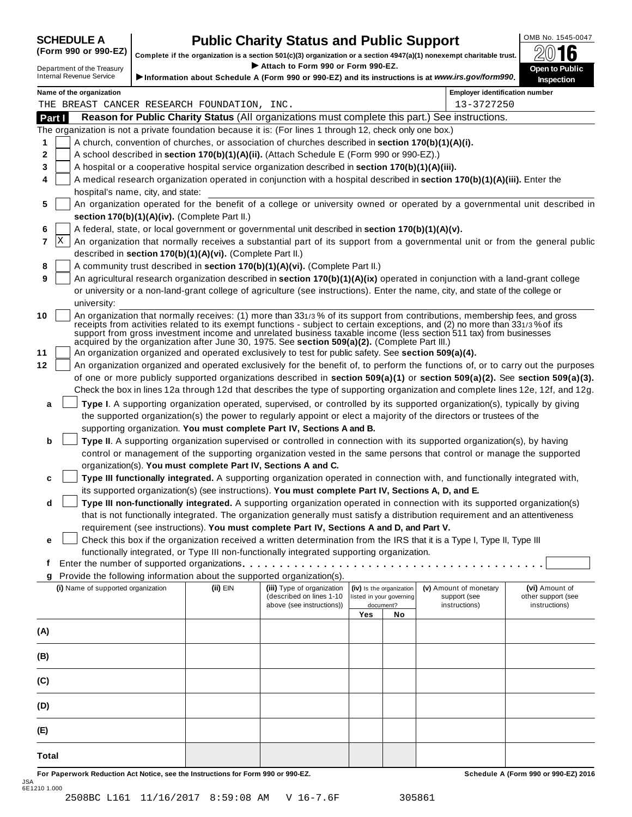## **CHEDULE A Public Charity Status and Public Support**  $\frac{100\text{dB No. }1545-0047}{000\text{dB No.}}$

(Form 990 or 990-EZ) complete if the organization is a section 501(c)(3) organization or a section 4947(a)(1) nonexempt charitable trust. 2016 <sup>D</sup> I **Attach to Form <sup>990</sup> or Form 990-EZ.** epartment of the Treasury **Open to Public**

|        | Department of the Treasury<br>Internal Revenue Service |                                                            | Attach to Form 990 or Form 990-EZ.                                                                                                                                                                              |     |                          |                                                                                                                                                                                                                                                                                                                                                                                 | Open to Public                                                                                                               |
|--------|--------------------------------------------------------|------------------------------------------------------------|-----------------------------------------------------------------------------------------------------------------------------------------------------------------------------------------------------------------|-----|--------------------------|---------------------------------------------------------------------------------------------------------------------------------------------------------------------------------------------------------------------------------------------------------------------------------------------------------------------------------------------------------------------------------|------------------------------------------------------------------------------------------------------------------------------|
|        |                                                        |                                                            |                                                                                                                                                                                                                 |     |                          | Information about Schedule A (Form 990 or 990-EZ) and its instructions is at www.irs.gov/form990.                                                                                                                                                                                                                                                                               | Inspection                                                                                                                   |
|        | Name of the organization                               |                                                            |                                                                                                                                                                                                                 |     |                          | <b>Employer identification number</b>                                                                                                                                                                                                                                                                                                                                           |                                                                                                                              |
|        | THE BREAST CANCER RESEARCH FOUNDATION, INC.            |                                                            |                                                                                                                                                                                                                 |     |                          | 13-3727250                                                                                                                                                                                                                                                                                                                                                                      |                                                                                                                              |
|        | Part I                                                 |                                                            |                                                                                                                                                                                                                 |     |                          | Reason for Public Charity Status (All organizations must complete this part.) See instructions.                                                                                                                                                                                                                                                                                 |                                                                                                                              |
| 1      |                                                        |                                                            | The organization is not a private foundation because it is: (For lines 1 through 12, check only one box.)<br>A church, convention of churches, or association of churches described in section 170(b)(1)(A)(i). |     |                          |                                                                                                                                                                                                                                                                                                                                                                                 |                                                                                                                              |
| 2      |                                                        |                                                            | A school described in section 170(b)(1)(A)(ii). (Attach Schedule E (Form 990 or 990-EZ).)                                                                                                                       |     |                          |                                                                                                                                                                                                                                                                                                                                                                                 |                                                                                                                              |
|        |                                                        |                                                            | A hospital or a cooperative hospital service organization described in section 170(b)(1)(A)(iii).                                                                                                               |     |                          |                                                                                                                                                                                                                                                                                                                                                                                 |                                                                                                                              |
| 3<br>4 |                                                        |                                                            |                                                                                                                                                                                                                 |     |                          | A medical research organization operated in conjunction with a hospital described in section 170(b)(1)(A)(iii). Enter the                                                                                                                                                                                                                                                       |                                                                                                                              |
|        | hospital's name, city, and state:                      |                                                            |                                                                                                                                                                                                                 |     |                          |                                                                                                                                                                                                                                                                                                                                                                                 |                                                                                                                              |
| 5      |                                                        |                                                            |                                                                                                                                                                                                                 |     |                          |                                                                                                                                                                                                                                                                                                                                                                                 | An organization operated for the benefit of a college or university owned or operated by a governmental unit described in    |
|        |                                                        | section 170(b)(1)(A)(iv). (Complete Part II.)              |                                                                                                                                                                                                                 |     |                          |                                                                                                                                                                                                                                                                                                                                                                                 |                                                                                                                              |
| 6      |                                                        |                                                            | A federal, state, or local government or governmental unit described in section 170(b)(1)(A)(v).                                                                                                                |     |                          |                                                                                                                                                                                                                                                                                                                                                                                 |                                                                                                                              |
| 7      | ΙX                                                     |                                                            |                                                                                                                                                                                                                 |     |                          |                                                                                                                                                                                                                                                                                                                                                                                 | An organization that normally receives a substantial part of its support from a governmental unit or from the general public |
|        |                                                        | described in section 170(b)(1)(A)(vi). (Complete Part II.) |                                                                                                                                                                                                                 |     |                          |                                                                                                                                                                                                                                                                                                                                                                                 |                                                                                                                              |
| 8      |                                                        |                                                            | A community trust described in section 170(b)(1)(A)(vi). (Complete Part II.)                                                                                                                                    |     |                          |                                                                                                                                                                                                                                                                                                                                                                                 |                                                                                                                              |
| 9      |                                                        |                                                            |                                                                                                                                                                                                                 |     |                          | An agricultural research organization described in section 170(b)(1)(A)(ix) operated in conjunction with a land-grant college                                                                                                                                                                                                                                                   |                                                                                                                              |
|        |                                                        |                                                            |                                                                                                                                                                                                                 |     |                          | or university or a non-land-grant college of agriculture (see instructions). Enter the name, city, and state of the college or                                                                                                                                                                                                                                                  |                                                                                                                              |
|        | university:                                            |                                                            |                                                                                                                                                                                                                 |     |                          |                                                                                                                                                                                                                                                                                                                                                                                 |                                                                                                                              |
| 10     |                                                        |                                                            | acquired by the organization after June 30, 1975. See section 509(a)(2). (Complete Part III.)                                                                                                                   |     |                          | An organization that normally receives: (1) more than 331/3% of its support from contributions, membership fees, and gross<br>receipts from activities related to its exempt functions - subject to certain exceptions, and (2) no more than 331/3% of its<br>support from gross investment income and unrelated business taxable income (less section 511 tax) from businesses |                                                                                                                              |
| 11     |                                                        |                                                            | An organization organized and operated exclusively to test for public safety. See section 509(a)(4).                                                                                                            |     |                          |                                                                                                                                                                                                                                                                                                                                                                                 |                                                                                                                              |
| 12     |                                                        |                                                            |                                                                                                                                                                                                                 |     |                          | An organization organized and operated exclusively for the benefit of, to perform the functions of, or to carry out the purposes                                                                                                                                                                                                                                                |                                                                                                                              |
|        |                                                        |                                                            |                                                                                                                                                                                                                 |     |                          | of one or more publicly supported organizations described in section 509(a)(1) or section 509(a)(2). See section 509(a)(3).                                                                                                                                                                                                                                                     |                                                                                                                              |
|        |                                                        |                                                            |                                                                                                                                                                                                                 |     |                          | Check the box in lines 12a through 12d that describes the type of supporting organization and complete lines 12e, 12f, and 12g.                                                                                                                                                                                                                                                 |                                                                                                                              |
| a      |                                                        |                                                            |                                                                                                                                                                                                                 |     |                          | Type I. A supporting organization operated, supervised, or controlled by its supported organization(s), typically by giving                                                                                                                                                                                                                                                     |                                                                                                                              |
|        |                                                        |                                                            |                                                                                                                                                                                                                 |     |                          | the supported organization(s) the power to regularly appoint or elect a majority of the directors or trustees of the                                                                                                                                                                                                                                                            |                                                                                                                              |
|        |                                                        |                                                            | supporting organization. You must complete Part IV, Sections A and B.                                                                                                                                           |     |                          |                                                                                                                                                                                                                                                                                                                                                                                 |                                                                                                                              |
| b      |                                                        |                                                            |                                                                                                                                                                                                                 |     |                          | Type II. A supporting organization supervised or controlled in connection with its supported organization(s), by having                                                                                                                                                                                                                                                         |                                                                                                                              |
|        |                                                        |                                                            |                                                                                                                                                                                                                 |     |                          | control or management of the supporting organization vested in the same persons that control or manage the supported                                                                                                                                                                                                                                                            |                                                                                                                              |
|        |                                                        |                                                            | organization(s). You must complete Part IV, Sections A and C.                                                                                                                                                   |     |                          |                                                                                                                                                                                                                                                                                                                                                                                 |                                                                                                                              |
| с      |                                                        |                                                            |                                                                                                                                                                                                                 |     |                          | Type III functionally integrated. A supporting organization operated in connection with, and functionally integrated with,                                                                                                                                                                                                                                                      |                                                                                                                              |
|        |                                                        |                                                            | its supported organization(s) (see instructions). You must complete Part IV, Sections A, D, and E.                                                                                                              |     |                          |                                                                                                                                                                                                                                                                                                                                                                                 |                                                                                                                              |
| d      |                                                        |                                                            |                                                                                                                                                                                                                 |     |                          | Type III non-functionally integrated. A supporting organization operated in connection with its supported organization(s)                                                                                                                                                                                                                                                       |                                                                                                                              |
|        |                                                        |                                                            |                                                                                                                                                                                                                 |     |                          | that is not functionally integrated. The organization generally must satisfy a distribution requirement and an attentiveness                                                                                                                                                                                                                                                    |                                                                                                                              |
|        |                                                        |                                                            | requirement (see instructions). You must complete Part IV, Sections A and D, and Part V.                                                                                                                        |     |                          | Check this box if the organization received a written determination from the IRS that it is a Type I, Type II, Type III                                                                                                                                                                                                                                                         |                                                                                                                              |
| е      |                                                        |                                                            | functionally integrated, or Type III non-functionally integrated supporting organization.                                                                                                                       |     |                          |                                                                                                                                                                                                                                                                                                                                                                                 |                                                                                                                              |
| Ť.     |                                                        |                                                            |                                                                                                                                                                                                                 |     |                          |                                                                                                                                                                                                                                                                                                                                                                                 |                                                                                                                              |
| g      |                                                        |                                                            | Provide the following information about the supported organization(s).                                                                                                                                          |     |                          |                                                                                                                                                                                                                                                                                                                                                                                 |                                                                                                                              |
|        | (i) Name of supported organization                     | (ii) EIN                                                   | (iii) Type of organization                                                                                                                                                                                      |     | (iv) Is the organization | (v) Amount of monetary                                                                                                                                                                                                                                                                                                                                                          | (vi) Amount of                                                                                                               |
|        |                                                        |                                                            | (described on lines 1-10                                                                                                                                                                                        |     | listed in your governing | support (see                                                                                                                                                                                                                                                                                                                                                                    | other support (see<br>instructions)                                                                                          |
|        |                                                        |                                                            | above (see instructions))                                                                                                                                                                                       | Yes | document?<br>No          | instructions)                                                                                                                                                                                                                                                                                                                                                                   |                                                                                                                              |
| (A)    |                                                        |                                                            |                                                                                                                                                                                                                 |     |                          |                                                                                                                                                                                                                                                                                                                                                                                 |                                                                                                                              |
|        |                                                        |                                                            |                                                                                                                                                                                                                 |     |                          |                                                                                                                                                                                                                                                                                                                                                                                 |                                                                                                                              |
| (B)    |                                                        |                                                            |                                                                                                                                                                                                                 |     |                          |                                                                                                                                                                                                                                                                                                                                                                                 |                                                                                                                              |
| (C)    |                                                        |                                                            |                                                                                                                                                                                                                 |     |                          |                                                                                                                                                                                                                                                                                                                                                                                 |                                                                                                                              |
| (D)    |                                                        |                                                            |                                                                                                                                                                                                                 |     |                          |                                                                                                                                                                                                                                                                                                                                                                                 |                                                                                                                              |
| (E)    |                                                        |                                                            |                                                                                                                                                                                                                 |     |                          |                                                                                                                                                                                                                                                                                                                                                                                 |                                                                                                                              |
| Total  |                                                        |                                                            |                                                                                                                                                                                                                 |     |                          |                                                                                                                                                                                                                                                                                                                                                                                 |                                                                                                                              |

For Paperwork Reduction Act Notice, see the Instructions for Form 990 or 990-EZ. Schedule A (Form 990 or 990-EZ) 2016 JSA 6E1210 1.000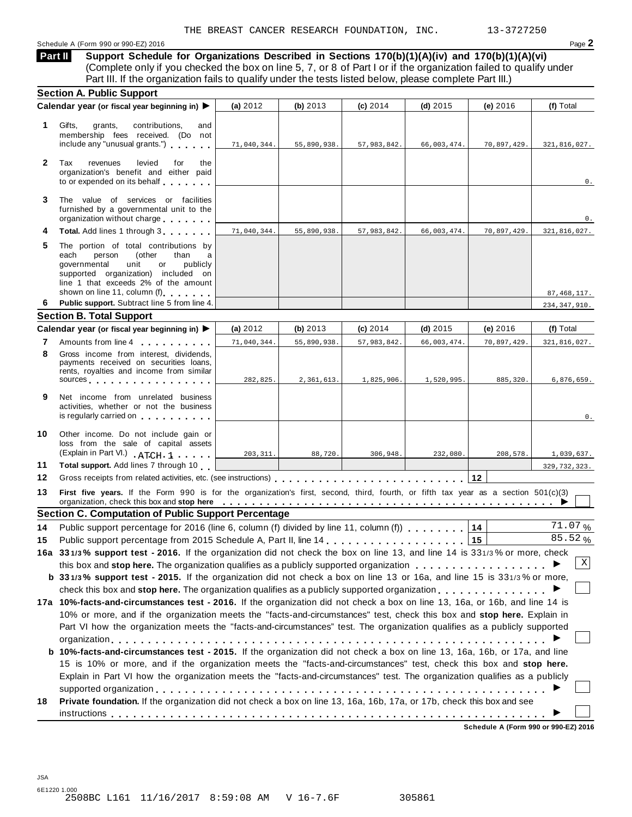Schedule <sup>A</sup> (Form <sup>990</sup> or 990-EZ) <sup>2016</sup> Page **2**

**Support Schedule for Organizations Described in Sections 170(b)(1)(A)(iv) and 170(b)(1)(A)(vi)** (Complete only if you checked the box on line 5, 7, or 8 of Part I or if the organization failed to qualify under Part III. If the organization fails to qualify under the tests listed below, please complete Part III.) **Part II**

|                                  | <b>Section A. Public Support</b>                                                                                                                                                                                                                                                       |             |             |             |             |             |                              |
|----------------------------------|----------------------------------------------------------------------------------------------------------------------------------------------------------------------------------------------------------------------------------------------------------------------------------------|-------------|-------------|-------------|-------------|-------------|------------------------------|
|                                  | Calendar year (or fiscal year beginning in) ▶                                                                                                                                                                                                                                          | (a) $2012$  | (b) $2013$  | (c) 2014    | $(d)$ 2015  | (e) 2016    | (f) Total                    |
| 1.                               | Gifts,<br>grants,<br>contributions,<br>and<br>membership fees received. (Do not<br>include any "unusual grants.")                                                                                                                                                                      | 71,040,344. | 55,890,938. | 57,983,842. | 66,003,474. | 70,897,429. | 321,816,027.                 |
| $\mathbf{2}$                     | Tax<br>revenues<br>levied<br>for<br>the<br>organization's benefit and either paid<br>to or expended on its behalf                                                                                                                                                                      |             |             |             |             |             | 0.                           |
| 3                                | The value of services or facilities<br>furnished by a governmental unit to the<br>organization without charge                                                                                                                                                                          |             |             |             |             |             | 0.                           |
| 4                                | Total. Add lines 1 through 3                                                                                                                                                                                                                                                           | 71,040,344. | 55,890,938. | 57,983,842. | 66,003,474. | 70,897,429. | 321,816,027.                 |
| 5                                | The portion of total contributions by<br>(other<br>each<br>person<br>than<br>a<br>governmental<br>unit<br>or<br>publicly<br>supported organization) included on<br>line 1 that exceeds 2% of the amount<br>shown on line 11, column (f)                                                |             |             |             |             |             | 87, 468, 117.                |
| 6.                               | Public support. Subtract line 5 from line 4.                                                                                                                                                                                                                                           |             |             |             |             |             | 234, 347, 910.               |
|                                  | <b>Section B. Total Support</b>                                                                                                                                                                                                                                                        |             |             |             |             |             |                              |
|                                  | Calendar year (or fiscal year beginning in) ▶                                                                                                                                                                                                                                          | (a) $2012$  | (b) $2013$  | (c) 2014    | (d) $2015$  | (e) 2016    | (f) Total                    |
| 7                                | Amounts from line 4                                                                                                                                                                                                                                                                    | 71,040,344. | 55,890,938. | 57,983,842. | 66,003,474. | 70,897,429  | 321,816,027.                 |
| 8                                | Gross income from interest, dividends,<br>payments received on securities loans,<br>rents, royalties and income from similar<br>sources and the set of the set of the set of the set of the set of the set of the set of the set of the set of                                         | 282,825.    | 2,361,613.  | 1,825,906.  | 1,520,995.  | 885, 320.   | 6,876,659.                   |
| 9                                | Net income from unrelated business<br>activities, whether or not the business<br>is regularly carried on the control of the state of the control of the control of the control of the control o                                                                                        |             |             |             |             |             | 0.                           |
| 10                               | Other income. Do not include gain or<br>loss from the sale of capital assets<br>(Explain in Part VI.) ATCH 1                                                                                                                                                                           | 203, 311.   | 88,720.     | 306,948.    | 232,080.    | 208,578.    | 1,039,637.<br>329, 732, 323. |
|                                  |                                                                                                                                                                                                                                                                                        |             |             |             |             |             |                              |
|                                  | Total support. Add lines 7 through 10                                                                                                                                                                                                                                                  |             |             |             |             |             |                              |
|                                  | First five years. If the Form 990 is for the organization's first, second, third, fourth, or fifth tax year as a section 501(c)(3)<br>organization, check this box and stop here entirely respect to the content of the content of the content of the content of $\blacktriangleright$ |             |             |             |             | 12          |                              |
|                                  | <b>Section C. Computation of Public Support Percentage</b>                                                                                                                                                                                                                             |             |             |             |             |             |                              |
|                                  | Public support percentage for 2016 (line 6, column (f) divided by line 11, column (f) $\ldots$ ,,,,,,                                                                                                                                                                                  |             |             |             |             | 14          | $71.07\%$                    |
|                                  |                                                                                                                                                                                                                                                                                        |             |             |             |             | 15          | 85.52%                       |
|                                  | 16a 331/3% support test - 2016. If the organization did not check the box on line 13, and line 14 is 331/3% or more, check                                                                                                                                                             |             |             |             |             |             |                              |
|                                  |                                                                                                                                                                                                                                                                                        |             |             |             |             |             | X                            |
|                                  | b 331/3% support test - 2015. If the organization did not check a box on line 13 or 16a, and line 15 is 331/3% or more,                                                                                                                                                                |             |             |             |             |             |                              |
|                                  |                                                                                                                                                                                                                                                                                        |             |             |             |             |             |                              |
|                                  | 17a 10%-facts-and-circumstances test - 2016. If the organization did not check a box on line 13, 16a, or 16b, and line 14 is                                                                                                                                                           |             |             |             |             |             |                              |
|                                  | 10% or more, and if the organization meets the "facts-and-circumstances" test, check this box and stop here. Explain in                                                                                                                                                                |             |             |             |             |             |                              |
|                                  | Part VI how the organization meets the "facts-and-circumstances" test. The organization qualifies as a publicly supported                                                                                                                                                              |             |             |             |             |             |                              |
|                                  |                                                                                                                                                                                                                                                                                        |             |             |             |             |             |                              |
|                                  | b 10%-facts-and-circumstances test - 2015. If the organization did not check a box on line 13, 16a, 16b, or 17a, and line                                                                                                                                                              |             |             |             |             |             |                              |
|                                  | 15 is 10% or more, and if the organization meets the "facts-and-circumstances" test, check this box and stop here.<br>Explain in Part VI how the organization meets the "facts-and-circumstances" test. The organization qualifies as a publicly                                       |             |             |             |             |             |                              |
| 11<br>12<br>13<br>14<br>15<br>18 | Private foundation. If the organization did not check a box on line 13, 16a, 16b, 17a, or 17b, check this box and see                                                                                                                                                                  |             |             |             |             |             |                              |

JSA 6E1220 1.000 2508BC L161 11/16/2017 8:59:08 AM V 16-7.6F 305861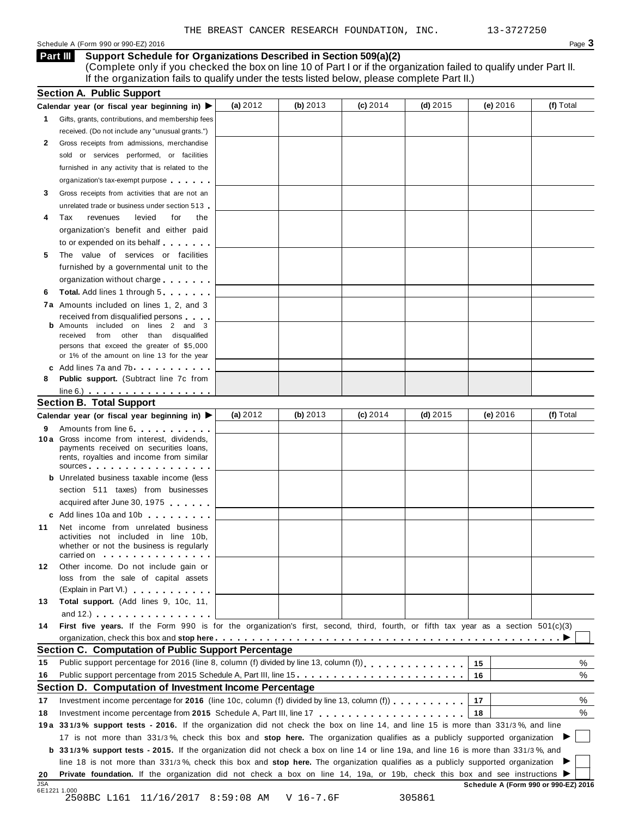Schedule <sup>A</sup> (Form <sup>990</sup> or 990-EZ) <sup>2016</sup> Page **3**

**Support Schedule for Organizations Described in Section 509(a)(2) Part III**

> (Complete only if you checked the box on line 10 of Part I or if the organization failed to qualify under Part II. If the organization fails to qualify under the tests listed below, please complete Part II.)

|                                                                            | <b>Section A. Public Support</b>                                                                                                                                                                                                                                      |            |            |            |            |                                      |           |
|----------------------------------------------------------------------------|-----------------------------------------------------------------------------------------------------------------------------------------------------------------------------------------------------------------------------------------------------------------------|------------|------------|------------|------------|--------------------------------------|-----------|
|                                                                            | Calendar year (or fiscal year beginning in) $\blacktriangleright$                                                                                                                                                                                                     | (a) $2012$ | (b) $2013$ | $(c)$ 2014 | $(d)$ 2015 | $(e)$ 2016                           | (f) Total |
| $\mathbf{1}$                                                               | Gifts, grants, contributions, and membership fees                                                                                                                                                                                                                     |            |            |            |            |                                      |           |
|                                                                            | received. (Do not include any "unusual grants.")                                                                                                                                                                                                                      |            |            |            |            |                                      |           |
| 2                                                                          | Gross receipts from admissions, merchandise                                                                                                                                                                                                                           |            |            |            |            |                                      |           |
|                                                                            | sold or services performed, or facilities                                                                                                                                                                                                                             |            |            |            |            |                                      |           |
|                                                                            | furnished in any activity that is related to the                                                                                                                                                                                                                      |            |            |            |            |                                      |           |
|                                                                            | organization's tax-exempt purpose                                                                                                                                                                                                                                     |            |            |            |            |                                      |           |
|                                                                            | Gross receipts from activities that are not an                                                                                                                                                                                                                        |            |            |            |            |                                      |           |
|                                                                            | unrelated trade or business under section 513                                                                                                                                                                                                                         |            |            |            |            |                                      |           |
|                                                                            | Tax<br>revenues<br>levied<br>for<br>the                                                                                                                                                                                                                               |            |            |            |            |                                      |           |
|                                                                            | organization's benefit and either paid                                                                                                                                                                                                                                |            |            |            |            |                                      |           |
|                                                                            | to or expended on its behalf                                                                                                                                                                                                                                          |            |            |            |            |                                      |           |
|                                                                            | The value of services or facilities                                                                                                                                                                                                                                   |            |            |            |            |                                      |           |
| 3<br>4<br>5<br>6<br>8<br>9<br>11<br>12<br>13<br>14<br>15<br>16<br>17<br>18 | furnished by a governmental unit to the                                                                                                                                                                                                                               |            |            |            |            |                                      |           |
|                                                                            | organization without charge                                                                                                                                                                                                                                           |            |            |            |            |                                      |           |
|                                                                            |                                                                                                                                                                                                                                                                       |            |            |            |            |                                      |           |
|                                                                            | Total. Add lines 1 through 5                                                                                                                                                                                                                                          |            |            |            |            |                                      |           |
|                                                                            | <b>7a</b> Amounts included on lines 1, 2, and 3                                                                                                                                                                                                                       |            |            |            |            |                                      |           |
|                                                                            | received from disqualified persons<br><b>b</b> Amounts included on lines 2 and 3                                                                                                                                                                                      |            |            |            |            |                                      |           |
|                                                                            | received from other than disqualified                                                                                                                                                                                                                                 |            |            |            |            |                                      |           |
|                                                                            | persons that exceed the greater of \$5,000                                                                                                                                                                                                                            |            |            |            |            |                                      |           |
|                                                                            | or 1% of the amount on line 13 for the year                                                                                                                                                                                                                           |            |            |            |            |                                      |           |
|                                                                            | c Add lines 7a and 7b                                                                                                                                                                                                                                                 |            |            |            |            |                                      |           |
|                                                                            | <b>Public support.</b> (Subtract line 7c from                                                                                                                                                                                                                         |            |            |            |            |                                      |           |
|                                                                            | $line 6.)$ $\ldots$ $\ldots$ $\ldots$ $\ldots$ $\ldots$                                                                                                                                                                                                               |            |            |            |            |                                      |           |
|                                                                            | <b>Section B. Total Support</b>                                                                                                                                                                                                                                       |            |            |            |            |                                      |           |
|                                                                            | Calendar year (or fiscal year beginning in) ▶                                                                                                                                                                                                                         | (a) $2012$ | (b) $2013$ | $(c)$ 2014 | (d) $2015$ | $(e)$ 2016                           | (f) Total |
|                                                                            | Amounts from line 6                                                                                                                                                                                                                                                   |            |            |            |            |                                      |           |
|                                                                            | 10a Gross income from interest, dividends,<br>payments received on securities loans,                                                                                                                                                                                  |            |            |            |            |                                      |           |
|                                                                            | rents, royalties and income from similar                                                                                                                                                                                                                              |            |            |            |            |                                      |           |
|                                                                            | sources experiences and the set of the set of the set of the set of the set of the set of the set of the set of the set of the set of the set of the set of the set of the set of the set of the set of the set of the set of                                         |            |            |            |            |                                      |           |
|                                                                            | <b>b</b> Unrelated business taxable income (less                                                                                                                                                                                                                      |            |            |            |            |                                      |           |
|                                                                            | section 511 taxes) from businesses                                                                                                                                                                                                                                    |            |            |            |            |                                      |           |
|                                                                            | acquired after June 30, 1975                                                                                                                                                                                                                                          |            |            |            |            |                                      |           |
|                                                                            | c Add lines 10a and 10b can be a set of the set of the set of the set of the set of the set of the set of the set of the set of the set of the set of the set of the set of the set of the set of the set of the set of the se                                        |            |            |            |            |                                      |           |
|                                                                            | Net income from unrelated business                                                                                                                                                                                                                                    |            |            |            |            |                                      |           |
|                                                                            | activities not included in line 10b,                                                                                                                                                                                                                                  |            |            |            |            |                                      |           |
|                                                                            | whether or not the business is regularly                                                                                                                                                                                                                              |            |            |            |            |                                      |           |
|                                                                            | carried on the carried on the control of the care of the control of the control of the control of the control of the control of the control of the control of the control of the control of the control of the control of the<br>Other income. Do not include gain or |            |            |            |            |                                      |           |
|                                                                            | loss from the sale of capital assets                                                                                                                                                                                                                                  |            |            |            |            |                                      |           |
|                                                                            | (Explain in Part VI.) <b>All Accords</b>                                                                                                                                                                                                                              |            |            |            |            |                                      |           |
|                                                                            | Total support. (Add lines 9, 10c, 11,                                                                                                                                                                                                                                 |            |            |            |            |                                      |           |
|                                                                            | and 12.) $\cdots$ $\cdots$ $\cdots$ $\cdots$                                                                                                                                                                                                                          |            |            |            |            |                                      |           |
|                                                                            | First five years. If the Form 990 is for the organization's first, second, third, fourth, or fifth tax year as a section 501(c)(3)                                                                                                                                    |            |            |            |            |                                      |           |
|                                                                            |                                                                                                                                                                                                                                                                       |            |            |            |            |                                      |           |
|                                                                            | <b>Section C. Computation of Public Support Percentage</b>                                                                                                                                                                                                            |            |            |            |            |                                      |           |
|                                                                            |                                                                                                                                                                                                                                                                       |            |            |            |            | 15                                   | %         |
|                                                                            | Public support percentage from 2015 Schedule A, Part III, line 15.                                                                                                                                                                                                    |            |            |            |            | 16                                   | %         |
|                                                                            | Section D. Computation of Investment Income Percentage                                                                                                                                                                                                                |            |            |            |            |                                      |           |
|                                                                            |                                                                                                                                                                                                                                                                       |            |            |            |            |                                      |           |
|                                                                            | Investment income percentage for 2016 (line 10c, column (f) divided by line 13, column (f) $\ldots$ ,,,,,,,,                                                                                                                                                          |            |            |            |            | 17                                   | %         |
|                                                                            |                                                                                                                                                                                                                                                                       |            |            |            |            | 18                                   | %         |
|                                                                            | 19a 331/3% support tests - 2016. If the organization did not check the box on line 14, and line 15 is more than 331/3%, and line                                                                                                                                      |            |            |            |            |                                      |           |
|                                                                            | 17 is not more than 331/3%, check this box and stop here. The organization qualifies as a publicly supported organization                                                                                                                                             |            |            |            |            |                                      |           |
|                                                                            | <b>b</b> 331/3% support tests - 2015. If the organization did not check a box on line 14 or line 19a, and line 16 is more than 331/3%, and                                                                                                                            |            |            |            |            |                                      |           |
|                                                                            | line 18 is not more than 331/3%, check this box and stop here. The organization qualifies as a publicly supported organization                                                                                                                                        |            |            |            |            |                                      |           |
| 20                                                                         | Private foundation. If the organization did not check a box on line 14, 19a, or 19b, check this box and see instructions                                                                                                                                              |            |            |            |            |                                      |           |
| <b>JSA</b>                                                                 | 6E1221 1.000                                                                                                                                                                                                                                                          |            |            |            |            | Schedule A (Form 990 or 990-EZ) 2016 |           |
|                                                                            | 2508BC L161 11/16/2017 8:59:08 AM V 16-7.6F                                                                                                                                                                                                                           |            |            |            | 305861     |                                      |           |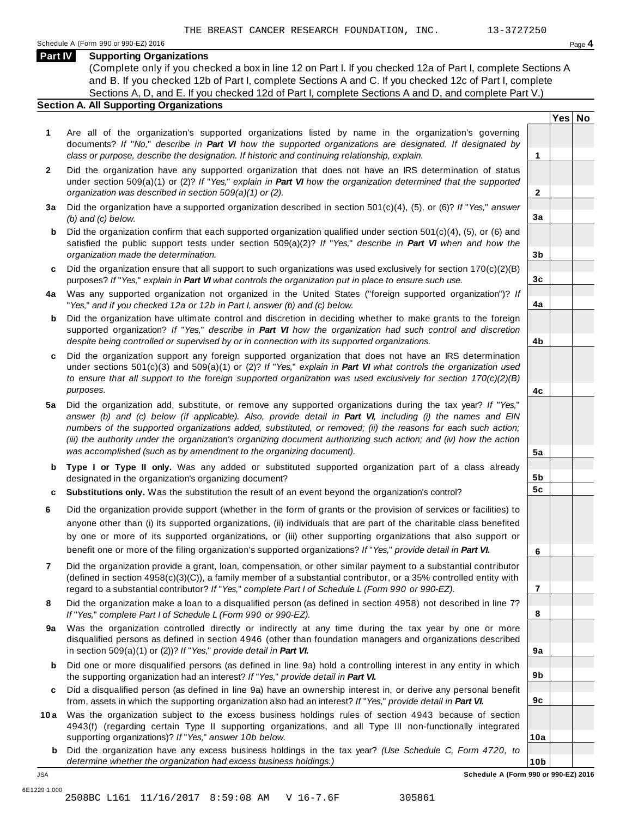**Yes No**

**2**

**3a**

**3b**

**3c**

**4a**

**4b**

**4c**

**5a**

**5b 5c**

**6**

**7**

**8**

**9a**

**9b**

**9c**

**10a**

### **Part IV Supporting Organizations**

(Complete only if you checked a box in line 12 on Part I. If you checked 12a of Part I, complete Sections A and B. If you checked 12b of Part I, complete Sections A and C. If you checked 12c of Part I, complete Sections A, D, and E. If you checked 12d of Part I, complete Sections A and D, and complete Part V.)

### **Section A. All Supporting Organizations**

- **1** Are all of the organization's supported organizations listed by name in the organization's governing documents? *If* "*No,*" *describe in Part VI how the supported organizations are designated. If designated by class or purpose, describe the designation. If historic and continuing relationship, explain.* **1**
- **2** Did the organization have any supported organization that does not have an IRS determination of status under section 509(a)(1) or (2)? *If*"*Yes,*" *explain in Part VI how the organization determined that the supported organization was described in section 509(a)(1) or (2).*
- **3 a** Did the organization have a supported organization described in section 501(c)(4), (5), or (6)? *If* "*Yes,*" *answer (b) and (c) below.*
- **b** Did the organization confirm that each supported organization qualified under section 501(c)(4), (5), or (6) and | satisfied the public support tests under section 509(a)(2)? *If* "*Yes,*" *describe in Part VI when and how the organization made the determination.*
- **c** Did the organization ensure that all support to such organizations was used exclusively for section 170(c)(2)(B) purposes? *If*"*Yes,*" *explain in Part VI what controls the organization put in place to ensure such use.*
- **4 a** Was any supported organization not organized in the United States ("foreign supported organization")? *If* "*Yes,*" *and if you checked 12a or 12b in Part I, answer (b) and (c) below.*
- **b** Did the organization have ultimate control and discretion in deciding whether to make grants to the foreign | supported organization? *If* "*Yes,*" *describe in Part VI how the organization had such control and discretion despite being controlled or supervised by or in connection with its supported organizations.*
- **c** Did the organization support any foreign supported organization that does not have an IRS determination | under sections 501(c)(3) and 509(a)(1) or (2)? *If* "*Yes,*" *explain in Part VI what controls the organization used to ensure that all support to the foreign supported organization was used exclusively for section 170(c)(2)(B) purposes.*
- **5 a** Did the organization add, substitute, or remove any supported organizations during the tax year? *If* "*Yes,*" answer (b) and (c) below (if applicable). Also, provide detail in Part VI, including (i) the names and EIN *numbers of the supported organizations added, substituted, or removed; (ii) the reasons for each such action;* (iii) the authority under the organization's organizing document authorizing such action; and (iv) how the action *was accomplished (such as by amendment to the organizing document).*
- **b** Type I or Type II only. Was any added or substituted supported organization part of a class already | designated in the organization's organizing document?
- **c Substitutions only.** Was the substitution the result of an event beyond the organization's control?
- **6** Did the organization provide support (whether in the form of grants or the provision of services or facilities) to anyone other than (i) its supported organizations, (ii) individuals that are part of the charitable class benefited by one or more of its supported organizations, or (iii) other supporting organizations that also support or benefit one or more of the filing organization's supported organizations? *If*"*Yes,*" *provide detail in Part VI.*
- **7** Did the organization provide a grant, loan, compensation, or other similar payment to a substantial contributor (defined in section 4958(c)(3)(C)), a family member of a substantial contributor, or a 35% controlled entity with regard to a substantial contributor? *If*"*Yes,*" *complete Part I of Schedule L (Form 990 or 990-EZ).*
- **8** Did the organization make a loan to a disqualified person (as defined in section 4958) not described in line 7? *If* "*Yes,*" *complete Part I of Schedule L (Form 990 or 990-EZ).*
- **a** Was the organization controlled directly or indirectly at any time during the tax year by one or more | **9** disqualified persons as defined in section 4946 (other than foundation managers and organizations described in section 509(a)(1) or (2))? *If*"*Yes,*" *provide detail in Part VI.*
- **b** Did one or more disqualified persons (as defined in line 9a) hold a controlling interest in any entity in which | the supporting organization had an interest? *If*"*Yes,*" *provide detail in Part VI.*
- **c** Did a disqualified person (as defined in line 9a) have an ownership interest in, or derive any personal benefit from, assets in which the supporting organization also had an interest? *If*"*Yes,*" *provide detail in Part VI.*
- **10a** Was the organization subject to the excess business holdings rules of section 4943 because of section | 4943(f) (regarding certain Type II supporting organizations, and all Type III non-functionally integrated supporting organizations)? *If*"*Yes,*" *answer 10b below.*
	- **b** Did the organization have any excess business holdings in the tax year? *(Use Schedule C, Form 4720, to determine whether the organization had excess business holdings.)*

**10b** JSA **Schedule A (Form 990 or 990-EZ) 2016**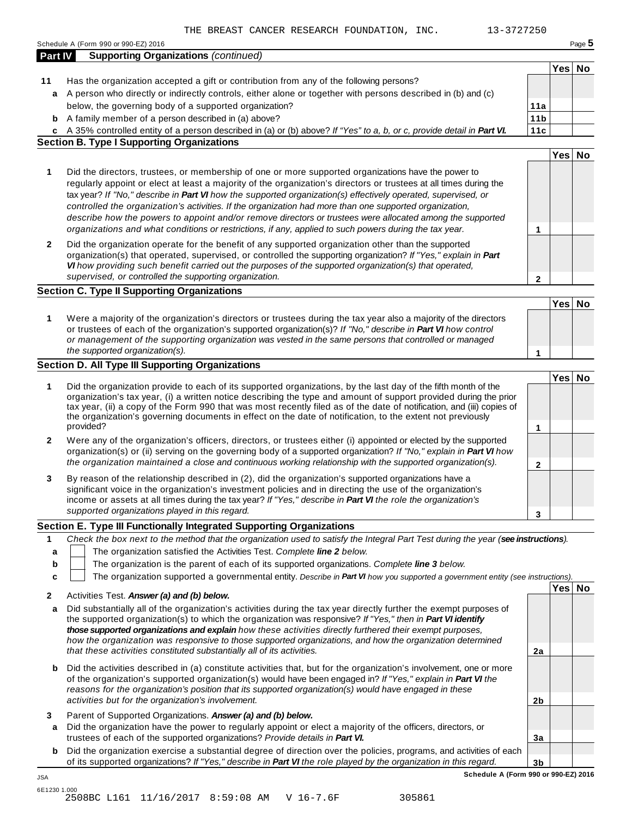|                  | Schedule A (Form 990 or 990-EZ) 2016                                                                                                                                                                                                                                                                                                                                                                                                                                                                                                                                                                                                                                         |                 |        | Page $5$ |
|------------------|------------------------------------------------------------------------------------------------------------------------------------------------------------------------------------------------------------------------------------------------------------------------------------------------------------------------------------------------------------------------------------------------------------------------------------------------------------------------------------------------------------------------------------------------------------------------------------------------------------------------------------------------------------------------------|-----------------|--------|----------|
| Part IV          | <b>Supporting Organizations (continued)</b>                                                                                                                                                                                                                                                                                                                                                                                                                                                                                                                                                                                                                                  |                 |        |          |
|                  |                                                                                                                                                                                                                                                                                                                                                                                                                                                                                                                                                                                                                                                                              |                 | Yes No |          |
| 11               | Has the organization accepted a gift or contribution from any of the following persons?                                                                                                                                                                                                                                                                                                                                                                                                                                                                                                                                                                                      |                 |        |          |
|                  | a A person who directly or indirectly controls, either alone or together with persons described in (b) and (c)                                                                                                                                                                                                                                                                                                                                                                                                                                                                                                                                                               |                 |        |          |
|                  | below, the governing body of a supported organization?                                                                                                                                                                                                                                                                                                                                                                                                                                                                                                                                                                                                                       | 11a             |        |          |
|                  | <b>b</b> A family member of a person described in (a) above?                                                                                                                                                                                                                                                                                                                                                                                                                                                                                                                                                                                                                 | 11 <sub>b</sub> |        |          |
| C                | A 35% controlled entity of a person described in (a) or (b) above? If "Yes" to a, b, or c, provide detail in Part VI.                                                                                                                                                                                                                                                                                                                                                                                                                                                                                                                                                        | 11c             |        |          |
|                  | <b>Section B. Type I Supporting Organizations</b>                                                                                                                                                                                                                                                                                                                                                                                                                                                                                                                                                                                                                            |                 |        |          |
| 1                | Did the directors, trustees, or membership of one or more supported organizations have the power to<br>regularly appoint or elect at least a majority of the organization's directors or trustees at all times during the<br>tax year? If "No," describe in Part VI how the supported organization(s) effectively operated, supervised, or<br>controlled the organization's activities. If the organization had more than one supported organization,<br>describe how the powers to appoint and/or remove directors or trustees were allocated among the supported<br>organizations and what conditions or restrictions, if any, applied to such powers during the tax year. | 1               | Yes No |          |
| 2                | Did the organization operate for the benefit of any supported organization other than the supported<br>organization(s) that operated, supervised, or controlled the supporting organization? If "Yes," explain in Part<br>VI how providing such benefit carried out the purposes of the supported organization(s) that operated,<br>supervised, or controlled the supporting organization.                                                                                                                                                                                                                                                                                   | 2               |        |          |
|                  | <b>Section C. Type II Supporting Organizations</b>                                                                                                                                                                                                                                                                                                                                                                                                                                                                                                                                                                                                                           |                 |        |          |
|                  |                                                                                                                                                                                                                                                                                                                                                                                                                                                                                                                                                                                                                                                                              |                 | Yes No |          |
| 1                | Were a majority of the organization's directors or trustees during the tax year also a majority of the directors<br>or trustees of each of the organization's supported organization(s)? If "No," describe in Part VI how control<br>or management of the supporting organization was vested in the same persons that controlled or managed<br>the supported organization(s).                                                                                                                                                                                                                                                                                                |                 |        |          |
|                  |                                                                                                                                                                                                                                                                                                                                                                                                                                                                                                                                                                                                                                                                              | 1               |        |          |
|                  | <b>Section D. All Type III Supporting Organizations</b>                                                                                                                                                                                                                                                                                                                                                                                                                                                                                                                                                                                                                      |                 | Yes No |          |
| 1                | Did the organization provide to each of its supported organizations, by the last day of the fifth month of the<br>organization's tax year, (i) a written notice describing the type and amount of support provided during the prior<br>tax year, (ii) a copy of the Form 990 that was most recently filed as of the date of notification, and (iii) copies of<br>the organization's governing documents in effect on the date of notification, to the extent not previously<br>provided?                                                                                                                                                                                     | 1               |        |          |
| 2                | Were any of the organization's officers, directors, or trustees either (i) appointed or elected by the supported<br>organization(s) or (ii) serving on the governing body of a supported organization? If "No," explain in Part VI how<br>the organization maintained a close and continuous working relationship with the supported organization(s).                                                                                                                                                                                                                                                                                                                        | 2               |        |          |
| 3                | By reason of the relationship described in (2), did the organization's supported organizations have a<br>significant voice in the organization's investment policies and in directing the use of the organization's<br>income or assets at all times during the tax year? If "Yes," describe in Part VI the role the organization's<br>supported organizations played in this regard.                                                                                                                                                                                                                                                                                        | 3               |        |          |
|                  | Section E. Type III Functionally Integrated Supporting Organizations                                                                                                                                                                                                                                                                                                                                                                                                                                                                                                                                                                                                         |                 |        |          |
| 1<br>a<br>b<br>C | Check the box next to the method that the organization used to satisfy the Integral Part Test during the year (see instructions).<br>The organization satisfied the Activities Test. Complete line 2 below.<br>The organization is the parent of each of its supported organizations. Complete line 3 below.<br>The organization supported a governmental entity. Describe in Part VI how you supported a government entity (see instructions).                                                                                                                                                                                                                              |                 |        |          |
| 2                | Activities Test. Answer (a) and (b) below.                                                                                                                                                                                                                                                                                                                                                                                                                                                                                                                                                                                                                                   |                 | Yes No |          |
| а                | Did substantially all of the organization's activities during the tax year directly further the exempt purposes of<br>the supported organization(s) to which the organization was responsive? If "Yes," then in Part VI identify<br>those supported organizations and explain how these activities directly furthered their exempt purposes,<br>how the organization was responsive to those supported organizations, and how the organization determined                                                                                                                                                                                                                    |                 |        |          |
|                  | that these activities constituted substantially all of its activities.                                                                                                                                                                                                                                                                                                                                                                                                                                                                                                                                                                                                       | 2a              |        |          |
| b                | Did the activities described in (a) constitute activities that, but for the organization's involvement, one or more<br>of the organization's supported organization(s) would have been engaged in? If "Yes," explain in Part VI the<br>reasons for the organization's position that its supported organization(s) would have engaged in these<br>activities but for the organization's involvement.                                                                                                                                                                                                                                                                          |                 |        |          |
|                  |                                                                                                                                                                                                                                                                                                                                                                                                                                                                                                                                                                                                                                                                              | 2b              |        |          |
| 3                | Parent of Supported Organizations. Answer (a) and (b) below.                                                                                                                                                                                                                                                                                                                                                                                                                                                                                                                                                                                                                 |                 |        |          |
| a                | Did the organization have the power to regularly appoint or elect a majority of the officers, directors, or<br>trustees of each of the supported organizations? Provide details in Part VI.                                                                                                                                                                                                                                                                                                                                                                                                                                                                                  | 3a              |        |          |
|                  | <b>b</b> Did the organization exercise a substantial degree of direction over the policies, programs, and activities of each                                                                                                                                                                                                                                                                                                                                                                                                                                                                                                                                                 |                 |        |          |

**b** Did the organization exercise a substantial degree of direction over the policies, programs, and activities of each of its supported organizations? *If"Yes," describe in Part VI the role played by the organization in this regard.*

**3b Schedule A (Form 990 or 990-EZ) 2016**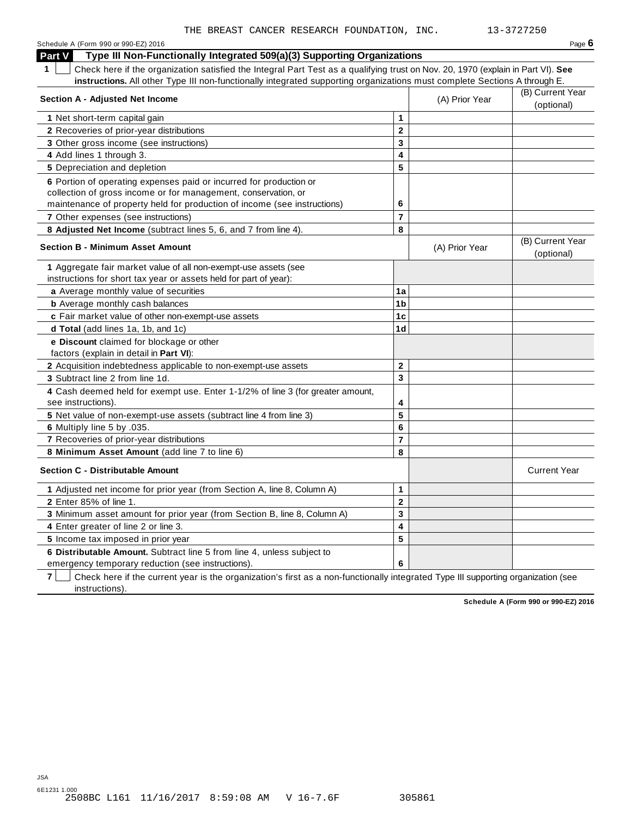| Schedule A (Form 990 or 990-EZ) 2016                                                                                                             |                         |                                | Page $6$                       |
|--------------------------------------------------------------------------------------------------------------------------------------------------|-------------------------|--------------------------------|--------------------------------|
| Type III Non-Functionally Integrated 509(a)(3) Supporting Organizations<br><b>Part V</b>                                                         |                         |                                |                                |
| $\mathbf{1}$<br>Check here if the organization satisfied the Integral Part Test as a qualifying trust on Nov. 20, 1970 (explain in Part VI). See |                         |                                |                                |
| instructions. All other Type III non-functionally integrated supporting organizations must complete Sections A through E.                        |                         |                                |                                |
| <b>Section A - Adjusted Net Income</b>                                                                                                           | (A) Prior Year          | (B) Current Year<br>(optional) |                                |
| 1 Net short-term capital gain                                                                                                                    | 1                       |                                |                                |
| 2 Recoveries of prior-year distributions                                                                                                         | $\mathbf 2$             |                                |                                |
| 3 Other gross income (see instructions)                                                                                                          | 3                       |                                |                                |
| 4 Add lines 1 through 3.                                                                                                                         | 4                       |                                |                                |
| 5 Depreciation and depletion                                                                                                                     | 5                       |                                |                                |
| 6 Portion of operating expenses paid or incurred for production or                                                                               |                         |                                |                                |
| collection of gross income or for management, conservation, or                                                                                   |                         |                                |                                |
| maintenance of property held for production of income (see instructions)                                                                         | 6                       |                                |                                |
| 7 Other expenses (see instructions)                                                                                                              | $\overline{7}$          |                                |                                |
| 8 Adjusted Net Income (subtract lines 5, 6, and 7 from line 4).                                                                                  | 8                       |                                |                                |
| <b>Section B - Minimum Asset Amount</b>                                                                                                          |                         | (A) Prior Year                 | (B) Current Year<br>(optional) |
| 1 Aggregate fair market value of all non-exempt-use assets (see                                                                                  |                         |                                |                                |
| instructions for short tax year or assets held for part of year):                                                                                |                         |                                |                                |
| a Average monthly value of securities                                                                                                            | 1a                      |                                |                                |
| <b>b</b> Average monthly cash balances                                                                                                           | 1 <sub>b</sub>          |                                |                                |
| c Fair market value of other non-exempt-use assets                                                                                               | 1 <sub>c</sub>          |                                |                                |
| d Total (add lines 1a, 1b, and 1c)                                                                                                               | 1 <sub>d</sub>          |                                |                                |
| e Discount claimed for blockage or other<br>factors (explain in detail in Part VI):                                                              |                         |                                |                                |
| 2 Acquisition indebtedness applicable to non-exempt-use assets                                                                                   | $\mathbf{2}$            |                                |                                |
| 3 Subtract line 2 from line 1d.                                                                                                                  | $\overline{\mathbf{3}}$ |                                |                                |
| 4 Cash deemed held for exempt use. Enter 1-1/2% of line 3 (for greater amount,<br>see instructions).                                             | 4                       |                                |                                |
| 5 Net value of non-exempt-use assets (subtract line 4 from line 3)                                                                               | 5                       |                                |                                |
| 6 Multiply line 5 by .035.                                                                                                                       | $6\phantom{1}6$         |                                |                                |
| 7 Recoveries of prior-year distributions                                                                                                         | $\overline{7}$          |                                |                                |
| 8 Minimum Asset Amount (add line 7 to line 6)                                                                                                    | 8                       |                                |                                |
| <b>Section C - Distributable Amount</b>                                                                                                          |                         |                                | <b>Current Year</b>            |
| 1 Adjusted net income for prior year (from Section A, line 8, Column A)                                                                          | 1                       |                                |                                |
| 2 Enter 85% of line 1.                                                                                                                           | $\mathbf 2$             |                                |                                |
| 3 Minimum asset amount for prior year (from Section B, line 8, Column A)                                                                         | $\overline{\mathbf{3}}$ |                                |                                |
| 4 Enter greater of line 2 or line 3.                                                                                                             | 4                       |                                |                                |
| 5 Income tax imposed in prior year                                                                                                               | 5                       |                                |                                |
| 6 Distributable Amount. Subtract line 5 from line 4, unless subject to                                                                           |                         |                                |                                |
| emergency temporary reduction (see instructions).                                                                                                | 6                       |                                |                                |

**7** | Check here if the current year is the organization's first as a non-functionally integrated Type III supporting organization (see instructions).

**Schedule A (Form 990 or 990-EZ) 2016**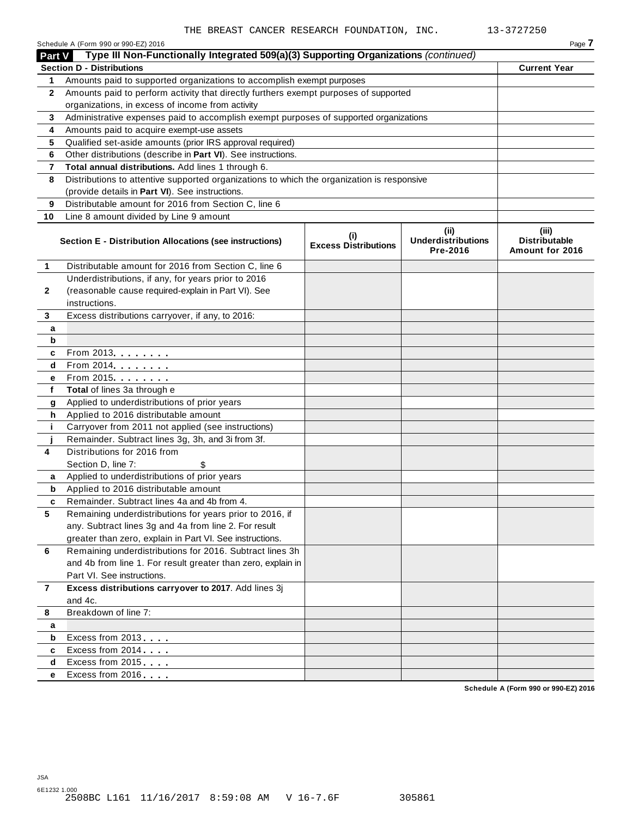|              | Schedule A (Form 990 or 990-EZ) 2016                                                       |                                    |                                               | Page 7                                           |
|--------------|--------------------------------------------------------------------------------------------|------------------------------------|-----------------------------------------------|--------------------------------------------------|
| Part V       | Type III Non-Functionally Integrated 509(a)(3) Supporting Organizations (continued)        |                                    |                                               |                                                  |
|              | <b>Section D - Distributions</b>                                                           |                                    |                                               | <b>Current Year</b>                              |
| 1.           | Amounts paid to supported organizations to accomplish exempt purposes                      |                                    |                                               |                                                  |
| $\mathbf{2}$ | Amounts paid to perform activity that directly furthers exempt purposes of supported       |                                    |                                               |                                                  |
|              | organizations, in excess of income from activity                                           |                                    |                                               |                                                  |
| 3            | Administrative expenses paid to accomplish exempt purposes of supported organizations      |                                    |                                               |                                                  |
| 4            | Amounts paid to acquire exempt-use assets                                                  |                                    |                                               |                                                  |
| 5            | Qualified set-aside amounts (prior IRS approval required)                                  |                                    |                                               |                                                  |
| 6            | Other distributions (describe in Part VI). See instructions.                               |                                    |                                               |                                                  |
| 7            | Total annual distributions. Add lines 1 through 6.                                         |                                    |                                               |                                                  |
| 8            | Distributions to attentive supported organizations to which the organization is responsive |                                    |                                               |                                                  |
|              | (provide details in Part VI). See instructions.                                            |                                    |                                               |                                                  |
| 9            | Distributable amount for 2016 from Section C, line 6                                       |                                    |                                               |                                                  |
| 10           | Line 8 amount divided by Line 9 amount                                                     |                                    |                                               |                                                  |
|              | Section E - Distribution Allocations (see instructions)                                    | (i)<br><b>Excess Distributions</b> | (ii)<br><b>Underdistributions</b><br>Pre-2016 | (iii)<br><b>Distributable</b><br>Amount for 2016 |
| 1            | Distributable amount for 2016 from Section C, line 6                                       |                                    |                                               |                                                  |
|              | Underdistributions, if any, for years prior to 2016                                        |                                    |                                               |                                                  |
| 2            | (reasonable cause required-explain in Part VI). See                                        |                                    |                                               |                                                  |
|              | instructions.                                                                              |                                    |                                               |                                                  |
| 3            | Excess distributions carryover, if any, to 2016:                                           |                                    |                                               |                                                  |
| а            |                                                                                            |                                    |                                               |                                                  |
| b            |                                                                                            |                                    |                                               |                                                  |
| c            | From 2013 <b></b>                                                                          |                                    |                                               |                                                  |
| d            | From 2014                                                                                  |                                    |                                               |                                                  |
| е            | From 2015.                                                                                 |                                    |                                               |                                                  |
| f            | Total of lines 3a through e                                                                |                                    |                                               |                                                  |
| g            | Applied to underdistributions of prior years                                               |                                    |                                               |                                                  |
| h            | Applied to 2016 distributable amount                                                       |                                    |                                               |                                                  |
| j.           | Carryover from 2011 not applied (see instructions)                                         |                                    |                                               |                                                  |
|              | Remainder. Subtract lines 3g, 3h, and 3i from 3f.                                          |                                    |                                               |                                                  |
| 4            | Distributions for 2016 from                                                                |                                    |                                               |                                                  |
|              | Section D, line 7:                                                                         |                                    |                                               |                                                  |
| а            | Applied to underdistributions of prior years                                               |                                    |                                               |                                                  |
| b            | Applied to 2016 distributable amount                                                       |                                    |                                               |                                                  |
|              | Remainder. Subtract lines 4a and 4b from 4.                                                |                                    |                                               |                                                  |
| 5            | Remaining underdistributions for years prior to 2016, if                                   |                                    |                                               |                                                  |
|              | any. Subtract lines 3g and 4a from line 2. For result                                      |                                    |                                               |                                                  |
|              | greater than zero, explain in Part VI. See instructions.                                   |                                    |                                               |                                                  |
| 6            | Remaining underdistributions for 2016. Subtract lines 3h                                   |                                    |                                               |                                                  |
|              | and 4b from line 1. For result greater than zero, explain in                               |                                    |                                               |                                                  |
|              | Part VI. See instructions.                                                                 |                                    |                                               |                                                  |
| $\mathbf{7}$ | Excess distributions carryover to 2017. Add lines 3j                                       |                                    |                                               |                                                  |
|              | and 4c.                                                                                    |                                    |                                               |                                                  |
| 8            | Breakdown of line 7:                                                                       |                                    |                                               |                                                  |
| а            |                                                                                            |                                    |                                               |                                                  |
| b            | Excess from 2013                                                                           |                                    |                                               |                                                  |
| c            | Excess from 2014                                                                           |                                    |                                               |                                                  |
| d            | Excess from 2015                                                                           |                                    |                                               |                                                  |
| е            | Excess from 2016                                                                           |                                    |                                               |                                                  |

**Schedule A (Form 990 or 990-EZ) 2016**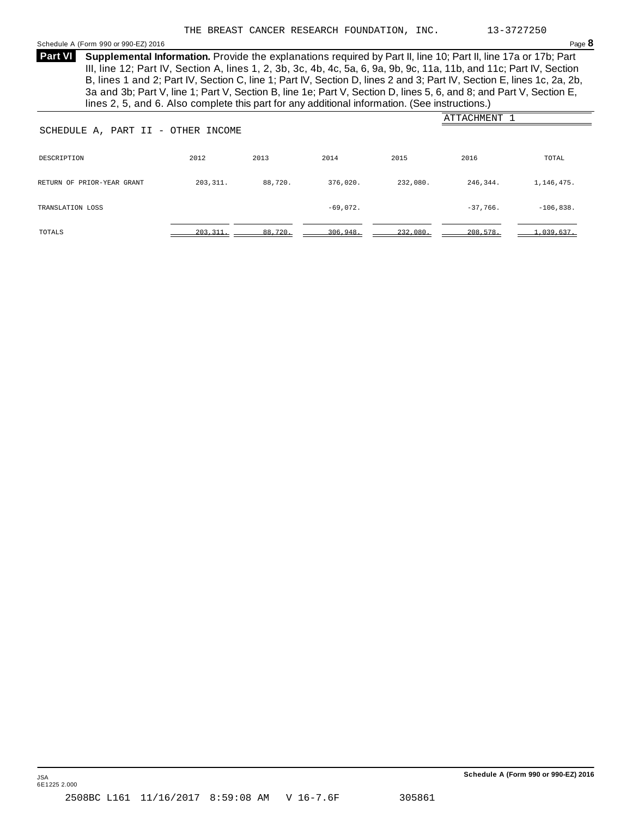### <span id="page-20-0"></span>Schedule <sup>A</sup> (Form <sup>990</sup> or 990-EZ) <sup>2016</sup> Page **8**

**Supplemental Information.** Provide the explanations required by Part II, line 10; Part II, line 17a or 17b; Part **Part VI** III, line 12; Part IV, Section A, lines 1, 2, 3b, 3c, 4b, 4c, 5a, 6, 9a, 9b, 9c, 11a, 11b, and 11c; Part IV, Section B, lines 1 and 2; Part IV, Section C, line 1; Part IV, Section D, lines 2 and 3; Part IV, Section E, lines 1c, 2a, 2b, 3a and 3b; Part V, line 1; Part V, Section B, line 1e; Part V, Section D, lines 5, 6, and 8; and Part V, Section E, lines 2, 5, and 6. Also complete this part for any additional information. (See instructions.)

| SCHEDULE A, PART II - OTHER INCOME |          |         |            |          | ATTACHMENT 1 |             |
|------------------------------------|----------|---------|------------|----------|--------------|-------------|
| DESCRIPTION                        | 2012     | 2013    | 2014       | 2015     | 2016         | TOTAL       |
| RETURN OF PRIOR-YEAR GRANT         | 203,311. | 88,720. | 376,020.   | 232,080. | 246,344.     | 1,146,475.  |
| TRANSLATION LOSS                   |          |         | $-69,072.$ |          | $-37,766.$   | $-106.838.$ |
| TOTALS                             | 203,311. | 88,720. | 306,948.   | 232,080. | 208,578.     | 1,039,637.  |

**Schedule A (Form 990 or 990-EZ) 2016**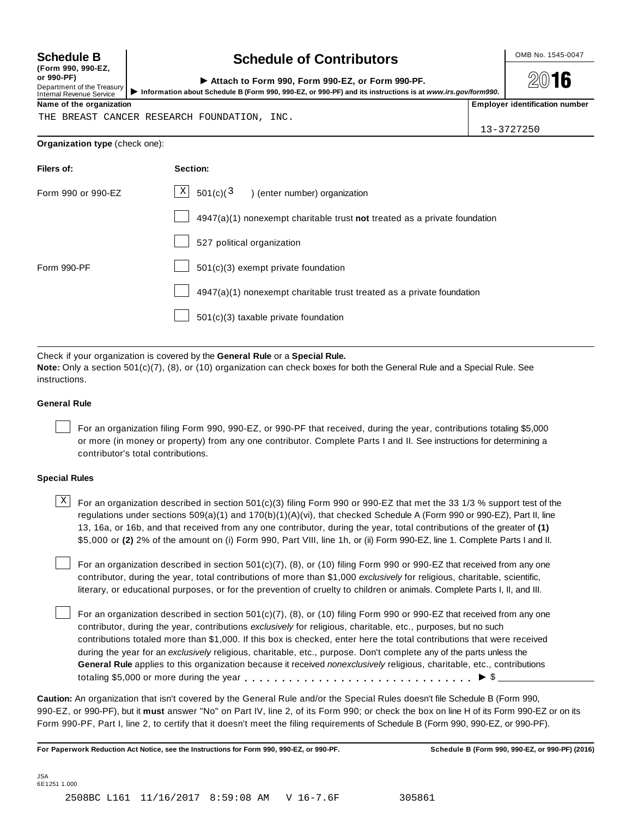**(Form 990, 990-EZ, or 990-PF)** Department of the Treasury<br>Internal Revenue Service

# **Schedule B**  $\leftarrow$  **Contributors**

**2016** 

| or 990-PF)<br>Department of the Treasury | Attach to Form 990. Form 990-EZ, or Form 990-PF.<br>Information about Schedule B (Form 990, 990-EZ, or 990-PF) and its instructions is at www.irs.gov/form990. | 2016                                  |
|------------------------------------------|----------------------------------------------------------------------------------------------------------------------------------------------------------------|---------------------------------------|
| Internal Revenue Service                 |                                                                                                                                                                |                                       |
| Name of the organization                 |                                                                                                                                                                | <b>Employer identification number</b> |

THE BREAST CANCER RESEARCH FOUNDATION, INC.

13-3727250

### **Organization type** (check one):

| Filers of:         | Section:                                                                    |
|--------------------|-----------------------------------------------------------------------------|
| Form 990 or 990-EZ | $\boxed{\text{X}}$ 501(c)(3) (enter number) organization                    |
|                    | $4947(a)(1)$ nonexempt charitable trust not treated as a private foundation |
|                    | 527 political organization                                                  |
| Form 990-PF        | 501(c)(3) exempt private foundation                                         |
|                    | 4947(a)(1) nonexempt charitable trust treated as a private foundation       |
|                    | 501(c)(3) taxable private foundation                                        |
|                    |                                                                             |

Check if your organization is covered by the **General Rule** or a **Special Rule.**

**Note:** Only a section 501(c)(7), (8), or (10) organization can check boxes for both the General Rule and a Special Rule. See instructions.

### **General Rule**

For an organization filing Form 990, 990-EZ, or 990-PF that received, during the year, contributions totaling \$5,000 or more (in money or property) from any one contributor. Complete Parts I and II. See instructions for determining a contributor's total contributions.

### **Special Rules**

 $\text{X}$  For an organization described in section 501(c)(3) filing Form 990 or 990-EZ that met the 33 1/3 % support test of the regulations under sections 509(a)(1) and 170(b)(1)(A)(vi), that checked Schedule A (Form 990 or 990-EZ), Part II, line 13, 16a, or 16b, and that received from any one contributor, during the year, total contributions of the greater of **(1)** \$5,000 or **(2)** 2% of the amount on (i) Form 990, Part VIII, line 1h, or (ii) Form 990-EZ, line 1. Complete Parts I and II.

For an organization described in section 501(c)(7), (8), or (10) filing Form 990 or 990-EZ that received from any one contributor, during the year, total contributions of more than \$1,000 *exclusively* for religious, charitable, scientific, literary, or educational purposes, or for the prevention of cruelty to children or animals. Complete Parts I, II, and III.

For an organization described in section 501(c)(7), (8), or (10) filing Form 990 or 990-EZ that received from any one contributor, during the year, contributions *exclusively* for religious, charitable, etc., purposes, but no such contributions totaled more than \$1,000. If this box is checked, enter here the total contributions that were received during the year for an *exclusively* religious, charitable, etc., purpose. Don't complete any of the parts unless the **General Rule** applies to this organization because it received *nonexclusively* religious, charitable, etc., contributions totaling \$5,000 or more during the year m m m m m m m m m m m m m m m m m m m m m m m m m m m m m m m I \$

**Caution:** An organization that isn't covered by the General Rule and/or the Special Rules doesn't file Schedule B (Form 990, 990-EZ, or 990-PF), but it **must** answer "No" on Part IV, line 2, of its Form 990; or check the box on line H of its Form 990-EZ or on its Form 990-PF, Part I, line 2, to certify that it doesn't meet the filing requirements of Schedule B (Form 990, 990-EZ, or 990-PF).

For Paperwork Reduction Act Notice, see the Instructions for Form 990, 990-EZ, or 990-PF. Schedule B (Form 990, 990-EZ, or 990-PF) (2016)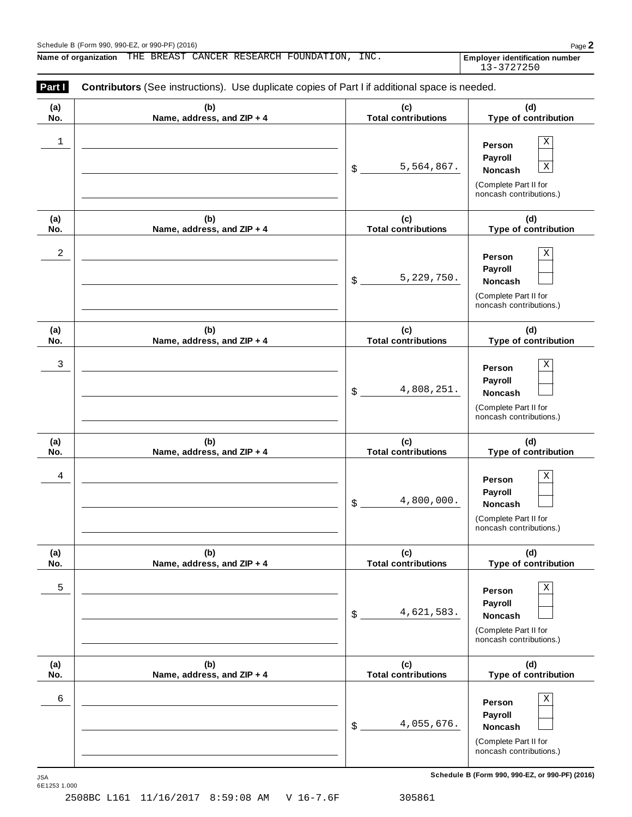### Schedule <sup>B</sup> (Form 990, 990-EZ, or 990-PF) (2016) Page **2**

**Name of organization Employer identification number** THE BREAST CANCER RESEARCH FOUNDATION, INC.

| (a) | (b)                        | (c)                        | (d)                                                                                                               |
|-----|----------------------------|----------------------------|-------------------------------------------------------------------------------------------------------------------|
| No. | Name, address, and ZIP + 4 | <b>Total contributions</b> | Type of contribution                                                                                              |
| 1   |                            | 5,564,867.<br>\$           | $\rm X$<br>Person<br>Payroll<br>$\mathbf X$<br><b>Noncash</b><br>(Complete Part II for<br>noncash contributions.) |
| (a) | (b)                        | (c)                        | (d)                                                                                                               |
| No. | Name, address, and ZIP + 4 | <b>Total contributions</b> | Type of contribution                                                                                              |
| 2   |                            | 5, 229, 750.<br>\$         | Χ<br>Person<br>Payroll<br>Noncash<br>(Complete Part II for<br>noncash contributions.)                             |
| (a) | (b)                        | (c)                        | (d)                                                                                                               |
| No. | Name, address, and ZIP + 4 | <b>Total contributions</b> | Type of contribution                                                                                              |
| 3   |                            | 4,808,251.<br>\$           | X<br>Person<br>Payroll<br>Noncash<br>(Complete Part II for<br>noncash contributions.)                             |
| (a) | (b)                        | (c)                        | (d)                                                                                                               |
| No. | Name, address, and ZIP + 4 | <b>Total contributions</b> | Type of contribution                                                                                              |
| 4   |                            | 4,800,000.<br>\$           | X<br>Person<br>Payroll<br>Noncash<br>(Complete Part II for<br>noncash contributions.)                             |
| (a) | (b)                        | (c)                        | (d)                                                                                                               |
| No. | Name, address, and ZIP + 4 | <b>Total contributions</b> | Type of contribution                                                                                              |
| 5   |                            | 4,621,583.<br>\$           | X<br>Person<br>Payroll<br><b>Noncash</b><br>(Complete Part II for<br>noncash contributions.)                      |
| (a) | (b)                        | (c)                        | (d)                                                                                                               |
| No. | Name, address, and ZIP + 4 | <b>Total contributions</b> | Type of contribution                                                                                              |
| 6   |                            | 4,055,676.<br>\$           | X<br>Person<br>Payroll<br><b>Noncash</b><br>(Complete Part II for<br>noncash contributions.)                      |

 $S$ chedule B (Form 990, 990-EZ, or 990-PF) (2016)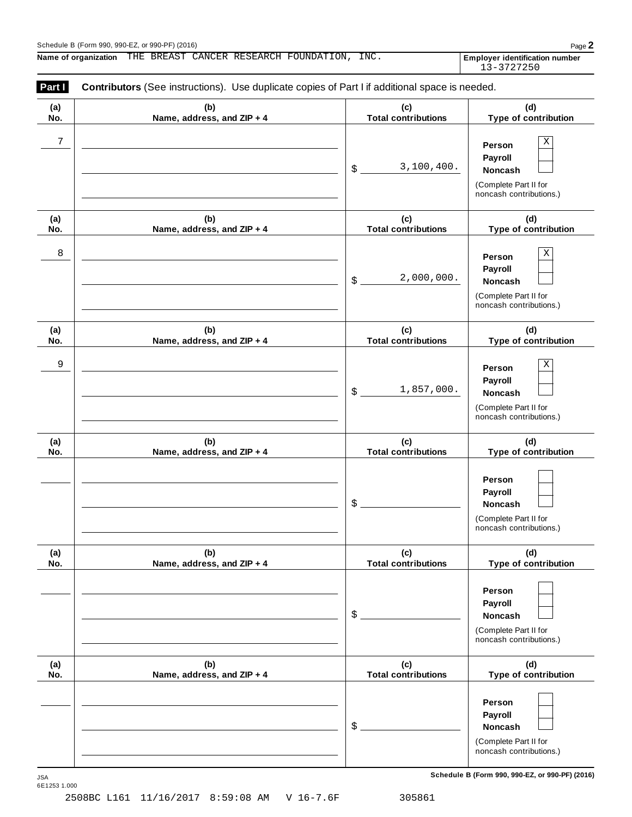### Schedule <sup>B</sup> (Form 990, 990-EZ, or 990-PF) (2016) Page **2**

**Name of organization Employer identification number** THE BREAST CANCER RESEARCH FOUNDATION, INC.

| (a) | (b)                        | (c)                        | (d)                                                                                   |
|-----|----------------------------|----------------------------|---------------------------------------------------------------------------------------|
| No. | Name, address, and ZIP + 4 | <b>Total contributions</b> | Type of contribution                                                                  |
| 7   |                            | 3,100,400.<br>\$           | X<br>Person<br>Payroll<br>Noncash<br>(Complete Part II for<br>noncash contributions.) |
| (a) | (b)                        | (c)                        | (d)                                                                                   |
| No. | Name, address, and ZIP + 4 | <b>Total contributions</b> | Type of contribution                                                                  |
| 8   |                            | 2,000,000.<br>\$           | Χ<br>Person<br>Payroll<br>Noncash<br>(Complete Part II for<br>noncash contributions.) |
| (a) | (b)                        | (c)                        | (d)                                                                                   |
| No. | Name, address, and ZIP + 4 | <b>Total contributions</b> | Type of contribution                                                                  |
| 9   |                            | 1,857,000.<br>\$           | Χ<br>Person<br>Payroll<br>Noncash<br>(Complete Part II for<br>noncash contributions.) |
| (a) | (b)                        | (c)                        | (d)                                                                                   |
| No. | Name, address, and ZIP + 4 | <b>Total contributions</b> | Type of contribution                                                                  |
|     |                            | \$                         | Person<br>Payroll<br>Noncash<br>(Complete Part II for<br>noncash contributions.)      |
| (a) | (b)                        | (c)                        | (d)                                                                                   |
| No. | Name, address, and ZIP + 4 | <b>Total contributions</b> | Type of contribution                                                                  |
|     |                            | \$                         | Person<br>Payroll<br>Noncash<br>(Complete Part II for<br>noncash contributions.)      |
| (a) | (b)                        | (c)                        | (d)                                                                                   |
| No. | Name, address, and ZIP + 4 | <b>Total contributions</b> | Type of contribution                                                                  |
|     |                            | \$                         | Person<br>Payroll<br>Noncash<br>(Complete Part II for<br>noncash contributions.)      |

 $S$ chedule B (Form 990, 990-EZ, or 990-PF) (2016)

JSA<br>6E1253 1.000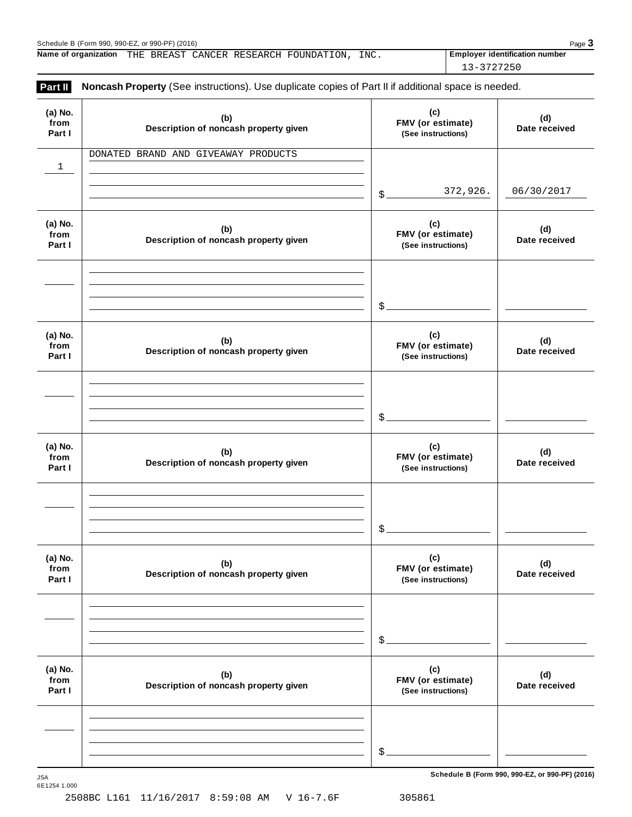| Schedule B (Form 990, 990-EZ, or 990-PF) (2016) |     |  |                                      |      | Page                                  |
|-------------------------------------------------|-----|--|--------------------------------------|------|---------------------------------------|
| Name of organization                            | THE |  | : BREAST CANCER RESEARCH FOUNDATION. | INC. | <b>Employer identification number</b> |

13-3727250

| (a) No.<br>from<br>Part I | (b)<br>Description of noncash property given | (c)<br>FMV (or estimate)<br>(See instructions) | (d)<br>Date received |
|---------------------------|----------------------------------------------|------------------------------------------------|----------------------|
| 1                         | DONATED BRAND AND GIVEAWAY PRODUCTS          |                                                |                      |
|                           |                                              | 372,926.<br>$\mathcal{S}_{-}$                  | 06/30/2017           |
| (a) No.<br>from<br>Part I | (b)<br>Description of noncash property given | (c)<br>FMV (or estimate)<br>(See instructions) | (d)<br>Date received |
|                           |                                              | $\mathcal{S}_{-}$                              |                      |
| (a) No.<br>from<br>Part I | (b)<br>Description of noncash property given | (c)<br>FMV (or estimate)<br>(See instructions) | (d)<br>Date received |
|                           |                                              | $\mathcal{S}_{-}$                              |                      |
| (a) No.<br>from<br>Part I | (b)<br>Description of noncash property given | (c)<br>FMV (or estimate)<br>(See instructions) | (d)<br>Date received |
|                           |                                              | \$                                             |                      |
| (a) No.<br>from<br>Part I | (b)<br>Description of noncash property given | (c)<br>FMV (or estimate)<br>(See instructions) | (d)<br>Date received |
|                           |                                              | \$                                             |                      |
| (a) No.<br>from<br>Part I | (b)<br>Description of noncash property given | (c)<br>FMV (or estimate)<br>(See instructions) | (d)<br>Date received |
|                           |                                              |                                                |                      |
|                           |                                              | \$                                             |                      |

 $S$ chedule B (Form 990, 990-EZ, or 990-PF) (2016)

6E1254 1.000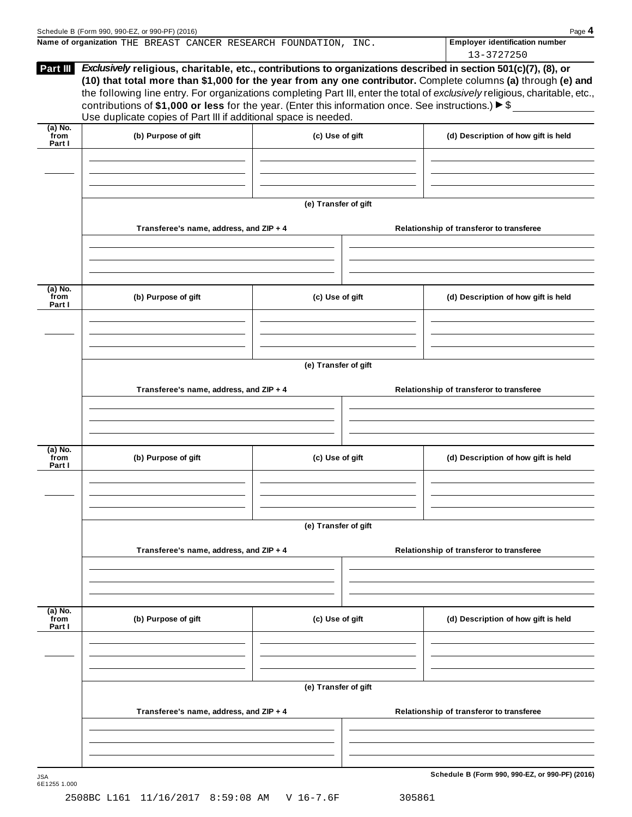| Schedule B (Form 990, 990-EZ, or 990-PF) (2016)             |  |  |  |  | Page |                                       |
|-------------------------------------------------------------|--|--|--|--|------|---------------------------------------|
| Name of organization THE BREAST CANCER RESEARCH FOUNDATION, |  |  |  |  | INC. | <b>Employer identification number</b> |

| Part III                    | contributions of \$1,000 or less for the year. (Enter this information once. See instructions.) $\triangleright$ \$<br>Use duplicate copies of Part III if additional space is needed. |                      | Exclusively religious, charitable, etc., contributions to organizations described in section 501(c)(7), (8), or<br>(10) that total more than \$1,000 for the year from any one contributor. Complete columns (a) through (e) and<br>the following line entry. For organizations completing Part III, enter the total of exclusively religious, charitable, etc., |
|-----------------------------|----------------------------------------------------------------------------------------------------------------------------------------------------------------------------------------|----------------------|------------------------------------------------------------------------------------------------------------------------------------------------------------------------------------------------------------------------------------------------------------------------------------------------------------------------------------------------------------------|
| $(a)$ No.<br>from<br>Part I | (b) Purpose of gift                                                                                                                                                                    | (c) Use of gift      | (d) Description of how gift is held                                                                                                                                                                                                                                                                                                                              |
|                             |                                                                                                                                                                                        | (e) Transfer of gift |                                                                                                                                                                                                                                                                                                                                                                  |
|                             | Transferee's name, address, and ZIP + 4                                                                                                                                                |                      | Relationship of transferor to transferee                                                                                                                                                                                                                                                                                                                         |
| (a) No.<br>from<br>Part I   | (b) Purpose of gift                                                                                                                                                                    | (c) Use of gift      | (d) Description of how gift is held                                                                                                                                                                                                                                                                                                                              |
|                             | Transferee's name, address, and ZIP + 4                                                                                                                                                | (e) Transfer of gift | Relationship of transferor to transferee                                                                                                                                                                                                                                                                                                                         |
| (a) No.<br>from<br>Part I   | (b) Purpose of gift                                                                                                                                                                    | (c) Use of gift      | (d) Description of how gift is held                                                                                                                                                                                                                                                                                                                              |
|                             | Transferee's name, address, and ZIP + 4                                                                                                                                                | (e) Transfer of gift | Relationship of transferor to transferee                                                                                                                                                                                                                                                                                                                         |
| $(a)$ No.<br>from<br>Part I | (b) Purpose of gift                                                                                                                                                                    | (c) Use of gift      | (d) Description of how gift is held                                                                                                                                                                                                                                                                                                                              |
|                             |                                                                                                                                                                                        | (e) Transfer of gift |                                                                                                                                                                                                                                                                                                                                                                  |
|                             | Transferee's name, address, and ZIP + 4                                                                                                                                                |                      | Relationship of transferor to transferee                                                                                                                                                                                                                                                                                                                         |
|                             |                                                                                                                                                                                        |                      | Schedule B (Form 990, 990-EZ, or 990-PF) (2016)                                                                                                                                                                                                                                                                                                                  |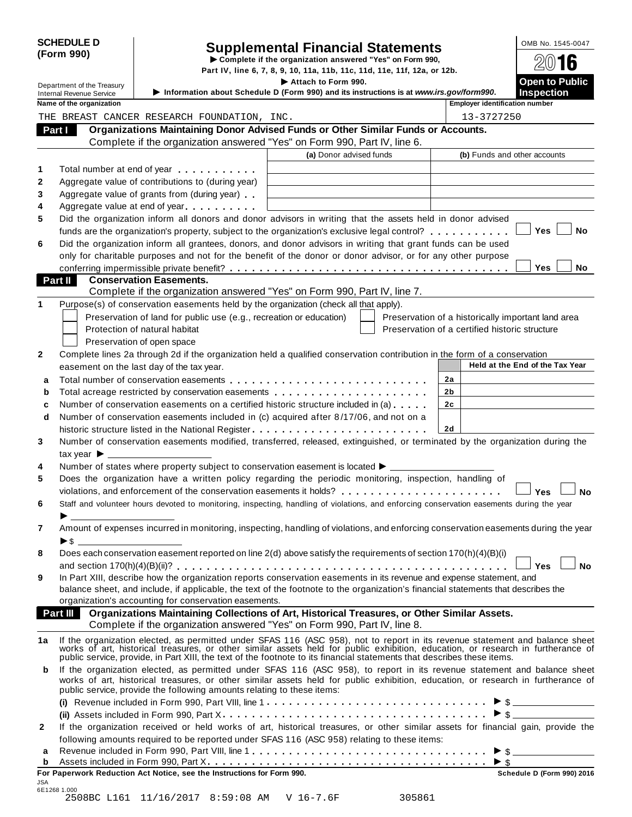| OMB No. 1545-0047<br>16                                                                                                                                                                                                                                      |
|--------------------------------------------------------------------------------------------------------------------------------------------------------------------------------------------------------------------------------------------------------------|
| <b>Open to Public</b><br><b>Inspection</b>                                                                                                                                                                                                                   |
| <b>Employer identification number</b>                                                                                                                                                                                                                        |
| 13-3727250                                                                                                                                                                                                                                                   |
|                                                                                                                                                                                                                                                              |
|                                                                                                                                                                                                                                                              |
| (b) Funds and other accounts                                                                                                                                                                                                                                 |
|                                                                                                                                                                                                                                                              |
|                                                                                                                                                                                                                                                              |
|                                                                                                                                                                                                                                                              |
|                                                                                                                                                                                                                                                              |
|                                                                                                                                                                                                                                                              |
| <b>No</b><br><b>Yes</b>                                                                                                                                                                                                                                      |
|                                                                                                                                                                                                                                                              |
|                                                                                                                                                                                                                                                              |
| No<br>Yes                                                                                                                                                                                                                                                    |
|                                                                                                                                                                                                                                                              |
|                                                                                                                                                                                                                                                              |
|                                                                                                                                                                                                                                                              |
| Preservation of a historically important land area                                                                                                                                                                                                           |
| Preservation of a certified historic structure                                                                                                                                                                                                               |
|                                                                                                                                                                                                                                                              |
| Complete lines 2a through 2d if the organization held a qualified conservation contribution in the form of a conservation<br>Held at the End of the Tax Year                                                                                                 |
|                                                                                                                                                                                                                                                              |
|                                                                                                                                                                                                                                                              |
|                                                                                                                                                                                                                                                              |
|                                                                                                                                                                                                                                                              |
|                                                                                                                                                                                                                                                              |
| Number of conservation easements modified, transferred, released, extinguished, or terminated by the organization during the                                                                                                                                 |
|                                                                                                                                                                                                                                                              |
|                                                                                                                                                                                                                                                              |
|                                                                                                                                                                                                                                                              |
| Yes.<br><b>No</b>                                                                                                                                                                                                                                            |
| Staff and volunteer hours devoted to monitoring, inspecting, handling of violations, and enforcing conservation easements during the year                                                                                                                    |
|                                                                                                                                                                                                                                                              |
| Amount of expenses incurred in monitoring, inspecting, handling of violations, and enforcing conservation easements during the year                                                                                                                          |
|                                                                                                                                                                                                                                                              |
|                                                                                                                                                                                                                                                              |
| Yes<br><b>No</b>                                                                                                                                                                                                                                             |
| In Part XIII, describe how the organization reports conservation easements in its revenue and expense statement, and                                                                                                                                         |
| balance sheet, and include, if applicable, the text of the footnote to the organization's financial statements that describes the                                                                                                                            |
|                                                                                                                                                                                                                                                              |
|                                                                                                                                                                                                                                                              |
|                                                                                                                                                                                                                                                              |
| If the organization elected, as permitted under SFAS 116 (ASC 958), not to report in its revenue statement and balance sheet works of art, historical treasures, or other similar assets held for public exhibition, education                               |
| If the organization elected, as permitted under SFAS 116 (ASC 958), to report in its revenue statement and balance sheet<br>works of art, historical treasures, or other similar assets held for public exhibition, education, or research in furtherance of |
|                                                                                                                                                                                                                                                              |
| $\triangleright$ \$                                                                                                                                                                                                                                          |
|                                                                                                                                                                                                                                                              |
| If the organization received or held works of art, historical treasures, or other similar assets for financial gain, provide the                                                                                                                             |
| $\triangleright$ \$                                                                                                                                                                                                                                          |
| Schedule D (Form 990) 2016                                                                                                                                                                                                                                   |
|                                                                                                                                                                                                                                                              |

| JSA          |  |                                             |        |
|--------------|--|---------------------------------------------|--------|
| 6E1268 1.000 |  |                                             |        |
|              |  | 2508BC L161 11/16/2017 8:59:08 AM V 16-7.6F | 305861 |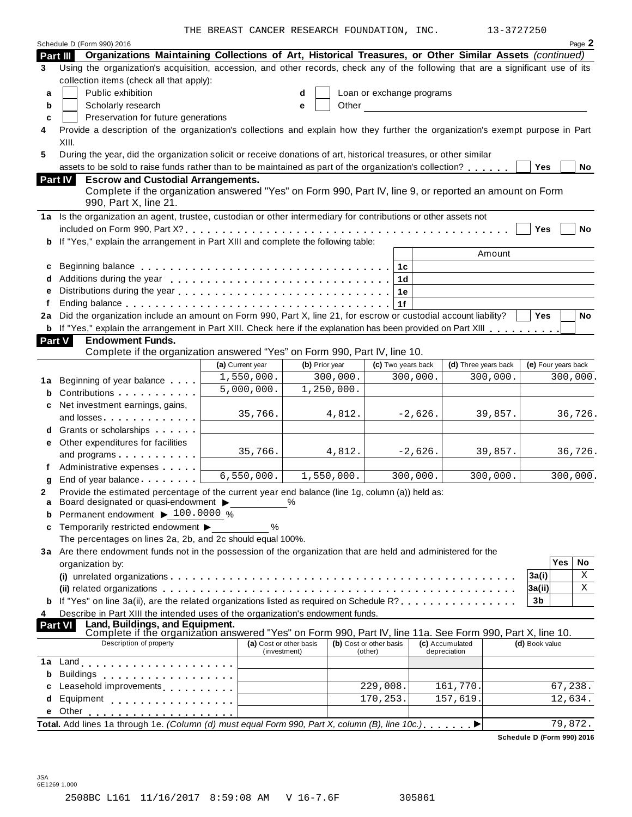| 3-3727250 |  |  |
|-----------|--|--|
|           |  |  |

|                 |                                                                                                                                                                                     | THE BREAST CANCER RESEARCH FOUNDATION, INC.  |                         |            |                           |           |                      | 13-3727250                 |          |           |
|-----------------|-------------------------------------------------------------------------------------------------------------------------------------------------------------------------------------|----------------------------------------------|-------------------------|------------|---------------------------|-----------|----------------------|----------------------------|----------|-----------|
|                 | Schedule D (Form 990) 2016                                                                                                                                                          |                                              |                         |            |                           |           |                      |                            |          | Page 2    |
| <b>Part III</b> | Organizations Maintaining Collections of Art, Historical Treasures, or Other Similar Assets (continued)                                                                             |                                              |                         |            |                           |           |                      |                            |          |           |
| 3               | Using the organization's acquisition, accession, and other records, check any of the following that are a significant use of its                                                    |                                              |                         |            |                           |           |                      |                            |          |           |
|                 | collection items (check all that apply):                                                                                                                                            |                                              |                         |            |                           |           |                      |                            |          |           |
| a               | Public exhibition                                                                                                                                                                   |                                              | d                       |            | Loan or exchange programs |           |                      |                            |          |           |
| b               | Scholarly research                                                                                                                                                                  |                                              | e                       | Other      |                           |           |                      |                            |          |           |
| c               | Preservation for future generations                                                                                                                                                 |                                              |                         |            |                           |           |                      |                            |          |           |
| 4               | Provide a description of the organization's collections and explain how they further the organization's exempt purpose in Part                                                      |                                              |                         |            |                           |           |                      |                            |          |           |
|                 | XIII.                                                                                                                                                                               |                                              |                         |            |                           |           |                      |                            |          |           |
| 5               | During the year, did the organization solicit or receive donations of art, historical treasures, or other similar                                                                   |                                              |                         |            |                           |           |                      |                            |          |           |
|                 | assets to be sold to raise funds rather than to be maintained as part of the organization's collection?                                                                             |                                              |                         |            |                           |           |                      | <b>Yes</b>                 |          | No        |
|                 | <b>Escrow and Custodial Arrangements.</b><br><b>Part IV</b><br>Complete if the organization answered "Yes" on Form 990, Part IV, line 9, or reported an amount on Form              |                                              |                         |            |                           |           |                      |                            |          |           |
|                 | 990, Part X, line 21.                                                                                                                                                               |                                              |                         |            |                           |           |                      |                            |          |           |
|                 | 1a Is the organization an agent, trustee, custodian or other intermediary for contributions or other assets not                                                                     |                                              |                         |            |                           |           |                      |                            |          |           |
|                 |                                                                                                                                                                                     |                                              |                         |            |                           |           |                      | Yes                        |          | <b>No</b> |
| b               | If "Yes," explain the arrangement in Part XIII and complete the following table:                                                                                                    |                                              |                         |            |                           |           |                      |                            |          |           |
|                 |                                                                                                                                                                                     |                                              |                         |            |                           |           | Amount               |                            |          |           |
| c               | Beginning balance enterprised and and all contact to the contact the contact to the contact the contact to the                                                                      |                                              |                         |            | 1c                        |           |                      |                            |          |           |
| d               |                                                                                                                                                                                     |                                              |                         |            | 1 <sub>d</sub>            |           |                      |                            |          |           |
| e               |                                                                                                                                                                                     |                                              |                         |            | 1е                        |           |                      |                            |          |           |
|                 |                                                                                                                                                                                     |                                              |                         |            | 1f                        |           |                      |                            |          |           |
| 2a              | Did the organization include an amount on Form 990, Part X, line 21, for escrow or custodial account liability?                                                                     |                                              |                         |            |                           |           |                      | <b>Yes</b>                 |          | No        |
|                 | <b>b</b> If "Yes," explain the arrangement in Part XIII. Check here if the explanation has been provided on Part XIII                                                               |                                              |                         |            |                           |           |                      |                            |          |           |
|                 | <b>Endowment Funds.</b><br>Part V<br>Complete if the organization answered "Yes" on Form 990, Part IV, line 10.                                                                     |                                              |                         |            |                           |           |                      |                            |          |           |
|                 |                                                                                                                                                                                     |                                              |                         |            |                           |           |                      |                            |          |           |
|                 |                                                                                                                                                                                     | (a) Current year                             | (b) Prior year          | 300,000.   | (c) Two years back        | 300,000.  | (d) Three years back | (e) Four years back        |          |           |
| 1a              | Beginning of year balance                                                                                                                                                           | 1,550,000.                                   |                         |            |                           |           | 300,000.             |                            | 300,000. |           |
|                 | Contributions <b>Contributions</b>                                                                                                                                                  | 5,000,000.                                   |                         | 1,250,000. |                           |           |                      |                            |          |           |
| c               | Net investment earnings, gains,                                                                                                                                                     |                                              |                         |            |                           |           |                      |                            |          |           |
|                 | and losses experiences and losses                                                                                                                                                   | 35,766.                                      |                         | 4,812.     |                           | $-2,626.$ | 39,857.              |                            |          | 36,726.   |
| d               | Grants or scholarships                                                                                                                                                              |                                              |                         |            |                           |           |                      |                            |          |           |
| е               | Other expenditures for facilities                                                                                                                                                   |                                              |                         |            |                           |           |                      |                            |          |           |
|                 | and programs expansion and programs                                                                                                                                                 | 35,766.                                      |                         | 4,812.     |                           | $-2,626.$ | 39,857.              |                            |          | 36,726.   |
|                 | Administrative expenses                                                                                                                                                             |                                              |                         |            |                           |           |                      |                            |          |           |
| g               | End of year balance example.                                                                                                                                                        | 6,550,000.                                   |                         | 1,550,000. |                           | 300,000.  | 300,000.             |                            | 300,000. |           |
| 2<br>a          | Provide the estimated percentage of the current year end balance (line 1g, column (a)) held as:<br>Board designated or quasi-endowment $\blacktriangleright$                        |                                              | $\%$                    |            |                           |           |                      |                            |          |           |
| b               | Permanent endowment ▶ 100.0000 %                                                                                                                                                    |                                              |                         |            |                           |           |                      |                            |          |           |
| c               | Temporarily restricted endowment ▶                                                                                                                                                  | %                                            |                         |            |                           |           |                      |                            |          |           |
|                 | The percentages on lines 2a, 2b, and 2c should equal 100%.                                                                                                                          |                                              |                         |            |                           |           |                      |                            |          |           |
|                 | 3a Are there endowment funds not in the possession of the organization that are held and administered for the                                                                       |                                              |                         |            |                           |           |                      |                            |          |           |
|                 | organization by:                                                                                                                                                                    |                                              |                         |            |                           |           |                      |                            | Yes      | <b>No</b> |
|                 |                                                                                                                                                                                     |                                              |                         |            |                           |           |                      | 3a(i)                      |          | Χ         |
|                 |                                                                                                                                                                                     |                                              |                         |            |                           |           |                      | 3a(ii)                     |          | X         |
| b               | If "Yes" on line 3a(ii), are the related organizations listed as required on Schedule R?                                                                                            |                                              |                         |            |                           |           |                      | 3b                         |          |           |
| 4               | Describe in Part XIII the intended uses of the organization's endowment funds.                                                                                                      |                                              |                         |            |                           |           |                      |                            |          |           |
|                 | Land, Buildings, and Equipment.<br>Part VI<br>Complete if the organization answered "Yes" on Form 990, Part IV, line 11a. See Form 990, Part X, line 10.<br>Description of property |                                              | (a) Cost or other basis |            | (b) Cost or other basis   |           | (c) Accumulated      | (d) Book value             |          |           |
|                 |                                                                                                                                                                                     |                                              | (investment)            |            | (other)                   |           | depreciation         |                            |          |           |
| 1a              |                                                                                                                                                                                     | the control of the control of the control of |                         |            |                           |           |                      |                            |          |           |
| b               |                                                                                                                                                                                     |                                              |                         |            |                           |           |                      |                            |          |           |
| c               | Leasehold improvements <b>Leasehold</b> improvements                                                                                                                                |                                              |                         |            | 229,008.                  |           | 161,770.             |                            | 67, 238. |           |
| d               | Equipment                                                                                                                                                                           |                                              |                         |            | 170,253.                  |           | 157,619.             |                            | 12,634.  |           |
| е               |                                                                                                                                                                                     |                                              |                         |            |                           |           |                      |                            |          |           |
|                 | Total. Add lines 1a through 1e. (Column (d) must equal Form 990, Part X, column (B), line 10c.).                                                                                    |                                              |                         |            |                           |           |                      |                            | 79,872.  |           |
|                 |                                                                                                                                                                                     |                                              |                         |            |                           |           |                      | Schedule D (Form 990) 2016 |          |           |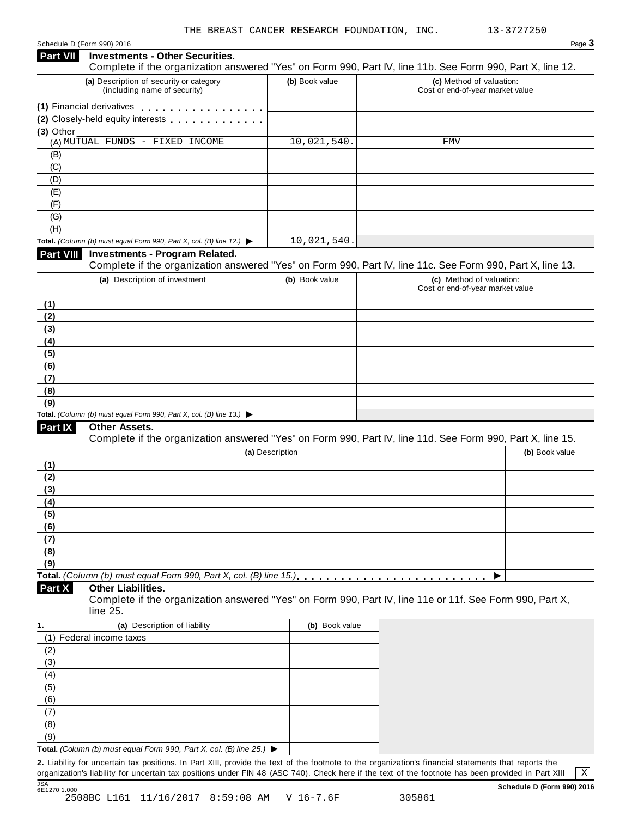| Schedule D (Form 990) 2016 |  |  |
|----------------------------|--|--|
|                            |  |  |

| Part VII<br><b>Investments - Other Securities.</b>                                                                                                                                                                                             |                 |                                                                                                            |
|------------------------------------------------------------------------------------------------------------------------------------------------------------------------------------------------------------------------------------------------|-----------------|------------------------------------------------------------------------------------------------------------|
|                                                                                                                                                                                                                                                |                 | Complete if the organization answered "Yes" on Form 990, Part IV, line 11b. See Form 990, Part X, line 12. |
| (a) Description of security or category<br>(including name of security)                                                                                                                                                                        | (b) Book value  | (c) Method of valuation:<br>Cost or end-of-year market value                                               |
| (1) Financial derivatives                                                                                                                                                                                                                      |                 |                                                                                                            |
| (2) Closely-held equity interests                                                                                                                                                                                                              |                 |                                                                                                            |
| (3) Other                                                                                                                                                                                                                                      |                 |                                                                                                            |
| (A) MUTUAL FUNDS - FIXED INCOME                                                                                                                                                                                                                | 10,021,540.     | FMV                                                                                                        |
| (B)                                                                                                                                                                                                                                            |                 |                                                                                                            |
| (C)                                                                                                                                                                                                                                            |                 |                                                                                                            |
| (D)                                                                                                                                                                                                                                            |                 |                                                                                                            |
| (E)                                                                                                                                                                                                                                            |                 |                                                                                                            |
| (F)                                                                                                                                                                                                                                            |                 |                                                                                                            |
| (G)                                                                                                                                                                                                                                            |                 |                                                                                                            |
| (H)                                                                                                                                                                                                                                            | 10,021,540.     |                                                                                                            |
| Total. (Column (b) must equal Form 990, Part X, col. (B) line 12.) $\blacktriangleright$<br>Part VIII<br><b>Investments - Program Related.</b>                                                                                                 |                 |                                                                                                            |
|                                                                                                                                                                                                                                                |                 | Complete if the organization answered "Yes" on Form 990, Part IV, line 11c. See Form 990, Part X, line 13. |
| (a) Description of investment                                                                                                                                                                                                                  | (b) Book value  | (c) Method of valuation:<br>Cost or end-of-year market value                                               |
| (1)                                                                                                                                                                                                                                            |                 |                                                                                                            |
| (2)                                                                                                                                                                                                                                            |                 |                                                                                                            |
| (3)                                                                                                                                                                                                                                            |                 |                                                                                                            |
| (4)                                                                                                                                                                                                                                            |                 |                                                                                                            |
| (5)                                                                                                                                                                                                                                            |                 |                                                                                                            |
| (6)                                                                                                                                                                                                                                            |                 |                                                                                                            |
| (7)                                                                                                                                                                                                                                            |                 |                                                                                                            |
| (8)                                                                                                                                                                                                                                            |                 |                                                                                                            |
| (9)                                                                                                                                                                                                                                            |                 |                                                                                                            |
| Total. (Column (b) must equal Form 990, Part X, col. (B) line 13.) $\blacktriangleright$                                                                                                                                                       |                 |                                                                                                            |
|                                                                                                                                                                                                                                                |                 |                                                                                                            |
| <b>Other Assets.</b>                                                                                                                                                                                                                           |                 |                                                                                                            |
|                                                                                                                                                                                                                                                |                 | Complete if the organization answered "Yes" on Form 990, Part IV, line 11d. See Form 990, Part X, line 15. |
|                                                                                                                                                                                                                                                | (a) Description | (b) Book value                                                                                             |
|                                                                                                                                                                                                                                                |                 |                                                                                                            |
|                                                                                                                                                                                                                                                |                 |                                                                                                            |
|                                                                                                                                                                                                                                                |                 |                                                                                                            |
|                                                                                                                                                                                                                                                |                 |                                                                                                            |
|                                                                                                                                                                                                                                                |                 |                                                                                                            |
|                                                                                                                                                                                                                                                |                 |                                                                                                            |
|                                                                                                                                                                                                                                                |                 |                                                                                                            |
|                                                                                                                                                                                                                                                |                 |                                                                                                            |
|                                                                                                                                                                                                                                                |                 | ▶                                                                                                          |
| Part IX<br>(1)<br>(2)<br>(3)<br>(4)<br>(5)<br>(6)<br>(7)<br>(8)<br>(9)<br>Total. (Column (b) must equal Form 990, Part X, col. (B) line 15.). $\ldots \ldots \ldots \ldots \ldots \ldots \ldots \ldots$<br>Part X<br><b>Other Liabilities.</b> |                 | Complete if the organization answered "Yes" on Form 990, Part IV, line 11e or 11f. See Form 990, Part X,   |
| line 25.                                                                                                                                                                                                                                       |                 |                                                                                                            |
| (a) Description of liability                                                                                                                                                                                                                   | (b) Book value  |                                                                                                            |
|                                                                                                                                                                                                                                                |                 |                                                                                                            |
|                                                                                                                                                                                                                                                |                 |                                                                                                            |
|                                                                                                                                                                                                                                                |                 |                                                                                                            |
|                                                                                                                                                                                                                                                |                 |                                                                                                            |
|                                                                                                                                                                                                                                                |                 |                                                                                                            |
|                                                                                                                                                                                                                                                |                 |                                                                                                            |
|                                                                                                                                                                                                                                                |                 |                                                                                                            |
| (1) Federal income taxes<br>(2)<br>(3)<br>(4)<br>(5)<br>(6)<br>(7)<br>(8)<br>(9)                                                                                                                                                               |                 |                                                                                                            |

organization's liability for uncertain tax positions under FIN 48 (ASC 740). Check here ifthe text of the footnote has been provided in Part XIII

JSA **Schedule D (Form 990) 2016** 6E1270 1.000 2508BC L161 11/16/2017 8:59:08 AM V 16-7.6F 305861

X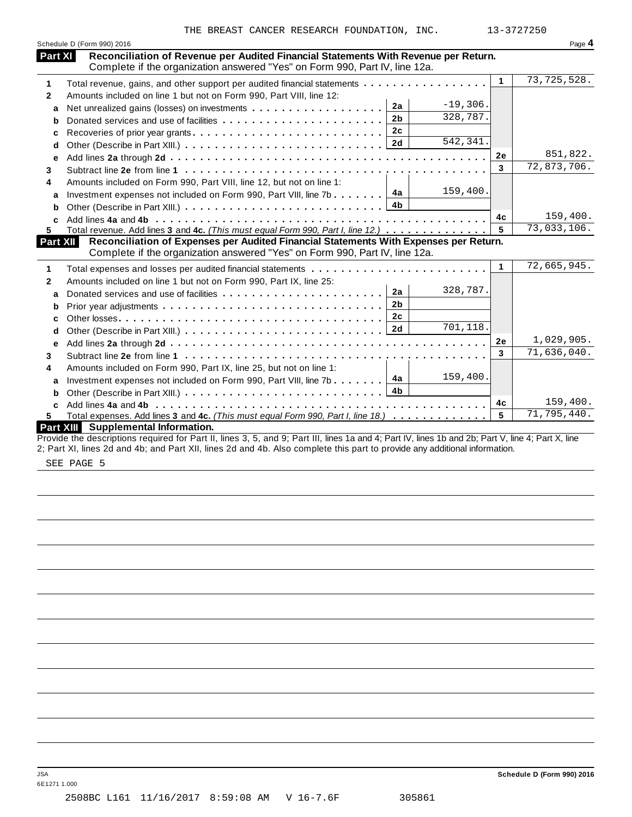|              | Schedule D (Form 990) 2016                                                                                                                                         |                      | Page 4        |
|--------------|--------------------------------------------------------------------------------------------------------------------------------------------------------------------|----------------------|---------------|
| Part XI      | Reconciliation of Revenue per Audited Financial Statements With Revenue per Return.<br>Complete if the organization answered "Yes" on Form 990, Part IV, line 12a. |                      |               |
| 1            | Total revenue, gains, and other support per audited financial statements                                                                                           | $\blacktriangleleft$ | 73, 725, 528. |
| $\mathbf{2}$ | Amounts included on line 1 but not on Form 990, Part VIII, line 12:                                                                                                |                      |               |
| a            | $-19,306.$<br>2a                                                                                                                                                   |                      |               |
| b            | 328,787.<br>2 <sub>b</sub>                                                                                                                                         |                      |               |
| c            | 2c                                                                                                                                                                 |                      |               |
| d            | 542,341.                                                                                                                                                           |                      |               |
| е            |                                                                                                                                                                    | 2e                   | 851,822.      |
| 3            |                                                                                                                                                                    | $\overline{3}$       | 72,873,706.   |
| 4            | Amounts included on Form 990, Part VIII, line 12, but not on line 1:                                                                                               |                      |               |
| a            | 159,400.<br>4a<br>Investment expenses not included on Form 990, Part VIII, line 7b                                                                                 |                      |               |
| b            | 4b                                                                                                                                                                 |                      |               |
| C            |                                                                                                                                                                    | 4c                   | 159,400.      |
| 5.           | Total revenue. Add lines 3 and 4c. (This must equal Form 990, Part I, line 12.)                                                                                    |                      | 73,033,106.   |
| Part XII     | Reconciliation of Expenses per Audited Financial Statements With Expenses per Return.                                                                              |                      |               |
|              | Complete if the organization answered "Yes" on Form 990, Part IV, line 12a.                                                                                        |                      |               |
| 1            |                                                                                                                                                                    | $\mathbf{1}$         | 72,665,945.   |
| $\mathbf{2}$ | Amounts included on line 1 but not on Form 990, Part IX, line 25:                                                                                                  |                      |               |
| a            | 328,787.<br><b>2a</b>                                                                                                                                              |                      |               |
| b            | 2 <sub>b</sub>                                                                                                                                                     |                      |               |
| c            | 2c                                                                                                                                                                 |                      |               |
| d            | 701,118.                                                                                                                                                           |                      |               |
| е            |                                                                                                                                                                    | 2e                   | 1,029,905.    |
| 3            |                                                                                                                                                                    | 3                    | 71,636,040.   |
| 4            | Amounts included on Form 990, Part IX, line 25, but not on line 1:                                                                                                 |                      |               |
|              | 159,400.<br>4a<br>Investment expenses not included on Form 990, Part VIII, line 7b                                                                                 |                      |               |
| a            | 4b                                                                                                                                                                 |                      |               |
| b            |                                                                                                                                                                    | 4c                   | 159,400.      |
| C<br>5.      | Total expenses. Add lines 3 and 4c. (This must equal Form 990, Part I, line 18.)                                                                                   | 5                    | 71,795,440.   |
|              | Part XIII Supplemental Information.                                                                                                                                |                      |               |
|              | Provide the descriptions required for Part II, lines 3, 5, and 9; Part III, lines 1a and 4; Part IV, lines 1b and 2b; Part V, line 4; Part X, line                 |                      |               |
|              | 2; Part XI, lines 2d and 4b; and Part XII, lines 2d and 4b. Also complete this part to provide any additional information.                                         |                      |               |

SEE PAGE 5

6E1271 1.000

JSA **Schedule D (Form 990) 2016**

2508BC L161 11/16/2017 8:59:08 AM V 16-7.6F 305861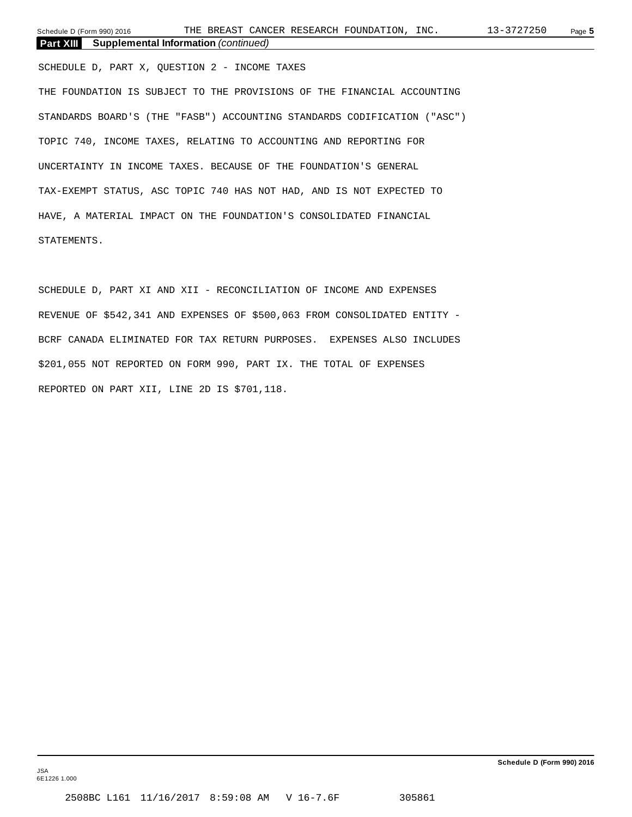| Schedule D (Form 990) 2016                            |                                                                          | Page 5 |
|-------------------------------------------------------|--------------------------------------------------------------------------|--------|
| <b>Part XIII</b> Supplemental Information (continued) |                                                                          |        |
| SCHEDULE D, PART X, OUESTION 2 - INCOME TAXES         |                                                                          |        |
|                                                       | THE FOUNDATION IS SUBJECT TO THE PROVISIONS OF THE FINANCIAL ACCOUNTING  |        |
|                                                       |                                                                          |        |
|                                                       | STANDARDS BOARD'S (THE "FASB") ACCOUNTING STANDARDS CODIFICATION ("ASC") |        |
|                                                       |                                                                          |        |
|                                                       | TOPIC 740, INCOME TAXES, RELATING TO ACCOUNTING AND REPORTING FOR        |        |
|                                                       |                                                                          |        |
|                                                       | UNCERTAINTY IN INCOME TAXES. BECAUSE OF THE FOUNDATION'S GENERAL         |        |
|                                                       |                                                                          |        |
|                                                       | TAX-EXEMPT STATUS, ASC TOPIC 740 HAS NOT HAD, AND IS NOT EXPECTED TO     |        |
|                                                       | HAVE, A MATERIAL IMPACT ON THE FOUNDATION'S CONSOLIDATED FINANCIAL       |        |

STATEMENTS.

SCHEDULE D, PART XI AND XII - RECONCILIATION OF INCOME AND EXPENSES REVENUE OF \$542,341 AND EXPENSES OF \$500,063 FROM CONSOLIDATED ENTITY - BCRF CANADA ELIMINATED FOR TAX RETURN PURPOSES. EXPENSES ALSO INCLUDES \$201,055 NOT REPORTED ON FORM 990, PART IX. THE TOTAL OF EXPENSES REPORTED ON PART XII, LINE 2D IS \$701,118.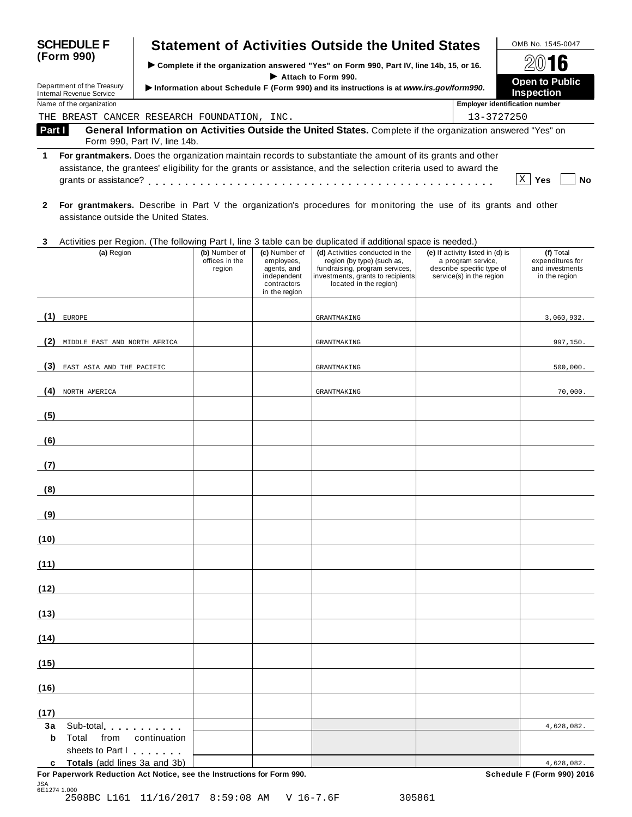|                                                                                                                                              | <b>SCHEDULE F</b>                                    |                              |                                                            |                                                                                           | <b>Statement of Activities Outside the United States</b>                                                                                                                                                                       |                                                                                                                 | OMB No. 1545-0047                                                 |  |  |  |
|----------------------------------------------------------------------------------------------------------------------------------------------|------------------------------------------------------|------------------------------|------------------------------------------------------------|-------------------------------------------------------------------------------------------|--------------------------------------------------------------------------------------------------------------------------------------------------------------------------------------------------------------------------------|-----------------------------------------------------------------------------------------------------------------|-------------------------------------------------------------------|--|--|--|
|                                                                                                                                              | (Form 990)                                           |                              |                                                            |                                                                                           | Complete if the organization answered "Yes" on Form 990, Part IV, line 14b, 15, or 16.                                                                                                                                         |                                                                                                                 | 2016                                                              |  |  |  |
| Attach to Form 990.<br>Department of the Treasury<br>Information about Schedule F (Form 990) and its instructions is at www.irs.gov/form990. |                                                      |                              |                                                            |                                                                                           |                                                                                                                                                                                                                                | Open to Public                                                                                                  |                                                                   |  |  |  |
|                                                                                                                                              | Internal Revenue Service<br>Name of the organization |                              | <b>Inspection</b><br><b>Employer identification number</b> |                                                                                           |                                                                                                                                                                                                                                |                                                                                                                 |                                                                   |  |  |  |
|                                                                                                                                              | THE BREAST CANCER RESEARCH FOUNDATION, INC.          |                              |                                                            |                                                                                           |                                                                                                                                                                                                                                | 13-3727250                                                                                                      |                                                                   |  |  |  |
| Part I                                                                                                                                       |                                                      |                              |                                                            |                                                                                           | General Information on Activities Outside the United States. Complete if the organization answered "Yes" on                                                                                                                    |                                                                                                                 |                                                                   |  |  |  |
|                                                                                                                                              |                                                      | Form 990, Part IV, line 14b. |                                                            |                                                                                           |                                                                                                                                                                                                                                |                                                                                                                 |                                                                   |  |  |  |
| 1                                                                                                                                            |                                                      |                              |                                                            |                                                                                           | For grantmakers. Does the organization maintain records to substantiate the amount of its grants and other<br>assistance, the grantees' eligibility for the grants or assistance, and the selection criteria used to award the |                                                                                                                 | $X \mid Y$ es<br>No                                               |  |  |  |
| 2                                                                                                                                            | assistance outside the United States.                |                              |                                                            |                                                                                           | For grantmakers. Describe in Part V the organization's procedures for monitoring the use of its grants and other                                                                                                               |                                                                                                                 |                                                                   |  |  |  |
| 3                                                                                                                                            |                                                      |                              |                                                            |                                                                                           | Activities per Region. (The following Part I, line 3 table can be duplicated if additional space is needed.)                                                                                                                   |                                                                                                                 |                                                                   |  |  |  |
|                                                                                                                                              | (a) Region                                           |                              | (b) Number of<br>offices in the<br>region                  | (c) Number of<br>employees,<br>agents, and<br>independent<br>contractors<br>in the region | (d) Activities conducted in the<br>region (by type) (such as,<br>fundraising, program services,<br>investments, grants to recipients<br>located in the region)                                                                 | (e) If activity listed in (d) is<br>a program service,<br>describe specific type of<br>service(s) in the region | (f) Total<br>expenditures for<br>and investments<br>in the region |  |  |  |
| (1)                                                                                                                                          | <b>EUROPE</b>                                        |                              |                                                            |                                                                                           | GRANTMAKING                                                                                                                                                                                                                    |                                                                                                                 | 3,060,932.                                                        |  |  |  |
|                                                                                                                                              |                                                      |                              |                                                            |                                                                                           |                                                                                                                                                                                                                                |                                                                                                                 |                                                                   |  |  |  |
| (2)                                                                                                                                          | MIDDLE EAST AND NORTH AFRICA                         |                              |                                                            |                                                                                           | GRANTMAKING                                                                                                                                                                                                                    |                                                                                                                 | 997,150.                                                          |  |  |  |
| (3)                                                                                                                                          | EAST ASIA AND THE PACIFIC                            |                              |                                                            |                                                                                           | GRANTMAKING                                                                                                                                                                                                                    |                                                                                                                 | 500,000.                                                          |  |  |  |
| (4)                                                                                                                                          | NORTH AMERICA                                        |                              |                                                            |                                                                                           | GRANTMAKING                                                                                                                                                                                                                    |                                                                                                                 | 70,000.                                                           |  |  |  |
| (5)                                                                                                                                          |                                                      |                              |                                                            |                                                                                           |                                                                                                                                                                                                                                |                                                                                                                 |                                                                   |  |  |  |
| (6)                                                                                                                                          |                                                      |                              |                                                            |                                                                                           |                                                                                                                                                                                                                                |                                                                                                                 |                                                                   |  |  |  |
| (7)                                                                                                                                          |                                                      |                              |                                                            |                                                                                           |                                                                                                                                                                                                                                |                                                                                                                 |                                                                   |  |  |  |
| (8)                                                                                                                                          |                                                      |                              |                                                            |                                                                                           |                                                                                                                                                                                                                                |                                                                                                                 |                                                                   |  |  |  |
| (9)                                                                                                                                          |                                                      |                              |                                                            |                                                                                           |                                                                                                                                                                                                                                |                                                                                                                 |                                                                   |  |  |  |
| (10)                                                                                                                                         |                                                      |                              |                                                            |                                                                                           |                                                                                                                                                                                                                                |                                                                                                                 |                                                                   |  |  |  |
| (11)                                                                                                                                         |                                                      |                              |                                                            |                                                                                           |                                                                                                                                                                                                                                |                                                                                                                 |                                                                   |  |  |  |
| (12)                                                                                                                                         |                                                      |                              |                                                            |                                                                                           |                                                                                                                                                                                                                                |                                                                                                                 |                                                                   |  |  |  |
| (13)                                                                                                                                         |                                                      |                              |                                                            |                                                                                           |                                                                                                                                                                                                                                |                                                                                                                 |                                                                   |  |  |  |
| (14)                                                                                                                                         |                                                      |                              |                                                            |                                                                                           |                                                                                                                                                                                                                                |                                                                                                                 |                                                                   |  |  |  |
| (15)                                                                                                                                         |                                                      |                              |                                                            |                                                                                           |                                                                                                                                                                                                                                |                                                                                                                 |                                                                   |  |  |  |
| (16)                                                                                                                                         |                                                      |                              |                                                            |                                                                                           |                                                                                                                                                                                                                                |                                                                                                                 |                                                                   |  |  |  |
| (17)                                                                                                                                         |                                                      |                              |                                                            |                                                                                           |                                                                                                                                                                                                                                |                                                                                                                 |                                                                   |  |  |  |
| За                                                                                                                                           | Sub-total enterprise and sub-                        |                              |                                                            |                                                                                           |                                                                                                                                                                                                                                |                                                                                                                 | 4,628,082.                                                        |  |  |  |
| b                                                                                                                                            | Total from<br>sheets to Part I                       | continuation                 |                                                            |                                                                                           |                                                                                                                                                                                                                                |                                                                                                                 |                                                                   |  |  |  |
|                                                                                                                                              | c Totals (add lines 3a and 3b)                       |                              |                                                            |                                                                                           |                                                                                                                                                                                                                                |                                                                                                                 | 4,628,082.                                                        |  |  |  |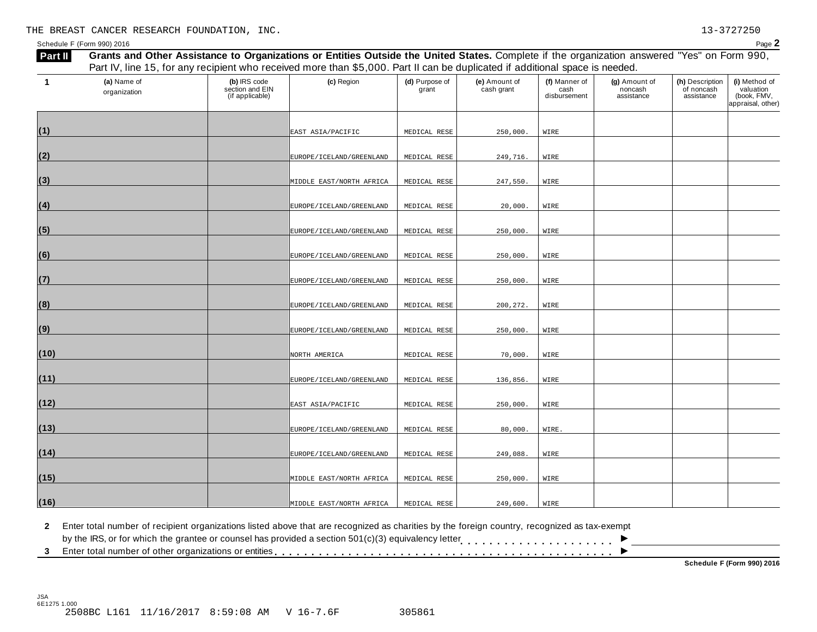| Part II |                             |                                                    | Grants and Other Assistance to Organizations or Entities Outside the United States. Complete if the organization answered "Yes" on Form 990,<br>Part IV, line 15, for any recipient who received more than \$5,000. Part II can be duplicated if additional space is needed. |                         |                             |                                       |                                        |                                             |                                                                |
|---------|-----------------------------|----------------------------------------------------|------------------------------------------------------------------------------------------------------------------------------------------------------------------------------------------------------------------------------------------------------------------------------|-------------------------|-----------------------------|---------------------------------------|----------------------------------------|---------------------------------------------|----------------------------------------------------------------|
| -1      | (a) Name of<br>organization | (b) IRS code<br>section and EIN<br>(if applicable) | (c) Region                                                                                                                                                                                                                                                                   | (d) Purpose of<br>grant | (e) Amount of<br>cash grant | (f) Manner of<br>cash<br>disbursement | (g) Amount of<br>noncash<br>assistance | (h) Description<br>of noncash<br>assistance | (i) Method of<br>valuation<br>(book, FMV,<br>appraisal, other) |
|         |                             |                                                    |                                                                                                                                                                                                                                                                              |                         |                             |                                       |                                        |                                             |                                                                |
| (1)     |                             |                                                    | EAST ASIA/PACIFIC                                                                                                                                                                                                                                                            | MEDICAL RESE            | 250,000.                    | WIRE                                  |                                        |                                             |                                                                |
| (2)     |                             |                                                    | EUROPE/ICELAND/GREENLAND                                                                                                                                                                                                                                                     | MEDICAL RESE            | 249,716.                    | WIRE                                  |                                        |                                             |                                                                |
| (3)     |                             |                                                    | MIDDLE EAST/NORTH AFRICA                                                                                                                                                                                                                                                     | MEDICAL RESE            | 247,550.                    | WIRE                                  |                                        |                                             |                                                                |
| (4)     |                             |                                                    | EUROPE/ICELAND/GREENLAND                                                                                                                                                                                                                                                     | MEDICAL RESE            | 20,000.                     | WIRE                                  |                                        |                                             |                                                                |
| (5)     |                             |                                                    | EUROPE/ICELAND/GREENLAND                                                                                                                                                                                                                                                     | MEDICAL RESE            | 250,000.                    | WIRE                                  |                                        |                                             |                                                                |
| (6)     |                             |                                                    | EUROPE/ICELAND/GREENLAND                                                                                                                                                                                                                                                     | MEDICAL RESE            | 250,000.                    | WIRE                                  |                                        |                                             |                                                                |
| (7)     |                             |                                                    | EUROPE/ICELAND/GREENLAND                                                                                                                                                                                                                                                     | MEDICAL RESE            | 250,000.                    | WIRE                                  |                                        |                                             |                                                                |
| (8)     |                             |                                                    | EUROPE/ICELAND/GREENLAND                                                                                                                                                                                                                                                     | MEDICAL RESE            | 200,272.                    | WIRE                                  |                                        |                                             |                                                                |
| (9)     |                             |                                                    | EUROPE/ICELAND/GREENLAND                                                                                                                                                                                                                                                     | MEDICAL RESE            | 250,000.                    | WIRE                                  |                                        |                                             |                                                                |
| (10)    |                             |                                                    | NORTH AMERICA                                                                                                                                                                                                                                                                | MEDICAL RESE            | 70,000.                     | WIRE                                  |                                        |                                             |                                                                |
| (11)    |                             |                                                    | EUROPE/ICELAND/GREENLAND                                                                                                                                                                                                                                                     | MEDICAL RESE            | 136,856.                    | WIRE                                  |                                        |                                             |                                                                |
| (12)    |                             |                                                    | EAST ASIA/PACIFIC                                                                                                                                                                                                                                                            | MEDICAL RESE            | 250,000.                    | WIRE                                  |                                        |                                             |                                                                |
| (13)    |                             |                                                    | EUROPE/ICELAND/GREENLAND                                                                                                                                                                                                                                                     | MEDICAL RESE            | 80,000.                     | WIRE.                                 |                                        |                                             |                                                                |
| (14)    |                             |                                                    | EUROPE/ICELAND/GREENLAND                                                                                                                                                                                                                                                     | MEDICAL RESE            | 249,088.                    | WIRE                                  |                                        |                                             |                                                                |
| (15)    |                             |                                                    | MIDDLE EAST/NORTH AFRICA                                                                                                                                                                                                                                                     | MEDICAL RESE            | 250,000.                    | WIRE                                  |                                        |                                             |                                                                |
| (16)    |                             |                                                    | MIDDLE EAST/NORTH AFRICA                                                                                                                                                                                                                                                     | MEDICAL RESE            | 249,600.                    | WIRE                                  |                                        |                                             |                                                                |

**2** Enter total number of recipient organizations listed above that are recognized as charities by the foreign country, recognized as tax-exempt

 $\blacksquare$ <br>by the IRS, or for which the grantee or counsel has provided a section 501(c)(3) equivalency letter<br>3 Enter total number of other organizations or entities

**Schedule F (Form 990) 2016**

 $\overline{\phantom{a}}$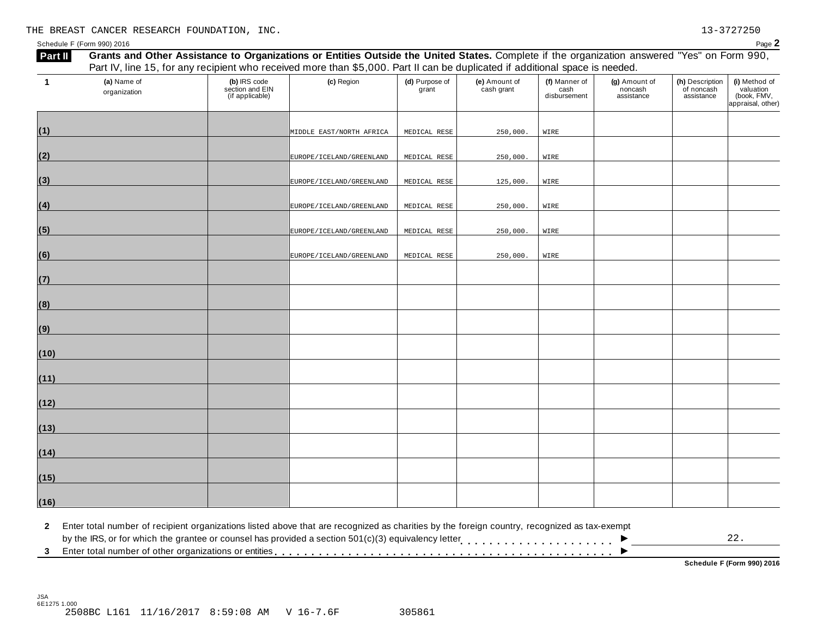| $\mathbf{1}$ | (a) Name of<br>organization | (b) IRS code<br>section and EIN<br>(if applicable) | (c) Region               | (d) Purpose of<br>grant | (e) Amount of<br>cash grant | (f) Manner of<br>cash<br>disbursement | (g) Amount of<br>noncash<br>assistance | (h) Description<br>of noncash<br>assistance | (i) Method of<br>valuation<br>(book, FMV,<br>appraisal, other) |
|--------------|-----------------------------|----------------------------------------------------|--------------------------|-------------------------|-----------------------------|---------------------------------------|----------------------------------------|---------------------------------------------|----------------------------------------------------------------|
| (1)          |                             |                                                    | MIDDLE EAST/NORTH AFRICA | MEDICAL RESE            | 250,000.                    | WIRE                                  |                                        |                                             |                                                                |
| (2)          |                             |                                                    | EUROPE/ICELAND/GREENLAND | MEDICAL RESE            | 250,000.                    | WIRE                                  |                                        |                                             |                                                                |
| (3)          |                             |                                                    | EUROPE/ICELAND/GREENLAND | MEDICAL RESE            | 125,000.                    | WIRE                                  |                                        |                                             |                                                                |
| (4)          |                             |                                                    | EUROPE/ICELAND/GREENLAND | MEDICAL RESE            | 250,000.                    | WIRE                                  |                                        |                                             |                                                                |
| (5)          |                             |                                                    | EUROPE/ICELAND/GREENLAND | MEDICAL RESE            | 250,000.                    | WIRE                                  |                                        |                                             |                                                                |
| (6)          |                             |                                                    | EUROPE/ICELAND/GREENLAND | MEDICAL RESE            | 250,000.                    | WIRE                                  |                                        |                                             |                                                                |
| (7)          |                             |                                                    |                          |                         |                             |                                       |                                        |                                             |                                                                |
| (8)          |                             |                                                    |                          |                         |                             |                                       |                                        |                                             |                                                                |
| (9)          |                             |                                                    |                          |                         |                             |                                       |                                        |                                             |                                                                |
| (10)         |                             |                                                    |                          |                         |                             |                                       |                                        |                                             |                                                                |
| (11)         |                             |                                                    |                          |                         |                             |                                       |                                        |                                             |                                                                |
| (12)         |                             |                                                    |                          |                         |                             |                                       |                                        |                                             |                                                                |
| (13)         |                             |                                                    |                          |                         |                             |                                       |                                        |                                             |                                                                |
| (14)         |                             |                                                    |                          |                         |                             |                                       |                                        |                                             |                                                                |
| (15)         |                             |                                                    |                          |                         |                             |                                       |                                        |                                             |                                                                |
| (16)         |                             |                                                    |                          |                         |                             |                                       |                                        |                                             |                                                                |

2 Enter total number of recipient organizations listed above that are recognized as charities by the foreign country, recognized as tax-exempt<br>by the IRS, or for which the grantee or counsel has provided a section 501(c)(  $\overline{\phantom{a}}$ 

**Schedule F (Form 990) 2016**

22.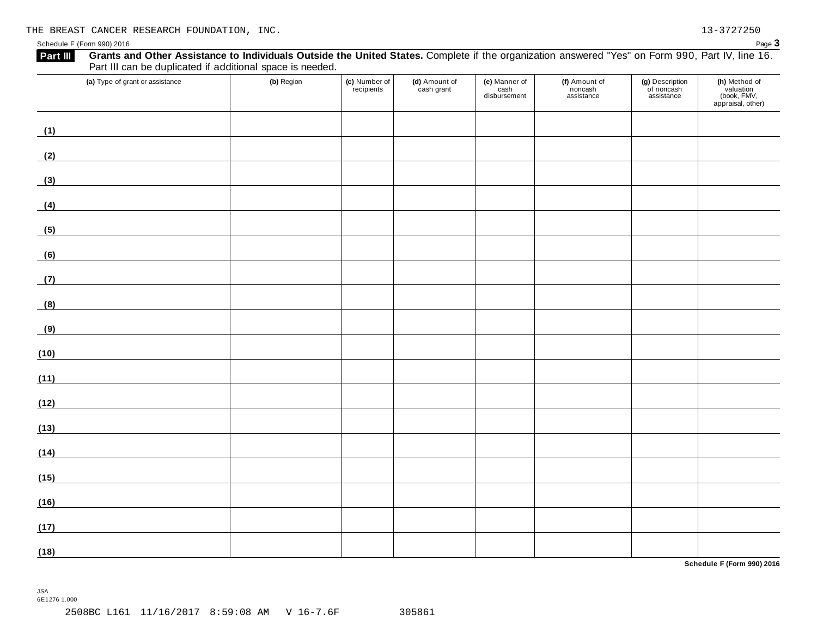Schedule <sup>F</sup> (Form 990) <sup>2016</sup> Page **3**

**Grants and Other Assistance to Individuals Outside the United States.** Complete if the organization answered "Yes" on Form 990, Part IV, line 16. **Part III** Grants and Other Assistance to Individuals Outside <sup>of</sup> Part III can be duplicated if additional space is needed. **(a)** Type of grant or assistance **(b)** Region **(c)** Number of recipients **(d)** Amount of cash grant **(e)** Manner of cash disbursement **(f)** Amount of noncash assistance **(g)** Description of noncash assistance **(h)** Method of valuation (book, FMV, appraisal, other) **(1) (2) (3) (4) (5) (6) (7) (8) (9) (10) (11) (12) (13) (14) (15) (16) (17) (18)**

**Schedule F (Form 990) 2016**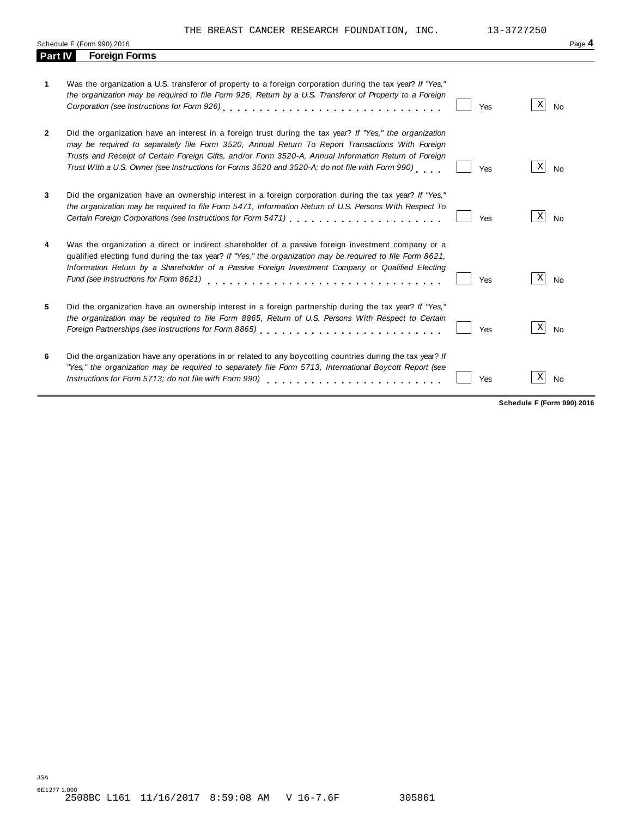THE BREAST CANCER RESEARCH FOUNDATION, INC. 13-3727250

| Page 4         |
|----------------|
|                |
| X<br><b>No</b> |
| X<br><b>No</b> |
| Χ<br><b>No</b> |
| Χ<br><b>No</b> |
| Χ<br><b>No</b> |
| Χ<br><b>No</b> |
|                |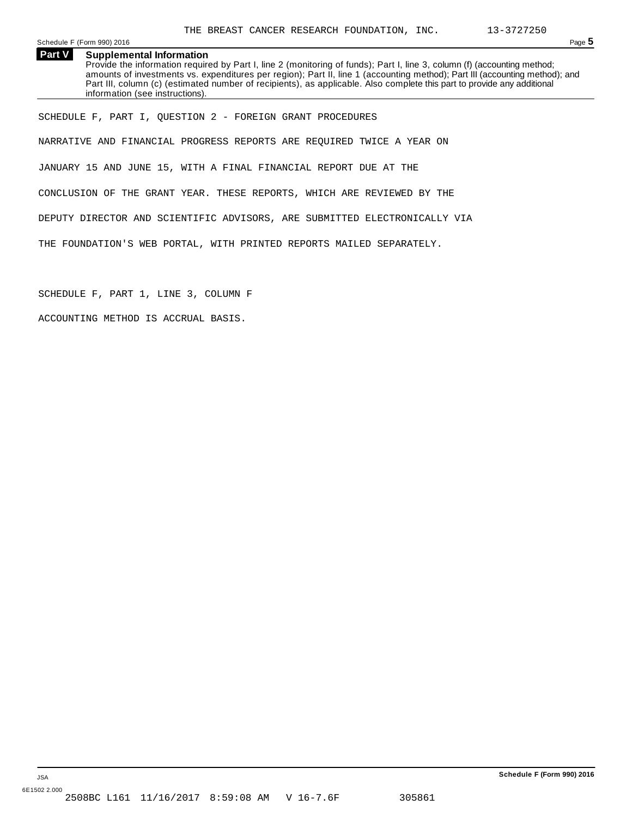Schedule F (Form 990) 2016 Page 5

**Part V Supplemental Information** Provide the information required by Part I, line 2 (monitoring of funds); Part I, line 3, column (f) (accounting method; amounts of investments vs. expenditures per region); Part II, line 1 (accounting method); Part III (accounting method); and Part III, column (c) (estimated number of recipients), as applicable. Also complete this part to provide any additional information (see instructions).

SCHEDULE F, PART I, QUESTION 2 - FOREIGN GRANT PROCEDURES

NARRATIVE AND FINANCIAL PROGRESS REPORTS ARE REQUIRED TWICE A YEAR ON

JANUARY 15 AND JUNE 15, WITH A FINAL FINANCIAL REPORT DUE AT THE

CONCLUSION OF THE GRANT YEAR. THESE REPORTS, WHICH ARE REVIEWED BY THE

DEPUTY DIRECTOR AND SCIENTIFIC ADVISORS, ARE SUBMITTED ELECTRONICALLY VIA

THE FOUNDATION'S WEB PORTAL, WITH PRINTED REPORTS MAILED SEPARATELY.

SCHEDULE F, PART 1, LINE 3, COLUMN F

ACCOUNTING METHOD IS ACCRUAL BASIS.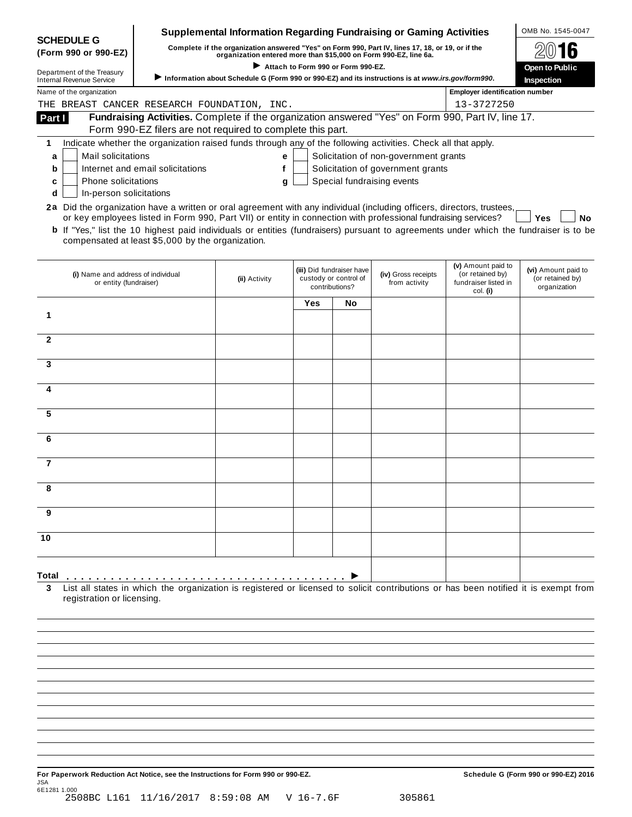|                                 |                                                              |                                                                                                                                              | <b>Supplemental Information Regarding Fundraising or Gaming Activities</b>                                                                                           |            |                                                                      |                                       |                                                      | OMB No. 1545-0047                                       |  |  |  |  |
|---------------------------------|--------------------------------------------------------------|----------------------------------------------------------------------------------------------------------------------------------------------|----------------------------------------------------------------------------------------------------------------------------------------------------------------------|------------|----------------------------------------------------------------------|---------------------------------------|------------------------------------------------------|---------------------------------------------------------|--|--|--|--|
| <b>SCHEDULE G</b>               | (Form 990 or 990-EZ)                                         |                                                                                                                                              | Complete if the organization answered "Yes" on Form 990, Part IV, lines 17, 18, or 19, or if the<br>organization entered more than \$15,000 on Form 990-EZ, line 6a. |            |                                                                      |                                       |                                                      |                                                         |  |  |  |  |
|                                 | Department of the Treasury                                   | Attach to Form 990 or Form 990-EZ.<br>Information about Schedule G (Form 990 or 990-EZ) and its instructions is at www.irs.gov/form990.      |                                                                                                                                                                      |            |                                                                      |                                       |                                                      |                                                         |  |  |  |  |
| <b>Internal Revenue Service</b> |                                                              |                                                                                                                                              | Inspection                                                                                                                                                           |            |                                                                      |                                       |                                                      |                                                         |  |  |  |  |
| Name of the organization        |                                                              |                                                                                                                                              |                                                                                                                                                                      |            |                                                                      |                                       | <b>Employer identification number</b>                |                                                         |  |  |  |  |
|                                 |                                                              | THE BREAST CANCER RESEARCH FOUNDATION, INC.                                                                                                  |                                                                                                                                                                      |            |                                                                      |                                       | 13-3727250                                           |                                                         |  |  |  |  |
| Part I                          |                                                              | Fundraising Activities. Complete if the organization answered "Yes" on Form 990, Part IV, line 17.                                           |                                                                                                                                                                      |            |                                                                      |                                       |                                                      |                                                         |  |  |  |  |
|                                 |                                                              | Form 990-EZ filers are not required to complete this part.                                                                                   |                                                                                                                                                                      |            |                                                                      |                                       |                                                      |                                                         |  |  |  |  |
| 1                               | Mail solicitations                                           | Indicate whether the organization raised funds through any of the following activities. Check all that apply.                                | е                                                                                                                                                                    |            |                                                                      | Solicitation of non-government grants |                                                      |                                                         |  |  |  |  |
| a<br>b                          |                                                              | Internet and email solicitations                                                                                                             | f                                                                                                                                                                    |            |                                                                      | Solicitation of government grants     |                                                      |                                                         |  |  |  |  |
| c                               | <b>Phone solicitations</b>                                   |                                                                                                                                              | g                                                                                                                                                                    |            |                                                                      | Special fundraising events            |                                                      |                                                         |  |  |  |  |
| d                               | In-person solicitations                                      |                                                                                                                                              |                                                                                                                                                                      |            |                                                                      |                                       |                                                      |                                                         |  |  |  |  |
|                                 |                                                              | 2a Did the organization have a written or oral agreement with any individual (including officers, directors, trustees,                       |                                                                                                                                                                      |            |                                                                      |                                       |                                                      |                                                         |  |  |  |  |
|                                 |                                                              | or key employees listed in Form 990, Part VII) or entity in connection with professional fundraising services?                               |                                                                                                                                                                      |            |                                                                      |                                       |                                                      | Yes<br>No                                               |  |  |  |  |
|                                 |                                                              | <b>b</b> If "Yes," list the 10 highest paid individuals or entities (fundraisers) pursuant to agreements under which the fundraiser is to be |                                                                                                                                                                      |            |                                                                      |                                       |                                                      |                                                         |  |  |  |  |
|                                 |                                                              | compensated at least \$5,000 by the organization.                                                                                            |                                                                                                                                                                      |            |                                                                      |                                       |                                                      |                                                         |  |  |  |  |
|                                 |                                                              |                                                                                                                                              |                                                                                                                                                                      |            |                                                                      |                                       | (v) Amount paid to                                   |                                                         |  |  |  |  |
|                                 | (i) Name and address of individual<br>or entity (fundraiser) |                                                                                                                                              | (ii) Activity                                                                                                                                                        |            | (iii) Did fundraiser have<br>custody or control of<br>contributions? | (iv) Gross receipts<br>from activity  | (or retained by)<br>fundraiser listed in<br>col. (i) | (vi) Amount paid to<br>(or retained by)<br>organization |  |  |  |  |
|                                 |                                                              |                                                                                                                                              |                                                                                                                                                                      | <b>Yes</b> | No                                                                   |                                       |                                                      |                                                         |  |  |  |  |
| 1                               |                                                              |                                                                                                                                              |                                                                                                                                                                      |            |                                                                      |                                       |                                                      |                                                         |  |  |  |  |
|                                 |                                                              |                                                                                                                                              |                                                                                                                                                                      |            |                                                                      |                                       |                                                      |                                                         |  |  |  |  |
| $\mathbf{2}$                    |                                                              |                                                                                                                                              |                                                                                                                                                                      |            |                                                                      |                                       |                                                      |                                                         |  |  |  |  |
| 3                               |                                                              |                                                                                                                                              |                                                                                                                                                                      |            |                                                                      |                                       |                                                      |                                                         |  |  |  |  |
|                                 |                                                              |                                                                                                                                              |                                                                                                                                                                      |            |                                                                      |                                       |                                                      |                                                         |  |  |  |  |
| 4                               |                                                              |                                                                                                                                              |                                                                                                                                                                      |            |                                                                      |                                       |                                                      |                                                         |  |  |  |  |
|                                 |                                                              |                                                                                                                                              |                                                                                                                                                                      |            |                                                                      |                                       |                                                      |                                                         |  |  |  |  |
| 5                               |                                                              |                                                                                                                                              |                                                                                                                                                                      |            |                                                                      |                                       |                                                      |                                                         |  |  |  |  |
|                                 |                                                              |                                                                                                                                              |                                                                                                                                                                      |            |                                                                      |                                       |                                                      |                                                         |  |  |  |  |
| 6                               |                                                              |                                                                                                                                              |                                                                                                                                                                      |            |                                                                      |                                       |                                                      |                                                         |  |  |  |  |
|                                 |                                                              |                                                                                                                                              |                                                                                                                                                                      |            |                                                                      |                                       |                                                      |                                                         |  |  |  |  |
| $\overline{7}$                  |                                                              |                                                                                                                                              |                                                                                                                                                                      |            |                                                                      |                                       |                                                      |                                                         |  |  |  |  |
|                                 |                                                              |                                                                                                                                              |                                                                                                                                                                      |            |                                                                      |                                       |                                                      |                                                         |  |  |  |  |
|                                 |                                                              |                                                                                                                                              |                                                                                                                                                                      |            |                                                                      |                                       |                                                      |                                                         |  |  |  |  |
| 9                               |                                                              |                                                                                                                                              |                                                                                                                                                                      |            |                                                                      |                                       |                                                      |                                                         |  |  |  |  |
| 10                              |                                                              |                                                                                                                                              |                                                                                                                                                                      |            |                                                                      |                                       |                                                      |                                                         |  |  |  |  |
|                                 |                                                              |                                                                                                                                              |                                                                                                                                                                      |            |                                                                      |                                       |                                                      |                                                         |  |  |  |  |
|                                 |                                                              |                                                                                                                                              |                                                                                                                                                                      |            |                                                                      |                                       |                                                      |                                                         |  |  |  |  |
| Total                           |                                                              |                                                                                                                                              |                                                                                                                                                                      |            |                                                                      |                                       |                                                      |                                                         |  |  |  |  |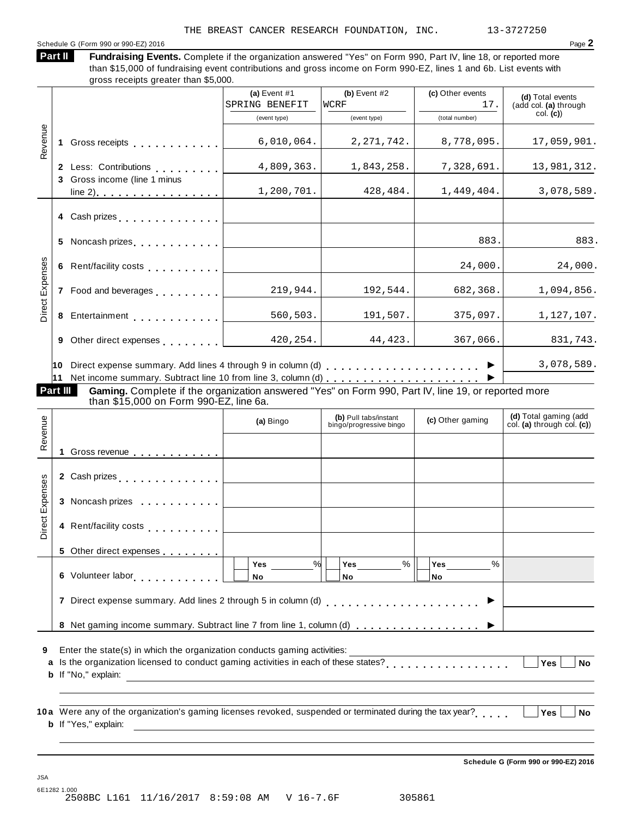#### Schedule <sup>G</sup> (Form <sup>990</sup> or 990-EZ) <sup>2016</sup> Page **2**

Fundraising Events. Complete if the organization answered "Yes" on Form 990, Part IV, line 18, or reported more than \$15,000 of fundraising event contributions and gross income on Form 990-EZ, lines 1 and 6b. List events with gross receipts greater than \$5,000. **Part II**

|                 |   |                                                                                                                                                                                                                                                                              | (a) Event $#1$<br>SPRING BENEFIT | (b) Event $#2$<br>WCRF                           | (c) Other events<br>17. | (d) Total events<br>(add col. (a) through           |
|-----------------|---|------------------------------------------------------------------------------------------------------------------------------------------------------------------------------------------------------------------------------------------------------------------------------|----------------------------------|--------------------------------------------------|-------------------------|-----------------------------------------------------|
|                 |   |                                                                                                                                                                                                                                                                              | (event type)                     | (event type)                                     | (total number)          | col. (c)                                            |
| Revenue         |   | 1 Gross receipts <b>1 Container and Taylor</b>                                                                                                                                                                                                                               | 6,010,064.                       | 2, 271, 742.                                     | 8,778,095.              | 17,059,901.                                         |
|                 |   | 2 Less: Contributions                                                                                                                                                                                                                                                        | 4,809,363.                       | 1,843,258.                                       | 7,328,691.              | 13,981,312.                                         |
|                 | 3 | Gross income (line 1 minus                                                                                                                                                                                                                                                   | 1,200,701.                       | 428,484.                                         | 1,449,404.              | 3,078,589.                                          |
|                 |   | 4 Cash prizes <b>contained</b> Cash prizes                                                                                                                                                                                                                                   |                                  |                                                  |                         |                                                     |
|                 |   |                                                                                                                                                                                                                                                                              |                                  |                                                  | 883.                    | 883.                                                |
|                 |   | 6 Rent/facility costs                                                                                                                                                                                                                                                        |                                  |                                                  | 24,000.                 | 24,000.                                             |
| Direct Expenses |   | 7 Food and beverages                                                                                                                                                                                                                                                         | 219,944.                         | 192,544.                                         | 682,368.                | 1,094,856.                                          |
|                 |   | 8 Entertainment                                                                                                                                                                                                                                                              | 560,503.                         | 191,507.                                         | 375,097.                | 1,127,107.                                          |
|                 |   | 9 Other direct expenses [19]                                                                                                                                                                                                                                                 | 420,254.                         | 44,423.                                          | 367,066.                | 831,743.                                            |
|                 |   |                                                                                                                                                                                                                                                                              |                                  |                                                  |                         | 3,078,589.                                          |
| Part III        |   | Gaming. Complete if the organization answered "Yes" on Form 990, Part IV, line 19, or reported more<br>than \$15,000 on Form 990-EZ, line 6a.                                                                                                                                |                                  |                                                  |                         |                                                     |
| Revenue         |   |                                                                                                                                                                                                                                                                              | (a) Bingo                        | (b) Pull tabs/instant<br>bingo/progressive bingo | (c) Other gaming        | (d) Total gaming (add<br>col. (a) through col. (c)) |
|                 |   | 1 Gross revenue <b>contracts</b> contracts and <b>contracts</b> of <b>contracts</b> contracts and <b>contracts</b> of <b>contracts</b> contracts and <b>contracts</b> contracts and <b>contracts</b> contracts and <b>contracts</b> contracts contracts and <b>contracts</b> |                                  |                                                  |                         |                                                     |
|                 |   | 2 Cash prizes <b>contained 2</b> Cash prizes                                                                                                                                                                                                                                 |                                  |                                                  |                         |                                                     |
| xpenses         |   | 3 Noncash prizes                                                                                                                                                                                                                                                             |                                  |                                                  |                         |                                                     |

**9** Enter the state(s) in which the organization conducts gaming activities:

. <u>. . . . . . .</u>

**4** Rent/facility costs **manual** metal with more than  $\mathbf{A}$ 

**6** Volunteer labor **manual** m m m m m m m m m

**5** Other direct expenses

Direct Exper

JSA

Is the organization licensed to conduct gaming activities in each of these states? **a** m m m m m m m m m m m m m m m m m **Yes No b** If "No," explain:

**Yes No**

**7** Direct expense summary. Add lines 2 through 5 in column (d) m m m m m m m m m m m m m m m m m m m m m I

**Yes No**

**8** Net gaming income summary. Subtract line 7 from line 1, column (d)  $\ldots$  . . . . . . . . . . . . . . .  $\blacktriangleright$ 

**10** Were any of the organization's gaming licenses revoked, suspended or terminated during the tax year? **a** m m m m m **Yes No b** If "Yes," explain:

**Yes**

**No** % % %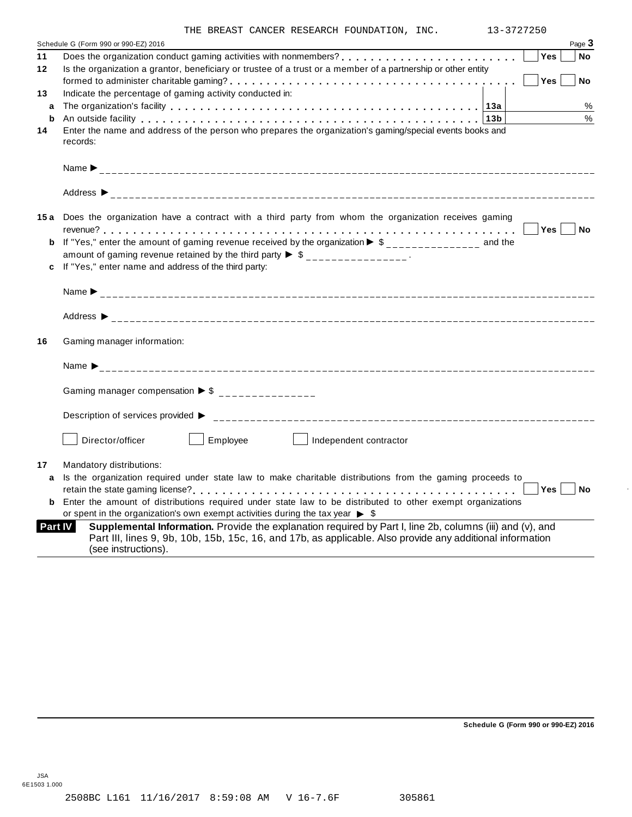|  |  | THE BREAST CANCER RESEARCH FOUNDATION, INC. | 13-3727250 |
|--|--|---------------------------------------------|------------|

|    | BREASI CANCER RESEARCH FOUNDAIION, INC.                                                                                                                                                                                                                  |
|----|----------------------------------------------------------------------------------------------------------------------------------------------------------------------------------------------------------------------------------------------------------|
|    | Page 3<br>Schedule G (Form 990 or 990-EZ) 2016                                                                                                                                                                                                           |
| 11 | Yes<br>No                                                                                                                                                                                                                                                |
| 12 | Is the organization a grantor, beneficiary or trustee of a trust or a member of a partnership or other entity                                                                                                                                            |
|    | Yes<br><b>No</b>                                                                                                                                                                                                                                         |
| 13 | Indicate the percentage of gaming activity conducted in:                                                                                                                                                                                                 |
| a  | %                                                                                                                                                                                                                                                        |
|    | $\%$                                                                                                                                                                                                                                                     |
| 14 | Enter the name and address of the person who prepares the organization's gaming/special events books and<br>records:                                                                                                                                     |
|    |                                                                                                                                                                                                                                                          |
|    |                                                                                                                                                                                                                                                          |
|    | 15a Does the organization have a contract with a third party from whom the organization receives gaming                                                                                                                                                  |
|    | Yes $ $<br><b>No</b>                                                                                                                                                                                                                                     |
|    | <b>b</b> If "Yes," enter the amount of gaming revenue received by the organization $\triangleright$ \$_______________ and the                                                                                                                            |
|    | amount of gaming revenue retained by the third party $\triangleright$ \$ _______________.                                                                                                                                                                |
|    | c If "Yes," enter name and address of the third party:                                                                                                                                                                                                   |
|    |                                                                                                                                                                                                                                                          |
|    |                                                                                                                                                                                                                                                          |
| 16 | Gaming manager information:                                                                                                                                                                                                                              |
|    | Name $\sum_{-1}$                                                                                                                                                                                                                                         |
|    | Gaming manager compensation $\triangleright$ \$ ________________                                                                                                                                                                                         |
|    | Description of services provided ▶                                                                                                                                                                                                                       |
|    | Director/officer<br>Employee<br>$\vert$   Independent contractor                                                                                                                                                                                         |
| 17 | Mandatory distributions:                                                                                                                                                                                                                                 |
|    | a Is the organization required under state law to make charitable distributions from the gaming proceeds to                                                                                                                                              |
|    | Yes<br>No                                                                                                                                                                                                                                                |
|    | <b>b</b> Enter the amount of distributions required under state law to be distributed to other exempt organizations                                                                                                                                      |
|    | or spent in the organization's own exempt activities during the tax year $\triangleright$ \$                                                                                                                                                             |
|    | Supplemental Information. Provide the explanation required by Part I, line 2b, columns (iii) and (v), and<br>Part IV<br>Part III, lines 9, 9b, 10b, 15b, 15c, 16, and 17b, as applicable. Also provide any additional information<br>(see instructions). |

**Schedule G (Form 990 or 990-EZ) 2016**

 $\ddot{\phantom{a}}$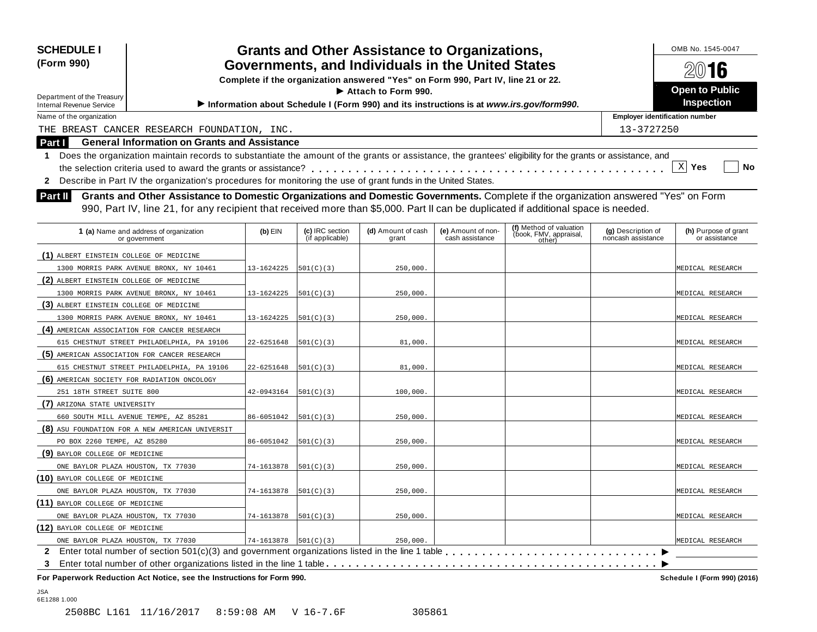| <b>SCHEDULE I</b><br>(Form 990)<br>Department of the Treasury<br>Internal Revenue Service | <b>Grants and Other Assistance to Organizations,</b><br>Governments, and Individuals in the United States<br>Complete if the organization answered "Yes" on Form 990, Part IV, line 21 or 22.<br>$\triangleright$ Attach to Form 990.<br>Information about Schedule I (Form 990) and its instructions is at www.irs.gov/form990. |            | OMB No. 1545-0047<br>2016<br><b>Open to Public</b><br><b>Inspection</b> |
|-------------------------------------------------------------------------------------------|----------------------------------------------------------------------------------------------------------------------------------------------------------------------------------------------------------------------------------------------------------------------------------------------------------------------------------|------------|-------------------------------------------------------------------------|
| Name of the organization                                                                  |                                                                                                                                                                                                                                                                                                                                  |            | <b>Employer identification number</b>                                   |
|                                                                                           | THE BREAST CANCER RESEARCH FOUNDATION, INC.                                                                                                                                                                                                                                                                                      | 13-3727250 |                                                                         |
| Part I                                                                                    | <b>General Information on Grants and Assistance</b>                                                                                                                                                                                                                                                                              |            |                                                                         |

**1** Does the organization maintain records to substantiate the amount of the grants or assistance, the grantees' eligibility for the grants or assistance, and the selection criteria used to award the grants or assistance? nount of the grants or assistance, the grantees' eligibility for the grants or assistance, and  $\boxed{\text{X}}$  Yes  $\boxed{\boxed{\text{N}}}$  No  $\boxed{\mathbf{X}}$  Yes

**2** Describe in Part IV the organization's procedures for monitoring the use of grant funds in the United States.

**Grants and Other Assistance to Domestic Organizations and Domestic Governments.** Complete if the organization answered "Yes" on Form **Part II** Grants and Other Assistance to Domestic Organizations and Domestic Governments. Complete if the organization answere 990, Part IV, line 21, for any recipient that received more than \$5,000. Part II can be duplica

| 1 (a) Name and address of organization<br>or government | $(b)$ EIN  | (c) IRC section<br>(if applicable) | (d) Amount of cash<br>grant | (e) Amount of non-<br>cash assistance | (f) Method of valuation<br>(book, FMV, appraisal,<br>other) | (g) Description of<br>noncash assistance | (h) Purpose of grant<br>or assistance |  |  |  |  |  |
|---------------------------------------------------------|------------|------------------------------------|-----------------------------|---------------------------------------|-------------------------------------------------------------|------------------------------------------|---------------------------------------|--|--|--|--|--|
| (1) ALBERT EINSTEIN COLLEGE OF MEDICINE                 |            |                                    |                             |                                       |                                                             |                                          |                                       |  |  |  |  |  |
| 1300 MORRIS PARK AVENUE BRONX, NY 10461                 | 13-1624225 | 501(C)(3)                          | 250,000.                    |                                       |                                                             |                                          | MEDICAL RESEARCH                      |  |  |  |  |  |
| (2) ALBERT EINSTEIN COLLEGE OF MEDICINE                 |            |                                    |                             |                                       |                                                             |                                          |                                       |  |  |  |  |  |
| 1300 MORRIS PARK AVENUE BRONX, NY 10461                 | 13-1624225 | 501(C)(3)                          | 250,000.                    |                                       |                                                             |                                          | MEDICAL RESEARCH                      |  |  |  |  |  |
| (3) ALBERT EINSTEIN COLLEGE OF MEDICINE                 |            |                                    |                             |                                       |                                                             |                                          |                                       |  |  |  |  |  |
| 1300 MORRIS PARK AVENUE BRONX, NY 10461                 | 13-1624225 | 501(C)(3)                          | 250,000.                    |                                       |                                                             |                                          | MEDICAL RESEARCH                      |  |  |  |  |  |
| (4) AMERICAN ASSOCIATION FOR CANCER RESEARCH            |            |                                    |                             |                                       |                                                             |                                          |                                       |  |  |  |  |  |
| 615 CHESTNUT STREET PHILADELPHIA, PA 19106              | 22-6251648 | 501(C)(3)                          | 81,000                      |                                       |                                                             |                                          | MEDICAL RESEARCH                      |  |  |  |  |  |
| (5) AMERICAN ASSOCIATION FOR CANCER RESEARCH            |            |                                    |                             |                                       |                                                             |                                          |                                       |  |  |  |  |  |
| 615 CHESTNUT STREET PHILADELPHIA, PA 19106              | 22-6251648 | 501(C)(3)                          | 81,000                      |                                       |                                                             |                                          | MEDICAL RESEARCH                      |  |  |  |  |  |
| (6) AMERICAN SOCIETY FOR RADIATION ONCOLOGY             |            |                                    |                             |                                       |                                                             |                                          |                                       |  |  |  |  |  |
| 251 18TH STREET SUITE 800                               | 42-0943164 | 501(C)(3)                          | 100,000.                    |                                       |                                                             |                                          | MEDICAL RESEARCH                      |  |  |  |  |  |
| (7) ARIZONA STATE UNIVERSITY                            |            |                                    |                             |                                       |                                                             |                                          |                                       |  |  |  |  |  |
| 660 SOUTH MILL AVENUE TEMPE, AZ 85281                   | 86-6051042 | 501(C)(3)                          | 250,000.                    |                                       |                                                             |                                          | MEDICAL RESEARCH                      |  |  |  |  |  |
| (8) ASU FOUNDATION FOR A NEW AMERICAN UNIVERSIT         |            |                                    |                             |                                       |                                                             |                                          |                                       |  |  |  |  |  |
| PO BOX 2260 TEMPE, AZ 85280                             | 86-6051042 | 501(C)(3)                          | 250,000.                    |                                       |                                                             |                                          | MEDICAL RESEARCH                      |  |  |  |  |  |
| (9) BAYLOR COLLEGE OF MEDICINE                          |            |                                    |                             |                                       |                                                             |                                          |                                       |  |  |  |  |  |
| ONE BAYLOR PLAZA HOUSTON, TX 77030                      | 74-1613878 | 501(C)(3)                          | 250,000.                    |                                       |                                                             |                                          | MEDICAL RESEARCH                      |  |  |  |  |  |
| (10) BAYLOR COLLEGE OF MEDICINE                         |            |                                    |                             |                                       |                                                             |                                          |                                       |  |  |  |  |  |
| ONE BAYLOR PLAZA HOUSTON, TX 77030                      | 74-1613878 | 501(C)(3)                          | 250,000.                    |                                       |                                                             |                                          | MEDICAL RESEARCH                      |  |  |  |  |  |
| (11) BAYLOR COLLEGE OF MEDICINE                         |            |                                    |                             |                                       |                                                             |                                          |                                       |  |  |  |  |  |
| ONE BAYLOR PLAZA HOUSTON, TX 77030                      | 74-1613878 | 501(C)(3)                          | 250,000.                    |                                       |                                                             |                                          | MEDICAL RESEARCH                      |  |  |  |  |  |
| (12) BAYLOR COLLEGE OF MEDICINE                         |            |                                    |                             |                                       |                                                             |                                          |                                       |  |  |  |  |  |
| ONE BAYLOR PLAZA HOUSTON, TX 77030                      | 74-1613878 | 501(C)(3)                          | 250,000.                    |                                       |                                                             |                                          | MEDICAL RESEARCH                      |  |  |  |  |  |
| $\mathbf{2}$                                            |            |                                    |                             |                                       |                                                             |                                          |                                       |  |  |  |  |  |
| 3                                                       |            |                                    |                             |                                       |                                                             |                                          |                                       |  |  |  |  |  |

**For Paperwork Reduction Act Notice, see the Instructions for Form 990.** 

Schedule I (Form 990) (2016)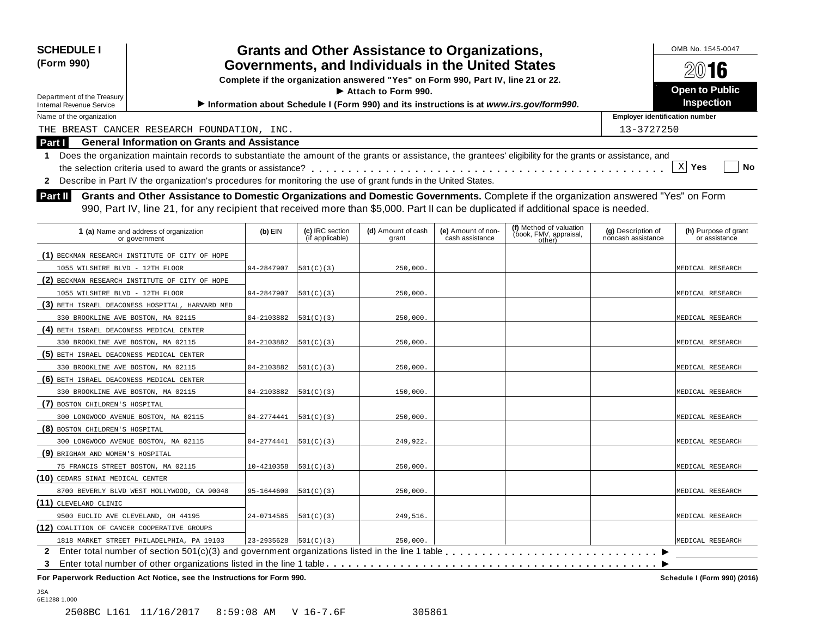| <b>SCHEDULE I</b><br>(Form 990)                        | <b>Grants and Other Assistance to Organizations,</b><br>Governments, and Individuals in the United States                                                                                                                                                                             |            | OMB No. 1545-0047<br>2016                  |
|--------------------------------------------------------|---------------------------------------------------------------------------------------------------------------------------------------------------------------------------------------------------------------------------------------------------------------------------------------|------------|--------------------------------------------|
| Department of the Treasury<br>Internal Revenue Service | Complete if the organization answered "Yes" on Form 990, Part IV, line 21 or 22.<br>$\triangleright$ Attach to Form 990.<br>Information about Schedule I (Form 990) and its instructions is at www.irs.gov/form990.                                                                   |            | <b>Open to Public</b><br><b>Inspection</b> |
| Name of the organization                               |                                                                                                                                                                                                                                                                                       |            | <b>Employer identification number</b>      |
|                                                        | THE BREAST CANCER RESEARCH FOUNDATION, INC.                                                                                                                                                                                                                                           | 13-3727250 |                                            |
| Part I                                                 | <b>General Information on Grants and Assistance</b><br>A . Provided conceleration architects architects and also concelerate the month of the conceleration of all all all all all all all all and the conceleration of the conceleration of the conceleration of the conceleration o |            |                                            |

**1** Does the organization maintain records to substantiate the amount of the grants or assistance, the grantees' eligibility for the grants or assistance, and Does the organization maintain records to substantiate the amount of the grants or assistance, the grantees' eligibility for the grants or assistance, and<br>the selection criteria used to award the grants or assistance?<br>
No

**2** Describe in Part IV the organization's procedures for monitoring the use of grant funds in the United States.

**Grants and Other Assistance to Domestic Organizations and Domestic Governments.** Complete if the organization answered "Yes" on Form **Part II** Grants and Other Assistance to Domestic Organizations and Domestic Governments. Complete if the organization answere 990, Part IV, line 21, for any recipient that received more than \$5,000. Part II can be duplica

| 1 (a) Name and address of organization<br>or government | $(b)$ EIN  | (c) IRC section<br>(if applicable) | (d) Amount of cash<br>grant | (e) Amount of non-<br>cash assistance | (f) Method of valuation<br>(book, FMV, appraisal,<br>other) | (g) Description of<br>noncash assistance | (h) Purpose of grant<br>or assistance |
|---------------------------------------------------------|------------|------------------------------------|-----------------------------|---------------------------------------|-------------------------------------------------------------|------------------------------------------|---------------------------------------|
| (1) BECKMAN RESEARCH INSTITUTE OF CITY OF HOPE          |            |                                    |                             |                                       |                                                             |                                          |                                       |
| 1055 WILSHIRE BLVD - 12TH FLOOR                         | 94-2847907 | 501(C)(3)                          | 250,000.                    |                                       |                                                             |                                          | MEDICAL RESEARCH                      |
| (2) BECKMAN RESEARCH INSTITUTE OF CITY OF HOPE          |            |                                    |                             |                                       |                                                             |                                          |                                       |
| 1055 WILSHIRE BLVD - 12TH FLOOR                         | 94-2847907 | 501(C)(3)                          | 250,000.                    |                                       |                                                             |                                          | MEDICAL RESEARCH                      |
| (3) BETH ISRAEL DEACONESS HOSPITAL, HARVARD MED         |            |                                    |                             |                                       |                                                             |                                          |                                       |
| 330 BROOKLINE AVE BOSTON, MA 02115                      | 04-2103882 | 501(C)(3)                          | 250,000.                    |                                       |                                                             |                                          | MEDICAL RESEARCH                      |
| (4) BETH ISRAEL DEACONESS MEDICAL CENTER                |            |                                    |                             |                                       |                                                             |                                          |                                       |
| 330 BROOKLINE AVE BOSTON, MA 02115                      | 04-2103882 | 501(C)(3)                          | 250,000.                    |                                       |                                                             |                                          | MEDICAL RESEARCH                      |
| (5) BETH ISRAEL DEACONESS MEDICAL CENTER                |            |                                    |                             |                                       |                                                             |                                          |                                       |
| 330 BROOKLINE AVE BOSTON, MA 02115                      | 04-2103882 | 501(C)(3)                          | 250,000.                    |                                       |                                                             |                                          | MEDICAL RESEARCH                      |
| (6) BETH ISRAEL DEACONESS MEDICAL CENTER                |            |                                    |                             |                                       |                                                             |                                          |                                       |
| 330 BROOKLINE AVE BOSTON, MA 02115                      | 04-2103882 | 501(C)(3)                          | 150,000.                    |                                       |                                                             |                                          | MEDICAL RESEARCH                      |
| (7) BOSTON CHILDREN'S HOSPITAL                          |            |                                    |                             |                                       |                                                             |                                          |                                       |
| 300 LONGWOOD AVENUE BOSTON, MA 02115                    | 04-2774441 | 501(C)(3)                          | 250,000.                    |                                       |                                                             |                                          | MEDICAL RESEARCH                      |
| (8) BOSTON CHILDREN'S HOSPITAL                          |            |                                    |                             |                                       |                                                             |                                          |                                       |
| 300 LONGWOOD AVENUE BOSTON, MA 02115                    | 04-2774441 | 501(C)(3)                          | 249,922.                    |                                       |                                                             |                                          | MEDICAL RESEARCH                      |
| (9) BRIGHAM AND WOMEN'S HOSPITAL                        |            |                                    |                             |                                       |                                                             |                                          |                                       |
| 75 FRANCIS STREET BOSTON, MA 02115                      | 10-4210358 | 501(C)(3)                          | 250,000.                    |                                       |                                                             |                                          | MEDICAL RESEARCH                      |
| (10) CEDARS SINAI MEDICAL CENTER                        |            |                                    |                             |                                       |                                                             |                                          |                                       |
| 8700 BEVERLY BLVD WEST HOLLYWOOD, CA 90048              | 95-1644600 | 501(C)(3)                          | 250,000.                    |                                       |                                                             |                                          | MEDICAL RESEARCH                      |
| (11) CLEVELAND CLINIC                                   |            |                                    |                             |                                       |                                                             |                                          |                                       |
| 9500 EUCLID AVE CLEVELAND, OH 44195                     | 24-0714585 | 501(C)(3)                          | 249,516.                    |                                       |                                                             |                                          | MEDICAL RESEARCH                      |
| (12) COALITION OF CANCER COOPERATIVE GROUPS             |            |                                    |                             |                                       |                                                             |                                          |                                       |
| 1818 MARKET STREET PHILADELPHIA, PA 19103               | 23-2935628 | 501(C)(3)                          | 250,000.                    |                                       |                                                             |                                          | MEDICAL RESEARCH                      |
| $\mathbf{2}$                                            |            |                                    |                             |                                       |                                                             |                                          |                                       |
| 3                                                       |            |                                    |                             |                                       |                                                             |                                          |                                       |

**For Paperwork Reduction Act Notice, see the Instructions for Form 990.** 

Schedule I (Form 990) (2016)

X Yes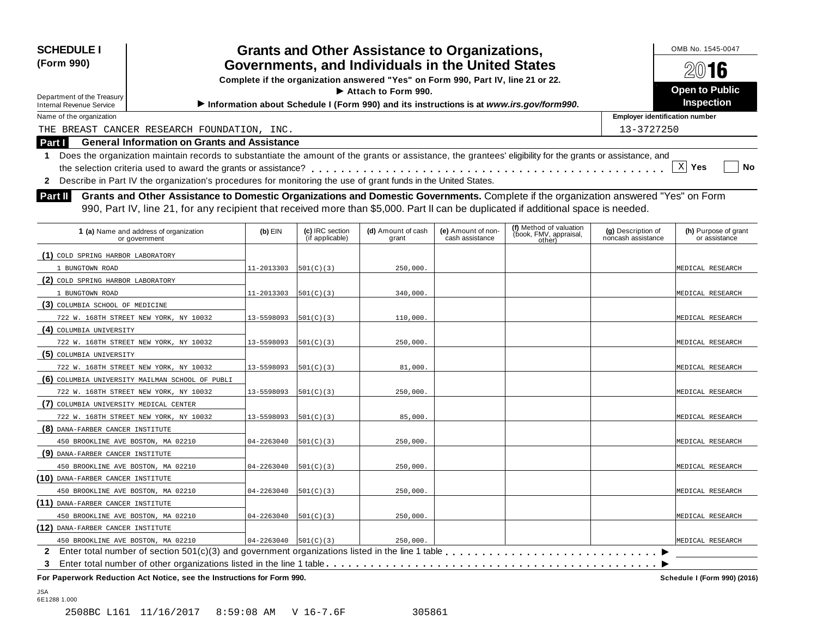| <b>SCHEDULE I</b><br>(Form 990)<br>Department of the Treasury<br>Internal Revenue Service | <b>Grants and Other Assistance to Organizations,</b><br>Governments, and Individuals in the United States<br>Complete if the organization answered "Yes" on Form 990, Part IV, line 21 or 22.<br>$\blacktriangleright$ Attach to Form 990.<br>Information about Schedule I (Form 990) and its instructions is at www.irs.gov/form990. |  | OMB No. 1545-0047<br>2016<br><b>Open to Public</b><br><b>Inspection</b> |  |
|-------------------------------------------------------------------------------------------|---------------------------------------------------------------------------------------------------------------------------------------------------------------------------------------------------------------------------------------------------------------------------------------------------------------------------------------|--|-------------------------------------------------------------------------|--|
| Name of the organization                                                                  |                                                                                                                                                                                                                                                                                                                                       |  | <b>Employer identification number</b>                                   |  |
| 13-3727250<br>THE BREAST CANCER RESEARCH FOUNDATION, INC.                                 |                                                                                                                                                                                                                                                                                                                                       |  |                                                                         |  |
| <b>Part I</b>                                                                             | <b>General Information on Grants and Assistance</b>                                                                                                                                                                                                                                                                                   |  |                                                                         |  |

**1** Does the organization maintain records to substantiate the amount of the grants or assistance, the grantees' eligibility for the grants or assistance, and the selection criteria used to award the grants or assistance? nount of the grants or assistance, the grantees' eligibility for the grants or assistance, and  $\boxed{\text{X}}$  Yes  $\boxed{\boxed{\text{N}}}$  No  $\boxed{\text{X}}$  Yes

**2** Describe in Part IV the organization's procedures for monitoring the use of grant funds in the United States.

**Grants and Other Assistance to Domestic Organizations and Domestic Governments.** Complete if the organization answered "Yes" on Form **Part II** Grants and Other Assistance to Domestic Organizations and Domestic Governments. Complete if the organization answere 990, Part IV, line 21, for any recipient that received more than \$5,000. Part II can be duplica

| 1 (a) Name and address of organization<br>or government | $(b)$ EIN  | (c) IRC section<br>(if applicable) | (d) Amount of cash<br>grant | (e) Amount of non-<br>cash assistance | (f) Method of valuation<br>(book, FMV, appraisal,<br>other) | (g) Description of<br>noncash assistance | (h) Purpose of grant<br>or assistance |  |  |
|---------------------------------------------------------|------------|------------------------------------|-----------------------------|---------------------------------------|-------------------------------------------------------------|------------------------------------------|---------------------------------------|--|--|
| (1) COLD SPRING HARBOR LABORATORY                       |            |                                    |                             |                                       |                                                             |                                          |                                       |  |  |
| 1 BUNGTOWN ROAD                                         | 11-2013303 | 501(C)(3)                          | 250,000.                    |                                       |                                                             |                                          | MEDICAL RESEARCH                      |  |  |
| (2) COLD SPRING HARBOR LABORATORY                       |            |                                    |                             |                                       |                                                             |                                          |                                       |  |  |
| 1 BUNGTOWN ROAD                                         | 11-2013303 | 501(C)(3)                          | 340,000.                    |                                       |                                                             |                                          | MEDICAL RESEARCH                      |  |  |
| (3) COLUMBIA SCHOOL OF MEDICINE                         |            |                                    |                             |                                       |                                                             |                                          |                                       |  |  |
| 722 W. 168TH STREET NEW YORK, NY 10032                  | 13-5598093 | 501(C)(3)                          | 110,000.                    |                                       |                                                             |                                          | MEDICAL RESEARCH                      |  |  |
| (4) COLUMBIA UNIVERSITY                                 |            |                                    |                             |                                       |                                                             |                                          |                                       |  |  |
| 722 W. 168TH STREET NEW YORK, NY 10032                  | 13-5598093 | 501(C)(3)                          | 250,000.                    |                                       |                                                             |                                          | MEDICAL RESEARCH                      |  |  |
| (5) COLUMBIA UNIVERSITY                                 |            |                                    |                             |                                       |                                                             |                                          |                                       |  |  |
| 722 W. 168TH STREET NEW YORK, NY 10032                  | 13-5598093 | 501(C)(3)                          | 81,000.                     |                                       |                                                             |                                          | MEDICAL RESEARCH                      |  |  |
| (6) COLUMBIA UNIVERSITY MAILMAN SCHOOL OF PUBLI         |            |                                    |                             |                                       |                                                             |                                          |                                       |  |  |
| 722 W. 168TH STREET NEW YORK, NY 10032                  | 13-5598093 | 501(C)(3)                          | 250,000.                    |                                       |                                                             |                                          | MEDICAL RESEARCH                      |  |  |
| (7) COLUMBIA UNIVERSITY MEDICAL CENTER                  |            |                                    |                             |                                       |                                                             |                                          |                                       |  |  |
| 722 W. 168TH STREET NEW YORK, NY 10032                  | 13-5598093 | 501(C)(3)                          | 85,000.                     |                                       |                                                             |                                          | MEDICAL RESEARCH                      |  |  |
| (8) DANA-FARBER CANCER INSTITUTE                        |            |                                    |                             |                                       |                                                             |                                          |                                       |  |  |
| 450 BROOKLINE AVE BOSTON, MA 02210                      | 04-2263040 | 501(C)(3)                          | 250,000.                    |                                       |                                                             |                                          | MEDICAL RESEARCH                      |  |  |
| (9) DANA-FARBER CANCER INSTITUTE                        |            |                                    |                             |                                       |                                                             |                                          |                                       |  |  |
| 450 BROOKLINE AVE BOSTON, MA 02210                      | 04-2263040 | 501(C)(3)                          | 250,000.                    |                                       |                                                             |                                          | MEDICAL RESEARCH                      |  |  |
| (10) DANA-FARBER CANCER INSTITUTE                       |            |                                    |                             |                                       |                                                             |                                          |                                       |  |  |
| 450 BROOKLINE AVE BOSTON, MA 02210                      | 04-2263040 | 501(C)(3)                          | 250,000.                    |                                       |                                                             |                                          | MEDICAL RESEARCH                      |  |  |
| (11) DANA-FARBER CANCER INSTITUTE                       |            |                                    |                             |                                       |                                                             |                                          |                                       |  |  |
| 450 BROOKLINE AVE BOSTON, MA 02210                      | 04-2263040 | 501(C)(3)                          | 250,000.                    |                                       |                                                             |                                          | MEDICAL RESEARCH                      |  |  |
| (12) DANA-FARBER CANCER INSTITUTE                       |            |                                    |                             |                                       |                                                             |                                          |                                       |  |  |
| 450 BROOKLINE AVE BOSTON, MA 02210                      | 04-2263040 | 501(C)(3)                          | 250,000.                    |                                       |                                                             |                                          | MEDICAL RESEARCH                      |  |  |
| $\mathbf{2}$                                            |            |                                    |                             |                                       |                                                             |                                          |                                       |  |  |
| 3                                                       |            |                                    |                             |                                       |                                                             |                                          |                                       |  |  |

**For Paperwork Reduction Act Notice, see the Instructions for Form 990.**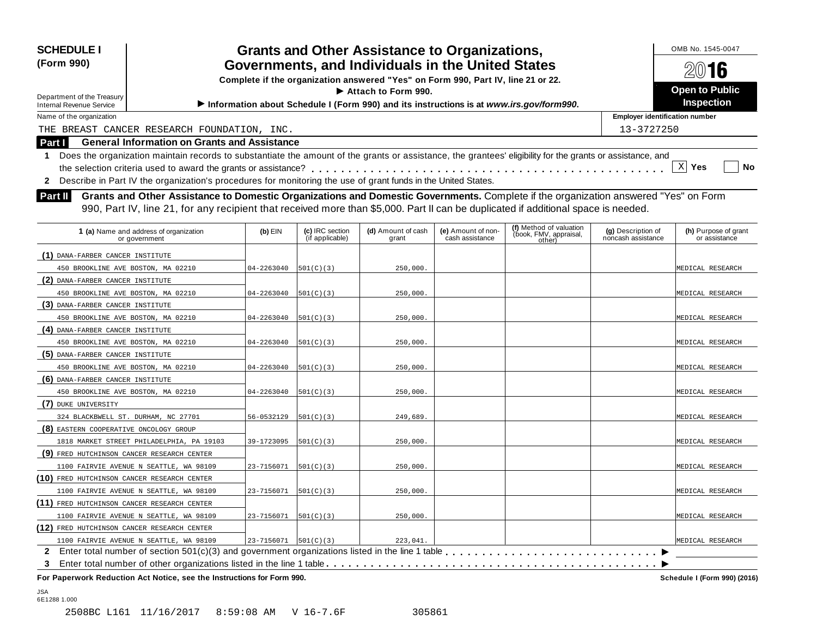| <b>SCHEDULE I</b><br>(Form 990)<br>Department of the Treasury<br><b>Internal Revenue Service</b> | <b>Grants and Other Assistance to Organizations,</b><br>Governments, and Individuals in the United States<br>Complete if the organization answered "Yes" on Form 990, Part IV, line 21 or 22.<br>$\triangleright$ Attach to Form 990.<br>Information about Schedule I (Form 990) and its instructions is at www.irs.gov/form990. |            | OMB No. 1545-0047<br>2016<br><b>Open to Public</b><br><b>Inspection</b> |
|--------------------------------------------------------------------------------------------------|----------------------------------------------------------------------------------------------------------------------------------------------------------------------------------------------------------------------------------------------------------------------------------------------------------------------------------|------------|-------------------------------------------------------------------------|
| Name of the organization                                                                         |                                                                                                                                                                                                                                                                                                                                  |            | <b>Employer identification number</b>                                   |
|                                                                                                  | THE BREAST CANCER RESEARCH FOUNDATION, INC.                                                                                                                                                                                                                                                                                      | 13-3727250 |                                                                         |
| <b>Part I</b>                                                                                    | <b>General Information on Grants and Assistance</b>                                                                                                                                                                                                                                                                              |            |                                                                         |

**1** Does the organization maintain records to substantiate the amount of the grants or assistance, the grantees' eligibility for the grants or assistance, and the selection criteria used to award the grants or assistance? nount of the grants or assistance, the grantees' eligibility for the grants or assistance, and  $\boxed{\text{X}}$  Yes  $\boxed{\boxed{\text{N}}}$  No X Yes

**2** Describe in Part IV the organization's procedures for monitoring the use of grant funds in the United States.

**Grants and Other Assistance to Domestic Organizations and Domestic Governments.** Complete if the organization answered "Yes" on Form **Part II** Grants and Other Assistance to Domestic Organizations and Domestic Governments. Complete if the organization answere 990, Part IV, line 21, for any recipient that received more than \$5,000. Part II can be duplica

| 1 (a) Name and address of organization<br>or government | $(b)$ EIN      | (c) IRC section<br>(if applicable) | (d) Amount of cash<br>grant | (e) Amount of non-<br>cash assistance | (f) Method of valuation<br>(book, FMV, appraisal,<br>other) | (g) Description of<br>noncash assistance | (h) Purpose of grant<br>or assistance |
|---------------------------------------------------------|----------------|------------------------------------|-----------------------------|---------------------------------------|-------------------------------------------------------------|------------------------------------------|---------------------------------------|
| (1) DANA-FARBER CANCER INSTITUTE                        |                |                                    |                             |                                       |                                                             |                                          |                                       |
| 450 BROOKLINE AVE BOSTON, MA 02210                      | 04-2263040     | 501(C)(3)                          | 250,000.                    |                                       |                                                             |                                          | MEDICAL RESEARCH                      |
| (2) DANA-FARBER CANCER INSTITUTE                        |                |                                    |                             |                                       |                                                             |                                          |                                       |
| 450 BROOKLINE AVE BOSTON, MA 02210                      | 04-2263040     | 501(C)(3)                          | 250,000.                    |                                       |                                                             |                                          | MEDICAL RESEARCH                      |
| (3) DANA-FARBER CANCER INSTITUTE                        |                |                                    |                             |                                       |                                                             |                                          |                                       |
| 450 BROOKLINE AVE BOSTON, MA 02210                      | 04-2263040     | 501(C)(3)                          | 250,000.                    |                                       |                                                             |                                          | MEDICAL RESEARCH                      |
| (4) DANA-FARBER CANCER INSTITUTE                        |                |                                    |                             |                                       |                                                             |                                          |                                       |
| 450 BROOKLINE AVE BOSTON, MA 02210                      | $04 - 2263040$ | 501(C)(3)                          | 250,000.                    |                                       |                                                             |                                          | MEDICAL RESEARCH                      |
| (5) DANA-FARBER CANCER INSTITUTE                        |                |                                    |                             |                                       |                                                             |                                          |                                       |
| 450 BROOKLINE AVE BOSTON, MA 02210                      | 04-2263040     | 501(C)(3)                          | 250,000.                    |                                       |                                                             |                                          | MEDICAL RESEARCH                      |
| (6) DANA-FARBER CANCER INSTITUTE                        |                |                                    |                             |                                       |                                                             |                                          |                                       |
| 450 BROOKLINE AVE BOSTON, MA 02210                      | 04-2263040     | 501(C)(3)                          | 250,000.                    |                                       |                                                             |                                          | MEDICAL RESEARCH                      |
| (7) DUKE UNIVERSITY                                     |                |                                    |                             |                                       |                                                             |                                          |                                       |
| 324 BLACKBWELL ST. DURHAM, NC 27701                     | 56-0532129     | 501(C)(3)                          | 249,689.                    |                                       |                                                             |                                          | MEDICAL RESEARCH                      |
| (8) EASTERN COOPERATIVE ONCOLOGY GROUP                  |                |                                    |                             |                                       |                                                             |                                          |                                       |
| 1818 MARKET STREET PHILADELPHIA, PA 19103               | 39-1723095     | 501(C)(3)                          | 250,000.                    |                                       |                                                             |                                          | MEDICAL RESEARCH                      |
| (9) FRED HUTCHINSON CANCER RESEARCH CENTER              |                |                                    |                             |                                       |                                                             |                                          |                                       |
| 1100 FAIRVIE AVENUE N SEATTLE, WA 98109                 | 23-7156071     | 501(C)(3)                          | 250,000.                    |                                       |                                                             |                                          | MEDICAL RESEARCH                      |
| (10) FRED HUTCHINSON CANCER RESEARCH CENTER             |                |                                    |                             |                                       |                                                             |                                          |                                       |
| 1100 FAIRVIE AVENUE N SEATTLE, WA 98109                 | 23-7156071     | 501(C)(3)                          | 250,000.                    |                                       |                                                             |                                          | MEDICAL RESEARCH                      |
| (11) FRED HUTCHINSON CANCER RESEARCH CENTER             |                |                                    |                             |                                       |                                                             |                                          |                                       |
| 1100 FAIRVIE AVENUE N SEATTLE, WA 98109                 | 23-7156071     | 501(C)(3)                          | 250,000.                    |                                       |                                                             |                                          | MEDICAL RESEARCH                      |
| (12) FRED HUTCHINSON CANCER RESEARCH CENTER             |                |                                    |                             |                                       |                                                             |                                          |                                       |
| 1100 FAIRVIE AVENUE N SEATTLE, WA 98109                 | 23-7156071     | 501(C)(3)                          | 223,041.                    |                                       |                                                             |                                          | MEDICAL RESEARCH                      |
| $\mathbf{2}$                                            |                |                                    |                             |                                       |                                                             |                                          |                                       |
| 3                                                       |                |                                    |                             |                                       |                                                             |                                          |                                       |

**For Paperwork Reduction Act Notice, see the Instructions for Form 990.** 

Schedule I (Form 990) (2016)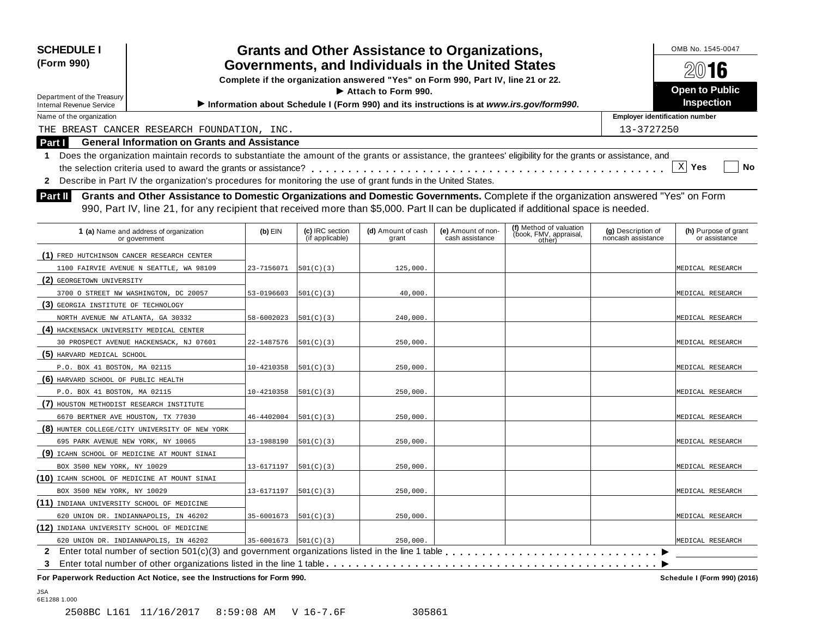| <b>SCHEDULE I</b><br>(Form 990)<br>Department of the Treasury<br><b>Internal Revenue Service</b> | <b>Grants and Other Assistance to Organizations,</b><br>Governments, and Individuals in the United States<br>Complete if the organization answered "Yes" on Form 990, Part IV, line 21 or 22.<br>$\triangleright$ Attach to Form 990.<br>Information about Schedule I (Form 990) and its instructions is at www.irs.gov/form990. |  | OMB No. 1545-0047<br>2016<br><b>Open to Public</b><br><b>Inspection</b> |
|--------------------------------------------------------------------------------------------------|----------------------------------------------------------------------------------------------------------------------------------------------------------------------------------------------------------------------------------------------------------------------------------------------------------------------------------|--|-------------------------------------------------------------------------|
| Name of the organization                                                                         |                                                                                                                                                                                                                                                                                                                                  |  | <b>Employer identification number</b>                                   |
| THE BREAST CANCER RESEARCH FOUNDATION, INC.                                                      | 13-3727250                                                                                                                                                                                                                                                                                                                       |  |                                                                         |
| <b>Part I</b>                                                                                    | <b>General Information on Grants and Assistance</b>                                                                                                                                                                                                                                                                              |  |                                                                         |

**1** Does the organization maintain records to substantiate the amount of the grants or assistance, the grantees' eligibility for the grants or assistance, and the selection criteria used to award the grants or assistance? nount of the grants or assistance, the grantees' eligibility for the grants or assistance, and  $\boxed{\text{X}}$  Yes  $\boxed{\boxed{\text{N}}}$  No X Yes

**2** Describe in Part IV the organization's procedures for monitoring the use of grant funds in the United States.

**Grants and Other Assistance to Domestic Organizations and Domestic Governments.** Complete if the organization answered "Yes" on Form **Part II** Grants and Other Assistance to Domestic Organizations and Domestic Governments. Complete if the organization answere 990, Part IV, line 21, for any recipient that received more than \$5,000. Part II can be duplica

| 1 (a) Name and address of organization<br>or government | $(b)$ EIN  | (c) IRC section<br>(if applicable) | (d) Amount of cash<br>grant | (e) Amount of non-<br>cash assistance | (f) Method of valuation<br>(book, FMV, appraisal,<br>other) | (g) Description of<br>noncash assistance | (h) Purpose of grant<br>or assistance |
|---------------------------------------------------------|------------|------------------------------------|-----------------------------|---------------------------------------|-------------------------------------------------------------|------------------------------------------|---------------------------------------|
| (1) FRED HUTCHINSON CANCER RESEARCH CENTER              |            |                                    |                             |                                       |                                                             |                                          |                                       |
| 1100 FAIRVIE AVENUE N SEATTLE, WA 98109                 | 23-7156071 | 501(C)(3)                          | 125,000.                    |                                       |                                                             |                                          | MEDICAL RESEARCH                      |
| (2) GEORGETOWN UNIVERSITY                               |            |                                    |                             |                                       |                                                             |                                          |                                       |
| 3700 O STREET NW WASHINGTON, DC 20057                   | 53-0196603 | 501(C)(3)                          | 40,000.                     |                                       |                                                             |                                          | MEDICAL RESEARCH                      |
| (3) GEORGIA INSTITUTE OF TECHNOLOGY                     |            |                                    |                             |                                       |                                                             |                                          |                                       |
| NORTH AVENUE NW ATLANTA, GA 30332                       | 58-6002023 | 501(C)(3)                          | 240,000.                    |                                       |                                                             |                                          | MEDICAL RESEARCH                      |
| (4) HACKENSACK UNIVERSITY MEDICAL CENTER                |            |                                    |                             |                                       |                                                             |                                          |                                       |
| 30 PROSPECT AVENUE HACKENSACK, NJ 07601                 | 22-1487576 | 501(C)(3)                          | 250,000.                    |                                       |                                                             |                                          | MEDICAL RESEARCH                      |
| (5) HARVARD MEDICAL SCHOOL                              |            |                                    |                             |                                       |                                                             |                                          |                                       |
| P.O. BOX 41 BOSTON, MA 02115                            | 10-4210358 | 501(C)(3)                          | 250,000.                    |                                       |                                                             |                                          | MEDICAL RESEARCH                      |
| (6) HARVARD SCHOOL OF PUBLIC HEALTH                     |            |                                    |                             |                                       |                                                             |                                          |                                       |
| P.O. BOX 41 BOSTON, MA 02115                            | 10-4210358 | 501(C)(3)                          | 250,000.                    |                                       |                                                             |                                          | MEDICAL RESEARCH                      |
| (7) HOUSTON METHODIST RESEARCH INSTITUTE                |            |                                    |                             |                                       |                                                             |                                          |                                       |
| 6670 BERTNER AVE HOUSTON, TX 77030                      | 46-4402004 | 501(C)(3)                          | 250,000.                    |                                       |                                                             |                                          | MEDICAL RESEARCH                      |
| (8) HUNTER COLLEGE/CITY UNIVERSITY OF NEW YORK          |            |                                    |                             |                                       |                                                             |                                          |                                       |
| 695 PARK AVENUE NEW YORK, NY 10065                      | 13-1988190 | 501(C)(3)                          | 250,000.                    |                                       |                                                             |                                          | MEDICAL RESEARCH                      |
| (9) ICAHN SCHOOL OF MEDICINE AT MOUNT SINAI             |            |                                    |                             |                                       |                                                             |                                          |                                       |
| BOX 3500 NEW YORK, NY 10029                             | 13-6171197 | 501(C)(3)                          | 250,000.                    |                                       |                                                             |                                          | MEDICAL RESEARCH                      |
| (10) ICAHN SCHOOL OF MEDICINE AT MOUNT SINAI            |            |                                    |                             |                                       |                                                             |                                          |                                       |
| BOX 3500 NEW YORK, NY 10029                             | 13-6171197 | 501(C)(3)                          | 250,000.                    |                                       |                                                             |                                          | MEDICAL RESEARCH                      |
| (11) INDIANA UNIVERSITY SCHOOL OF MEDICINE              |            |                                    |                             |                                       |                                                             |                                          |                                       |
| 620 UNION DR. INDIANNAPOLIS, IN 46202                   | 35-6001673 | 501(C)(3)                          | 250,000.                    |                                       |                                                             |                                          | MEDICAL RESEARCH                      |
| (12) INDIANA UNIVERSITY SCHOOL OF MEDICINE              |            |                                    |                             |                                       |                                                             |                                          |                                       |
| 620 UNION DR. INDIANNAPOLIS, IN 46202                   | 35-6001673 | 501(C)(3)                          | 250.000.                    |                                       |                                                             |                                          | MEDICAL RESEARCH                      |
| $\mathbf{2}$                                            |            |                                    |                             |                                       |                                                             |                                          |                                       |
| 3                                                       |            |                                    |                             |                                       |                                                             |                                          |                                       |

**For Paperwork Reduction Act Notice, see the Instructions for Form 990.** 

Schedule I (Form 990) (2016)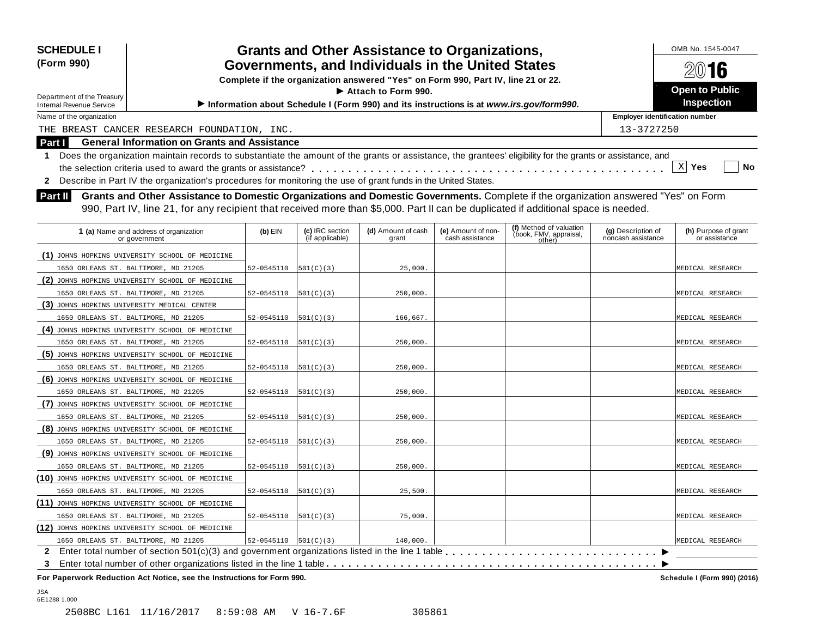| <b>SCHEDULE I</b><br>(Form 990)<br>Department of the Treasury<br><b>Internal Revenue Service</b> | <b>Grants and Other Assistance to Organizations,</b><br>Governments, and Individuals in the United States<br>Complete if the organization answered "Yes" on Form 990, Part IV, line 21 or 22.<br>$\triangleright$ Attach to Form 990.<br>Information about Schedule I (Form 990) and its instructions is at www.irs.gov/form990. | OMB No. 1545-0047<br>$20$ 16<br><b>Open to Public</b><br><b>Inspection</b> |  |  |  |  |  |  |
|--------------------------------------------------------------------------------------------------|----------------------------------------------------------------------------------------------------------------------------------------------------------------------------------------------------------------------------------------------------------------------------------------------------------------------------------|----------------------------------------------------------------------------|--|--|--|--|--|--|
| Name of the organization                                                                         |                                                                                                                                                                                                                                                                                                                                  | <b>Employer identification number</b>                                      |  |  |  |  |  |  |
|                                                                                                  | THE BREAST CANCER RESEARCH FOUNDATION, INC.                                                                                                                                                                                                                                                                                      | 13-3727250                                                                 |  |  |  |  |  |  |
| Part I                                                                                           | <b>General Information on Grants and Assistance</b>                                                                                                                                                                                                                                                                              |                                                                            |  |  |  |  |  |  |
|                                                                                                  | Does the organization maintain records to substantiate the amount of the grants or assistance, the grantees' eligibility for the grants or assistance, and<br>No<br>Yes                                                                                                                                                          |                                                                            |  |  |  |  |  |  |

**2** Describe in Part IV the organization's procedures for monitoring the use of grant funds in the United States.

**Grants and Other Assistance to Domestic Organizations and Domestic Governments.** Complete if the organization answered "Yes" on Form **Part II** Grants and Other Assistance to Domestic Organizations and Domestic Governments. Complete if the organization answere 990, Part IV, line 21, for any recipient that received more than \$5,000. Part II can be duplica

| 1 (a) Name and address of organization<br>or government | $(b)$ EIN                  | (c) IRC section<br>(if applicable) | (d) Amount of cash<br>grant | (e) Amount of non-<br>cash assistance | (f) Method of valuation<br>(book, FMV, appraisal,<br>other) | (g) Description of<br>noncash assistance | (h) Purpose of grant<br>or assistance |
|---------------------------------------------------------|----------------------------|------------------------------------|-----------------------------|---------------------------------------|-------------------------------------------------------------|------------------------------------------|---------------------------------------|
| (1) JOHNS HOPKINS UNIVERSITY SCHOOL OF MEDICINE         |                            |                                    |                             |                                       |                                                             |                                          |                                       |
| 1650 ORLEANS ST. BALTIMORE, MD 21205                    | 52-0545110                 | 501(C)(3)                          | 25,000.                     |                                       |                                                             |                                          | MEDICAL RESEARCH                      |
| (2) JOHNS HOPKINS UNIVERSITY SCHOOL OF MEDICINE         |                            |                                    |                             |                                       |                                                             |                                          |                                       |
| 1650 ORLEANS ST. BALTIMORE, MD 21205                    | 52-0545110                 | 501(C)(3)                          | 250,000.                    |                                       |                                                             |                                          | MEDICAL RESEARCH                      |
| (3) JOHNS HOPKINS UNIVERSITY MEDICAL CENTER             |                            |                                    |                             |                                       |                                                             |                                          |                                       |
| 1650 ORLEANS ST. BALTIMORE, MD 21205                    | 52-0545110                 | 501(C)(3)                          | 166,667.                    |                                       |                                                             |                                          | MEDICAL RESEARCH                      |
| (4) JOHNS HOPKINS UNIVERSITY SCHOOL OF MEDICINE         |                            |                                    |                             |                                       |                                                             |                                          |                                       |
| 1650 ORLEANS ST. BALTIMORE, MD 21205                    | 52-0545110                 | 501(C)(3)                          | 250,000.                    |                                       |                                                             |                                          | MEDICAL RESEARCH                      |
| (5) JOHNS HOPKINS UNIVERSITY SCHOOL OF MEDICINE         |                            |                                    |                             |                                       |                                                             |                                          |                                       |
| 1650 ORLEANS ST. BALTIMORE, MD 21205                    | 52-0545110                 | 501(C)(3)                          | 250,000.                    |                                       |                                                             |                                          | MEDICAL RESEARCH                      |
| (6) JOHNS HOPKINS UNIVERSITY SCHOOL OF MEDICINE         |                            |                                    |                             |                                       |                                                             |                                          |                                       |
| 1650 ORLEANS ST. BALTIMORE, MD 21205                    | 52-0545110                 | 501(C)(3)                          | 250,000.                    |                                       |                                                             |                                          | MEDICAL RESEARCH                      |
| (7) JOHNS HOPKINS UNIVERSITY SCHOOL OF MEDICINE         |                            |                                    |                             |                                       |                                                             |                                          |                                       |
| 1650 ORLEANS ST. BALTIMORE, MD 21205                    | 52-0545110                 | 501(C)(3)                          | 250,000.                    |                                       |                                                             |                                          | MEDICAL RESEARCH                      |
| (8) JOHNS HOPKINS UNIVERSITY SCHOOL OF MEDICINE         |                            |                                    |                             |                                       |                                                             |                                          |                                       |
| 1650 ORLEANS ST. BALTIMORE, MD 21205                    | 52-0545110                 | 501(C)(3)                          | 250,000.                    |                                       |                                                             |                                          | MEDICAL RESEARCH                      |
| (9) JOHNS HOPKINS UNIVERSITY SCHOOL OF MEDICINE         |                            |                                    |                             |                                       |                                                             |                                          |                                       |
| 1650 ORLEANS ST. BALTIMORE, MD 21205                    | 52-0545110                 | 501(C)(3)                          | 250,000.                    |                                       |                                                             |                                          | MEDICAL RESEARCH                      |
| (10) JOHNS HOPKINS UNIVERSITY SCHOOL OF MEDICINE        |                            |                                    |                             |                                       |                                                             |                                          |                                       |
| 1650 ORLEANS ST. BALTIMORE, MD 21205                    | 52-0545110                 | 501(C)(3)                          | 25,500.                     |                                       |                                                             |                                          | MEDICAL RESEARCH                      |
| (11) JOHNS HOPKINS UNIVERSITY SCHOOL OF MEDICINE        |                            |                                    |                             |                                       |                                                             |                                          |                                       |
| 1650 ORLEANS ST. BALTIMORE, MD 21205                    | 52-0545110                 | 501(C)(3)                          | 75,000.                     |                                       |                                                             |                                          | MEDICAL RESEARCH                      |
| (12) JOHNS HOPKINS UNIVERSITY SCHOOL OF MEDICINE        |                            |                                    |                             |                                       |                                                             |                                          |                                       |
| 1650 ORLEANS ST. BALTIMORE, MD 21205                    | $52-0545110$ $[501(C)(3)]$ |                                    | 140,000.                    |                                       |                                                             |                                          | MEDICAL RESEARCH                      |
| $\mathbf{2}$                                            |                            |                                    |                             |                                       |                                                             |                                          |                                       |
| 3                                                       |                            |                                    |                             |                                       |                                                             |                                          |                                       |

**For Paperwork Reduction Act Notice, see the Instructions for Form 990.** 

Schedule I (Form 990) (2016)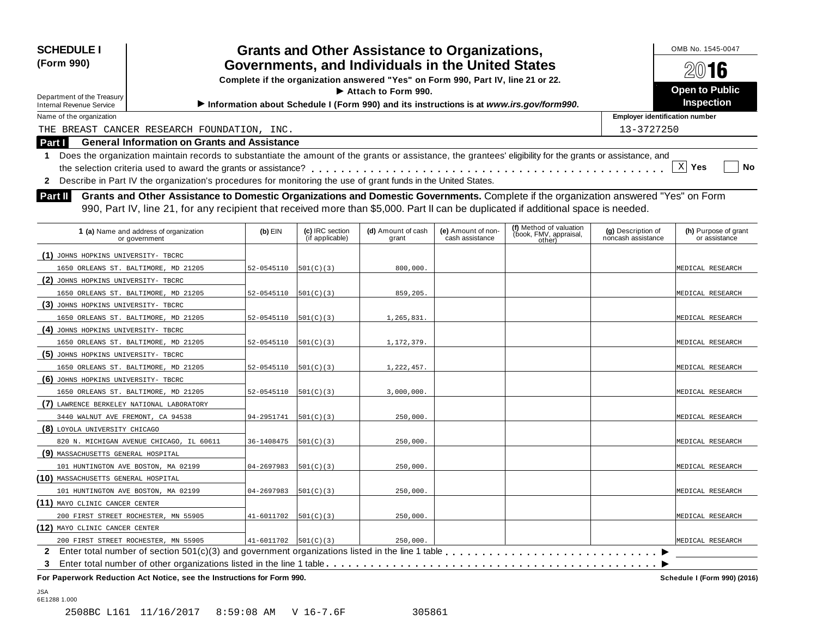| <b>SCHEDULE I</b><br>(Form 990)                        | <b>Grants and Other Assistance to Organizations,</b><br>Governments, and Individuals in the United States                                                                                                                | OMB No. 1545-0047<br>2016 |                                            |
|--------------------------------------------------------|--------------------------------------------------------------------------------------------------------------------------------------------------------------------------------------------------------------------------|---------------------------|--------------------------------------------|
| Department of the Treasury<br>Internal Revenue Service | Complete if the organization answered "Yes" on Form 990, Part IV, line 21 or 22.<br>$\blacktriangleright$ Attach to Form 990.<br>Information about Schedule I (Form 990) and its instructions is at www.irs.gov/form990. |                           | <b>Open to Public</b><br><b>Inspection</b> |
| Name of the organization                               |                                                                                                                                                                                                                          |                           | <b>Employer identification number</b>      |
|                                                        | THE BREAST CANCER RESEARCH FOUNDATION, INC.                                                                                                                                                                              |                           | 13-3727250                                 |
| Part I                                                 | <b>General Information on Grants and Assistance</b>                                                                                                                                                                      |                           |                                            |

**1** Does the organization maintain records to substantiate the amount of the grants or assistance, the grantees' eligibility for the grants or assistance, and Does the organization maintain records to substantiate the amount of the grants or assistance, the grantees' eligibility for the grants or assistance, and<br>the selection criteria used to award the grants or assistance?<br>
No

**2** Describe in Part IV the organization's procedures for monitoring the use of grant funds in the United States.

**Grants and Other Assistance to Domestic Organizations and Domestic Governments.** Complete if the organization answered "Yes" on Form **Part II** Grants and Other Assistance to Domestic Organizations and Domestic Governments. Complete if the organization answere 990, Part IV, line 21, for any recipient that received more than \$5,000. Part II can be duplica

| 1 (a) Name and address of organization<br>or government | $(b)$ EIN  | (c) IRC section<br>(if applicable) | (d) Amount of cash<br>grant | (e) Amount of non-<br>cash assistance | (f) Method of valuation<br>(book, FMV, appraisal,<br>other) | (g) Description of<br>noncash assistance | (h) Purpose of grant<br>or assistance |
|---------------------------------------------------------|------------|------------------------------------|-----------------------------|---------------------------------------|-------------------------------------------------------------|------------------------------------------|---------------------------------------|
| (1) JOHNS HOPKINS UNIVERSITY- TBCRC                     |            |                                    |                             |                                       |                                                             |                                          |                                       |
| 1650 ORLEANS ST. BALTIMORE, MD 21205                    | 52-0545110 | 501(C)(3)                          | 800,000.                    |                                       |                                                             |                                          | MEDICAL RESEARCH                      |
| (2) JOHNS HOPKINS UNIVERSITY- TBCRC                     |            |                                    |                             |                                       |                                                             |                                          |                                       |
| 1650 ORLEANS ST. BALTIMORE, MD 21205                    | 52-0545110 | 501(C)(3)                          | 859,205.                    |                                       |                                                             |                                          | MEDICAL RESEARCH                      |
| (3) JOHNS HOPKINS UNIVERSITY- TBCRC                     |            |                                    |                             |                                       |                                                             |                                          |                                       |
| 1650 ORLEANS ST. BALTIMORE, MD 21205                    | 52-0545110 | 501(C)(3)                          | 1,265,831.                  |                                       |                                                             |                                          | MEDICAL RESEARCH                      |
| (4) JOHNS HOPKINS UNIVERSITY- TBCRC                     |            |                                    |                             |                                       |                                                             |                                          |                                       |
| 1650 ORLEANS ST. BALTIMORE, MD 21205                    | 52-0545110 | 501(C)(3)                          | 1,172,379.                  |                                       |                                                             |                                          | MEDICAL RESEARCH                      |
| (5) JOHNS HOPKINS UNIVERSITY- TBCRC                     |            |                                    |                             |                                       |                                                             |                                          |                                       |
| 1650 ORLEANS ST. BALTIMORE, MD 21205                    | 52-0545110 | 501(C)(3)                          | 1,222,457.                  |                                       |                                                             |                                          | MEDICAL RESEARCH                      |
| (6) JOHNS HOPKINS UNIVERSITY- TBCRC                     |            |                                    |                             |                                       |                                                             |                                          |                                       |
| 1650 ORLEANS ST. BALTIMORE, MD 21205                    | 52-0545110 | 501(C)(3)                          | 3,000,000.                  |                                       |                                                             |                                          | MEDICAL RESEARCH                      |
| (7) LAWRENCE BERKELEY NATIONAL LABORATORY               |            |                                    |                             |                                       |                                                             |                                          |                                       |
| 3440 WALNUT AVE FREMONT, CA 94538                       | 94-2951741 | 501(C)(3)                          | 250,000.                    |                                       |                                                             |                                          | MEDICAL RESEARCH                      |
| (8) LOYOLA UNIVERSITY CHICAGO                           |            |                                    |                             |                                       |                                                             |                                          |                                       |
| 820 N. MICHIGAN AVENUE CHICAGO, IL 60611                | 36-1408475 | 501(C)(3)                          | 250,000.                    |                                       |                                                             |                                          | MEDICAL RESEARCH                      |
| (9) MASSACHUSETTS GENERAL HOSPITAL                      |            |                                    |                             |                                       |                                                             |                                          |                                       |
| 101 HUNTINGTON AVE BOSTON, MA 02199                     | 04-2697983 | 501(C)(3)                          | 250,000.                    |                                       |                                                             |                                          | MEDICAL RESEARCH                      |
| (10) MASSACHUSETTS GENERAL HOSPITAL                     |            |                                    |                             |                                       |                                                             |                                          |                                       |
| 101 HUNTINGTON AVE BOSTON, MA 02199                     | 04-2697983 | 501(C)(3)                          | 250,000.                    |                                       |                                                             |                                          | MEDICAL RESEARCH                      |
| (11) MAYO CLINIC CANCER CENTER                          |            |                                    |                             |                                       |                                                             |                                          |                                       |
| 200 FIRST STREET ROCHESTER, MN 55905                    | 41-6011702 | 501(C)(3)                          | 250,000.                    |                                       |                                                             |                                          | MEDICAL RESEARCH                      |
| (12) MAYO CLINIC CANCER CENTER                          |            |                                    |                             |                                       |                                                             |                                          |                                       |
| 200 FIRST STREET ROCHESTER, MN 55905                    | 41-6011702 | 501(C)(3)                          | 250,000.                    |                                       |                                                             |                                          | MEDICAL RESEARCH                      |
| $\mathbf{2}$                                            |            |                                    |                             |                                       |                                                             |                                          |                                       |
| 3                                                       |            |                                    |                             |                                       |                                                             |                                          |                                       |

**For Paperwork Reduction Act Notice, see the Instructions for Form 990.** 

Schedule I (Form 990) (2016)

X Yes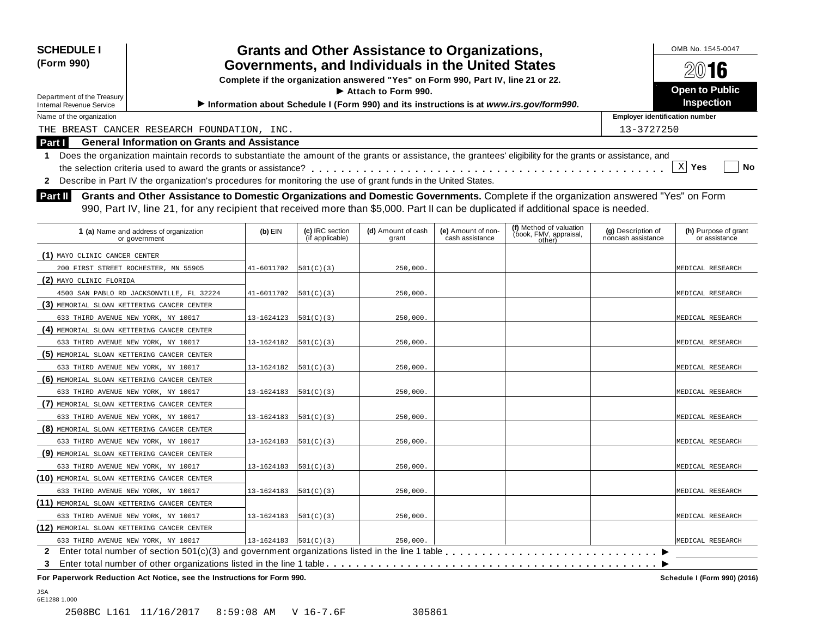| <b>SCHEDULE I</b><br>(Form 990)<br>Department of the Treasury<br>Internal Revenue Service | <b>Grants and Other Assistance to Organizations,</b><br>Governments, and Individuals in the United States<br>Complete if the organization answered "Yes" on Form 990, Part IV, line 21 or 22.<br>$\blacktriangleright$ Attach to Form 990.<br>Information about Schedule I (Form 990) and its instructions is at www.irs.gov/form990. |  | OMB No. 1545-0047<br>2016<br><b>Open to Public</b><br><b>Inspection</b> |
|-------------------------------------------------------------------------------------------|---------------------------------------------------------------------------------------------------------------------------------------------------------------------------------------------------------------------------------------------------------------------------------------------------------------------------------------|--|-------------------------------------------------------------------------|
| Name of the organization                                                                  |                                                                                                                                                                                                                                                                                                                                       |  | <b>Employer identification number</b>                                   |
| THE BREAST CANCER RESEARCH FOUNDATION, INC.                                               | 13-3727250                                                                                                                                                                                                                                                                                                                            |  |                                                                         |

**1** Does the organization maintain records to substantiate the amount of the grants or assistance, the grantees' eligibility for the grants or assistance, and the selection criteria used to award the grants or assistance? nount of the grants or assistance, the grantees' eligibility for the grants or assistance, and  $\boxed{\text{X}}$  Yes  $\boxed{\boxed{\text{N}}}$  No  $\boxed{\text{X}}$  Yes

**2** Describe in Part IV the organization's procedures for monitoring the use of grant funds in the United States.

**Grants and Other Assistance to Domestic Organizations and Domestic Governments.** Complete if the organization answered "Yes" on Form **Part II** Grants and Other Assistance to Domestic Organizations and Domestic Governments. Complete if the organization answere 990, Part IV, line 21, for any recipient that received more than \$5,000. Part II can be duplica

| 1 (a) Name and address of organization<br>or government | $(b)$ EIN  | (c) IRC section<br>(if applicable) | (d) Amount of cash<br>grant | (e) Amount of non-<br>cash assistance | (f) Method of valuation<br>(book, FMV, appraisal,<br>other) | (g) Description of<br>noncash assistance | (h) Purpose of grant<br>or assistance |
|---------------------------------------------------------|------------|------------------------------------|-----------------------------|---------------------------------------|-------------------------------------------------------------|------------------------------------------|---------------------------------------|
| (1) MAYO CLINIC CANCER CENTER                           |            |                                    |                             |                                       |                                                             |                                          |                                       |
| 200 FIRST STREET ROCHESTER, MN 55905                    | 41-6011702 | 501(C)(3)                          | 250,000.                    |                                       |                                                             |                                          | MEDICAL RESEARCH                      |
| (2) MAYO CLINIC FLORIDA                                 |            |                                    |                             |                                       |                                                             |                                          |                                       |
| 4500 SAN PABLO RD JACKSONVILLE, FL 32224                | 41-6011702 | 501(C)(3)                          | 250,000.                    |                                       |                                                             |                                          | MEDICAL RESEARCH                      |
| (3) MEMORIAL SLOAN KETTERING CANCER CENTER              |            |                                    |                             |                                       |                                                             |                                          |                                       |
| 633 THIRD AVENUE NEW YORK, NY 10017                     | 13-1624123 | 501(C)(3)                          | 250,000.                    |                                       |                                                             |                                          | MEDICAL RESEARCH                      |
| (4) MEMORIAL SLOAN KETTERING CANCER CENTER              |            |                                    |                             |                                       |                                                             |                                          |                                       |
| 633 THIRD AVENUE NEW YORK, NY 10017                     | 13-1624182 | 501(C)(3)                          | 250,000.                    |                                       |                                                             |                                          | MEDICAL RESEARCH                      |
| (5) MEMORIAL SLOAN KETTERING CANCER CENTER              |            |                                    |                             |                                       |                                                             |                                          |                                       |
| 633 THIRD AVENUE NEW YORK, NY 10017                     | 13-1624182 | 501(C)(3)                          | 250,000.                    |                                       |                                                             |                                          | MEDICAL RESEARCH                      |
| (6) MEMORIAL SLOAN KETTERING CANCER CENTER              |            |                                    |                             |                                       |                                                             |                                          |                                       |
| 633 THIRD AVENUE NEW YORK, NY 10017                     | 13-1624183 | 501(C)(3)                          | 250,000.                    |                                       |                                                             |                                          | MEDICAL RESEARCH                      |
| (7) MEMORIAL SLOAN KETTERING CANCER CENTER              |            |                                    |                             |                                       |                                                             |                                          |                                       |
| 633 THIRD AVENUE NEW YORK, NY 10017                     | 13-1624183 | 501(C)(3)                          | 250,000.                    |                                       |                                                             |                                          | MEDICAL RESEARCH                      |
| (8) MEMORIAL SLOAN KETTERING CANCER CENTER              |            |                                    |                             |                                       |                                                             |                                          |                                       |
| 633 THIRD AVENUE NEW YORK, NY 10017                     | 13-1624183 | 501(C)(3)                          | 250,000.                    |                                       |                                                             |                                          | MEDICAL RESEARCH                      |
| (9) MEMORIAL SLOAN KETTERING CANCER CENTER              |            |                                    |                             |                                       |                                                             |                                          |                                       |
| 633 THIRD AVENUE NEW YORK, NY 10017                     | 13-1624183 | 501(C)(3)                          | 250,000.                    |                                       |                                                             |                                          | MEDICAL RESEARCH                      |
| (10) MEMORIAL SLOAN KETTERING CANCER CENTER             |            |                                    |                             |                                       |                                                             |                                          |                                       |
| 633 THIRD AVENUE NEW YORK, NY 10017                     | 13-1624183 | 501(C)(3)                          | 250,000.                    |                                       |                                                             |                                          | MEDICAL RESEARCH                      |
| (11) MEMORIAL SLOAN KETTERING CANCER CENTER             |            |                                    |                             |                                       |                                                             |                                          |                                       |
| 633 THIRD AVENUE NEW YORK, NY 10017                     | 13-1624183 | 501(C)(3)                          | 250,000.                    |                                       |                                                             |                                          | MEDICAL RESEARCH                      |
| (12) MEMORIAL SLOAN KETTERING CANCER CENTER             |            |                                    |                             |                                       |                                                             |                                          |                                       |
| 633 THIRD AVENUE NEW YORK, NY 10017                     | 13-1624183 | 501(C)(3)                          | 250,000.                    |                                       |                                                             |                                          | MEDICAL RESEARCH                      |
| $\mathbf{2}$                                            |            |                                    |                             |                                       |                                                             |                                          |                                       |
| 3                                                       |            |                                    |                             |                                       |                                                             |                                          |                                       |

**For Paperwork Reduction Act Notice, see the Instructions for Form 990.** 

Schedule I (Form 990) (2016)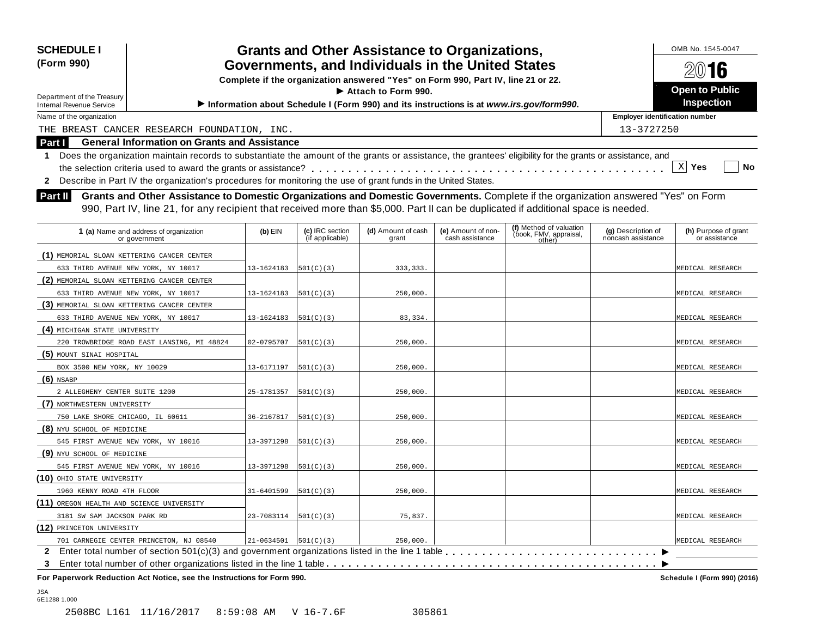| <b>SCHEDULE I</b><br>(Form 990)<br>Department of the Treasury<br><b>Internal Revenue Service</b> | <b>Grants and Other Assistance to Organizations,</b><br>Governments, and Individuals in the United States<br>Complete if the organization answered "Yes" on Form 990, Part IV, line 21 or 22.<br>$\triangleright$ Attach to Form 990.<br>Information about Schedule I (Form 990) and its instructions is at www.irs.gov/form990. | OMB No. 1545-0047<br>$20$ 16<br><b>Open to Public</b><br><b>Inspection</b> |  |  |  |  |  |  |
|--------------------------------------------------------------------------------------------------|----------------------------------------------------------------------------------------------------------------------------------------------------------------------------------------------------------------------------------------------------------------------------------------------------------------------------------|----------------------------------------------------------------------------|--|--|--|--|--|--|
| Name of the organization                                                                         |                                                                                                                                                                                                                                                                                                                                  | <b>Employer identification number</b>                                      |  |  |  |  |  |  |
| 13-3727250<br>THE BREAST CANCER RESEARCH FOUNDATION, INC.                                        |                                                                                                                                                                                                                                                                                                                                  |                                                                            |  |  |  |  |  |  |
| Part I                                                                                           | <b>General Information on Grants and Assistance</b>                                                                                                                                                                                                                                                                              |                                                                            |  |  |  |  |  |  |
|                                                                                                  | Does the organization maintain records to substantiate the amount of the grants or assistance, the grantees' eligibility for the grants or assistance, and<br>No<br>Yes                                                                                                                                                          |                                                                            |  |  |  |  |  |  |

**2** the selection criteria used to award the grants or assistance? Describe in Part IV the organization's procedures for monitoring the use of grant funds in the United States.

**Grants and Other Assistance to Domestic Organizations and Domestic Governments.** Complete if the organization answered "Yes" on Form **Part II** Grants and Other Assistance to Domestic Organizations and Domestic Governments. Complete if the organization answere 990, Part IV, line 21, for any recipient that received more than \$5,000. Part II can be duplica

| 1 (a) Name and address of organization<br>or government | $(b)$ EIN  | (c) IRC section<br>(if applicable) | (d) Amount of cash<br>grant | (e) Amount of non-<br>cash assistance | (f) Method of valuation<br>(book, FMV, appraisal,<br>other) | (g) Description of<br>noncash assistance | (h) Purpose of grant<br>or assistance |
|---------------------------------------------------------|------------|------------------------------------|-----------------------------|---------------------------------------|-------------------------------------------------------------|------------------------------------------|---------------------------------------|
| (1) MEMORIAL SLOAN KETTERING CANCER CENTER              |            |                                    |                             |                                       |                                                             |                                          |                                       |
| 633 THIRD AVENUE NEW YORK, NY 10017                     | 13-1624183 | 501(C)(3)                          | 333, 333.                   |                                       |                                                             |                                          | MEDICAL RESEARCH                      |
| (2) MEMORIAL SLOAN KETTERING CANCER CENTER              |            |                                    |                             |                                       |                                                             |                                          |                                       |
| 633 THIRD AVENUE NEW YORK, NY 10017                     | 13-1624183 | 501(C)(3)                          | 250,000.                    |                                       |                                                             |                                          | MEDICAL RESEARCH                      |
| (3) MEMORIAL SLOAN KETTERING CANCER CENTER              |            |                                    |                             |                                       |                                                             |                                          |                                       |
| 633 THIRD AVENUE NEW YORK, NY 10017                     | 13-1624183 | 501(C)(3)                          | 83,334.                     |                                       |                                                             |                                          | MEDICAL RESEARCH                      |
| (4) MICHIGAN STATE UNIVERSITY                           |            |                                    |                             |                                       |                                                             |                                          |                                       |
| 220 TROWBRIDGE ROAD EAST LANSING, MI 48824              | 02-0795707 | 501(C)(3)                          | 250,000.                    |                                       |                                                             |                                          | MEDICAL RESEARCH                      |
| (5) MOUNT SINAI HOSPITAL                                |            |                                    |                             |                                       |                                                             |                                          |                                       |
| BOX 3500 NEW YORK, NY 10029                             | 13-6171197 | 501(C)(3)                          | 250,000.                    |                                       |                                                             |                                          | MEDICAL RESEARCH                      |
| $(6)$ NSABP                                             |            |                                    |                             |                                       |                                                             |                                          |                                       |
| 2 ALLEGHENY CENTER SUITE 1200                           | 25-1781357 | 501(C)(3)                          | 250,000.                    |                                       |                                                             |                                          | MEDICAL RESEARCH                      |
| (7) NORTHWESTERN UNIVERSITY                             |            |                                    |                             |                                       |                                                             |                                          |                                       |
| 750 LAKE SHORE CHICAGO, IL 60611                        | 36-2167817 | 501(C)(3)                          | 250,000.                    |                                       |                                                             |                                          | MEDICAL RESEARCH                      |
| (8) NYU SCHOOL OF MEDICINE                              |            |                                    |                             |                                       |                                                             |                                          |                                       |
| 545 FIRST AVENUE NEW YORK, NY 10016                     | 13-3971298 | 501(C)(3)                          | 250,000.                    |                                       |                                                             |                                          | MEDICAL RESEARCH                      |
| (9) NYU SCHOOL OF MEDICINE                              |            |                                    |                             |                                       |                                                             |                                          |                                       |
| 545 FIRST AVENUE NEW YORK, NY 10016                     | 13-3971298 | 501(C)(3)                          | 250,000.                    |                                       |                                                             |                                          | MEDICAL RESEARCH                      |
| (10) OHIO STATE UNIVERSITY                              |            |                                    |                             |                                       |                                                             |                                          |                                       |
| 1960 KENNY ROAD 4TH FLOOR                               | 31-6401599 | 501(C)(3)                          | 250,000.                    |                                       |                                                             |                                          | MEDICAL RESEARCH                      |
| (11) OREGON HEALTH AND SCIENCE UNIVERSITY               |            |                                    |                             |                                       |                                                             |                                          |                                       |
| 3181 SW SAM JACKSON PARK RD                             | 23-7083114 | 501(C)(3)                          | 75,837.                     |                                       |                                                             |                                          | MEDICAL RESEARCH                      |
| (12) PRINCETON UNIVERSITY                               |            |                                    |                             |                                       |                                                             |                                          |                                       |
| 701 CARNEGIE CENTER PRINCETON, NJ 08540                 | 21-0634501 | 501(C)(3)                          | 250,000.                    |                                       |                                                             |                                          | MEDICAL RESEARCH                      |
| $\mathbf{2}$                                            |            |                                    |                             |                                       |                                                             |                                          |                                       |
| 3                                                       |            |                                    |                             |                                       |                                                             |                                          |                                       |

**For Paperwork Reduction Act Notice, see the Instructions for Form 990.** 

Schedule I (Form 990) (2016)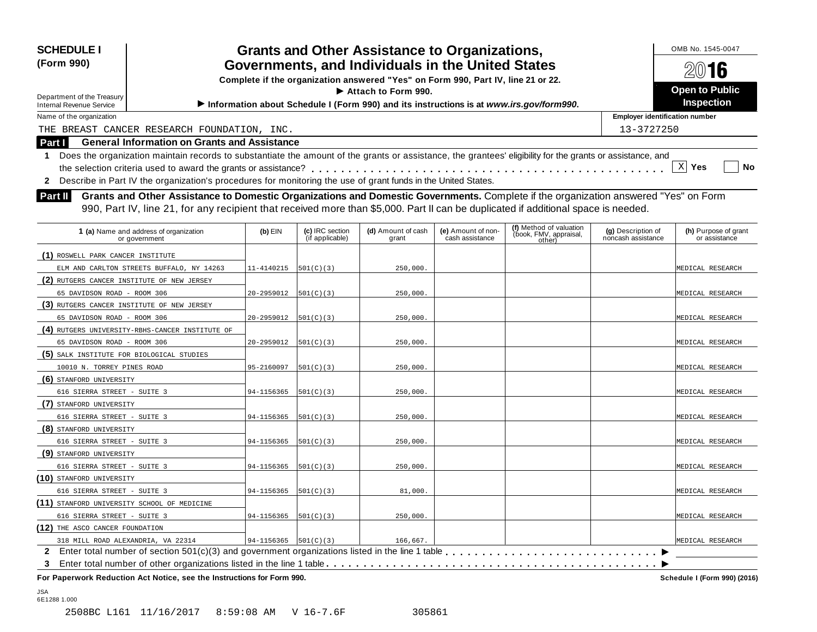| <b>SCHEDULE I</b><br>(Form 990)<br>Department of the Treasury<br>Internal Revenue Service | <b>Grants and Other Assistance to Organizations,</b><br>Governments, and Individuals in the United States<br>Complete if the organization answered "Yes" on Form 990, Part IV, line 21 or 22.<br>$\blacktriangleright$ Attach to Form 990.<br>Information about Schedule I (Form 990) and its instructions is at www.irs.gov/form990. |  | OMB No. 1545-0047<br>2016<br><b>Open to Public</b><br><b>Inspection</b> |
|-------------------------------------------------------------------------------------------|---------------------------------------------------------------------------------------------------------------------------------------------------------------------------------------------------------------------------------------------------------------------------------------------------------------------------------------|--|-------------------------------------------------------------------------|
| Name of the organization                                                                  |                                                                                                                                                                                                                                                                                                                                       |  | <b>Employer identification number</b>                                   |
| 13-3727250<br>THE BREAST CANCER RESEARCH FOUNDATION, INC.                                 |                                                                                                                                                                                                                                                                                                                                       |  |                                                                         |
| <b>Part I</b>                                                                             | <b>General Information on Grants and Assistance</b>                                                                                                                                                                                                                                                                                   |  |                                                                         |

**1** Does the organization maintain records to substantiate the amount of the grants or assistance, the grantees' eligibility for the grants or assistance, and the selection criteria used to award the grants or assistance? nount of the grants or assistance, the grantees' eligibility for the grants or assistance, and  $\boxed{\text{X}}$  Yes  $\boxed{\boxed{\text{N}}}$  No  $\boxed{\mathbf{X}}$  Yes

**2** Describe in Part IV the organization's procedures for monitoring the use of grant funds in the United States.

**Grants and Other Assistance to Domestic Organizations and Domestic Governments.** Complete if the organization answered "Yes" on Form **Part II** Grants and Other Assistance to Domestic Organizations and Domestic Governments. Complete if the organization answere 990, Part IV, line 21, for any recipient that received more than \$5,000. Part II can be duplica

| 1 (a) Name and address of organization<br>or government | $(b)$ EIN  | (c) IRC section<br>(if applicable) | (d) Amount of cash<br>grant | (e) Amount of non-<br>cash assistance | (f) Method of valuation<br>(book, FMV, appraisal,<br>other) | (g) Description of<br>noncash assistance | (h) Purpose of grant<br>or assistance |
|---------------------------------------------------------|------------|------------------------------------|-----------------------------|---------------------------------------|-------------------------------------------------------------|------------------------------------------|---------------------------------------|
| (1) ROSWELL PARK CANCER INSTITUTE                       |            |                                    |                             |                                       |                                                             |                                          |                                       |
| ELM AND CARLTON STREETS BUFFALO, NY 14263               | 11-4140215 | 501(C)(3)                          | 250,000.                    |                                       |                                                             |                                          | MEDICAL RESEARCH                      |
| (2) RUTGERS CANCER INSTITUTE OF NEW JERSEY              |            |                                    |                             |                                       |                                                             |                                          |                                       |
| 65 DAVIDSON ROAD - ROOM 306                             | 20-2959012 | 501(C)(3)                          | 250,000.                    |                                       |                                                             |                                          | MEDICAL RESEARCH                      |
| (3) RUTGERS CANCER INSTITUTE OF NEW JERSEY              |            |                                    |                             |                                       |                                                             |                                          |                                       |
| 65 DAVIDSON ROAD - ROOM 306                             | 20-2959012 | 501(C)(3)                          | 250,000.                    |                                       |                                                             |                                          | MEDICAL RESEARCH                      |
| (4) RUTGERS UNIVERSITY-RBHS-CANCER INSTITUTE OF         |            |                                    |                             |                                       |                                                             |                                          |                                       |
| 65 DAVIDSON ROAD - ROOM 306                             | 20-2959012 | 501(C)(3)                          | 250,000.                    |                                       |                                                             |                                          | MEDICAL RESEARCH                      |
| (5) SALK INSTITUTE FOR BIOLOGICAL STUDIES               |            |                                    |                             |                                       |                                                             |                                          |                                       |
| 10010 N. TORREY PINES ROAD                              | 95-2160097 | 501(C)(3)                          | 250,000.                    |                                       |                                                             |                                          | MEDICAL RESEARCH                      |
| (6) STANFORD UNIVERSITY                                 |            |                                    |                             |                                       |                                                             |                                          |                                       |
| 616 SIERRA STREET - SUITE 3                             | 94-1156365 | 501(C)(3)                          | 250,000.                    |                                       |                                                             |                                          | MEDICAL RESEARCH                      |
| (7) STANFORD UNIVERSITY                                 |            |                                    |                             |                                       |                                                             |                                          |                                       |
| 616 SIERRA STREET - SUITE 3                             | 94-1156365 | 501(C)(3)                          | 250,000.                    |                                       |                                                             |                                          | MEDICAL RESEARCH                      |
| (8) STANFORD UNIVERSITY                                 |            |                                    |                             |                                       |                                                             |                                          |                                       |
| 616 SIERRA STREET - SUITE 3                             | 94-1156365 | 501(C)(3)                          | 250,000.                    |                                       |                                                             |                                          | MEDICAL RESEARCH                      |
| (9) STANFORD UNIVERSITY                                 |            |                                    |                             |                                       |                                                             |                                          |                                       |
| 616 SIERRA STREET - SUITE 3                             | 94-1156365 | 501(C)(3)                          | 250,000.                    |                                       |                                                             |                                          | MEDICAL RESEARCH                      |
| (10) STANFORD UNIVERSITY                                |            |                                    |                             |                                       |                                                             |                                          |                                       |
| 616 SIERRA STREET - SUITE 3                             | 94-1156365 | 501(C)(3)                          | 81,000.                     |                                       |                                                             |                                          | MEDICAL RESEARCH                      |
| (11) STANFORD UNIVERSITY SCHOOL OF MEDICINE             |            |                                    |                             |                                       |                                                             |                                          |                                       |
| 616 SIERRA STREET - SUITE 3                             | 94-1156365 | 501(C)(3)                          | 250,000.                    |                                       |                                                             |                                          | MEDICAL RESEARCH                      |
| (12) THE ASCO CANCER FOUNDATION                         |            |                                    |                             |                                       |                                                             |                                          |                                       |
| 318 MILL ROAD ALEXANDRIA, VA 22314                      | 94-1156365 | 501(C)(3)                          | 166,667.                    |                                       |                                                             |                                          | MEDICAL RESEARCH                      |
| $\mathbf{2}$                                            |            |                                    |                             |                                       |                                                             |                                          |                                       |
| 3                                                       |            |                                    |                             |                                       |                                                             |                                          |                                       |

**For Paperwork Reduction Act Notice, see the Instructions for Form 990.** 

Schedule I (Form 990) (2016)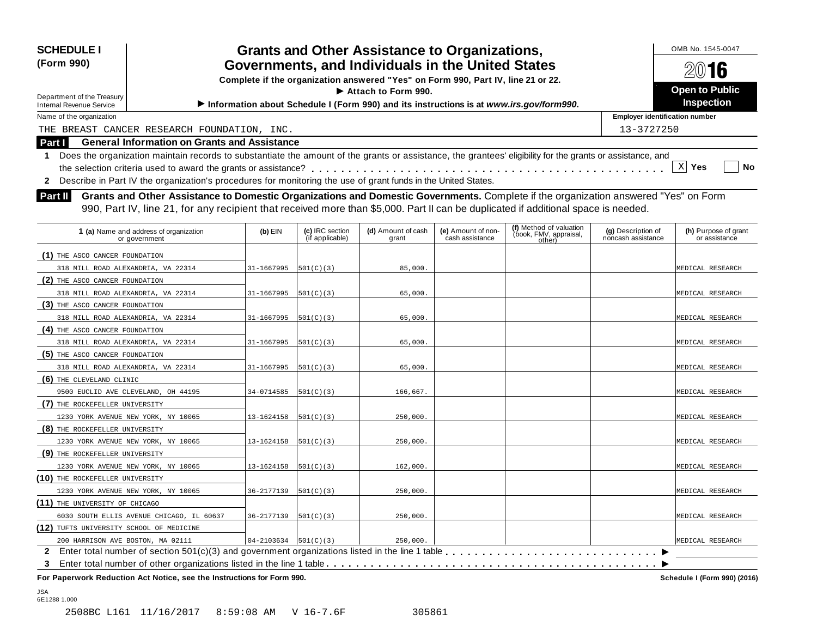| <b>SCHEDULE I</b><br>(Form 990)<br>Department of the Treasury<br><b>Internal Revenue Service</b> | <b>Grants and Other Assistance to Organizations,</b><br>Governments, and Individuals in the United States<br>Complete if the organization answered "Yes" on Form 990, Part IV, line 21 or 22.<br>$\blacktriangleright$ Attach to Form 990.<br>Information about Schedule I (Form 990) and its instructions is at www.irs.gov/form990. |  | OMB No. 1545-0047<br>2016<br><b>Open to Public</b><br><b>Inspection</b> |
|--------------------------------------------------------------------------------------------------|---------------------------------------------------------------------------------------------------------------------------------------------------------------------------------------------------------------------------------------------------------------------------------------------------------------------------------------|--|-------------------------------------------------------------------------|
| Name of the organization                                                                         |                                                                                                                                                                                                                                                                                                                                       |  | <b>Employer identification number</b>                                   |
| THE BREAST CANCER RESEARCH FOUNDATION, INC.                                                      | 13-3727250                                                                                                                                                                                                                                                                                                                            |  |                                                                         |
| <b>Part I</b>                                                                                    | <b>General Information on Grants and Assistance</b>                                                                                                                                                                                                                                                                                   |  |                                                                         |

**1** Does the organization maintain records to substantiate the amount of the grants or assistance, the grantees' eligibility for the grants or assistance, and the selection criteria used to award the grants or assistance? nount of the grants or assistance, the grantees' eligibility for the grants or assistance, and  $\boxed{\text{X}}$  Yes  $\boxed{\boxed{\text{N}}}$  No X Yes

**2** Describe in Part IV the organization's procedures for monitoring the use of grant funds in the United States.

**Grants and Other Assistance to Domestic Organizations and Domestic Governments.** Complete if the organization answered "Yes" on Form **Part II** Grants and Other Assistance to Domestic Organizations and Domestic Governments. Complete if the organization answere 990, Part IV, line 21, for any recipient that received more than \$5,000. Part II can be duplica

| 1 (a) Name and address of organization<br>or government | $(b)$ EIN  | (c) IRC section<br>(if applicable) | (d) Amount of cash<br>grant | (e) Amount of non-<br>cash assistance | (f) Method of valuation<br>(book, FMV, appraisal,<br>other) | (g) Description of<br>noncash assistance | (h) Purpose of grant<br>or assistance |  |
|---------------------------------------------------------|------------|------------------------------------|-----------------------------|---------------------------------------|-------------------------------------------------------------|------------------------------------------|---------------------------------------|--|
| (1) THE ASCO CANCER FOUNDATION                          |            |                                    |                             |                                       |                                                             |                                          |                                       |  |
| 318 MILL ROAD ALEXANDRIA, VA 22314                      | 31-1667995 | 501(C)(3)                          | 85,000.                     |                                       |                                                             |                                          | MEDICAL RESEARCH                      |  |
| (2) THE ASCO CANCER FOUNDATION                          |            |                                    |                             |                                       |                                                             |                                          |                                       |  |
| 318 MILL ROAD ALEXANDRIA, VA 22314                      | 31-1667995 | 501(C)(3)                          | 65,000.                     |                                       |                                                             |                                          | MEDICAL RESEARCH                      |  |
| (3) THE ASCO CANCER FOUNDATION                          |            |                                    |                             |                                       |                                                             |                                          |                                       |  |
| 318 MILL ROAD ALEXANDRIA, VA 22314                      | 31-1667995 | 501(C)(3)                          | 65,000.                     |                                       |                                                             |                                          | MEDICAL RESEARCH                      |  |
| (4) THE ASCO CANCER FOUNDATION                          |            |                                    |                             |                                       |                                                             |                                          |                                       |  |
| 318 MILL ROAD ALEXANDRIA, VA 22314                      | 31-1667995 | 501(C)(3)                          | 65,000.                     |                                       |                                                             |                                          | MEDICAL RESEARCH                      |  |
| (5) THE ASCO CANCER FOUNDATION                          |            |                                    |                             |                                       |                                                             |                                          |                                       |  |
| 318 MILL ROAD ALEXANDRIA, VA 22314                      | 31-1667995 | 501(C)(3)                          | 65,000.                     |                                       |                                                             |                                          | MEDICAL RESEARCH                      |  |
| (6) THE CLEVELAND CLINIC                                |            |                                    |                             |                                       |                                                             |                                          |                                       |  |
| 9500 EUCLID AVE CLEVELAND, OH 44195                     | 34-0714585 | 501(C)(3)                          | 166,667.                    |                                       |                                                             |                                          | MEDICAL RESEARCH                      |  |
| (7) THE ROCKEFELLER UNIVERSITY                          |            |                                    |                             |                                       |                                                             |                                          |                                       |  |
| 1230 YORK AVENUE NEW YORK, NY 10065                     | 13-1624158 | 501(C)(3)                          | 250,000.                    |                                       |                                                             |                                          | MEDICAL RESEARCH                      |  |
| (8) THE ROCKEFELLER UNIVERSITY                          |            |                                    |                             |                                       |                                                             |                                          |                                       |  |
| 1230 YORK AVENUE NEW YORK, NY 10065                     | 13-1624158 | 501(C)(3)                          | 250,000.                    |                                       |                                                             |                                          | MEDICAL RESEARCH                      |  |
| (9) THE ROCKEFELLER UNIVERSITY                          |            |                                    |                             |                                       |                                                             |                                          |                                       |  |
| 1230 YORK AVENUE NEW YORK, NY 10065                     | 13-1624158 | 501(C)(3)                          | 162,000.                    |                                       |                                                             |                                          | MEDICAL RESEARCH                      |  |
| (10) THE ROCKEFELLER UNIVERSITY                         |            |                                    |                             |                                       |                                                             |                                          |                                       |  |
| 1230 YORK AVENUE NEW YORK, NY 10065                     | 36-2177139 | 501(C)(3)                          | 250,000.                    |                                       |                                                             |                                          | MEDICAL RESEARCH                      |  |
| (11) THE UNIVERSITY OF CHICAGO                          |            |                                    |                             |                                       |                                                             |                                          |                                       |  |
| 6030 SOUTH ELLIS AVENUE CHICAGO, IL 60637               | 36-2177139 | 501(C)(3)                          | 250,000.                    |                                       |                                                             |                                          | MEDICAL RESEARCH                      |  |
| (12) TUFTS UNIVERSITY SCHOOL OF MEDICINE                |            |                                    |                             |                                       |                                                             |                                          |                                       |  |
| 200 HARRISON AVE BOSTON, MA 02111                       | 04-2103634 | 501(C)(3)                          | 250,000.                    |                                       |                                                             |                                          | MEDICAL RESEARCH                      |  |
| $\mathbf{2}$                                            |            |                                    |                             |                                       |                                                             |                                          |                                       |  |
| 3                                                       |            |                                    |                             |                                       |                                                             |                                          |                                       |  |

**For Paperwork Reduction Act Notice, see the Instructions for Form 990.** 

Schedule I (Form 990) (2016)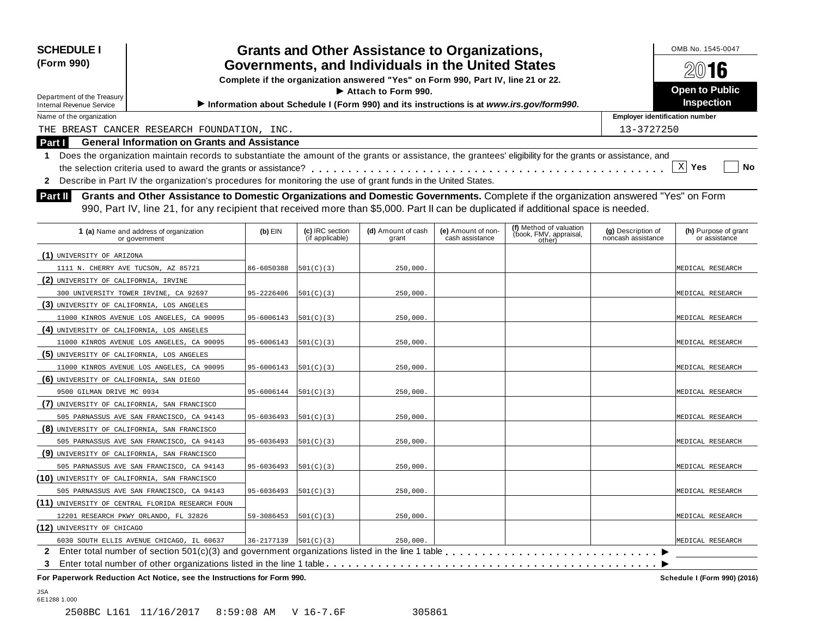| <b>SCHEDULE I</b><br>(Form 990)<br>Department of the Treasury<br>Internal Revenue Service | <b>Grants and Other Assistance to Organizations,</b><br>Governments, and Individuals in the United States<br>Complete if the organization answered "Yes" on Form 990, Part IV, line 21 or 22.<br>$\blacktriangleright$ Attach to Form 990.<br>Information about Schedule I (Form 990) and its instructions is at www.irs.gov/form990. |                                       | OMB No. 1545-0047<br>2016<br><b>Open to Public</b><br><b>Inspection</b> |
|-------------------------------------------------------------------------------------------|---------------------------------------------------------------------------------------------------------------------------------------------------------------------------------------------------------------------------------------------------------------------------------------------------------------------------------------|---------------------------------------|-------------------------------------------------------------------------|
| Name of the organization                                                                  |                                                                                                                                                                                                                                                                                                                                       | <b>Employer identification number</b> |                                                                         |
| THE BREAST CANCER RESEARCH FOUNDATION, INC.                                               | 13-3727250                                                                                                                                                                                                                                                                                                                            |                                       |                                                                         |

**1** Does the organization maintain records to substantiate the amount of the grants or assistance, the grantees' eligibility for the grants or assistance, and Does the organization maintain records to substantiate the amount of the grants or assistance, the grantees' eligibility for the grants or assistance, and<br>the selection criteria used to award the grants or assistance?<br>
No  $\boxed{\text{X}}$  Yes

**2** Describe in Part IV the organization's procedures for monitoring the use of grant funds in the United States.

**Grants and Other Assistance to Domestic Organizations and Domestic Governments.** Complete if the organization answered "Yes" on Form **Part II** Grants and Other Assistance to Domestic Organizations and Domestic Governments. Complete if the organization answere 990, Part IV, line 21, for any recipient that received more than \$5,000. Part II can be duplica

| 1 (a) Name and address of organization<br>or government | $(b)$ EIN  | (c) IRC section<br>(if applicable) | (d) Amount of cash<br>grant | (e) Amount of non-<br>cash assistance | (f) Method of valuation<br>(book, FMV, appraisal,<br>other) | (g) Description of<br>noncash assistance | (h) Purpose of grant<br>or assistance |
|---------------------------------------------------------|------------|------------------------------------|-----------------------------|---------------------------------------|-------------------------------------------------------------|------------------------------------------|---------------------------------------|
| (1) UNIVERSITY OF ARIZONA                               |            |                                    |                             |                                       |                                                             |                                          |                                       |
| 1111 N. CHERRY AVE TUCSON, AZ 85721                     | 86-6050388 | 501(C)(3)                          | 250,000.                    |                                       |                                                             |                                          | MEDICAL RESEARCH                      |
| (2) UNIVERSITY OF CALIFORNIA, IRVINE                    |            |                                    |                             |                                       |                                                             |                                          |                                       |
| 300 UNIVERSITY TOWER IRVINE, CA 92697                   | 95-2226406 | 501(C)(3)                          | 250,000.                    |                                       |                                                             |                                          | MEDICAL RESEARCH                      |
| (3) UNIVERSITY OF CALIFORNIA, LOS ANGELES               |            |                                    |                             |                                       |                                                             |                                          |                                       |
| 11000 KINROS AVENUE LOS ANGELES, CA 90095               | 95-6006143 | 501(C)(3)                          | 250,000.                    |                                       |                                                             |                                          | MEDICAL RESEARCH                      |
| (4) UNIVERSITY OF CALIFORNIA, LOS ANGELES               |            |                                    |                             |                                       |                                                             |                                          |                                       |
| 11000 KINROS AVENUE LOS ANGELES, CA 90095               | 95-6006143 | 501(C)(3)                          | 250,000.                    |                                       |                                                             |                                          | MEDICAL RESEARCH                      |
| (5) UNIVERSITY OF CALIFORNIA, LOS ANGELES               |            |                                    |                             |                                       |                                                             |                                          |                                       |
| 11000 KINROS AVENUE LOS ANGELES, CA 90095               | 95-6006143 | 501(C)(3)                          | 250,000.                    |                                       |                                                             |                                          | MEDICAL RESEARCH                      |
| (6) UNIVERSITY OF CALIFORNIA, SAN DIEGO                 |            |                                    |                             |                                       |                                                             |                                          |                                       |
| 9500 GILMAN DRIVE MC 0934                               | 95-6006144 | 501(C)(3)                          | 250,000.                    |                                       |                                                             |                                          | MEDICAL RESEARCH                      |
| (7) UNIVERSITY OF CALIFORNIA, SAN FRANCISCO             |            |                                    |                             |                                       |                                                             |                                          |                                       |
| 505 PARNASSUS AVE SAN FRANCISCO, CA 94143               | 95-6036493 | 501(C)(3)                          | 250,000.                    |                                       |                                                             |                                          | MEDICAL RESEARCH                      |
| (8) UNIVERSITY OF CALIFORNIA, SAN FRANCISCO             |            |                                    |                             |                                       |                                                             |                                          |                                       |
| 505 PARNASSUS AVE SAN FRANCISCO, CA 94143               | 95-6036493 | 501(C)(3)                          | 250,000.                    |                                       |                                                             |                                          | MEDICAL RESEARCH                      |
| (9) UNIVERSITY OF CALIFORNIA, SAN FRANCISCO             |            |                                    |                             |                                       |                                                             |                                          |                                       |
| 505 PARNASSUS AVE SAN FRANCISCO, CA 94143               | 95-6036493 | 501(C)(3)                          | 250,000.                    |                                       |                                                             |                                          | MEDICAL RESEARCH                      |
| (10) UNIVERSITY OF CALIFORNIA, SAN FRANCISCO            |            |                                    |                             |                                       |                                                             |                                          |                                       |
| 505 PARNASSUS AVE SAN FRANCISCO, CA 94143               | 95-6036493 | 501(C)(3)                          | 250,000.                    |                                       |                                                             |                                          | MEDICAL RESEARCH                      |
| (11) UNIVERSITY OF CENTRAL FLORIDA RESEARCH FOUN        |            |                                    |                             |                                       |                                                             |                                          |                                       |
| 12201 RESEARCH PKWY ORLANDO, FL 32826                   | 59-3086453 | 501(C)(3)                          | 250,000.                    |                                       |                                                             |                                          | MEDICAL RESEARCH                      |
| (12) UNIVERSITY OF CHICAGO                              |            |                                    |                             |                                       |                                                             |                                          |                                       |
| 6030 SOUTH ELLIS AVENUE CHICAGO, IL 60637               | 36-2177139 | 501(C)(3)                          | 250,000.                    |                                       |                                                             |                                          | MEDICAL RESEARCH                      |
| $\mathbf{2}$                                            |            |                                    |                             |                                       |                                                             |                                          |                                       |
| 3                                                       |            |                                    |                             |                                       |                                                             |                                          |                                       |

**For Paperwork Reduction Act Notice, see the Instructions for Form 990.** 

Schedule I (Form 990) (2016)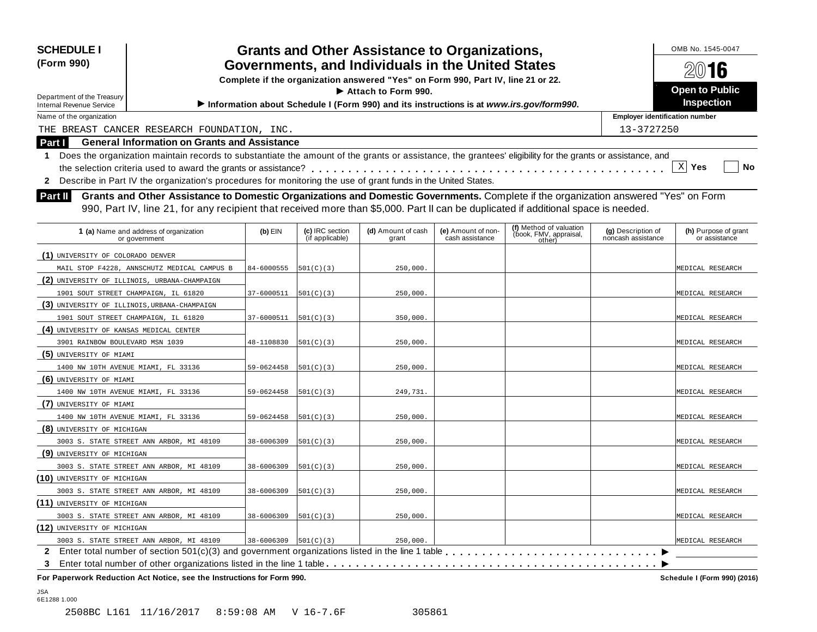| <b>SCHEDULE I</b><br>(Form 990)<br>Department of the Treasury<br><b>Internal Revenue Service</b> | <b>Grants and Other Assistance to Organizations,</b><br>Governments, and Individuals in the United States<br>Complete if the organization answered "Yes" on Form 990, Part IV, line 21 or 22.<br>$\blacktriangleright$ Attach to Form 990.<br>Information about Schedule I (Form 990) and its instructions is at www.irs.gov/form990. |  | OMB No. 1545-0047<br>2016<br><b>Open to Public</b><br><b>Inspection</b> |
|--------------------------------------------------------------------------------------------------|---------------------------------------------------------------------------------------------------------------------------------------------------------------------------------------------------------------------------------------------------------------------------------------------------------------------------------------|--|-------------------------------------------------------------------------|
| Name of the organization                                                                         |                                                                                                                                                                                                                                                                                                                                       |  | <b>Employer identification number</b>                                   |
| THE BREAST CANCER RESEARCH FOUNDATION, INC.                                                      | 13-3727250                                                                                                                                                                                                                                                                                                                            |  |                                                                         |
| Part I                                                                                           | <b>General Information on Grants and Assistance</b>                                                                                                                                                                                                                                                                                   |  |                                                                         |

**1** Does the organization maintain records to substantiate the amount of the grants or assistance, the grantees' eligibility for the grants or assistance, and the selection criteria used to award the grants or assistance? nount of the grants or assistance, the grantees' eligibility for the grants or assistance, and  $\boxed{\text{X}}$  Yes  $\boxed{\boxed{\text{N}}}$  No X Yes

**2** Describe in Part IV the organization's procedures for monitoring the use of grant funds in the United States.

**Grants and Other Assistance to Domestic Organizations and Domestic Governments.** Complete if the organization answered "Yes" on Form **Part II** Grants and Other Assistance to Domestic Organizations and Domestic Governments. Complete if the organization answere 990, Part IV, line 21, for any recipient that received more than \$5,000. Part II can be duplica

| 1 (a) Name and address of organization<br>or government | $(b)$ EIN  | (c) IRC section<br>(if applicable) | (d) Amount of cash<br>grant | (e) Amount of non-<br>cash assistance | (f) Method of valuation<br>(book, FMV, appraisal,<br>other) | (g) Description of<br>noncash assistance | (h) Purpose of grant<br>or assistance |
|---------------------------------------------------------|------------|------------------------------------|-----------------------------|---------------------------------------|-------------------------------------------------------------|------------------------------------------|---------------------------------------|
| (1) UNIVERSITY OF COLORADO DENVER                       |            |                                    |                             |                                       |                                                             |                                          |                                       |
| MAIL STOP F4228, ANNSCHUTZ MEDICAL CAMPUS B             | 84-6000555 | 501(C)(3)                          | 250,000.                    |                                       |                                                             |                                          | MEDICAL RESEARCH                      |
| (2) UNIVERSITY OF ILLINOIS, URBANA-CHAMPAIGN            |            |                                    |                             |                                       |                                                             |                                          |                                       |
| 1901 SOUT STREET CHAMPAIGN, IL 61820                    | 37-6000511 | 501(C)(3)                          | 250,000.                    |                                       |                                                             |                                          | MEDICAL RESEARCH                      |
| (3) UNIVERSITY OF ILLINOIS, URBANA-CHAMPAIGN            |            |                                    |                             |                                       |                                                             |                                          |                                       |
| 1901 SOUT STREET CHAMPAIGN, IL 61820                    | 37-6000511 | 501(C)(3)                          | 350,000.                    |                                       |                                                             |                                          | MEDICAL RESEARCH                      |
| (4) UNIVERSITY OF KANSAS MEDICAL CENTER                 |            |                                    |                             |                                       |                                                             |                                          |                                       |
| 3901 RAINBOW BOULEVARD MSN 1039                         | 48-1108830 | 501(C)(3)                          | 250,000.                    |                                       |                                                             |                                          | MEDICAL RESEARCH                      |
| (5) UNIVERSITY OF MIAMI                                 |            |                                    |                             |                                       |                                                             |                                          |                                       |
| 1400 NW 10TH AVENUE MIAMI, FL 33136                     | 59-0624458 | 501(C)(3)                          | 250,000.                    |                                       |                                                             |                                          | MEDICAL RESEARCH                      |
| (6) UNIVERSITY OF MIAMI                                 |            |                                    |                             |                                       |                                                             |                                          |                                       |
| 1400 NW 10TH AVENUE MIAMI, FL 33136                     | 59-0624458 | 501(C)(3)                          | 249,731.                    |                                       |                                                             |                                          | MEDICAL RESEARCH                      |
| (7) UNIVERSITY OF MIAMI                                 |            |                                    |                             |                                       |                                                             |                                          |                                       |
| 1400 NW 10TH AVENUE MIAMI, FL 33136                     | 59-0624458 | 501(C)(3)                          | 250,000.                    |                                       |                                                             |                                          | MEDICAL RESEARCH                      |
| (8) UNIVERSITY OF MICHIGAN                              |            |                                    |                             |                                       |                                                             |                                          |                                       |
| 3003 S. STATE STREET ANN ARBOR, MI 48109                | 38-6006309 | 501(C)(3)                          | 250,000.                    |                                       |                                                             |                                          | MEDICAL RESEARCH                      |
| (9) UNIVERSITY OF MICHIGAN                              |            |                                    |                             |                                       |                                                             |                                          |                                       |
| 3003 S. STATE STREET ANN ARBOR, MI 48109                | 38-6006309 | 501(C)(3)                          | 250,000.                    |                                       |                                                             |                                          | MEDICAL RESEARCH                      |
| (10) UNIVERSITY OF MICHIGAN                             |            |                                    |                             |                                       |                                                             |                                          |                                       |
| 3003 S. STATE STREET ANN ARBOR, MI 48109                | 38-6006309 | 501(C)(3)                          | 250,000.                    |                                       |                                                             |                                          | MEDICAL RESEARCH                      |
| (11) UNIVERSITY OF MICHIGAN                             |            |                                    |                             |                                       |                                                             |                                          |                                       |
| 3003 S. STATE STREET ANN ARBOR, MI 48109                | 38-6006309 | 501(C)(3)                          | 250,000.                    |                                       |                                                             |                                          | MEDICAL RESEARCH                      |
| (12) UNIVERSITY OF MICHIGAN                             |            |                                    |                             |                                       |                                                             |                                          |                                       |
| 3003 S. STATE STREET ANN ARBOR, MI 48109                | 38-6006309 | 501(C)(3)                          | 250,000.                    |                                       |                                                             |                                          | MEDICAL RESEARCH                      |
| $\mathbf{2}$                                            |            |                                    |                             |                                       |                                                             |                                          |                                       |
| 3                                                       |            |                                    |                             |                                       |                                                             |                                          |                                       |

**For Paperwork Reduction Act Notice, see the Instructions for Form 990.** 

Schedule I (Form 990) (2016)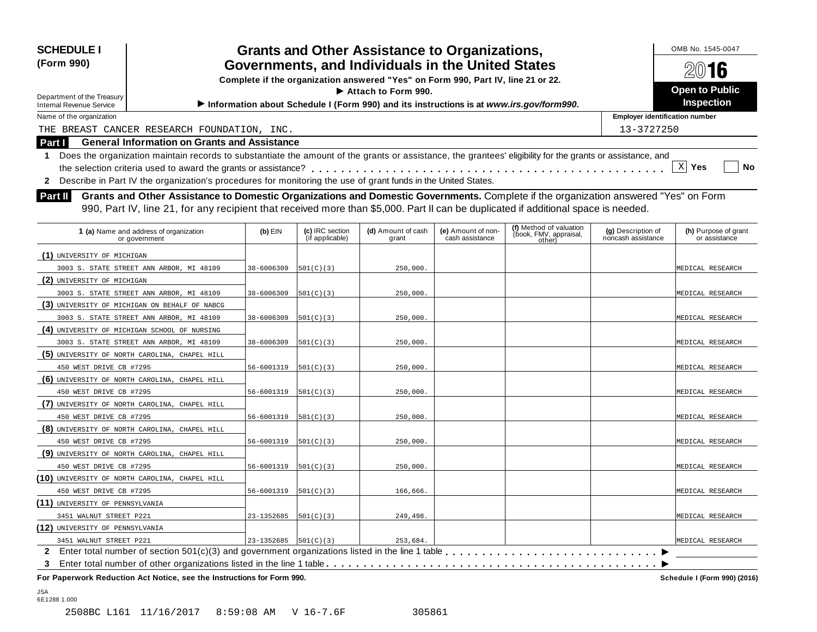| <b>SCHEDULE I</b><br>(Form 990)<br>Department of the Treasury<br><b>Internal Revenue Service</b> | <b>Grants and Other Assistance to Organizations,</b><br>Governments, and Individuals in the United States<br>Complete if the organization answered "Yes" on Form 990, Part IV, line 21 or 22.<br>$\blacktriangleright$ Attach to Form 990.<br>Information about Schedule I (Form 990) and its instructions is at www.irs.gov/form990. |  | OMB No. 1545-0047<br>2016<br><b>Open to Public</b><br><b>Inspection</b> |  |
|--------------------------------------------------------------------------------------------------|---------------------------------------------------------------------------------------------------------------------------------------------------------------------------------------------------------------------------------------------------------------------------------------------------------------------------------------|--|-------------------------------------------------------------------------|--|
| Name of the organization                                                                         |                                                                                                                                                                                                                                                                                                                                       |  | <b>Employer identification number</b>                                   |  |
| 13-3727250<br>THE BREAST CANCER RESEARCH FOUNDATION, INC.                                        |                                                                                                                                                                                                                                                                                                                                       |  |                                                                         |  |
| Part I                                                                                           | <b>General Information on Grants and Assistance</b>                                                                                                                                                                                                                                                                                   |  |                                                                         |  |

**1** Does the organization maintain records to substantiate the amount of the grants or assistance, the grantees' eligibility for the grants or assistance, and the selection criteria used to award the grants or assistance? nount of the grants or assistance, the grantees' eligibility for the grants or assistance, and  $\boxed{\text{X}}$  Yes  $\boxed{\boxed{\text{N}}}$  No  $\boxed{\text{X}}$  Yes

**2** Describe in Part IV the organization's procedures for monitoring the use of grant funds in the United States.

**Grants and Other Assistance to Domestic Organizations and Domestic Governments.** Complete if the organization answered "Yes" on Form **Part II** Grants and Other Assistance to Domestic Organizations and Domestic Governments. Complete if the organization answere 990, Part IV, line 21, for any recipient that received more than \$5,000. Part II can be duplica

| 1 (a) Name and address of organization<br>or government | $(b)$ EIN  | (c) IRC section<br>(if applicable) | (d) Amount of cash<br>grant | (e) Amount of non-<br>cash assistance | (f) Method of valuation<br>(book, FMV, appraisal,<br>other) | (g) Description of<br>noncash assistance | (h) Purpose of grant<br>or assistance |
|---------------------------------------------------------|------------|------------------------------------|-----------------------------|---------------------------------------|-------------------------------------------------------------|------------------------------------------|---------------------------------------|
| (1) UNIVERSITY OF MICHIGAN                              |            |                                    |                             |                                       |                                                             |                                          |                                       |
| 3003 S. STATE STREET ANN ARBOR, MI 48109                | 38-6006309 | 501(C)(3)                          | 250,000.                    |                                       |                                                             |                                          | MEDICAL RESEARCH                      |
| (2) UNIVERSITY OF MICHIGAN                              |            |                                    |                             |                                       |                                                             |                                          |                                       |
| 3003 S. STATE STREET ANN ARBOR, MI 48109                | 38-6006309 | 501(C)(3)                          | 250,000.                    |                                       |                                                             |                                          | MEDICAL RESEARCH                      |
| (3) UNIVERSITY OF MICHIGAN ON BEHALF OF NABCG           |            |                                    |                             |                                       |                                                             |                                          |                                       |
| 3003 S. STATE STREET ANN ARBOR, MI 48109                | 38-6006309 | 501(C)(3)                          | 250,000.                    |                                       |                                                             |                                          | MEDICAL RESEARCH                      |
| (4) UNIVERSITY OF MICHIGAN SCHOOL OF NURSING            |            |                                    |                             |                                       |                                                             |                                          |                                       |
| 3003 S. STATE STREET ANN ARBOR, MI 48109                | 38-6006309 | 501(C)(3)                          | 250,000.                    |                                       |                                                             |                                          | MEDICAL RESEARCH                      |
| (5) UNIVERSITY OF NORTH CAROLINA, CHAPEL HILL           |            |                                    |                             |                                       |                                                             |                                          |                                       |
| 450 WEST DRIVE CB #7295                                 | 56-6001319 | 501(C)(3)                          | 250,000.                    |                                       |                                                             |                                          | MEDICAL RESEARCH                      |
| (6) UNIVERSITY OF NORTH CAROLINA, CHAPEL HILL           |            |                                    |                             |                                       |                                                             |                                          |                                       |
| 450 WEST DRIVE CB #7295                                 | 56-6001319 | 501(C)(3)                          | 250,000.                    |                                       |                                                             |                                          | MEDICAL RESEARCH                      |
| (7) UNIVERSITY OF NORTH CAROLINA, CHAPEL HILL           |            |                                    |                             |                                       |                                                             |                                          |                                       |
| 450 WEST DRIVE CB #7295                                 | 56-6001319 | 501(C)(3)                          | 250,000.                    |                                       |                                                             |                                          | MEDICAL RESEARCH                      |
| (8) UNIVERSITY OF NORTH CAROLINA, CHAPEL HILL           |            |                                    |                             |                                       |                                                             |                                          |                                       |
| 450 WEST DRIVE CB #7295                                 | 56-6001319 | 501(C)(3)                          | 250,000.                    |                                       |                                                             |                                          | MEDICAL RESEARCH                      |
| (9) UNIVERSITY OF NORTH CAROLINA, CHAPEL HILL           |            |                                    |                             |                                       |                                                             |                                          |                                       |
| 450 WEST DRIVE CB #7295                                 | 56-6001319 | 501(C)(3)                          | 250,000.                    |                                       |                                                             |                                          | MEDICAL RESEARCH                      |
| (10) UNIVERSITY OF NORTH CAROLINA, CHAPEL HILL          |            |                                    |                             |                                       |                                                             |                                          |                                       |
| 450 WEST DRIVE CB #7295                                 | 56-6001319 | 501(C)(3)                          | 166,666.                    |                                       |                                                             |                                          | MEDICAL RESEARCH                      |
| (11) UNIVERSITY OF PENNSYLVANIA                         |            |                                    |                             |                                       |                                                             |                                          |                                       |
| 3451 WALNUT STREET P221                                 | 23-1352685 | 501(C)(3)                          | 249,498.                    |                                       |                                                             |                                          | MEDICAL RESEARCH                      |
| (12) UNIVERSITY OF PENNSYLVANIA                         |            |                                    |                             |                                       |                                                             |                                          |                                       |
| 3451 WALNUT STREET P221                                 | 23-1352685 | 501(C)(3)                          | 253,684.                    |                                       |                                                             |                                          | MEDICAL RESEARCH                      |
| $\mathbf{2}$                                            |            |                                    |                             |                                       |                                                             |                                          |                                       |
| 3                                                       |            |                                    |                             |                                       |                                                             |                                          |                                       |

**For Paperwork Reduction Act Notice, see the Instructions for Form 990.** 

Schedule I (Form 990) (2016)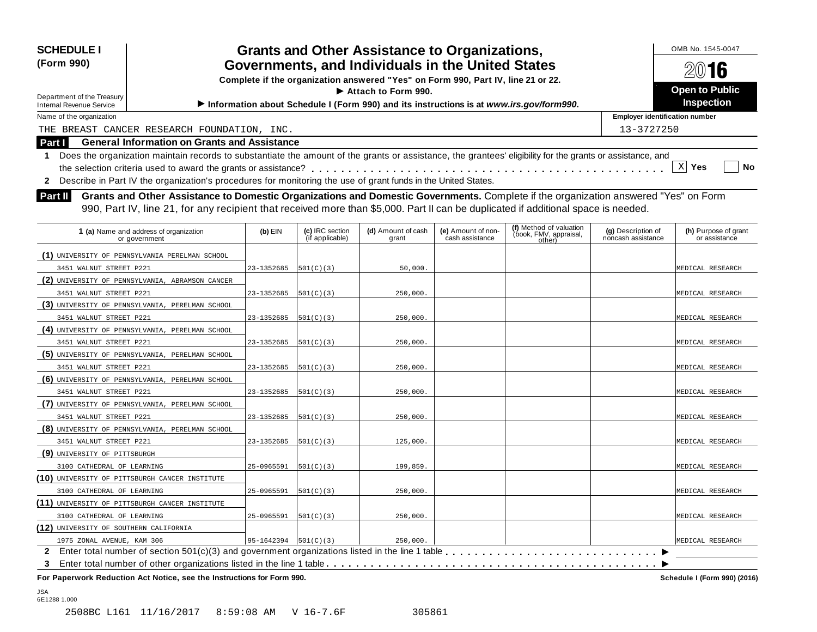| <b>SCHEDULE I</b><br>(Form 990)<br>Department of the Treasury | <b>Grants and Other Assistance to Organizations,</b><br>Governments, and Individuals in the United States<br>Complete if the organization answered "Yes" on Form 990, Part IV, line 21 or 22.<br>$\triangleright$ Attach to Form 990. | OMB No. 1545-0047<br>2016<br><b>Open to Public</b> |
|---------------------------------------------------------------|---------------------------------------------------------------------------------------------------------------------------------------------------------------------------------------------------------------------------------------|----------------------------------------------------|
| <b>Internal Revenue Service</b>                               | Information about Schedule I (Form 990) and its instructions is at www.irs.gov/form990.                                                                                                                                               | <b>Inspection</b>                                  |
| Name of the organization                                      |                                                                                                                                                                                                                                       | <b>Employer identification number</b>              |
|                                                               | THE BREAST CANCER RESEARCH FOUNDATION, INC.                                                                                                                                                                                           | 13-3727250                                         |
| Part I                                                        | <b>General Information on Grants and Assistance</b>                                                                                                                                                                                   |                                                    |
|                                                               | Does the organization maintain records to substantiate the amount of the grants or assistance, the grantees' eligibility for the grants or assistance, and                                                                            |                                                    |

the selection criteria used to award the grants or assistance? nount of the grants or assistance, the grantees' eligibility for the grants or assistance, and  $\boxed{\text{X}}$  Yes  $\boxed{\boxed{\text{N}}}$  No

**2** Describe in Part IV the organization's procedures for monitoring the use of grant funds in the United States.

**Grants and Other Assistance to Domestic Organizations and Domestic Governments.** Complete if the organization answered "Yes" on Form **Part II** Grants and Other Assistance to Domestic Organizations and Domestic Governments. Complete if the organization answere 990, Part IV, line 21, for any recipient that received more than \$5,000. Part II can be duplica

| 1 (a) Name and address of organization<br>or government | $(b)$ EIN                  | (c) IRC section<br>(if applicable) | (d) Amount of cash<br>grant | (e) Amount of non-<br>cash assistance | (f) Method of valuation<br>(book, FMV, appraisal,<br>other) | (g) Description of<br>noncash assistance | (h) Purpose of grant<br>or assistance |  |
|---------------------------------------------------------|----------------------------|------------------------------------|-----------------------------|---------------------------------------|-------------------------------------------------------------|------------------------------------------|---------------------------------------|--|
| (1) UNIVERSITY OF PENNSYLVANIA PERELMAN SCHOOL          |                            |                                    |                             |                                       |                                                             |                                          |                                       |  |
| 3451 WALNUT STREET P221                                 | 23-1352685                 | 501(C)(3)                          | 50,000.                     |                                       |                                                             |                                          | MEDICAL RESEARCH                      |  |
| (2) UNIVERSITY OF PENNSYLVANIA, ABRAMSON CANCER         |                            |                                    |                             |                                       |                                                             |                                          |                                       |  |
| 3451 WALNUT STREET P221                                 | 23-1352685                 | 501(C)(3)                          | 250,000.                    |                                       |                                                             |                                          | MEDICAL RESEARCH                      |  |
| (3) UNIVERSITY OF PENNSYLVANIA, PERELMAN SCHOOL         |                            |                                    |                             |                                       |                                                             |                                          |                                       |  |
| 3451 WALNUT STREET P221                                 | 23-1352685                 | 501(C)(3)                          | 250,000.                    |                                       |                                                             |                                          | MEDICAL RESEARCH                      |  |
| (4) UNIVERSITY OF PENNSYLVANIA, PERELMAN SCHOOL         |                            |                                    |                             |                                       |                                                             |                                          |                                       |  |
| 3451 WALNUT STREET P221                                 | 23-1352685                 | 501(C)(3)                          | 250,000.                    |                                       |                                                             |                                          | MEDICAL RESEARCH                      |  |
| (5) UNIVERSITY OF PENNSYLVANIA, PERELMAN SCHOOL         |                            |                                    |                             |                                       |                                                             |                                          |                                       |  |
| 3451 WALNUT STREET P221                                 | 23-1352685                 | 501(C)(3)                          | 250,000.                    |                                       |                                                             |                                          | MEDICAL RESEARCH                      |  |
| (6) UNIVERSITY OF PENNSYLVANIA, PERELMAN SCHOOL         |                            |                                    |                             |                                       |                                                             |                                          |                                       |  |
| 3451 WALNUT STREET P221                                 | 23-1352685                 | 501(C)(3)                          | 250,000.                    |                                       |                                                             |                                          | MEDICAL RESEARCH                      |  |
| (7) UNIVERSITY OF PENNSYLVANIA, PERELMAN SCHOOL         |                            |                                    |                             |                                       |                                                             |                                          |                                       |  |
| 3451 WALNUT STREET P221                                 | 23-1352685                 | 501(C)(3)                          | 250,000.                    |                                       |                                                             |                                          | MEDICAL RESEARCH                      |  |
| (8) UNIVERSITY OF PENNSYLVANIA, PERELMAN SCHOOL         |                            |                                    |                             |                                       |                                                             |                                          |                                       |  |
| 3451 WALNUT STREET P221                                 | 23-1352685                 | 501(C)(3)                          | 125,000.                    |                                       |                                                             |                                          | MEDICAL RESEARCH                      |  |
| (9) UNIVERSITY OF PITTSBURGH                            |                            |                                    |                             |                                       |                                                             |                                          |                                       |  |
| 3100 CATHEDRAL OF LEARNING                              | 25-0965591                 | 501(C)(3)                          | 199,859.                    |                                       |                                                             |                                          | MEDICAL RESEARCH                      |  |
| (10) UNIVERSITY OF PITTSBURGH CANCER INSTITUTE          |                            |                                    |                             |                                       |                                                             |                                          |                                       |  |
| 3100 CATHEDRAL OF LEARNING                              | 25-0965591                 | 501(C)(3)                          | 250,000.                    |                                       |                                                             |                                          | MEDICAL RESEARCH                      |  |
| (11) UNIVERSITY OF PITTSBURGH CANCER INSTITUTE          |                            |                                    |                             |                                       |                                                             |                                          |                                       |  |
| 3100 CATHEDRAL OF LEARNING                              | 25-0965591                 | 501(C)(3)                          | 250,000.                    |                                       |                                                             |                                          | MEDICAL RESEARCH                      |  |
| (12) UNIVERSITY OF SOUTHERN CALIFORNIA                  |                            |                                    |                             |                                       |                                                             |                                          |                                       |  |
| 1975 ZONAL AVENUE, KAM 306                              | $95-1642394$ $[501(C)(3)]$ |                                    | 250,000.                    |                                       |                                                             |                                          | MEDICAL RESEARCH                      |  |
| $\mathbf{2}$                                            |                            |                                    |                             |                                       |                                                             |                                          |                                       |  |
| 3                                                       |                            |                                    |                             |                                       |                                                             |                                          |                                       |  |

**For Paperwork Reduction Act Notice, see the Instructions for Form 990.** 

Schedule I (Form 990) (2016)

X Yes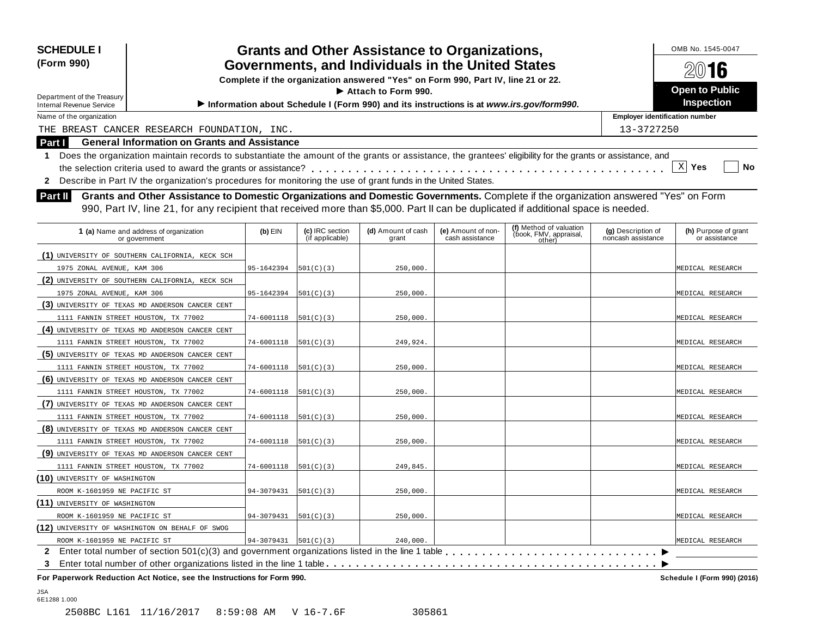| <b>SCHEDULE I</b><br>(Form 990)                        | <b>Grants and Other Assistance to Organizations,</b><br>Governments, and Individuals in the United States<br>Complete if the organization answered "Yes" on Form 990, Part IV, line 21 or 22. | $\triangleright$ Attach to Form 990. |                                       |  |  |
|--------------------------------------------------------|-----------------------------------------------------------------------------------------------------------------------------------------------------------------------------------------------|--------------------------------------|---------------------------------------|--|--|
| Department of the Treasury<br>Internal Revenue Service | Information about Schedule I (Form 990) and its instructions is at www.irs.gov/form990.                                                                                                       |                                      | Open to Public<br><b>Inspection</b>   |  |  |
| Name of the organization                               |                                                                                                                                                                                               |                                      | <b>Employer identification number</b> |  |  |
|                                                        | THE BREAST CANCER RESEARCH FOUNDATION, INC.                                                                                                                                                   | 13-3727250                           |                                       |  |  |
| Part I                                                 | <b>General Information on Grants and Assistance</b>                                                                                                                                           |                                      |                                       |  |  |

**1** Does the organization maintain records to substantiate the amount of the grants or assistance, the grantees' eligibility for the grants or assistance, and the selection criteria used to award the grants or assistance? nount of the grants or assistance, the grantees' eligibility for the grants or assistance, and  $\boxed{\text{X}}$  Yes  $\boxed{\boxed{\text{N}}}$  No

**2** Describe in Part IV the organization's procedures for monitoring the use of grant funds in the United States.

**Grants and Other Assistance to Domestic Organizations and Domestic Governments.** Complete if the organization answered "Yes" on Form **Part II** Grants and Other Assistance to Domestic Organizations and Domestic Governments. Complete if the organization answere 990, Part IV, line 21, for any recipient that received more than \$5,000. Part II can be duplica

| 1 (a) Name and address of organization<br>or government | $(b)$ EIN                  | (c) IRC section<br>(if applicable) | (d) Amount of cash<br>grant | (e) Amount of non-<br>cash assistance | (f) Method of valuation<br>(book, FMV, appraisal,<br>other) | (g) Description of<br>noncash assistance | (h) Purpose of grant<br>or assistance |
|---------------------------------------------------------|----------------------------|------------------------------------|-----------------------------|---------------------------------------|-------------------------------------------------------------|------------------------------------------|---------------------------------------|
| (1) UNIVERSITY OF SOUTHERN CALIFORNIA, KECK SCH         |                            |                                    |                             |                                       |                                                             |                                          |                                       |
| 1975 ZONAL AVENUE, KAM 306                              | 95-1642394                 | 501(C)(3)                          | 250,000.                    |                                       |                                                             |                                          | MEDICAL RESEARCH                      |
| (2) UNIVERSITY OF SOUTHERN CALIFORNIA, KECK SCH         |                            |                                    |                             |                                       |                                                             |                                          |                                       |
| 1975 ZONAL AVENUE, KAM 306                              | 95-1642394                 | 501(C)(3)                          | 250,000.                    |                                       |                                                             |                                          | MEDICAL RESEARCH                      |
| (3) UNIVERSITY OF TEXAS MD ANDERSON CANCER CENT         |                            |                                    |                             |                                       |                                                             |                                          |                                       |
| 1111 FANNIN STREET HOUSTON, TX 77002                    | 74-6001118                 | 501(C)(3)                          | 250,000.                    |                                       |                                                             |                                          | MEDICAL RESEARCH                      |
| (4) UNIVERSITY OF TEXAS MD ANDERSON CANCER CENT         |                            |                                    |                             |                                       |                                                             |                                          |                                       |
| 1111 FANNIN STREET HOUSTON, TX 77002                    | 74-6001118                 | 501(C)(3)                          | 249,924.                    |                                       |                                                             |                                          | MEDICAL RESEARCH                      |
| (5) UNIVERSITY OF TEXAS MD ANDERSON CANCER CENT         |                            |                                    |                             |                                       |                                                             |                                          |                                       |
| 1111 FANNIN STREET HOUSTON, TX 77002                    | 74-6001118                 | 501(C)(3)                          | 250,000.                    |                                       |                                                             |                                          | MEDICAL RESEARCH                      |
| (6) UNIVERSITY OF TEXAS MD ANDERSON CANCER CENT         |                            |                                    |                             |                                       |                                                             |                                          |                                       |
| 1111 FANNIN STREET HOUSTON, TX 77002                    | 74-6001118                 | 501(C)(3)                          | 250,000.                    |                                       |                                                             |                                          | MEDICAL RESEARCH                      |
| (7) UNIVERSITY OF TEXAS MD ANDERSON CANCER CENT         |                            |                                    |                             |                                       |                                                             |                                          |                                       |
| 1111 FANNIN STREET HOUSTON, TX 77002                    | 74-6001118                 | 501(C)(3)                          | 250,000.                    |                                       |                                                             |                                          | MEDICAL RESEARCH                      |
| (8) UNIVERSITY OF TEXAS MD ANDERSON CANCER CENT         |                            |                                    |                             |                                       |                                                             |                                          |                                       |
| 1111 FANNIN STREET HOUSTON, TX 77002                    | 74-6001118                 | 501(C)(3)                          | 250,000.                    |                                       |                                                             |                                          | MEDICAL RESEARCH                      |
| (9) UNIVERSITY OF TEXAS MD ANDERSON CANCER CENT         |                            |                                    |                             |                                       |                                                             |                                          |                                       |
| 1111 FANNIN STREET HOUSTON, TX 77002                    | 74-6001118                 | 501(C)(3)                          | 249,845.                    |                                       |                                                             |                                          | MEDICAL RESEARCH                      |
| (10) UNIVERSITY OF WASHINGTON                           |                            |                                    |                             |                                       |                                                             |                                          |                                       |
| ROOM K-1601959 NE PACIFIC ST                            | 94-3079431                 | 501(C)(3)                          | 250,000.                    |                                       |                                                             |                                          | MEDICAL RESEARCH                      |
| (11) UNIVERSITY OF WASHINGTON                           |                            |                                    |                             |                                       |                                                             |                                          |                                       |
| ROOM K-1601959 NE PACIFIC ST                            | 94-3079431                 | 501(C)(3)                          | 250,000.                    |                                       |                                                             |                                          | MEDICAL RESEARCH                      |
| (12) UNIVERSITY OF WASHINGTON ON BEHALF OF SWOG         |                            |                                    |                             |                                       |                                                             |                                          |                                       |
| ROOM K-1601959 NE PACIFIC ST                            | $94-3079431$ $ 501(C)(3) $ |                                    | 240,000.                    |                                       |                                                             |                                          | MEDICAL RESEARCH                      |
| $\mathbf{2}$                                            |                            |                                    |                             |                                       |                                                             |                                          |                                       |
| 3                                                       |                            |                                    |                             |                                       |                                                             |                                          |                                       |

**For Paperwork Reduction Act Notice, see the Instructions for Form 990.** 

Schedule I (Form 990) (2016)

X Yes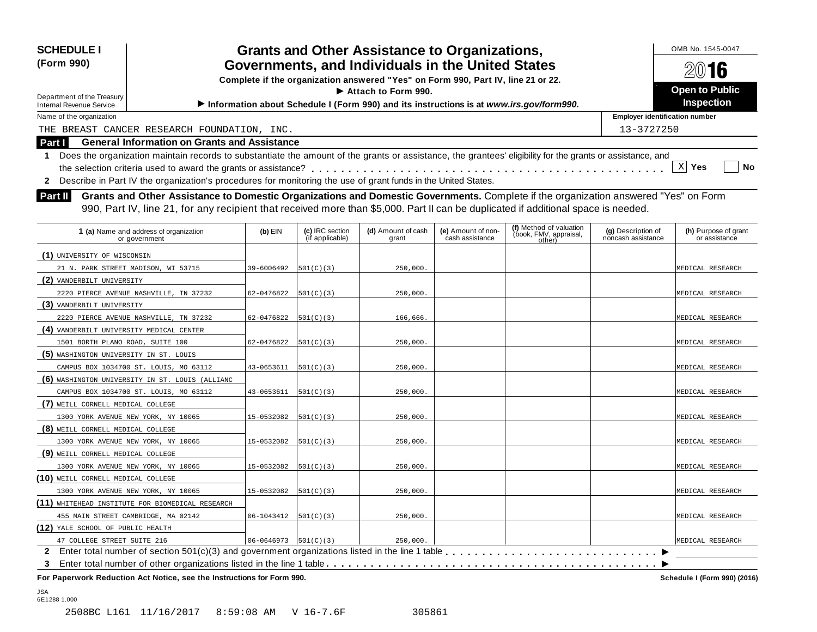| <b>SCHEDULE I</b><br>(Form 990)<br>Department of the Treasury<br><b>Internal Revenue Service</b> | <b>Grants and Other Assistance to Organizations,</b><br>Governments, and Individuals in the United States<br>Complete if the organization answered "Yes" on Form 990, Part IV, line 21 or 22.<br>$\blacktriangleright$ Attach to Form 990.<br>Information about Schedule I (Form 990) and its instructions is at www.irs.gov/form990. |  | OMB No. 1545-0047<br>2016<br><b>Open to Public</b><br><b>Inspection</b> |  |  |  |
|--------------------------------------------------------------------------------------------------|---------------------------------------------------------------------------------------------------------------------------------------------------------------------------------------------------------------------------------------------------------------------------------------------------------------------------------------|--|-------------------------------------------------------------------------|--|--|--|
| Name of the organization                                                                         |                                                                                                                                                                                                                                                                                                                                       |  | <b>Employer identification number</b>                                   |  |  |  |
| 13-3727250<br>THE BREAST CANCER RESEARCH FOUNDATION, INC.                                        |                                                                                                                                                                                                                                                                                                                                       |  |                                                                         |  |  |  |
| <b>Part I</b>                                                                                    | <b>General Information on Grants and Assistance</b>                                                                                                                                                                                                                                                                                   |  |                                                                         |  |  |  |

**1** Does the organization maintain records to substantiate the amount of the grants or assistance, the grantees' eligibility for the grants or assistance, and the selection criteria used to award the grants or assistance? nount of the grants or assistance, the grantees' eligibility for the grants or assistance, and  $\boxed{\text{X}}$  Yes  $\boxed{\boxed{\text{N}}}$  No X Yes

**2** Describe in Part IV the organization's procedures for monitoring the use of grant funds in the United States.

**Grants and Other Assistance to Domestic Organizations and Domestic Governments.** Complete if the organization answered "Yes" on Form **Part II** Grants and Other Assistance to Domestic Organizations and Domestic Governments. Complete if the organization answere 990, Part IV, line 21, for any recipient that received more than \$5,000. Part II can be duplica

| 1 (a) Name and address of organization<br>or government | $(b)$ EIN  | (c) IRC section<br>(if applicable) | (d) Amount of cash<br>grant | (e) Amount of non-<br>cash assistance | (f) Method of valuation<br>(book, FMV, appraisal,<br>other) | (g) Description of<br>noncash assistance | (h) Purpose of grant<br>or assistance |
|---------------------------------------------------------|------------|------------------------------------|-----------------------------|---------------------------------------|-------------------------------------------------------------|------------------------------------------|---------------------------------------|
| (1) UNIVERSITY OF WISCONSIN                             |            |                                    |                             |                                       |                                                             |                                          |                                       |
| 21 N. PARK STREET MADISON, WI 53715                     | 39-6006492 | 501(C)(3)                          | 250,000.                    |                                       |                                                             |                                          | MEDICAL RESEARCH                      |
| (2) VANDERBILT UNIVERSITY                               |            |                                    |                             |                                       |                                                             |                                          |                                       |
| 2220 PIERCE AVENUE NASHVILLE, TN 37232                  | 62-0476822 | 501(C)(3)                          | 250,000.                    |                                       |                                                             |                                          | MEDICAL RESEARCH                      |
| (3) VANDERBILT UNIVERSITY                               |            |                                    |                             |                                       |                                                             |                                          |                                       |
| 2220 PIERCE AVENUE NASHVILLE, TN 37232                  | 62-0476822 | 501(C)(3)                          | 166,666.                    |                                       |                                                             |                                          | MEDICAL RESEARCH                      |
| (4) VANDERBILT UNIVERSITY MEDICAL CENTER                |            |                                    |                             |                                       |                                                             |                                          |                                       |
| 1501 BORTH PLANO ROAD, SUITE 100                        | 62-0476822 | 501(C)(3)                          | 250,000.                    |                                       |                                                             |                                          | MEDICAL RESEARCH                      |
| (5) WASHINGTON UNIVERSITY IN ST. LOUIS                  |            |                                    |                             |                                       |                                                             |                                          |                                       |
| CAMPUS BOX 1034700 ST. LOUIS, MO 63112                  | 43-0653611 | 501(C)(3)                          | 250,000.                    |                                       |                                                             |                                          | MEDICAL RESEARCH                      |
| (6) WASHINGTON UNIVERSITY IN ST. LOUIS (ALLIANC         |            |                                    |                             |                                       |                                                             |                                          |                                       |
| CAMPUS BOX 1034700 ST. LOUIS, MO 63112                  | 43-0653611 | 501(C)(3)                          | 250,000.                    |                                       |                                                             |                                          | MEDICAL RESEARCH                      |
| (7) WEILL CORNELL MEDICAL COLLEGE                       |            |                                    |                             |                                       |                                                             |                                          |                                       |
| 1300 YORK AVENUE NEW YORK, NY 10065                     | 15-0532082 | 501(C)(3)                          | 250,000.                    |                                       |                                                             |                                          | MEDICAL RESEARCH                      |
| (8) WEILL CORNELL MEDICAL COLLEGE                       |            |                                    |                             |                                       |                                                             |                                          |                                       |
| 1300 YORK AVENUE NEW YORK, NY 10065                     | 15-0532082 | 501(C)(3)                          | 250,000.                    |                                       |                                                             |                                          | MEDICAL RESEARCH                      |
| (9) WEILL CORNELL MEDICAL COLLEGE                       |            |                                    |                             |                                       |                                                             |                                          |                                       |
| 1300 YORK AVENUE NEW YORK, NY 10065                     | 15-0532082 | 501(C)(3)                          | 250,000.                    |                                       |                                                             |                                          | MEDICAL RESEARCH                      |
| (10) WEILL CORNELL MEDICAL COLLEGE                      |            |                                    |                             |                                       |                                                             |                                          |                                       |
| 1300 YORK AVENUE NEW YORK, NY 10065                     | 15-0532082 | 501(C)(3)                          | 250,000.                    |                                       |                                                             |                                          | MEDICAL RESEARCH                      |
| (11) WHITEHEAD INSTITUTE FOR BIOMEDICAL RESEARCH        |            |                                    |                             |                                       |                                                             |                                          |                                       |
| 455 MAIN STREET CAMBRIDGE, MA 02142                     | 06-1043412 | 501(C)(3)                          | 250,000.                    |                                       |                                                             |                                          | MEDICAL RESEARCH                      |
| (12) YALE SCHOOL OF PUBLIC HEALTH                       |            |                                    |                             |                                       |                                                             |                                          |                                       |
| 47 COLLEGE STREET SUITE 216                             | 06-0646973 | 501(C)(3)                          | 250,000.                    |                                       |                                                             |                                          | MEDICAL RESEARCH                      |
| $\mathbf{2}$                                            |            |                                    |                             |                                       |                                                             |                                          |                                       |
| 3                                                       |            |                                    |                             |                                       |                                                             |                                          |                                       |

**For Paperwork Reduction Act Notice, see the Instructions for Form 990.** 

Schedule I (Form 990) (2016)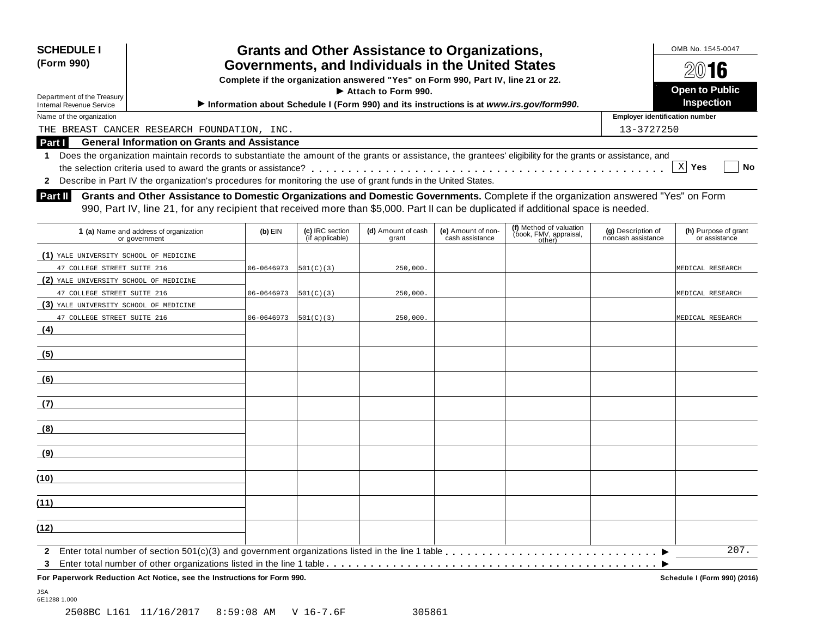| <b>SCHEDULE I</b><br>(Form 990)<br>Department of the Treasury |  | <b>Grants and Other Assistance to Organizations,</b><br>Governments, and Individuals in the United States<br>Complete if the organization answered "Yes" on Form 990, Part IV, line 21 or 22.<br>$\blacktriangleright$ Attach to Form 990.<br>Information about Schedule I (Form 990) and its instructions is at www.irs.gov/form990. |           |                 |                    |                    |                                                |                                       | OMB No. 1545-0047<br>2016<br><b>Open to Public</b><br><b>Inspection</b> |
|---------------------------------------------------------------|--|---------------------------------------------------------------------------------------------------------------------------------------------------------------------------------------------------------------------------------------------------------------------------------------------------------------------------------------|-----------|-----------------|--------------------|--------------------|------------------------------------------------|---------------------------------------|-------------------------------------------------------------------------|
| <b>Internal Revenue Service</b><br>Name of the organization   |  |                                                                                                                                                                                                                                                                                                                                       |           |                 |                    |                    |                                                | <b>Employer identification number</b> |                                                                         |
| THE                                                           |  | BREAST CANCER RESEARCH FOUNDATION, INC.                                                                                                                                                                                                                                                                                               |           |                 |                    |                    |                                                | 13-3727250                            |                                                                         |
| Part I                                                        |  | <b>General Information on Grants and Assistance</b>                                                                                                                                                                                                                                                                                   |           |                 |                    |                    |                                                |                                       |                                                                         |
|                                                               |  | Does the organization maintain records to substantiate the amount of the grants or assistance, the grantees' eligibility for the grants or assistance, and<br>Describe in Part IV the organization's procedures for monitoring the use of grant funds in the United States.                                                           |           |                 |                    |                    |                                                |                                       | $\mathbf X$<br><b>No</b><br>Yes                                         |
| <b>Part II</b>                                                |  | Grants and Other Assistance to Domestic Organizations and Domestic Governments. Complete if the organization answered "Yes" on Form<br>990, Part IV, line 21, for any recipient that received more than \$5,000. Part II can be duplicated if additional space is needed.                                                             |           |                 |                    |                    |                                                |                                       |                                                                         |
|                                                               |  | 1 (a) Name and address of organization                                                                                                                                                                                                                                                                                                | $(b)$ EIN | (c) IRC section | (d) Amount of cash | (e) Amount of non- | (f) Method of valuation<br>(book FMV appraisal | (g) Description of                    | (h) Purpose of grant                                                    |

| <b>i</b> (a) Name and address of organization<br>or government | (D) EIN    | (C) IRC SECTION<br>(if applicable) | <b>(u)</b> Alliount of Cash<br>grant | <b>(e)</b> Allioulit of Holl-<br>cash assistance | (book, FMV, appraisal,<br>other) | (g) Description of<br>noncash assistance | (ii) Purpose or grant<br>or assistance |
|----------------------------------------------------------------|------------|------------------------------------|--------------------------------------|--------------------------------------------------|----------------------------------|------------------------------------------|----------------------------------------|
| (1) YALE UNIVERSITY SCHOOL OF MEDICINE                         |            |                                    |                                      |                                                  |                                  |                                          |                                        |
| 47 COLLEGE STREET SUITE 216                                    | 06-0646973 | 501(C)(3)                          | 250,000.                             |                                                  |                                  |                                          | MEDICAL RESEARCH                       |
| (2) YALE UNIVERSITY SCHOOL OF MEDICINE                         |            |                                    |                                      |                                                  |                                  |                                          |                                        |
| 47 COLLEGE STREET SUITE 216                                    | 06-0646973 | 501(C)(3)                          | 250,000.                             |                                                  |                                  |                                          | MEDICAL RESEARCH                       |
| (3) YALE UNIVERSITY SCHOOL OF MEDICINE                         |            |                                    |                                      |                                                  |                                  |                                          |                                        |
| 47 COLLEGE STREET SUITE 216                                    | 06-0646973 | 501(C)(3)                          | 250,000.                             |                                                  |                                  |                                          | MEDICAL RESEARCH                       |
| (4)                                                            |            |                                    |                                      |                                                  |                                  |                                          |                                        |
|                                                                |            |                                    |                                      |                                                  |                                  |                                          |                                        |
| (5)                                                            |            |                                    |                                      |                                                  |                                  |                                          |                                        |
|                                                                |            |                                    |                                      |                                                  |                                  |                                          |                                        |
| (6)                                                            |            |                                    |                                      |                                                  |                                  |                                          |                                        |
| (7)                                                            |            |                                    |                                      |                                                  |                                  |                                          |                                        |
|                                                                |            |                                    |                                      |                                                  |                                  |                                          |                                        |
| (8)                                                            |            |                                    |                                      |                                                  |                                  |                                          |                                        |
|                                                                |            |                                    |                                      |                                                  |                                  |                                          |                                        |
| (9)                                                            |            |                                    |                                      |                                                  |                                  |                                          |                                        |
|                                                                |            |                                    |                                      |                                                  |                                  |                                          |                                        |
| (10)                                                           |            |                                    |                                      |                                                  |                                  |                                          |                                        |
|                                                                |            |                                    |                                      |                                                  |                                  |                                          |                                        |
| (11)                                                           |            |                                    |                                      |                                                  |                                  |                                          |                                        |
|                                                                |            |                                    |                                      |                                                  |                                  |                                          |                                        |
| (12)                                                           |            |                                    |                                      |                                                  |                                  |                                          |                                        |
|                                                                |            |                                    |                                      |                                                  |                                  |                                          | 207.                                   |
| $\overline{2}$                                                 |            |                                    |                                      |                                                  |                                  |                                          |                                        |
| $\mathbf{3}$                                                   |            |                                    |                                      |                                                  |                                  |                                          |                                        |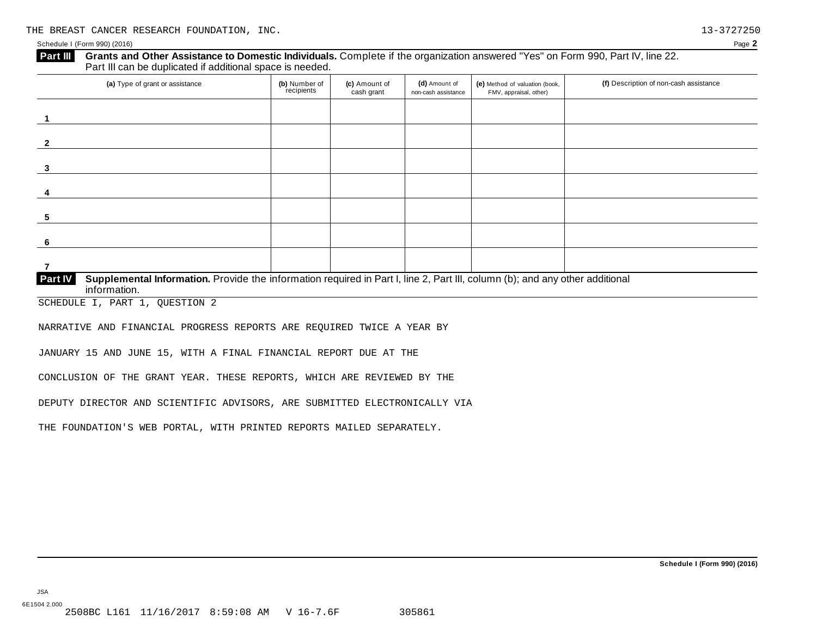#### **Grants and Other Assistance to Domestic Individuals.** Complete ifthe organization answered "Yes" on Form 990, Part IV, line 22. **Part III** Grants and Other Assistance to Domestic Individuals<br>Part III can be duplicated if additional space is needed.

| (a) Type of grant or assistance                                                                                                         | (b) Number of<br>recipients | (c) Amount of<br>cash grant | (d) Amount of<br>non-cash assistance | (e) Method of valuation (book,<br>FMV, appraisal, other) | (f) Description of non-cash assistance |
|-----------------------------------------------------------------------------------------------------------------------------------------|-----------------------------|-----------------------------|--------------------------------------|----------------------------------------------------------|----------------------------------------|
|                                                                                                                                         |                             |                             |                                      |                                                          |                                        |
|                                                                                                                                         |                             |                             |                                      |                                                          |                                        |
|                                                                                                                                         |                             |                             |                                      |                                                          |                                        |
| $\mathbf{2}$                                                                                                                            |                             |                             |                                      |                                                          |                                        |
|                                                                                                                                         |                             |                             |                                      |                                                          |                                        |
| 3                                                                                                                                       |                             |                             |                                      |                                                          |                                        |
|                                                                                                                                         |                             |                             |                                      |                                                          |                                        |
| 4                                                                                                                                       |                             |                             |                                      |                                                          |                                        |
|                                                                                                                                         |                             |                             |                                      |                                                          |                                        |
| 5                                                                                                                                       |                             |                             |                                      |                                                          |                                        |
|                                                                                                                                         |                             |                             |                                      |                                                          |                                        |
| -6                                                                                                                                      |                             |                             |                                      |                                                          |                                        |
|                                                                                                                                         |                             |                             |                                      |                                                          |                                        |
|                                                                                                                                         |                             |                             |                                      |                                                          |                                        |
| Part IV<br>Supplemental Information. Provide the information required in Part I, line 2, Part III, column (b); and any other additional |                             |                             |                                      |                                                          |                                        |

 $\overline{\text{information}}$ .

SCHEDULE I, PART 1, QUESTION 2

NARRATIVE AND FINANCIAL PROGRESS REPORTS ARE REQUIRED TWICE A YEAR BY

JANUARY 15 AND JUNE 15, WITH A FINAL FINANCIAL REPORT DUE AT THE

CONCLUSION OF THE GRANT YEAR. THESE REPORTS, WHICH ARE REVIEWED BY THE

DEPUTY DIRECTOR AND SCIENTIFIC ADVISORS, ARE SUBMITTED ELECTRONICALLY VIA

THE FOUNDATION'S WEB PORTAL, WITH PRINTED REPORTS MAILED SEPARATELY.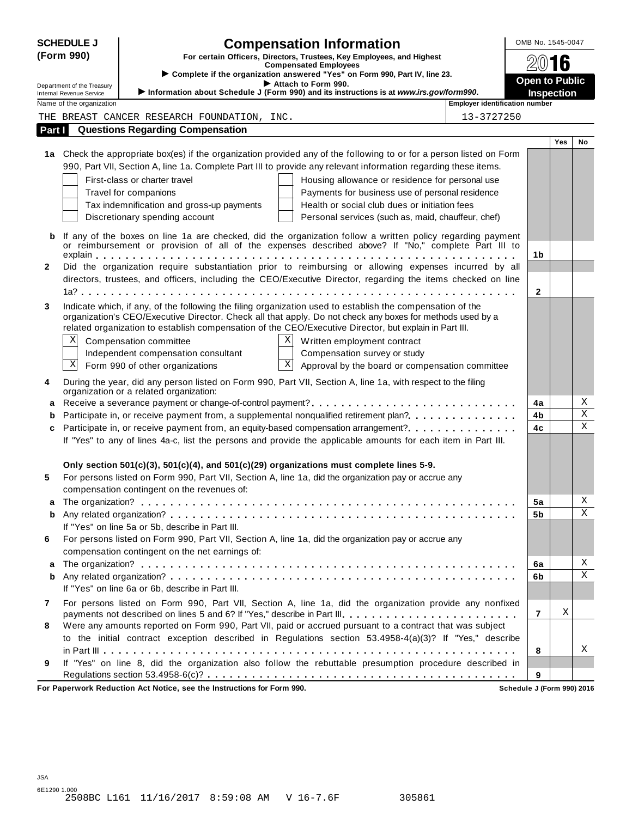|              | <b>SCHEDULE J</b>                                    |                                                                                                  | <b>Compensation Information</b>                                                                                                                                                                                   |                                       | OMB No. 1545-0047     |            |                         |
|--------------|------------------------------------------------------|--------------------------------------------------------------------------------------------------|-------------------------------------------------------------------------------------------------------------------------------------------------------------------------------------------------------------------|---------------------------------------|-----------------------|------------|-------------------------|
|              | (Form 990)                                           |                                                                                                  | For certain Officers, Directors, Trustees, Key Employees, and Highest                                                                                                                                             |                                       |                       | 6          |                         |
|              |                                                      |                                                                                                  | <b>Compensated Employees</b><br>Complete if the organization answered "Yes" on Form 990, Part IV, line 23.                                                                                                        |                                       |                       |            |                         |
|              | Department of the Treasury                           |                                                                                                  | Attach to Form 990.                                                                                                                                                                                               |                                       | <b>Open to Public</b> |            |                         |
|              | Internal Revenue Service<br>Name of the organization |                                                                                                  | Information about Schedule J (Form 990) and its instructions is at www.irs.gov/form990.                                                                                                                           | <b>Employer identification number</b> | <b>Inspection</b>     |            |                         |
|              |                                                      | THE BREAST CANCER RESEARCH FOUNDATION, INC.                                                      |                                                                                                                                                                                                                   | 13-3727250                            |                       |            |                         |
| Part I       |                                                      | <b>Questions Regarding Compensation</b>                                                          |                                                                                                                                                                                                                   |                                       |                       |            |                         |
|              |                                                      |                                                                                                  |                                                                                                                                                                                                                   |                                       |                       | <b>Yes</b> | No                      |
|              |                                                      |                                                                                                  | 1a Check the appropriate box(es) if the organization provided any of the following to or for a person listed on Form                                                                                              |                                       |                       |            |                         |
|              |                                                      |                                                                                                  | 990, Part VII, Section A, line 1a. Complete Part III to provide any relevant information regarding these items.                                                                                                   |                                       |                       |            |                         |
|              |                                                      | First-class or charter travel                                                                    | Housing allowance or residence for personal use                                                                                                                                                                   |                                       |                       |            |                         |
|              |                                                      | Travel for companions                                                                            | Payments for business use of personal residence                                                                                                                                                                   |                                       |                       |            |                         |
|              |                                                      | Tax indemnification and gross-up payments                                                        | Health or social club dues or initiation fees                                                                                                                                                                     |                                       |                       |            |                         |
|              |                                                      | Discretionary spending account                                                                   | Personal services (such as, maid, chauffeur, chef)                                                                                                                                                                |                                       |                       |            |                         |
|              |                                                      |                                                                                                  |                                                                                                                                                                                                                   |                                       |                       |            |                         |
| b            |                                                      |                                                                                                  | If any of the boxes on line 1a are checked, did the organization follow a written policy regarding payment<br>or reimbursement or provision of all of the expenses described above? If "No," complete Part III to |                                       |                       |            |                         |
|              |                                                      |                                                                                                  |                                                                                                                                                                                                                   |                                       | 1 <sub>b</sub>        |            |                         |
| $\mathbf{2}$ |                                                      |                                                                                                  | Did the organization require substantiation prior to reimbursing or allowing expenses incurred by all                                                                                                             |                                       |                       |            |                         |
|              |                                                      |                                                                                                  | directors, trustees, and officers, including the CEO/Executive Director, regarding the items checked on line                                                                                                      |                                       |                       |            |                         |
|              |                                                      |                                                                                                  |                                                                                                                                                                                                                   |                                       | $\mathbf{2}$          |            |                         |
| 3            |                                                      |                                                                                                  | Indicate which, if any, of the following the filing organization used to establish the compensation of the                                                                                                        |                                       |                       |            |                         |
|              |                                                      |                                                                                                  | organization's CEO/Executive Director. Check all that apply. Do not check any boxes for methods used by a                                                                                                         |                                       |                       |            |                         |
|              |                                                      |                                                                                                  | related organization to establish compensation of the CEO/Executive Director, but explain in Part III.                                                                                                            |                                       |                       |            |                         |
|              | Χ                                                    | Compensation committee                                                                           | ΧJ<br>Written employment contract                                                                                                                                                                                 |                                       |                       |            |                         |
|              |                                                      | Independent compensation consultant                                                              | Compensation survey or study                                                                                                                                                                                      |                                       |                       |            |                         |
|              | $\mathbf X$                                          | Form 990 of other organizations                                                                  | $\mathbf X$<br>Approval by the board or compensation committee                                                                                                                                                    |                                       |                       |            |                         |
| 4            |                                                      |                                                                                                  | During the year, did any person listed on Form 990, Part VII, Section A, line 1a, with respect to the filing                                                                                                      |                                       |                       |            |                         |
|              |                                                      | organization or a related organization:                                                          |                                                                                                                                                                                                                   |                                       |                       |            |                         |
| а            |                                                      |                                                                                                  |                                                                                                                                                                                                                   |                                       | 4a                    |            | Χ                       |
| b            |                                                      |                                                                                                  | Participate in, or receive payment from, a supplemental nonqualified retirement plan?.                                                                                                                            |                                       | 4b                    |            | $\overline{\mathbf{x}}$ |
| c            |                                                      |                                                                                                  | Participate in, or receive payment from, an equity-based compensation arrangement?                                                                                                                                |                                       | 4c                    |            | $\mathbf X$             |
|              |                                                      |                                                                                                  | If "Yes" to any of lines 4a-c, list the persons and provide the applicable amounts for each item in Part III.                                                                                                     |                                       |                       |            |                         |
|              |                                                      |                                                                                                  |                                                                                                                                                                                                                   |                                       |                       |            |                         |
|              |                                                      | Only section $501(c)(3)$ , $501(c)(4)$ , and $501(c)(29)$ organizations must complete lines 5-9. |                                                                                                                                                                                                                   |                                       |                       |            |                         |
| 5            |                                                      |                                                                                                  | For persons listed on Form 990, Part VII, Section A, line 1a, did the organization pay or accrue any                                                                                                              |                                       |                       |            |                         |
|              |                                                      | compensation contingent on the revenues of:                                                      |                                                                                                                                                                                                                   |                                       |                       |            |                         |
| а            |                                                      |                                                                                                  |                                                                                                                                                                                                                   |                                       | 5a                    |            | Χ<br>X                  |
| b            |                                                      |                                                                                                  |                                                                                                                                                                                                                   |                                       | 5b                    |            |                         |
|              |                                                      | If "Yes" on line 5a or 5b, describe in Part III.                                                 |                                                                                                                                                                                                                   |                                       |                       |            |                         |
| 6            |                                                      | compensation contingent on the net earnings of:                                                  | For persons listed on Form 990, Part VII, Section A, line 1a, did the organization pay or accrue any                                                                                                              |                                       |                       |            |                         |
|              |                                                      |                                                                                                  |                                                                                                                                                                                                                   |                                       | 6a                    |            | Χ                       |
| а<br>b       |                                                      |                                                                                                  |                                                                                                                                                                                                                   |                                       | 6b                    |            | X                       |
|              |                                                      | If "Yes" on line 6a or 6b, describe in Part III.                                                 |                                                                                                                                                                                                                   |                                       |                       |            |                         |
| 7            |                                                      |                                                                                                  | For persons listed on Form 990, Part VII, Section A, line 1a, did the organization provide any nonfixed                                                                                                           |                                       |                       |            |                         |
|              |                                                      |                                                                                                  | payments not described on lines 5 and 6? If "Yes," describe in Part III.                                                                                                                                          |                                       | 7                     | Χ          |                         |
| 8            |                                                      |                                                                                                  | Were any amounts reported on Form 990, Part VII, paid or accrued pursuant to a contract that was subject                                                                                                          |                                       |                       |            |                         |
|              |                                                      |                                                                                                  | to the initial contract exception described in Regulations section 53.4958-4(a)(3)? If "Yes," describe                                                                                                            |                                       |                       |            |                         |
|              |                                                      |                                                                                                  |                                                                                                                                                                                                                   |                                       | 8                     |            | Χ                       |
| 9            |                                                      |                                                                                                  | If "Yes" on line 8, did the organization also follow the rebuttable presumption procedure described in                                                                                                            |                                       |                       |            |                         |
|              |                                                      |                                                                                                  |                                                                                                                                                                                                                   |                                       | 9                     |            |                         |
|              |                                                      | For Paperwork Reduction Act Notice, see the Instructions for Form 990.                           |                                                                                                                                                                                                                   | Schedule J (Form 990) 2016            |                       |            |                         |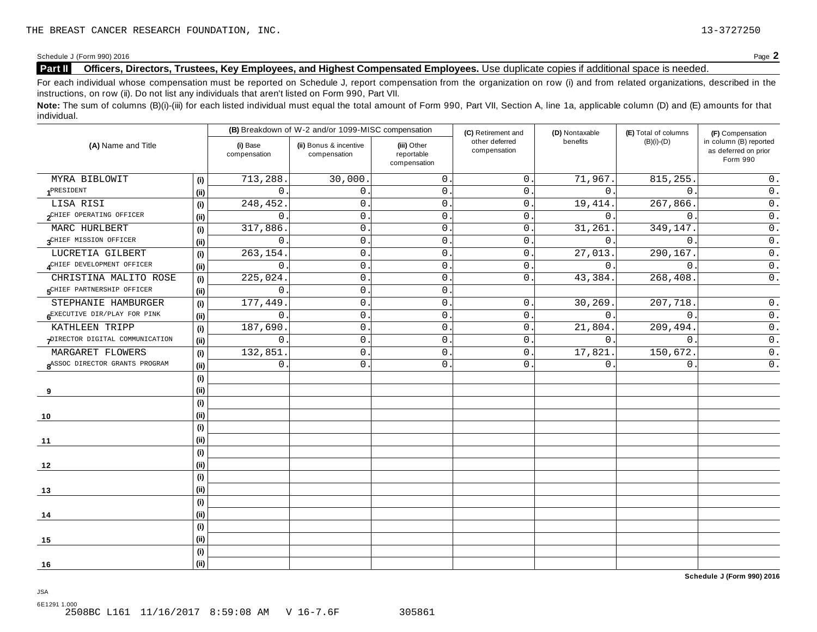Schedule <sup>J</sup> (Form 990) <sup>2016</sup> Page **2**

#### **Part II Officers, Directors, Trustees, Key Employees, and Highest Compensated Employees.** Use duplicate copies ifadditional space is needed.

For each individual whose compensation must be reported on Schedule J, report compensation from the organization on row (i) and from related organizations, described in the instructions, on row (ii). Do not list any individuals that aren't listed on Form 990, Part VII.

Note: The sum of columns (B)(i)-(iii) for each listed individual must equal the total amount of Form 990, Part VII, Section A, line 1a, applicable column (D) and (E) amounts for that individual.

| (A) Name and Title                  |      |                          | (B) Breakdown of W-2 and/or 1099-MISC compensation |                                           | (C) Retirement and             | (D) Nontaxable | (E) Total of columns | (F) Compensation                                           |
|-------------------------------------|------|--------------------------|----------------------------------------------------|-------------------------------------------|--------------------------------|----------------|----------------------|------------------------------------------------------------|
|                                     |      | (i) Base<br>compensation | (ii) Bonus & incentive<br>compensation             | (iii) Other<br>reportable<br>compensation | other deferred<br>compensation | benefits       | $(B)(i)-(D)$         | in column (B) reported<br>as deferred on prior<br>Form 990 |
| MYRA BIBLOWIT                       | (i)  | 713,288.                 | 30,000.                                            | 0.                                        | $\mathbf 0$                    | 71,967.        | 815, 255.            | 0.                                                         |
| 1PRESIDENT                          | (ii) | $\Omega$                 | 0.                                                 | 0.                                        | $\mathbf{0}$ .                 | 0.             | $\Omega$             | $\overline{0}$ .                                           |
| LISA RISI                           | (i)  | 248,452                  | 0.                                                 | $\mathsf{0}$ .                            | $\mathsf{0}$ .                 | 19,414.        | 267,866.             | $\overline{0}$ .                                           |
| 2CHIEF OPERATING OFFICER            | (ii) | $\mathbf 0$              | 0.                                                 | $\mathsf{0}$ .                            | $\mathbf 0$ .                  | 0.             | $\mathbf{0}$         | $\mathsf{0}$ .                                             |
| MARC HURLBERT                       | (i)  | 317,886.                 | $0$ .                                              | $\mathbf{0}$ .                            | $\mathbf 0$                    | 31,261.        | 349, 147.            | $\overline{0}$ .                                           |
| 3CHIEF MISSION OFFICER              | (ii) | $\mathbf{0}$             | 0.                                                 | $\mathsf{0}$ .                            | $\mathbf 0$                    | 0.             | $\mathbf{0}$         | $\overline{0}$ .                                           |
| LUCRETIA GILBERT                    | (i)  | 263,154.                 | $\mathsf{O}$ .                                     | 0.                                        | 0                              | 27,013.        | 290,167.             | $\mathfrak o$ .                                            |
| CHIEF DEVELOPMENT OFFICER           | (i)  | $\mathbf 0$              | $\boldsymbol{0}$ .                                 | 0.                                        | $\mathbf 0$ .                  | $0$ .          | 0.                   | $\overline{0}$ .                                           |
| CHRISTINA MALITO ROSE               | (i)  | 225,024.                 | $\mathsf O$ .                                      | $\overline{0}$ .                          | 0                              | 43,384.        | 268,408.             | $\overline{0}$ .                                           |
| CHIEF PARTNERSHIP OFFICER           | (ii) | $\mathbf{0}$             | $\overline{0}$ .                                   | $\mathsf{0}$ .                            |                                |                |                      |                                                            |
| STEPHANIE HAMBURGER                 | (i)  | 177,449.                 | 0.                                                 | $\mathsf{0}$ .                            | 0                              | 30,269.        | 207,718.             | $0$ .                                                      |
| <b>GEXECUTIVE DIR/PLAY FOR PINK</b> | (ii) | 0                        | $0$ .                                              | $\mathsf{O}\,$ .                          | 0                              | $0$ .          | $\mathbf 0$          | $\overline{0}$ .                                           |
| KATHLEEN TRIPP                      | (i)  | 187,690                  | 0.                                                 | 0.                                        | 0                              | 21,804.        | 209,494.             | $\overline{0}$ .                                           |
| PIRECTOR DIGITAL COMMUNICATION      | (i)  | $\Omega$                 | $\mathbf 0$                                        | 0.                                        | $\mathbf 0$                    | 0.             | $\Omega$             | $\overline{0}$ .                                           |
| MARGARET FLOWERS                    | (i)  | 132,851                  | $\boldsymbol{0}$ .                                 | 0.                                        | 0.                             | 17,821.        | 150,672.             | $0$ .                                                      |
| 8ASSOC DIRECTOR GRANTS PROGRAM      | (ii) | $\mathbf 0$              | 0.                                                 | 0.                                        | $\mathbf 0$ .                  | 0.             | $\mathbf{0}$         | $0$ .                                                      |
|                                     | (i)  |                          |                                                    |                                           |                                |                |                      |                                                            |
| 9                                   | (ii) |                          |                                                    |                                           |                                |                |                      |                                                            |
|                                     | (i)  |                          |                                                    |                                           |                                |                |                      |                                                            |
| 10                                  | (ii) |                          |                                                    |                                           |                                |                |                      |                                                            |
|                                     | (i)  |                          |                                                    |                                           |                                |                |                      |                                                            |
| 11                                  | (ii) |                          |                                                    |                                           |                                |                |                      |                                                            |
|                                     | (i)  |                          |                                                    |                                           |                                |                |                      |                                                            |
| 12                                  | (ii) |                          |                                                    |                                           |                                |                |                      |                                                            |
|                                     | (i)  |                          |                                                    |                                           |                                |                |                      |                                                            |
| 13                                  | (ii) |                          |                                                    |                                           |                                |                |                      |                                                            |
|                                     | (i)  |                          |                                                    |                                           |                                |                |                      |                                                            |
| 14                                  | (ii) |                          |                                                    |                                           |                                |                |                      |                                                            |
|                                     | (i)  |                          |                                                    |                                           |                                |                |                      |                                                            |
| 15                                  | (ii) |                          |                                                    |                                           |                                |                |                      |                                                            |
|                                     | (i)  |                          |                                                    |                                           |                                |                |                      |                                                            |
| 16                                  | (ii) |                          |                                                    |                                           |                                |                |                      |                                                            |

**Schedule J (Form 990) 2016**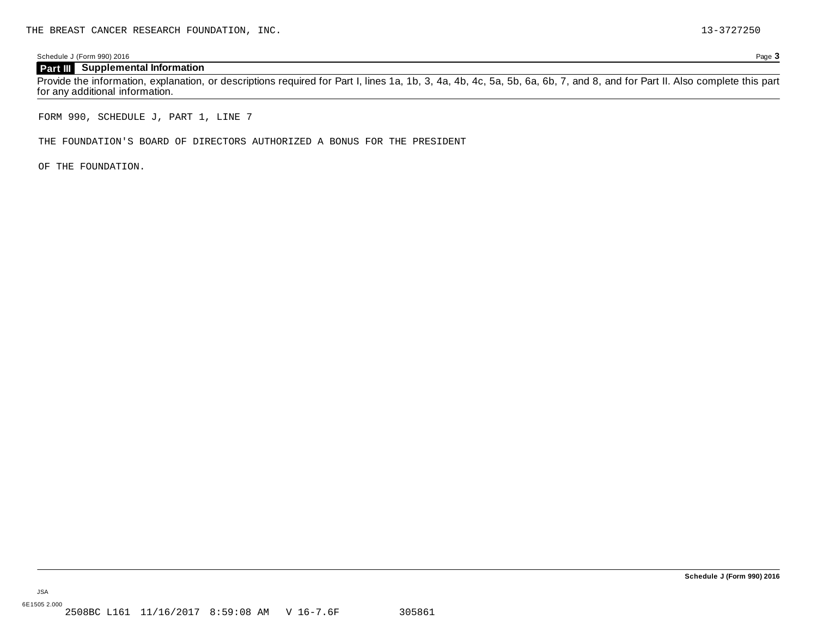Schedule J (Form 990) 2016 Page **3**

### **Part III Supplemental Information**

Provide the information, explanation, or descriptions required for Part I, lines 1a, 1b, 3, 4a, 4b, 4c, 5a, 5b, 6a, 6b, 7, and 8, and for Part II. Also complete this part for any additional information.

FORM 990, SCHEDULE J, PART 1, LINE 7

THE FOUNDATION'S BOARD OF DIRECTORS AUTHORIZED A BONUS FOR THE PRESIDENT

OF THE FOUNDATION.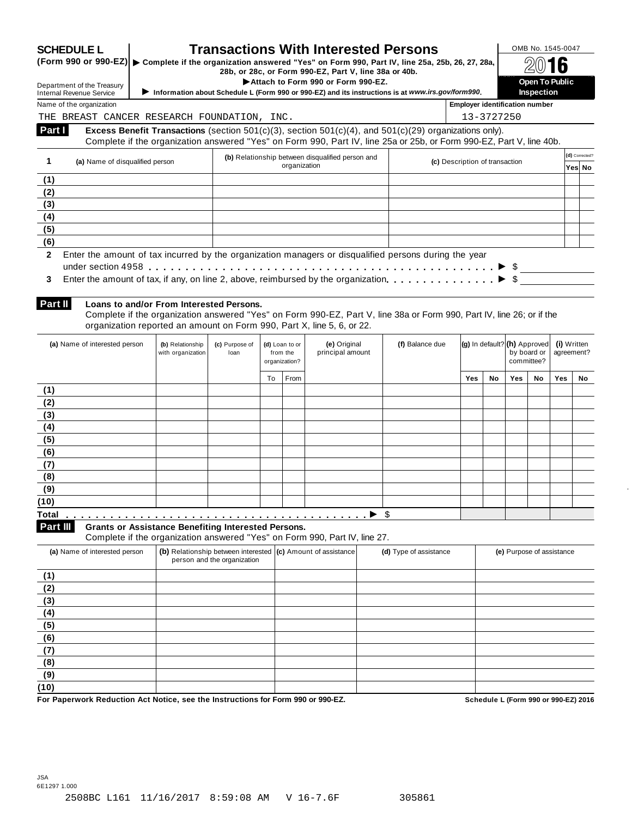| (Form 990 or 990-EZ)<br>Department of the Treasury                                                                                                     |                                       |                                                                                             |                                             | Complete if the organization answered "Yes" on Form 990, Part IV, line 25a, 25b, 26, 27, 28a,<br>28b, or 28c, or Form 990-EZ, Part V, line 38a or 40b.<br>Attach to Form 990 or Form 990-EZ.<br>Information about Schedule L (Form 990 or 990-EZ) and its instructions is at www.irs.gov/form990. | <b>Transactions With Interested Persons</b> |                                       |                                                           |     | <b>Open To Public</b><br><b>Inspection</b> | OMB No. 1545-0047 |                           |
|--------------------------------------------------------------------------------------------------------------------------------------------------------|---------------------------------------|---------------------------------------------------------------------------------------------|---------------------------------------------|---------------------------------------------------------------------------------------------------------------------------------------------------------------------------------------------------------------------------------------------------------------------------------------------------|---------------------------------------------|---------------------------------------|-----------------------------------------------------------|-----|--------------------------------------------|-------------------|---------------------------|
| <b>Internal Revenue Service</b><br>Name of the organization                                                                                            |                                       |                                                                                             |                                             |                                                                                                                                                                                                                                                                                                   |                                             | <b>Employer identification number</b> |                                                           |     |                                            |                   |                           |
| THE BREAST CANCER RESEARCH FOUNDATION, INC.                                                                                                            |                                       |                                                                                             |                                             |                                                                                                                                                                                                                                                                                                   |                                             | 13-3727250                            |                                                           |     |                                            |                   |                           |
| Part I                                                                                                                                                 |                                       |                                                                                             |                                             | Excess Benefit Transactions (section 501(c)(3), section 501(c)(4), and 501(c)(29) organizations only).                                                                                                                                                                                            |                                             |                                       |                                                           |     |                                            |                   |                           |
|                                                                                                                                                        |                                       |                                                                                             |                                             | Complete if the organization answered "Yes" on Form 990, Part IV, line 25a or 25b, or Form 990-EZ, Part V, line 40b.                                                                                                                                                                              |                                             |                                       |                                                           |     |                                            |                   |                           |
| 1<br>(a) Name of disqualified person                                                                                                                   |                                       |                                                                                             | organization                                | (b) Relationship between disqualified person and                                                                                                                                                                                                                                                  |                                             | (c) Description of transaction        |                                                           |     |                                            |                   | (d) Corrected?<br>Yes∣ No |
| (1)                                                                                                                                                    |                                       |                                                                                             |                                             |                                                                                                                                                                                                                                                                                                   |                                             |                                       |                                                           |     |                                            |                   |                           |
| (2)                                                                                                                                                    |                                       |                                                                                             |                                             |                                                                                                                                                                                                                                                                                                   |                                             |                                       |                                                           |     |                                            |                   |                           |
| (3)                                                                                                                                                    |                                       |                                                                                             |                                             |                                                                                                                                                                                                                                                                                                   |                                             |                                       |                                                           |     |                                            |                   |                           |
| (4)                                                                                                                                                    |                                       |                                                                                             |                                             |                                                                                                                                                                                                                                                                                                   |                                             |                                       |                                                           |     |                                            |                   |                           |
| (5)                                                                                                                                                    |                                       |                                                                                             |                                             |                                                                                                                                                                                                                                                                                                   |                                             |                                       |                                                           |     |                                            |                   |                           |
| (6)<br>Enter the amount of tax incurred by the organization managers or disqualified persons during the year<br>$\mathbf{2}$                           |                                       |                                                                                             |                                             |                                                                                                                                                                                                                                                                                                   |                                             |                                       |                                                           |     |                                            |                   |                           |
| Enter the amount of tax, if any, on line 2, above, reimbursed by the organization<br>3<br>Part II<br>Loans to and/or From Interested Persons.          |                                       |                                                                                             |                                             | Complete if the organization answered "Yes" on Form 990-EZ, Part V, line 38a or Form 990, Part IV, line 26; or if the                                                                                                                                                                             |                                             |                                       |                                                           |     |                                            |                   |                           |
|                                                                                                                                                        |                                       |                                                                                             |                                             | organization reported an amount on Form 990, Part X, line 5, 6, or 22.                                                                                                                                                                                                                            |                                             |                                       |                                                           |     |                                            |                   |                           |
| (a) Name of interested person                                                                                                                          | (b) Relationship<br>with organization | (c) Purpose of<br>loan                                                                      | (d) Loan to or<br>from the<br>organization? | (e) Original<br>principal amount                                                                                                                                                                                                                                                                  | (f) Balance due                             |                                       | (g) In default? (h) Approved<br>by board or<br>committee? |     | (i) Written<br>agreement?                  |                   |                           |
|                                                                                                                                                        |                                       |                                                                                             |                                             |                                                                                                                                                                                                                                                                                                   |                                             |                                       |                                                           |     |                                            |                   |                           |
|                                                                                                                                                        |                                       |                                                                                             | To<br>From                                  |                                                                                                                                                                                                                                                                                                   |                                             | <b>Yes</b>                            | No                                                        | Yes | No                                         | Yes               | No.                       |
|                                                                                                                                                        |                                       |                                                                                             |                                             |                                                                                                                                                                                                                                                                                                   |                                             |                                       |                                                           |     |                                            |                   |                           |
|                                                                                                                                                        |                                       |                                                                                             |                                             |                                                                                                                                                                                                                                                                                                   |                                             |                                       |                                                           |     |                                            |                   |                           |
|                                                                                                                                                        |                                       |                                                                                             |                                             |                                                                                                                                                                                                                                                                                                   |                                             |                                       |                                                           |     |                                            |                   |                           |
|                                                                                                                                                        |                                       |                                                                                             |                                             |                                                                                                                                                                                                                                                                                                   |                                             |                                       |                                                           |     |                                            |                   |                           |
|                                                                                                                                                        |                                       |                                                                                             |                                             |                                                                                                                                                                                                                                                                                                   |                                             |                                       |                                                           |     |                                            |                   |                           |
|                                                                                                                                                        |                                       |                                                                                             |                                             |                                                                                                                                                                                                                                                                                                   |                                             |                                       |                                                           |     |                                            |                   |                           |
|                                                                                                                                                        |                                       |                                                                                             |                                             |                                                                                                                                                                                                                                                                                                   |                                             |                                       |                                                           |     |                                            |                   |                           |
|                                                                                                                                                        |                                       |                                                                                             |                                             |                                                                                                                                                                                                                                                                                                   |                                             |                                       |                                                           |     |                                            |                   |                           |
|                                                                                                                                                        |                                       |                                                                                             |                                             |                                                                                                                                                                                                                                                                                                   |                                             |                                       |                                                           |     |                                            |                   |                           |
|                                                                                                                                                        |                                       |                                                                                             |                                             |                                                                                                                                                                                                                                                                                                   |                                             |                                       |                                                           |     |                                            |                   |                           |
| (1)<br>(2)<br>(3)<br>(4)<br>(5)<br>(6)<br>(7)<br>(8)<br>(9)<br>(10)<br>Total<br>Part III<br><b>Grants or Assistance Benefiting Interested Persons.</b> |                                       |                                                                                             |                                             |                                                                                                                                                                                                                                                                                                   | - \$                                        |                                       |                                                           |     |                                            |                   |                           |
|                                                                                                                                                        |                                       | (b) Relationship between interested (c) Amount of assistance<br>person and the organization |                                             | Complete if the organization answered "Yes" on Form 990, Part IV, line 27.                                                                                                                                                                                                                        | (d) Type of assistance                      |                                       |                                                           |     | (e) Purpose of assistance                  |                   |                           |
|                                                                                                                                                        |                                       |                                                                                             |                                             |                                                                                                                                                                                                                                                                                                   |                                             |                                       |                                                           |     |                                            |                   |                           |
|                                                                                                                                                        |                                       |                                                                                             |                                             |                                                                                                                                                                                                                                                                                                   |                                             |                                       |                                                           |     |                                            |                   |                           |
|                                                                                                                                                        |                                       |                                                                                             |                                             |                                                                                                                                                                                                                                                                                                   |                                             |                                       |                                                           |     |                                            |                   |                           |
|                                                                                                                                                        |                                       |                                                                                             |                                             |                                                                                                                                                                                                                                                                                                   |                                             |                                       |                                                           |     |                                            |                   |                           |
|                                                                                                                                                        |                                       |                                                                                             |                                             |                                                                                                                                                                                                                                                                                                   |                                             |                                       |                                                           |     |                                            |                   |                           |
|                                                                                                                                                        |                                       |                                                                                             |                                             |                                                                                                                                                                                                                                                                                                   |                                             |                                       |                                                           |     |                                            |                   |                           |
|                                                                                                                                                        |                                       |                                                                                             |                                             |                                                                                                                                                                                                                                                                                                   |                                             |                                       |                                                           |     |                                            |                   |                           |
| (a) Name of interested person<br>(1)<br>(2)<br>(3)<br>(4)<br>(5)<br>(6)<br>(7)<br>(8)                                                                  |                                       |                                                                                             |                                             |                                                                                                                                                                                                                                                                                                   |                                             |                                       |                                                           |     |                                            |                   |                           |
| (9)                                                                                                                                                    |                                       |                                                                                             |                                             |                                                                                                                                                                                                                                                                                                   |                                             |                                       |                                                           |     |                                            |                   |                           |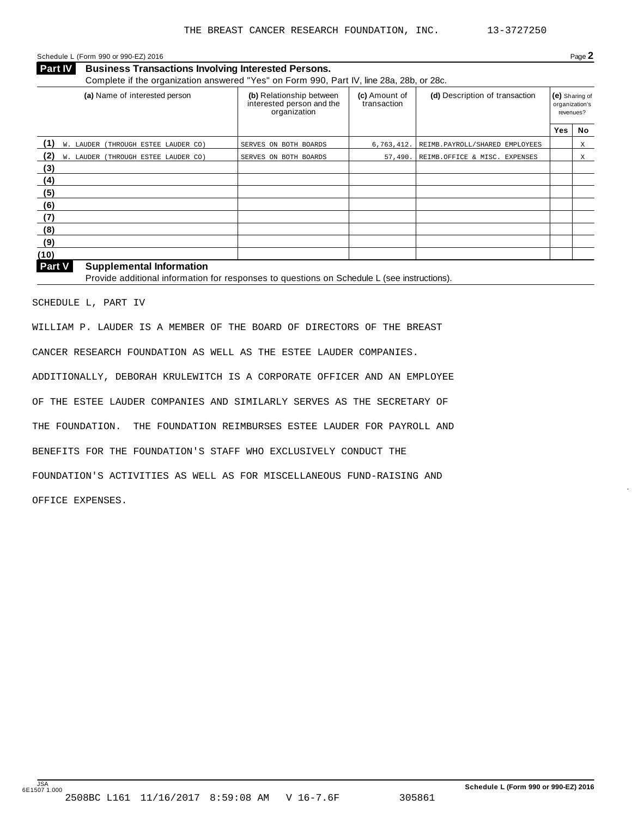#### Schedule <sup>L</sup> (Form <sup>990</sup> or 990-EZ) <sup>2016</sup> Page **2**

**Business Transactions Involving Interested Persons. Part IV** Business Transactions Involving Interested Persons.<br>Complete if the organization answered "Yes" on Form 990, Part IV, line 28a, 28b, or 28c.

| (a) Name of interested person                   | (b) Relationship between<br>interested person and the<br>organization | (c) Amount of<br>transaction | (d) Description of transaction | revenues?  | (e) Sharing of<br>organization's |
|-------------------------------------------------|-----------------------------------------------------------------------|------------------------------|--------------------------------|------------|----------------------------------|
|                                                 |                                                                       |                              |                                | <b>Yes</b> | No                               |
| (1)<br>W. LAUDER (THROUGH ESTEE LAUDER CO)      | SERVES ON BOTH BOARDS                                                 | 6, 763, 412.                 | REIMB.PAYROLL/SHARED EMPLOYEES |            | Χ                                |
| (2)<br>W. LAUDER (THROUGH ESTEE LAUDER CO)      | SERVES ON BOTH BOARDS                                                 | 57,490.                      | REIMB.OFFICE & MISC. EXPENSES  |            | X                                |
| (3)                                             |                                                                       |                              |                                |            |                                  |
| (4)                                             |                                                                       |                              |                                |            |                                  |
| (5)                                             |                                                                       |                              |                                |            |                                  |
| (6)                                             |                                                                       |                              |                                |            |                                  |
| (7)                                             |                                                                       |                              |                                |            |                                  |
| (8)                                             |                                                                       |                              |                                |            |                                  |
| (9)                                             |                                                                       |                              |                                |            |                                  |
| (10)                                            |                                                                       |                              |                                |            |                                  |
| $D = 4M$<br>Original and a metal distance at an |                                                                       |                              |                                |            |                                  |

#### **Supplemental Information**

**PRILAV** Supplemental Information<br>Provide additional information for responses to questions on Schedule L (see instructions).

SCHEDULE L, PART IV

WILLIAM P. LAUDER IS A MEMBER OF THE BOARD OF DIRECTORS OF THE BREAST CANCER RESEARCH FOUNDATION AS WELL AS THE ESTEE LAUDER COMPANIES. ADDITIONALLY, DEBORAH KRULEWITCH IS A CORPORATE OFFICER AND AN EMPLOYEE OF THE ESTEE LAUDER COMPANIES AND SIMILARLY SERVES AS THE SECRETARY OF THE FOUNDATION. THE FOUNDATION REIMBURSES ESTEE LAUDER FOR PAYROLL AND BENEFITS FOR THE FOUNDATION'S STAFF WHO EXCLUSIVELY CONDUCT THE FOUNDATION'S ACTIVITIES AS WELL AS FOR MISCELLANEOUS FUND-RAISING AND OFFICE EXPENSES.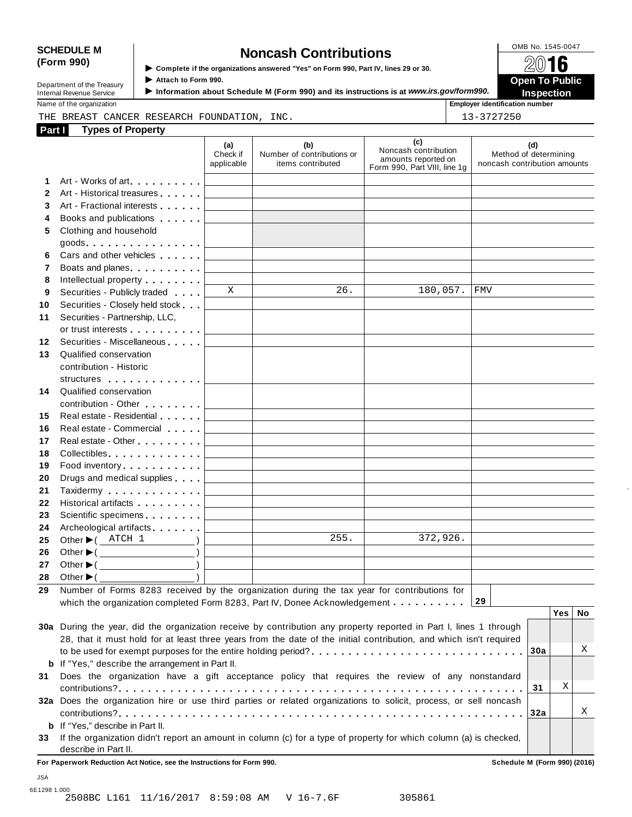# SCHEDULE M
<br> **SCHEDULE** M **S** Complete if the organizations answered "Yes" on Form 990, Part IV, lines 29 or 30.
<br>
2016

|            | NUNGSH OONN INGHUNG                                                                |         |
|------------|------------------------------------------------------------------------------------|---------|
| (Form 990) | Complete if the organizations answered "Yes" on Form 990, Part IV, lines 29 or 30. | $20$ 16 |
|            |                                                                                    |         |

I ► Complete if the organizations answered "Yes" on Form 990, Part IV, lines 29 or 30.<br>Department of the Treasury Attach to Form 990.<br>Department of the Treasury **Department of the Treasury Attach to Form 990.** Internal Revenue Service I**Information about Schedule <sup>M</sup> (Form 990) and its instructions is at** *www.irs.gov/form990.* **Inspection**

Name of the organization **intervalse and the organization intervalse and the organization number intervalse and the organization number** 

| <b>Death Types of Dreparty</b> |  |                                             |            |
|--------------------------------|--|---------------------------------------------|------------|
|                                |  | THE BREAST CANCER RESEARCH FOUNDATION, INC. | 13-3727250 |

| Part I         | <b>Types of Property</b>                                                                                                                                                                                                         |                                   |                                                                                                                        |                                                                                    |                                                              |
|----------------|----------------------------------------------------------------------------------------------------------------------------------------------------------------------------------------------------------------------------------|-----------------------------------|------------------------------------------------------------------------------------------------------------------------|------------------------------------------------------------------------------------|--------------------------------------------------------------|
|                |                                                                                                                                                                                                                                  | (a)<br>Check if<br>applicable     | (b)<br>Number of contributions or<br>items contributed                                                                 | (c)<br>Noncash contribution<br>amounts reported on<br>Form 990, Part VIII, line 1g | (d)<br>Method of determining<br>noncash contribution amounts |
| 1              | Art - Works of art<br>1990 - Part Barry Barry Barry Barry Barry Barry Barry Barry Barry Barry Barry Barry Barry Barry Barry Barry Barry Barry Barry Barry Barry Barry Barry Barry Barry Barry Barry Barry Barry Barry Barry Barr |                                   | the control of the control of the control of the control of the control of                                             |                                                                                    |                                                              |
| $\mathbf{2}$   | Art - Historical treasures                                                                                                                                                                                                       |                                   | the control of the control of the control of the control of the control of                                             |                                                                                    |                                                              |
| 3              | Art - Fractional interests                                                                                                                                                                                                       | <b>Contract Contract Contract</b> | the control of the control of the control of the control of the control of                                             |                                                                                    |                                                              |
| 4              | Books and publications <b>Solutions</b>                                                                                                                                                                                          |                                   |                                                                                                                        |                                                                                    |                                                              |
| 5              | Clothing and household                                                                                                                                                                                                           |                                   |                                                                                                                        |                                                                                    |                                                              |
|                |                                                                                                                                                                                                                                  |                                   |                                                                                                                        |                                                                                    |                                                              |
| 6              | Cars and other vehicles <b>can be a structured</b>                                                                                                                                                                               |                                   |                                                                                                                        |                                                                                    |                                                              |
| $\overline{7}$ | Boats and planes experience in the set of the set of the set of the set of the set of the set of the set of the set of the set of the set of the set of the set of the set of the set of the set of the set of the set of the    |                                   | <u> 1989 - Johann John Stein, markin film yn y brening yn y brening yn y brening yn y brening yn y brening yn y b</u>  | the control of the control of the control of the control of the control of         |                                                              |
| 8              | Intellectual property <b>Algebra</b>                                                                                                                                                                                             | <b>Contract Contract Contract</b> | <u> 1989 - Johann Barn, mars ann an t-Amhain an t-Amhain an t-Amhain an t-Amhain an t-Amhain an t-Amhain an t-A</u>    | the control of the control of the control of the control of the control of         |                                                              |
| 9              | Securities - Publicly traded                                                                                                                                                                                                     | $\mathbf X$                       | 26.                                                                                                                    | $\overline{180}$ , 057.                                                            | FMV                                                          |
| 10             | Securities - Closely held stock                                                                                                                                                                                                  |                                   |                                                                                                                        |                                                                                    |                                                              |
| 11             | Securities - Partnership, LLC,                                                                                                                                                                                                   |                                   |                                                                                                                        |                                                                                    |                                                              |
|                |                                                                                                                                                                                                                                  |                                   |                                                                                                                        |                                                                                    |                                                              |
|                | or trust interests [100]                                                                                                                                                                                                         |                                   |                                                                                                                        |                                                                                    |                                                              |
| 12             | Securities - Miscellaneous                                                                                                                                                                                                       |                                   |                                                                                                                        |                                                                                    |                                                              |
| 13             | Qualified conservation                                                                                                                                                                                                           |                                   |                                                                                                                        |                                                                                    |                                                              |
|                | contribution - Historic                                                                                                                                                                                                          |                                   |                                                                                                                        |                                                                                    |                                                              |
|                | structures                                                                                                                                                                                                                       |                                   |                                                                                                                        |                                                                                    |                                                              |
| 14             | Qualified conservation                                                                                                                                                                                                           |                                   |                                                                                                                        |                                                                                    |                                                              |
|                | contribution - Other [19]                                                                                                                                                                                                        |                                   | <u> 1989 - John Harry Harry Harry Harry Harry Harry Harry Harry Harry Harry Harry Harry Harry Harry Harry Harry</u>    |                                                                                    |                                                              |
| 15             | Real estate - Residential                                                                                                                                                                                                        |                                   | <u> 1989 - Johann John Stein, markin film ar yn y brenin y brenin y brenin y brenin y brenin y brenin y brenin y</u>   | the control of the control of the control of the control of the control of         |                                                              |
| 16             | Real estate - Commercial                                                                                                                                                                                                         |                                   | <u> 1989 - John Harry Harry Harry Harry Harry Harry Harry Harry Harry Harry Harry Harry Harry Harry Harry Harry H</u>  | the control of the control of the control of the control of the control of         |                                                              |
| 17             | Real estate - Other <b>All and The Real estate</b> - Other                                                                                                                                                                       |                                   | <u> 1989 - Johann John Stone, mars et al. 1989 - John Stone, mars et al. 1989 - John Stone, mars et al. 1989 - Joh</u> | the control of the control of the control of the control of the control of         |                                                              |
| 18             | Collectibles [19]                                                                                                                                                                                                                |                                   | <u> 1989 - Johann John Stone, mars et al. (</u>                                                                        |                                                                                    |                                                              |
| 19             | Food inventory                                                                                                                                                                                                                   |                                   | <u> 1989 - Jan James James Jan James James Jan James James Jan James James Jan Jan James James Jan Jan Jan Jan Ja</u>  | the control of the control of the control of the control of the control of         |                                                              |
| 20             | Drugs and medical supplies                                                                                                                                                                                                       |                                   | <u> 1989 - John Harry Harry Harry Harry Harry Harry Harry Harry Harry Harry Harry Harry Harry Harry Harry Harry H</u>  | the control of the control of the control of the control of the control of         |                                                              |
| 21             | Taxidermy                                                                                                                                                                                                                        |                                   | <u> 1989 - John Harry Harry Harry Harry Harry Harry Harry Harry Harry Harry Harry Harry Harry Harry Harry Harry H</u>  |                                                                                    |                                                              |
| 22             | Historical artifacts <b>All Accords</b>                                                                                                                                                                                          |                                   | <u> 1989 - Johann John Stein, fransk politik (f. 1989)</u>                                                             |                                                                                    |                                                              |
| 23             | Scientific specimens <b>Scientific specimens</b>                                                                                                                                                                                 |                                   | <u> 1989 - John Harry Harry Harry Harry Harry Harry Harry Harry Harry Harry Harry Harry Harry Harry Harry Harry H</u>  |                                                                                    |                                                              |
| 24             | Archeological artifacts                                                                                                                                                                                                          | <b>Contract Contract Contract</b> | the control of the control of the control of                                                                           |                                                                                    |                                                              |
| 25             | Other $\blacktriangleright$ ( $\overline{\text{ATCH}}$ 1 )                                                                                                                                                                       |                                   | 255.                                                                                                                   | 372,926.                                                                           |                                                              |
| 26             | Other $\blacktriangleright$ ( $\_\_\_\_\_\_\_\_\_$ )                                                                                                                                                                             |                                   | <u> 1980 - Johann Barn, mars eta inperiodo</u>                                                                         |                                                                                    |                                                              |
| 27             | Other $\blacktriangleright$ ( $\_\_\_\_\_\_\_\_$ )                                                                                                                                                                               |                                   |                                                                                                                        |                                                                                    |                                                              |
| 28             | $_{-}$ )<br>Other $\blacktriangleright$ (                                                                                                                                                                                        |                                   |                                                                                                                        |                                                                                    |                                                              |
|                | 29 Number of Forms 8283 received by the organization during the tax year for contributions for                                                                                                                                   |                                   |                                                                                                                        |                                                                                    |                                                              |
|                | which the organization completed Form 8283, Part IV, Donee Acknowledgement                                                                                                                                                       |                                   |                                                                                                                        |                                                                                    | 29                                                           |
|                |                                                                                                                                                                                                                                  |                                   |                                                                                                                        |                                                                                    | <b>Yes</b><br><b>No</b>                                      |
|                | 30a During the year, did the organization receive by contribution any property reported in Part I, lines 1 through                                                                                                               |                                   |                                                                                                                        |                                                                                    |                                                              |
|                | 28, that it must hold for at least three years from the date of the initial contribution, and which isn't required                                                                                                               |                                   |                                                                                                                        |                                                                                    |                                                              |
|                | to be used for exempt purposes for the entire holding period?                                                                                                                                                                    |                                   |                                                                                                                        |                                                                                    | Χ<br>30a                                                     |
|                | <b>b</b> If "Yes," describe the arrangement in Part II.                                                                                                                                                                          |                                   |                                                                                                                        |                                                                                    |                                                              |
| 31             | Does the organization have a gift acceptance policy that requires the review of any nonstandard                                                                                                                                  |                                   |                                                                                                                        |                                                                                    |                                                              |
|                |                                                                                                                                                                                                                                  |                                   |                                                                                                                        |                                                                                    | Χ<br>31                                                      |
|                | 32a Does the organization hire or use third parties or related organizations to solicit, process, or sell noncash                                                                                                                |                                   |                                                                                                                        |                                                                                    |                                                              |
|                |                                                                                                                                                                                                                                  |                                   |                                                                                                                        |                                                                                    | Χ<br>32a                                                     |
|                | <b>b</b> If "Yes," describe in Part II.                                                                                                                                                                                          |                                   |                                                                                                                        |                                                                                    |                                                              |
| 33             | If the organization didn't report an amount in column (c) for a type of property for which column (a) is checked,                                                                                                                |                                   |                                                                                                                        |                                                                                    |                                                              |
|                | describe in Part II.                                                                                                                                                                                                             |                                   |                                                                                                                        |                                                                                    |                                                              |
|                | For Paperwork Reduction Act Notice, see the Instructions for Form 990.                                                                                                                                                           |                                   |                                                                                                                        |                                                                                    | Schedule M (Form 990) (2016)                                 |
| JSA            |                                                                                                                                                                                                                                  |                                   |                                                                                                                        |                                                                                    |                                                              |
|                |                                                                                                                                                                                                                                  |                                   |                                                                                                                        |                                                                                    |                                                              |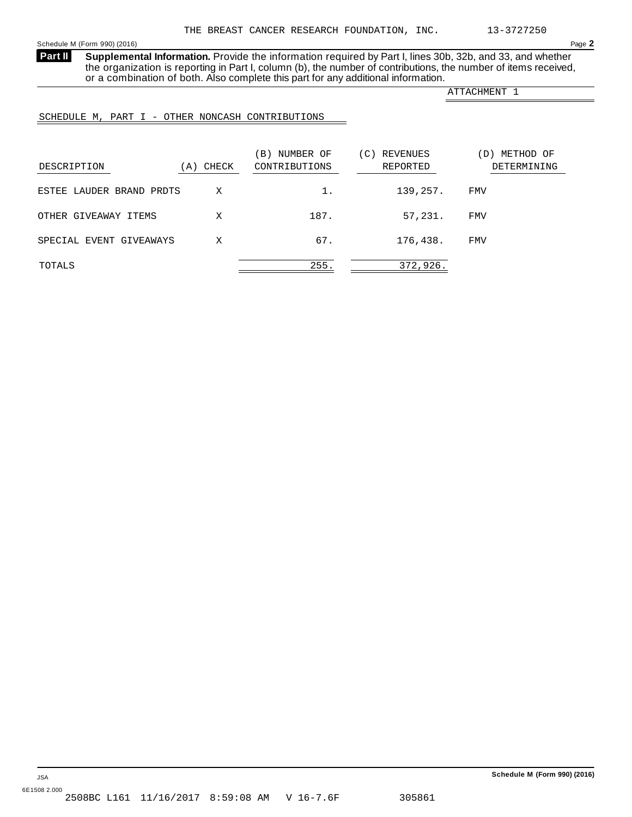<span id="page-65-0"></span>Schedule M (Form 990) (2016) Page **2**

**Supplemental Information.** Provide the information required by Part I, lines 30b, 32b, and 33, and whether the organization is reporting in Part I, column (b), the number of contributions, the number of items received, or a combination of both. Also complete this part for any additional information. **Part II**

|                                                  |           |                                |                             | ATTACHMENT 1                 |
|--------------------------------------------------|-----------|--------------------------------|-----------------------------|------------------------------|
| SCHEDULE M, PART I - OTHER NONCASH CONTRIBUTIONS |           |                                |                             |                              |
| DESCRIPTION                                      | (A) CHECK | (B) NUMBER OF<br>CONTRIBUTIONS | (C)<br>REVENUES<br>REPORTED | (D) METHOD OF<br>DETERMINING |
| ESTEE LAUDER BRAND PRDTS                         | X         | 1.                             | 139,257.                    | FMV                          |
| OTHER GIVEAWAY ITEMS                             | X         | 187.                           | 57,231.                     | FMV                          |
| SPECIAL EVENT GIVEAWAYS                          | X         | 67.                            | 176,438.                    | FMV                          |
| TOTALS                                           |           | 255.                           | 372,926.                    |                              |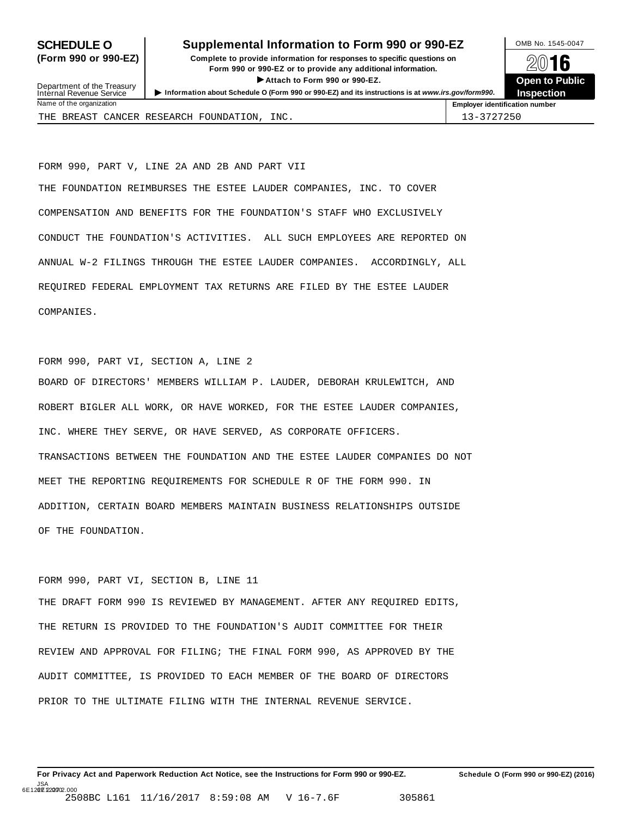Department of the Treasury

### **SCHEDULE O** Supplemental Information to Form 990 or 990-EZ DOMB No. 1545-0047

(Form 990 or 990-EZ) Complete to provide information for responses to specific questions on  $\sim$  2016 Form 990 or 990-EZ or to provide any additional information.<br>
Attach to Form 990 or 990-EZ.<br> **Open to Public** 



| <b>PUPUL LITTURE OF THE FICUSULY</b><br>Internal Revenue Service | Information about Schedule O (Form 990 or 990-EZ) and its instructions is at www.irs.gov/form990. | <b>Inspection</b>                     |
|------------------------------------------------------------------|---------------------------------------------------------------------------------------------------|---------------------------------------|
| Name of the organization                                         |                                                                                                   | <b>Employer identification number</b> |
|                                                                  | INC.<br>THE BREAST CANCER RESEARCH FOUNDATION.                                                    | 13-3727250                            |

FORM 990, PART V, LINE 2A AND 2B AND PART VII

THE FOUNDATION REIMBURSES THE ESTEE LAUDER COMPANIES, INC. TO COVER COMPENSATION AND BENEFITS FOR THE FOUNDATION'S STAFF WHO EXCLUSIVELY CONDUCT THE FOUNDATION'S ACTIVITIES. ALL SUCH EMPLOYEES ARE REPORTED ON ANNUAL W-2 FILINGS THROUGH THE ESTEE LAUDER COMPANIES. ACCORDINGLY, ALL REQUIRED FEDERAL EMPLOYMENT TAX RETURNS ARE FILED BY THE ESTEE LAUDER COMPANIES.

#### FORM 990, PART VI, SECTION A, LINE 2

BOARD OF DIRECTORS' MEMBERS WILLIAM P. LAUDER, DEBORAH KRULEWITCH, AND ROBERT BIGLER ALL WORK, OR HAVE WORKED, FOR THE ESTEE LAUDER COMPANIES, INC. WHERE THEY SERVE, OR HAVE SERVED, AS CORPORATE OFFICERS. TRANSACTIONS BETWEEN THE FOUNDATION AND THE ESTEE LAUDER COMPANIES DO NOT MEET THE REPORTING REQUIREMENTS FOR SCHEDULE R OF THE FORM 990. IN ADDITION, CERTAIN BOARD MEMBERS MAINTAIN BUSINESS RELATIONSHIPS OUTSIDE OF THE FOUNDATION.

#### FORM 990, PART VI, SECTION B, LINE 11

THE DRAFT FORM 990 IS REVIEWED BY MANAGEMENT. AFTER ANY REQUIRED EDITS, THE RETURN IS PROVIDED TO THE FOUNDATION'S AUDIT COMMITTEE FOR THEIR REVIEW AND APPROVAL FOR FILING; THE FINAL FORM 990, AS APPROVED BY THE AUDIT COMMITTEE, IS PROVIDED TO EACH MEMBER OF THE BOARD OF DIRECTORS PRIOR TO THE ULTIMATE FILING WITH THE INTERNAL REVENUE SERVICE.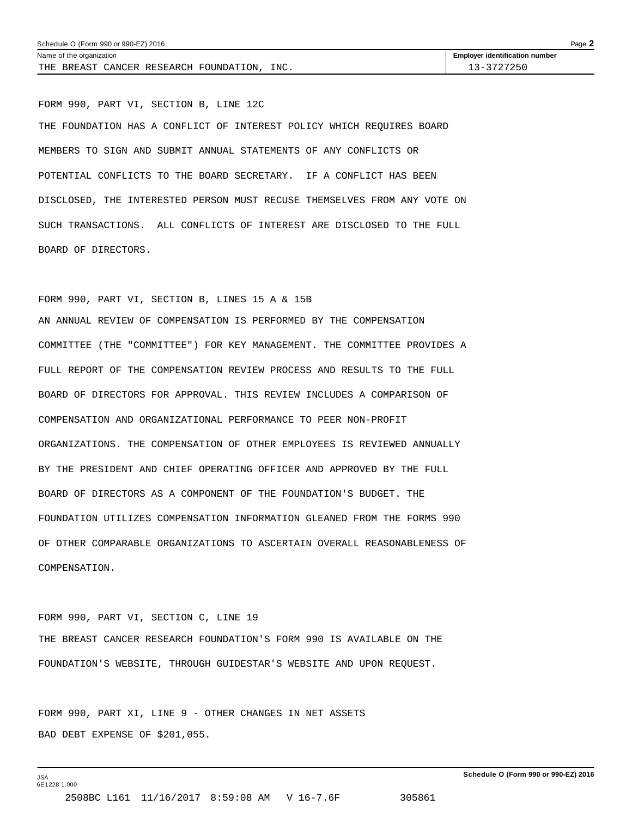| Schedule O (Form 990 or 990-EZ) 2016 |  |                                        |      |                                       | Page 2 |
|--------------------------------------|--|----------------------------------------|------|---------------------------------------|--------|
| Name of the organization             |  |                                        |      | <b>Employer identification number</b> |        |
|                                      |  | THE BREAST CANCER RESEARCH FOUNDATION, | INC. | 13-3727250                            |        |

FORM 990, PART VI, SECTION B, LINE 12C THE FOUNDATION HAS A CONFLICT OF INTEREST POLICY WHICH REQUIRES BOARD MEMBERS TO SIGN AND SUBMIT ANNUAL STATEMENTS OF ANY CONFLICTS OR POTENTIAL CONFLICTS TO THE BOARD SECRETARY. IF A CONFLICT HAS BEEN DISCLOSED, THE INTERESTED PERSON MUST RECUSE THEMSELVES FROM ANY VOTE ON SUCH TRANSACTIONS. ALL CONFLICTS OF INTEREST ARE DISCLOSED TO THE FULL BOARD OF DIRECTORS.

FORM 990, PART VI, SECTION B, LINES 15 A & 15B

AN ANNUAL REVIEW OF COMPENSATION IS PERFORMED BY THE COMPENSATION COMMITTEE (THE "COMMITTEE") FOR KEY MANAGEMENT. THE COMMITTEE PROVIDES A FULL REPORT OF THE COMPENSATION REVIEW PROCESS AND RESULTS TO THE FULL BOARD OF DIRECTORS FOR APPROVAL. THIS REVIEW INCLUDES A COMPARISON OF COMPENSATION AND ORGANIZATIONAL PERFORMANCE TO PEER NON-PROFIT ORGANIZATIONS. THE COMPENSATION OF OTHER EMPLOYEES IS REVIEWED ANNUALLY BY THE PRESIDENT AND CHIEF OPERATING OFFICER AND APPROVED BY THE FULL BOARD OF DIRECTORS AS A COMPONENT OF THE FOUNDATION'S BUDGET. THE FOUNDATION UTILIZES COMPENSATION INFORMATION GLEANED FROM THE FORMS 990 OF OTHER COMPARABLE ORGANIZATIONS TO ASCERTAIN OVERALL REASONABLENESS OF COMPENSATION.

FORM 990, PART VI, SECTION C, LINE 19 THE BREAST CANCER RESEARCH FOUNDATION'S FORM 990 IS AVAILABLE ON THE FOUNDATION'S WEBSITE, THROUGH GUIDESTAR'S WEBSITE AND UPON REQUEST.

FORM 990, PART XI, LINE 9 - OTHER CHANGES IN NET ASSETS BAD DEBT EXPENSE OF \$201,055.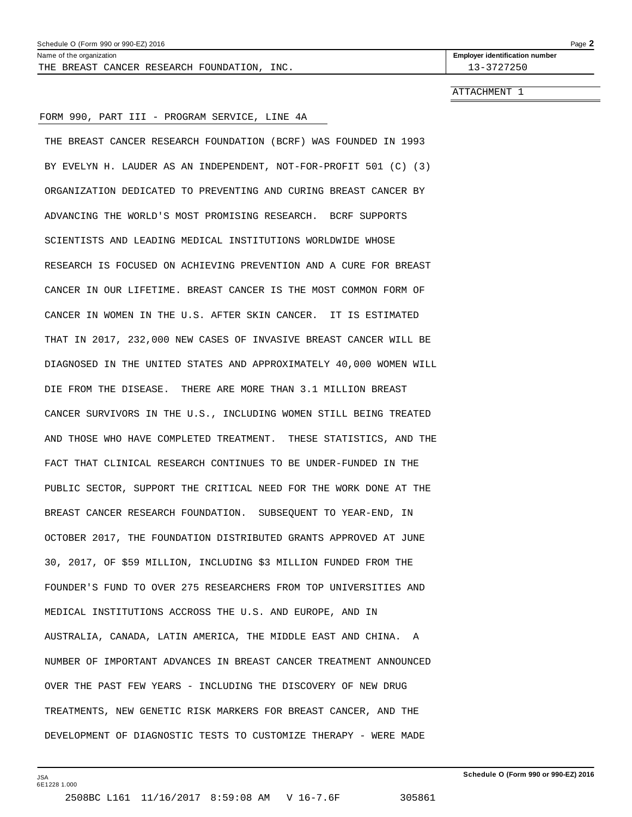| Schedule<br>EZ) 2016<br>990 or<br>$\Omega$<br>⊺(Form | Page |
|------------------------------------------------------|------|
|------------------------------------------------------|------|

| Name of the organization |  |  |  |                                             |  |  |  |  |  |
|--------------------------|--|--|--|---------------------------------------------|--|--|--|--|--|
|                          |  |  |  | THE BREAST CANCER RESEARCH FOUNDATION, INC. |  |  |  |  |  |

**Employer identification number** 13-3727250

ATTACHMENT 1

#### FORM 990, PART III - PROGRAM SERVICE, LINE 4A

THE BREAST CANCER RESEARCH FOUNDATION (BCRF) WAS FOUNDED IN 1993 BY EVELYN H. LAUDER AS AN INDEPENDENT, NOT-FOR-PROFIT 501 (C) (3) ORGANIZATION DEDICATED TO PREVENTING AND CURING BREAST CANCER BY ADVANCING THE WORLD'S MOST PROMISING RESEARCH. BCRF SUPPORTS SCIENTISTS AND LEADING MEDICAL INSTITUTIONS WORLDWIDE WHOSE RESEARCH IS FOCUSED ON ACHIEVING PREVENTION AND A CURE FOR BREAST CANCER IN OUR LIFETIME. BREAST CANCER IS THE MOST COMMON FORM OF CANCER IN WOMEN IN THE U.S. AFTER SKIN CANCER. IT IS ESTIMATED THAT IN 2017, 232,000 NEW CASES OF INVASIVE BREAST CANCER WILL BE DIAGNOSED IN THE UNITED STATES AND APPROXIMATELY 40,000 WOMEN WILL DIE FROM THE DISEASE. THERE ARE MORE THAN 3.1 MILLION BREAST CANCER SURVIVORS IN THE U.S., INCLUDING WOMEN STILL BEING TREATED AND THOSE WHO HAVE COMPLETED TREATMENT. THESE STATISTICS, AND THE FACT THAT CLINICAL RESEARCH CONTINUES TO BE UNDER-FUNDED IN THE PUBLIC SECTOR, SUPPORT THE CRITICAL NEED FOR THE WORK DONE AT THE BREAST CANCER RESEARCH FOUNDATION. SUBSEQUENT TO YEAR-END, IN OCTOBER 2017, THE FOUNDATION DISTRIBUTED GRANTS APPROVED AT JUNE 30, 2017, OF \$59 MILLION, INCLUDING \$3 MILLION FUNDED FROM THE FOUNDER'S FUND TO OVER 275 RESEARCHERS FROM TOP UNIVERSITIES AND MEDICAL INSTITUTIONS ACCROSS THE U.S. AND EUROPE, AND IN AUSTRALIA, CANADA, LATIN AMERICA, THE MIDDLE EAST AND CHINA. A NUMBER OF IMPORTANT ADVANCES IN BREAST CANCER TREATMENT ANNOUNCED OVER THE PAST FEW YEARS - INCLUDING THE DISCOVERY OF NEW DRUG TREATMENTS, NEW GENETIC RISK MARKERS FOR BREAST CANCER, AND THE DEVELOPMENT OF DIAGNOSTIC TESTS TO CUSTOMIZE THERAPY - WERE MADE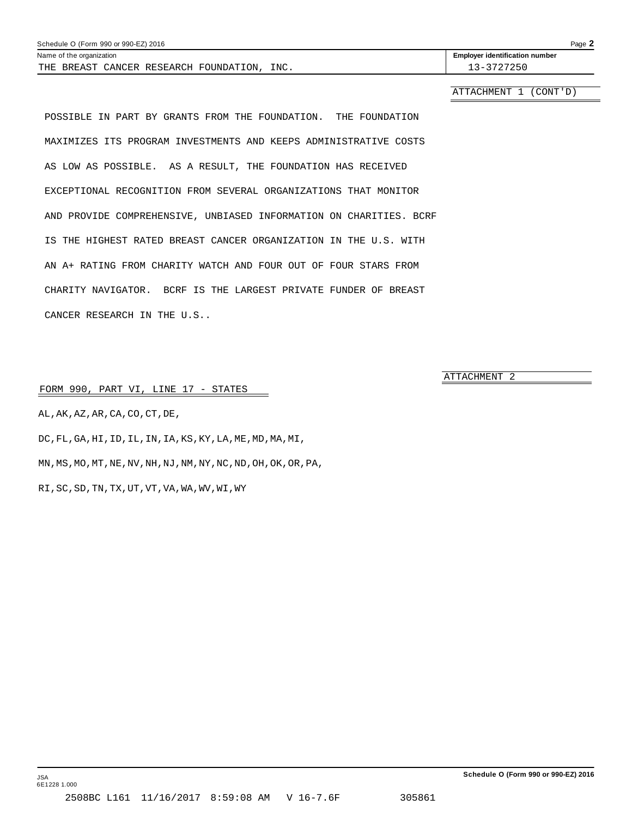| Schedule O (Form 990 or 990-EZ) 2016           | Page $\blacktriangle$                 |
|------------------------------------------------|---------------------------------------|
| Name of the organization                       | <b>Employer identification number</b> |
| INC.<br>THE BREAST CANCER RESEARCH FOUNDATION. | 13-3727250                            |

ATTACHMENT 1 (CONT'D)

POSSIBLE IN PART BY GRANTS FROM THE FOUNDATION. THE FOUNDATION MAXIMIZES ITS PROGRAM INVESTMENTS AND KEEPS ADMINISTRATIVE COSTS AS LOW AS POSSIBLE. AS A RESULT, THE FOUNDATION HAS RECEIVED EXCEPTIONAL RECOGNITION FROM SEVERAL ORGANIZATIONS THAT MONITOR AND PROVIDE COMPREHENSIVE, UNBIASED INFORMATION ON CHARITIES. BCRF IS THE HIGHEST RATED BREAST CANCER ORGANIZATION IN THE U.S. WITH AN A+ RATING FROM CHARITY WATCH AND FOUR OUT OF FOUR STARS FROM CHARITY NAVIGATOR. BCRF IS THE LARGEST PRIVATE FUNDER OF BREAST CANCER RESEARCH IN THE U.S..

ATTACHMENT 2

FORM 990, PART VI, LINE 17 - STATES AL,AK,AZ,AR,CA,CO,CT,DE, DC,FL,GA,HI,ID,IL,IN,IA,KS,KY,LA,ME,MD,MA,MI, MN,MS,MO,MT,NE,NV,NH,NJ,NM,NY,NC,ND,OH,OK,OR,PA, RI,SC,SD,TN,TX,UT,VT,VA,WA,WV,WI,WY

**Schedule O (Form 990 or 990-EZ) 2016**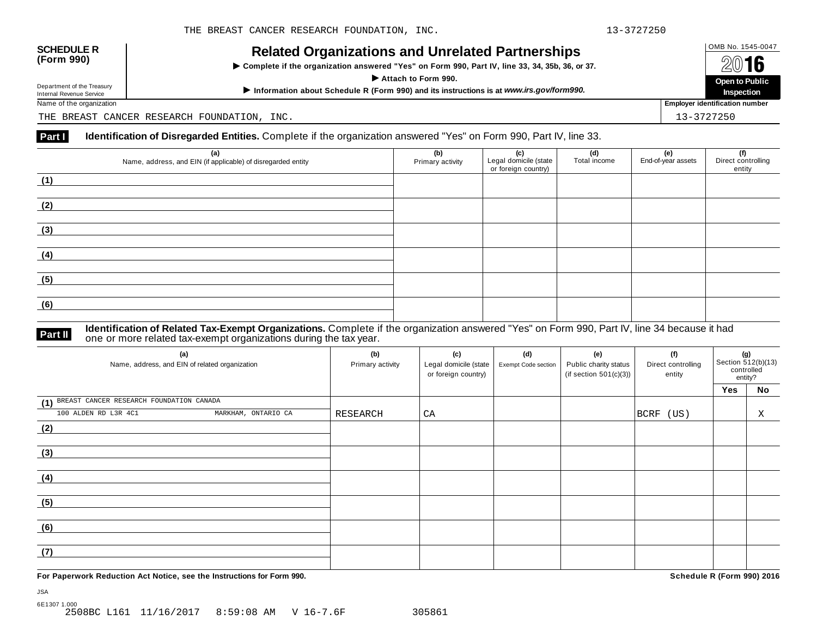## OMB No. 1545-0047 **SCHEDULE R (Form 990) Related Organizations and Unrelated Partnerships**

 $\triangleright$  Complete if the organization answered "Yes" on Form 990, Part IV, line 33, 34, 35b, 36, or 37.  $\overline{A}$  **D**<br>
Attach to Form 990.<br>  $\overline{A}$  Attach to Form 990.

Department of the Treasury<br>
Department of the Treasury Departo Public<br>
Inspection Inspection<br>
Name of the organization **inspection**<br>
Name of the organization **inspection** 

Department of the Treasury<br>Internal Revenue Service

THE BREAST CANCER RESEARCH FOUNDATION, INC. 13-3727250

### **Part I** Identification of Disregarded Entities. Complete if the organization answered "Yes" on Form 990, Part IV, line 33.

| (a)<br>Name, address, and EIN (if applicable) of disregarded entity | (b)<br>Primary activity | (c)<br>Legal domicile (state<br>or foreign country) | (d)<br>Total income | (e)<br>End-of-year assets | (f)<br>Direct controlling<br>entity |
|---------------------------------------------------------------------|-------------------------|-----------------------------------------------------|---------------------|---------------------------|-------------------------------------|
| (1)                                                                 |                         |                                                     |                     |                           |                                     |
|                                                                     |                         |                                                     |                     |                           |                                     |
| (2)                                                                 |                         |                                                     |                     |                           |                                     |
|                                                                     |                         |                                                     |                     |                           |                                     |
| (3)                                                                 |                         |                                                     |                     |                           |                                     |
|                                                                     |                         |                                                     |                     |                           |                                     |
| (4)                                                                 |                         |                                                     |                     |                           |                                     |
|                                                                     |                         |                                                     |                     |                           |                                     |
| (5)                                                                 |                         |                                                     |                     |                           |                                     |
|                                                                     |                         |                                                     |                     |                           |                                     |
| (6)                                                                 |                         |                                                     |                     |                           |                                     |
|                                                                     |                         |                                                     |                     |                           |                                     |

JSA

**Identification of Related Tax-Exempt Organizations.** Complete if the organization answered "Yes" on Form 990, Part IV, line 34 because it had **Part II** one or more related tax-exempt organizations during the tax year.

| (a)<br>Name, address, and EIN of related organization | (b)<br>Primary activity | (c)<br>Legal domicile (state<br>or foreign country) | (d)<br>Exempt Code section | (e)<br>Public charity status<br>(if section $501(c)(3)$ ) | (f)<br>Direct controlling<br>entity | (g)<br>Section $\frac{3}{12(b)(13)}$<br>controlled<br>entity? |    |
|-------------------------------------------------------|-------------------------|-----------------------------------------------------|----------------------------|-----------------------------------------------------------|-------------------------------------|---------------------------------------------------------------|----|
|                                                       |                         |                                                     |                            |                                                           |                                     | Yes                                                           | No |
| (1) BREAST CANCER RESEARCH FOUNDATION CANADA          |                         |                                                     |                            |                                                           |                                     |                                                               |    |
| 100 ALDEN RD L3R 4C1<br>MARKHAM, ONTARIO CA           | RESEARCH                | CA                                                  |                            |                                                           | BCRF (US)                           |                                                               | X  |
| (2)                                                   |                         |                                                     |                            |                                                           |                                     |                                                               |    |
|                                                       |                         |                                                     |                            |                                                           |                                     |                                                               |    |
| (3)                                                   |                         |                                                     |                            |                                                           |                                     |                                                               |    |
|                                                       |                         |                                                     |                            |                                                           |                                     |                                                               |    |
| (4)                                                   |                         |                                                     |                            |                                                           |                                     |                                                               |    |
|                                                       |                         |                                                     |                            |                                                           |                                     |                                                               |    |
| (5)                                                   |                         |                                                     |                            |                                                           |                                     |                                                               |    |
|                                                       |                         |                                                     |                            |                                                           |                                     |                                                               |    |
| (6)                                                   |                         |                                                     |                            |                                                           |                                     |                                                               |    |
|                                                       |                         |                                                     |                            |                                                           |                                     |                                                               |    |
| (7)                                                   |                         |                                                     |                            |                                                           |                                     |                                                               |    |
|                                                       |                         |                                                     |                            |                                                           |                                     |                                                               |    |

**For Paperwork Reduction Act Notice, see the Instructions for Form 990. Schedule R (Form 990) 2016**

**Inspection**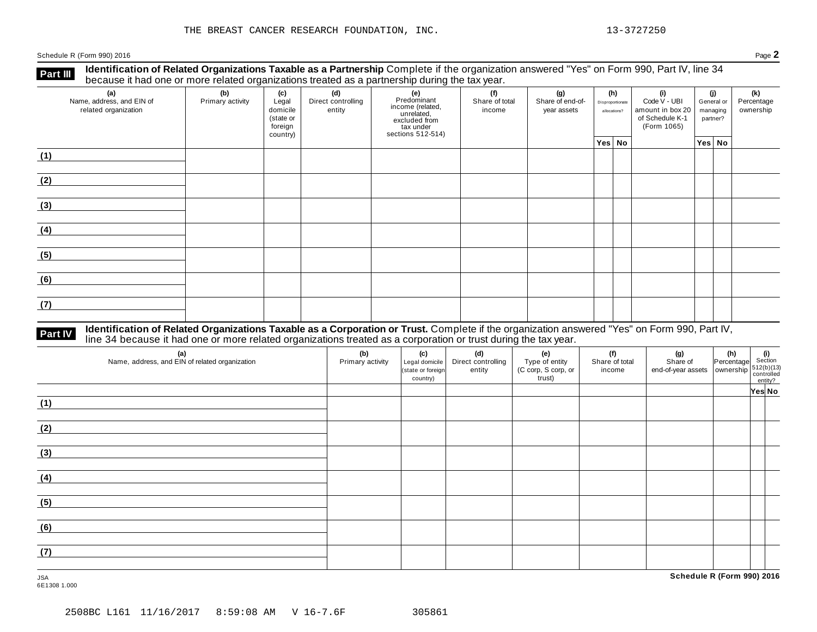Schedule <sup>R</sup> (Form 990) <sup>2016</sup> Page **2**

**Identification of Related Organizations Taxable as a Partnership** Complete if the organization answered "Yes" on Form 990, Part IV, line 34 **because it had one or more related organizations Taxable as a Partnership** Complete in the organization of the tax year.

| (a)<br>Name, address, and EIN of<br>related organization | (b)<br>Primary activity | (c)<br>Legal<br>domicile<br>(state or | (d)<br>Direct controlling<br>entity | (e)<br>Predominant<br>income (related,<br>unrelated,<br>excluded from | (f)<br>Share of total<br>income | (g)<br>Share of end-of-<br>year assets | Disproportionate<br>allocations? | (h) | (i)<br>Code V - UBI<br>amount in box 20<br>of Schedule K-1 | (j)<br>General or<br>managing<br>partner? | (k)<br>Percentage<br>ownership |
|----------------------------------------------------------|-------------------------|---------------------------------------|-------------------------------------|-----------------------------------------------------------------------|---------------------------------|----------------------------------------|----------------------------------|-----|------------------------------------------------------------|-------------------------------------------|--------------------------------|
|                                                          |                         | foreign<br>country)                   |                                     | tax under<br>sections 512-514)                                        |                                 |                                        | Yes No                           |     | (Form 1065)                                                | Yes No                                    |                                |
| (1)                                                      |                         |                                       |                                     |                                                                       |                                 |                                        |                                  |     |                                                            |                                           |                                |
| (2)                                                      |                         |                                       |                                     |                                                                       |                                 |                                        |                                  |     |                                                            |                                           |                                |
| (3)                                                      |                         |                                       |                                     |                                                                       |                                 |                                        |                                  |     |                                                            |                                           |                                |
| (4)                                                      |                         |                                       |                                     |                                                                       |                                 |                                        |                                  |     |                                                            |                                           |                                |
| (5)                                                      |                         |                                       |                                     |                                                                       |                                 |                                        |                                  |     |                                                            |                                           |                                |
| (6)                                                      |                         |                                       |                                     |                                                                       |                                 |                                        |                                  |     |                                                            |                                           |                                |
| (7)                                                      |                         |                                       |                                     |                                                                       |                                 |                                        |                                  |     |                                                            |                                           |                                |

# **Part IV** Identification of Related Organizations Taxable as a Corporation or Trust. Complete if the organization answered "Yes" on Form 990, Part IV,<br>line 34 because it had one or more related organizations treated as a c

| (a)<br>Name, address, and EIN of related organization | (b)<br>Primary activity | (c)<br>Legal domicile<br>(state or foreign<br>country) | (d)<br>Direct controlling<br>entity | (e)<br>Type of entity<br>(C corp, S corp, or<br>trust) | (f)<br>Share of total<br>income | (g) $\left\{\n\begin{array}{c}\n\text{(g)}\n\end{array}\n\right.\n\left\{\n\begin{array}{c}\n\text{(h)}\n\end{array}\n\right.\n\left\{\n\begin{array}{c}\n\text{(i)}\n\end{array}\n\right.\n\left\{\n\begin{array}{c}\n\text{Section}\n\end{array}\n\right.\n\left\{\n\begin{array}{c}\n\text{Section}\n\end{array}\n\right.\n\left\{\n\begin{array}{c}\n\text{Section}\n\end{array}\n\right.\n\left\{\n\begin{array}{c}\n\text{Section}\n\end{array}\n\right.\n\left\{\n\$ |        |
|-------------------------------------------------------|-------------------------|--------------------------------------------------------|-------------------------------------|--------------------------------------------------------|---------------------------------|-----------------------------------------------------------------------------------------------------------------------------------------------------------------------------------------------------------------------------------------------------------------------------------------------------------------------------------------------------------------------------------------------------------------------------------------------------------------------------|--------|
|                                                       |                         |                                                        |                                     |                                                        |                                 |                                                                                                                                                                                                                                                                                                                                                                                                                                                                             | Yes No |
| (1)                                                   |                         |                                                        |                                     |                                                        |                                 |                                                                                                                                                                                                                                                                                                                                                                                                                                                                             |        |
| (2)                                                   |                         |                                                        |                                     |                                                        |                                 |                                                                                                                                                                                                                                                                                                                                                                                                                                                                             |        |
| (3)                                                   |                         |                                                        |                                     |                                                        |                                 |                                                                                                                                                                                                                                                                                                                                                                                                                                                                             |        |
| (4)                                                   |                         |                                                        |                                     |                                                        |                                 |                                                                                                                                                                                                                                                                                                                                                                                                                                                                             |        |
| (5)                                                   |                         |                                                        |                                     |                                                        |                                 |                                                                                                                                                                                                                                                                                                                                                                                                                                                                             |        |
| (6)                                                   |                         |                                                        |                                     |                                                        |                                 |                                                                                                                                                                                                                                                                                                                                                                                                                                                                             |        |
| (7)                                                   |                         |                                                        |                                     |                                                        |                                 |                                                                                                                                                                                                                                                                                                                                                                                                                                                                             |        |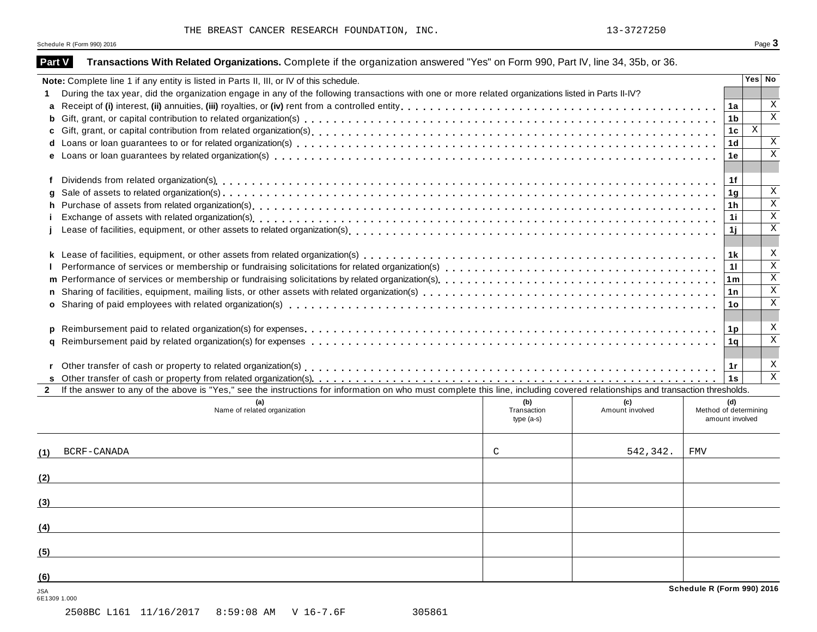THE BREAST CANCER RESEARCH FOUNDATION, INC.  $13-3727250$ 

Schedule R (Form 990) 2016  $\sim$  Page  $\rm 3$ 

| Note: Complete line 1 if any entity is listed in Parts II, III, or IV of this schedule.<br>During the tax year, did the organization engage in any of the following transactions with one or more related organizations listed in Parts II-IV?<br>1a<br>1 <sub>b</sub><br>$\,$ X<br>1c<br>1 <sub>d</sub><br>1e<br>1f<br>f<br>1 <sub>q</sub><br>g<br>1 <sub>h</sub><br>Exchange of assets with related organization(s) enterpreened and according to the content of the content of the content of the content of the content of the content of the content of the content of the content of the conte<br>1i<br>1j<br>1 <sub>k</sub><br>11<br>1 <sub>m</sub><br>1n<br>1o | Yes No                  |
|------------------------------------------------------------------------------------------------------------------------------------------------------------------------------------------------------------------------------------------------------------------------------------------------------------------------------------------------------------------------------------------------------------------------------------------------------------------------------------------------------------------------------------------------------------------------------------------------------------------------------------------------------------------------|-------------------------|
|                                                                                                                                                                                                                                                                                                                                                                                                                                                                                                                                                                                                                                                                        |                         |
|                                                                                                                                                                                                                                                                                                                                                                                                                                                                                                                                                                                                                                                                        |                         |
|                                                                                                                                                                                                                                                                                                                                                                                                                                                                                                                                                                                                                                                                        | X                       |
|                                                                                                                                                                                                                                                                                                                                                                                                                                                                                                                                                                                                                                                                        | $\overline{\mathbf{x}}$ |
|                                                                                                                                                                                                                                                                                                                                                                                                                                                                                                                                                                                                                                                                        |                         |
|                                                                                                                                                                                                                                                                                                                                                                                                                                                                                                                                                                                                                                                                        | Χ                       |
|                                                                                                                                                                                                                                                                                                                                                                                                                                                                                                                                                                                                                                                                        | $\mathbf{X}$            |
|                                                                                                                                                                                                                                                                                                                                                                                                                                                                                                                                                                                                                                                                        |                         |
|                                                                                                                                                                                                                                                                                                                                                                                                                                                                                                                                                                                                                                                                        |                         |
|                                                                                                                                                                                                                                                                                                                                                                                                                                                                                                                                                                                                                                                                        | $\mathbf X$             |
|                                                                                                                                                                                                                                                                                                                                                                                                                                                                                                                                                                                                                                                                        | $\overline{X}$          |
|                                                                                                                                                                                                                                                                                                                                                                                                                                                                                                                                                                                                                                                                        | $\overline{\mathbf{x}}$ |
|                                                                                                                                                                                                                                                                                                                                                                                                                                                                                                                                                                                                                                                                        | $\mathbf X$             |
|                                                                                                                                                                                                                                                                                                                                                                                                                                                                                                                                                                                                                                                                        |                         |
|                                                                                                                                                                                                                                                                                                                                                                                                                                                                                                                                                                                                                                                                        | X                       |
|                                                                                                                                                                                                                                                                                                                                                                                                                                                                                                                                                                                                                                                                        | $\overline{\mathbf{x}}$ |
|                                                                                                                                                                                                                                                                                                                                                                                                                                                                                                                                                                                                                                                                        | $\mathbf X$             |
|                                                                                                                                                                                                                                                                                                                                                                                                                                                                                                                                                                                                                                                                        | $\mathbf X$             |
|                                                                                                                                                                                                                                                                                                                                                                                                                                                                                                                                                                                                                                                                        | X                       |
|                                                                                                                                                                                                                                                                                                                                                                                                                                                                                                                                                                                                                                                                        |                         |
| 1p                                                                                                                                                                                                                                                                                                                                                                                                                                                                                                                                                                                                                                                                     | X                       |
| 1q                                                                                                                                                                                                                                                                                                                                                                                                                                                                                                                                                                                                                                                                     | $\mathbf X$             |
|                                                                                                                                                                                                                                                                                                                                                                                                                                                                                                                                                                                                                                                                        |                         |
| 1r                                                                                                                                                                                                                                                                                                                                                                                                                                                                                                                                                                                                                                                                     | Χ<br>$\,$ X             |
| 1s<br>2 If the answer to any of the above is "Yes," see the instructions for information on who must complete this line, including covered relationships and transaction thresholds.                                                                                                                                                                                                                                                                                                                                                                                                                                                                                   |                         |
| (b)<br>(a)<br>(c)<br>(d)                                                                                                                                                                                                                                                                                                                                                                                                                                                                                                                                                                                                                                               |                         |
| Name of related organization<br>Amount involved<br>Method of determining<br>Transaction                                                                                                                                                                                                                                                                                                                                                                                                                                                                                                                                                                                |                         |
| amount involved<br>type $(a-s)$                                                                                                                                                                                                                                                                                                                                                                                                                                                                                                                                                                                                                                        |                         |
|                                                                                                                                                                                                                                                                                                                                                                                                                                                                                                                                                                                                                                                                        |                         |
| $\mathcal{C}$<br>542,342.<br>BCRF-CANADA<br><b>FMV</b><br>(1)                                                                                                                                                                                                                                                                                                                                                                                                                                                                                                                                                                                                          |                         |
|                                                                                                                                                                                                                                                                                                                                                                                                                                                                                                                                                                                                                                                                        |                         |
| (2)                                                                                                                                                                                                                                                                                                                                                                                                                                                                                                                                                                                                                                                                    |                         |
| (3)                                                                                                                                                                                                                                                                                                                                                                                                                                                                                                                                                                                                                                                                    |                         |
|                                                                                                                                                                                                                                                                                                                                                                                                                                                                                                                                                                                                                                                                        |                         |
| (4)                                                                                                                                                                                                                                                                                                                                                                                                                                                                                                                                                                                                                                                                    |                         |
| (5)                                                                                                                                                                                                                                                                                                                                                                                                                                                                                                                                                                                                                                                                    |                         |
| (6)                                                                                                                                                                                                                                                                                                                                                                                                                                                                                                                                                                                                                                                                    |                         |
| Schedule R (Form 990) 2016<br><b>JSA</b><br>6E1309 1.000                                                                                                                                                                                                                                                                                                                                                                                                                                                                                                                                                                                                               |                         |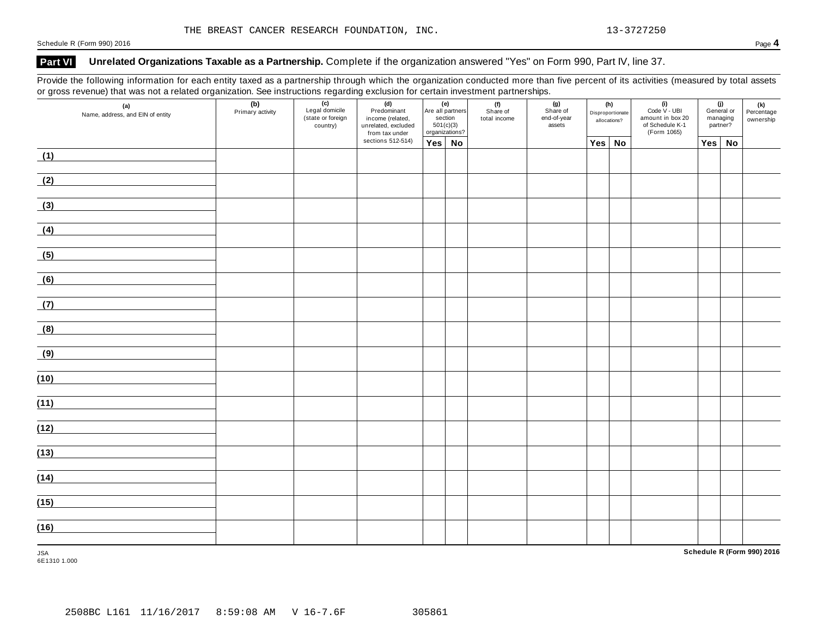## **Part VI Unrelated Organizations Taxable as a Partnership.** Complete if the organization answered "Yes" on Form 990, Part IV, line 37.

Provide the following information for each entity taxed as a partnership through which the organization conducted more than five percent of its activities (measured by total assets or gross revenue) that was not a related organization. See instructions regarding exclusion for certain investment partnerships.

| $\tilde{}$<br>$\epsilon$<br>(a)<br>Name, address, and EIN of entity | $\tilde{\phantom{a}}$<br>(b)<br>Primary activity | $\tilde{\phantom{a}}$<br>$\overline{(c)}$<br>Legal domicile<br>(state or foreign<br>country) | $\tilde{\phantom{a}}$<br>(d)<br>Predominant<br>income (related,<br>unrelated, excluded<br>from tax under<br>sections 512-514) | (e)<br>Are all partners<br>section<br>501(c)(3)<br>organizations? |               | . .<br>(f)<br>Share of<br>total income | (g)<br>Share of<br>end-of-year<br>assets | (h)<br>Disproportionate<br>allocations? |           | $(i)$<br>Code $\vee$ - UBI<br>amount in box 20<br>of Schedule K-1<br>(Form 1065) | (j)<br>General or<br>managing<br>partner? |           | (k)<br>Percentage<br>ownership |
|---------------------------------------------------------------------|--------------------------------------------------|----------------------------------------------------------------------------------------------|-------------------------------------------------------------------------------------------------------------------------------|-------------------------------------------------------------------|---------------|----------------------------------------|------------------------------------------|-----------------------------------------|-----------|----------------------------------------------------------------------------------|-------------------------------------------|-----------|--------------------------------|
|                                                                     |                                                  |                                                                                              |                                                                                                                               |                                                                   | $Yes \mid No$ |                                        |                                          | Yes                                     | <b>No</b> |                                                                                  | Yes                                       | <b>No</b> |                                |
| (1)                                                                 |                                                  |                                                                                              |                                                                                                                               |                                                                   |               |                                        |                                          |                                         |           |                                                                                  |                                           |           |                                |
| (2)                                                                 |                                                  |                                                                                              |                                                                                                                               |                                                                   |               |                                        |                                          |                                         |           |                                                                                  |                                           |           |                                |
| (3)                                                                 |                                                  |                                                                                              |                                                                                                                               |                                                                   |               |                                        |                                          |                                         |           |                                                                                  |                                           |           |                                |
| (4)                                                                 |                                                  |                                                                                              |                                                                                                                               |                                                                   |               |                                        |                                          |                                         |           |                                                                                  |                                           |           |                                |
| (5)                                                                 |                                                  |                                                                                              |                                                                                                                               |                                                                   |               |                                        |                                          |                                         |           |                                                                                  |                                           |           |                                |
| (6)                                                                 |                                                  |                                                                                              |                                                                                                                               |                                                                   |               |                                        |                                          |                                         |           |                                                                                  |                                           |           |                                |
| (7)                                                                 |                                                  |                                                                                              |                                                                                                                               |                                                                   |               |                                        |                                          |                                         |           |                                                                                  |                                           |           |                                |
| (8)                                                                 |                                                  |                                                                                              |                                                                                                                               |                                                                   |               |                                        |                                          |                                         |           |                                                                                  |                                           |           |                                |
| (9)                                                                 |                                                  |                                                                                              |                                                                                                                               |                                                                   |               |                                        |                                          |                                         |           |                                                                                  |                                           |           |                                |
| (10)                                                                |                                                  |                                                                                              |                                                                                                                               |                                                                   |               |                                        |                                          |                                         |           |                                                                                  |                                           |           |                                |
| (11)                                                                |                                                  |                                                                                              |                                                                                                                               |                                                                   |               |                                        |                                          |                                         |           |                                                                                  |                                           |           |                                |
| (12)                                                                |                                                  |                                                                                              |                                                                                                                               |                                                                   |               |                                        |                                          |                                         |           |                                                                                  |                                           |           |                                |
| (13)                                                                |                                                  |                                                                                              |                                                                                                                               |                                                                   |               |                                        |                                          |                                         |           |                                                                                  |                                           |           |                                |
| (14)                                                                |                                                  |                                                                                              |                                                                                                                               |                                                                   |               |                                        |                                          |                                         |           |                                                                                  |                                           |           |                                |
| (15)                                                                |                                                  |                                                                                              |                                                                                                                               |                                                                   |               |                                        |                                          |                                         |           |                                                                                  |                                           |           |                                |
| (16)                                                                |                                                  |                                                                                              |                                                                                                                               |                                                                   |               |                                        |                                          |                                         |           |                                                                                  |                                           |           |                                |
| <b>JSA</b>                                                          |                                                  |                                                                                              |                                                                                                                               |                                                                   |               |                                        |                                          |                                         |           |                                                                                  |                                           |           | Schedule R (Form 990) 2016     |

6E1310 1.000